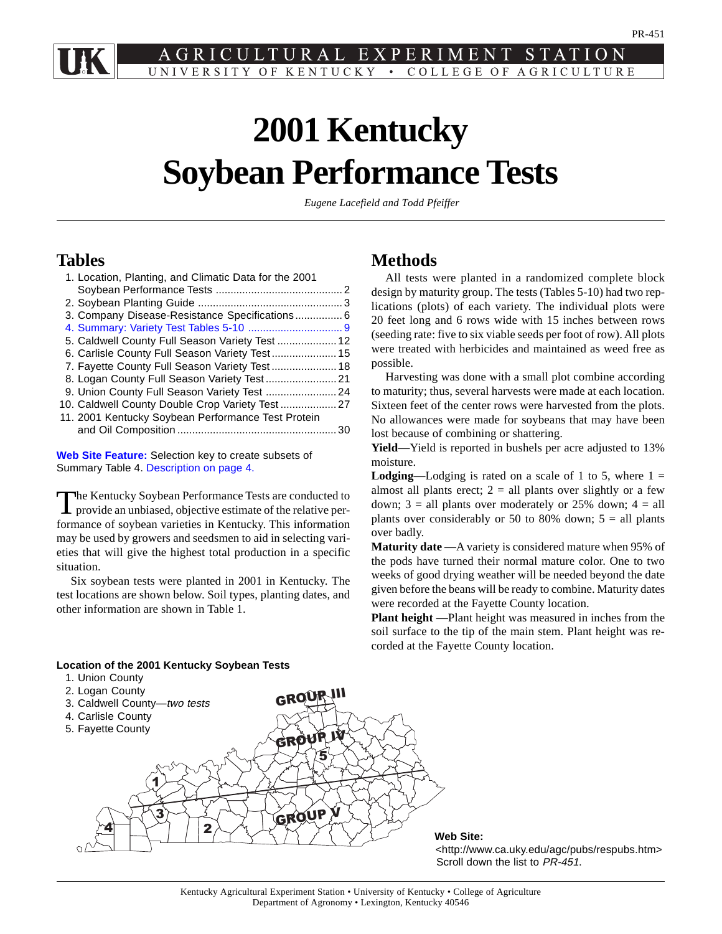<span id="page-0-0"></span>EXPERIMENT STATION LTURAL UNIVERSITY OF KENTUCKY • COLLEGE OF AGRICULTURE

# **2001 Kentucky Soybean Performance Tests**

*Eugene Lacefield and Todd Pfeiffer*

# **Tables**

| 1. Location, Planting, and Climatic Data for the 2001 |  |
|-------------------------------------------------------|--|
|                                                       |  |
|                                                       |  |
| 3. Company Disease-Resistance Specifications 6        |  |
|                                                       |  |
| 5. Caldwell County Full Season Variety Test  12       |  |
|                                                       |  |
| 7. Fayette County Full Season Variety Test  18        |  |
| 8. Logan County Full Season Variety Test 21           |  |
|                                                       |  |
|                                                       |  |
| 11. 2001 Kentucky Soybean Performance Test Protein    |  |
|                                                       |  |

**[Web Site Feature:](#page-33-0)** Selection key to create subsets of Summary Table 4[. Description on page 4.](#page-3-0)

The Kentucky Soybean Performance Tests are conducted to provide an unbiased, objective estimate of the relative performance of soybean varieties in Kentucky. This information may be used by growers and seedsmen to aid in selecting varieties that will give the highest total production in a specific situation.

Six soybean tests were planted in 2001 in Kentucky. The test locations are shown below. Soil types, planting dates, and other information are shown in Table 1.

# **Methods**

All tests were planted in a randomized complete block design by maturity group. The tests (Tables 5-10) had two replications (plots) of each variety. The individual plots were 20 feet long and 6 rows wide with 15 inches between rows (seeding rate: five to six viable seeds per foot of row). All plots were treated with herbicides and maintained as weed free as possible.

Harvesting was done with a small plot combine according to maturity; thus, several harvests were made at each location. Sixteen feet of the center rows were harvested from the plots. No allowances were made for soybeans that may have been lost because of combining or shattering.

**Yield**—Yield is reported in bushels per acre adjusted to 13% moisture.

**Lodging**—Lodging is rated on a scale of 1 to 5, where  $1 =$ almost all plants erect;  $2 =$  all plants over slightly or a few down;  $3 =$  all plants over moderately or 25% down;  $4 =$  all plants over considerably or 50 to 80% down;  $5 = \text{all plants}$ over badly.

**Maturity date** —A variety is considered mature when 95% of the pods have turned their normal mature color. One to two weeks of good drying weather will be needed beyond the date given before the beans will be ready to combine. Maturity dates were recorded at the Fayette County location.

**Plant height** —Plant height was measured in inches from the soil surface to the tip of the main stem. Plant height was recorded at the Fayette County location.

# **Location of the 2001 Kentucky Soybean Tests**

- 1. Union County
- 



## **Web Site:**

<http://www.ca.uky.edu/agc/pubs/respubs.htm> Scroll down the list to PR-451.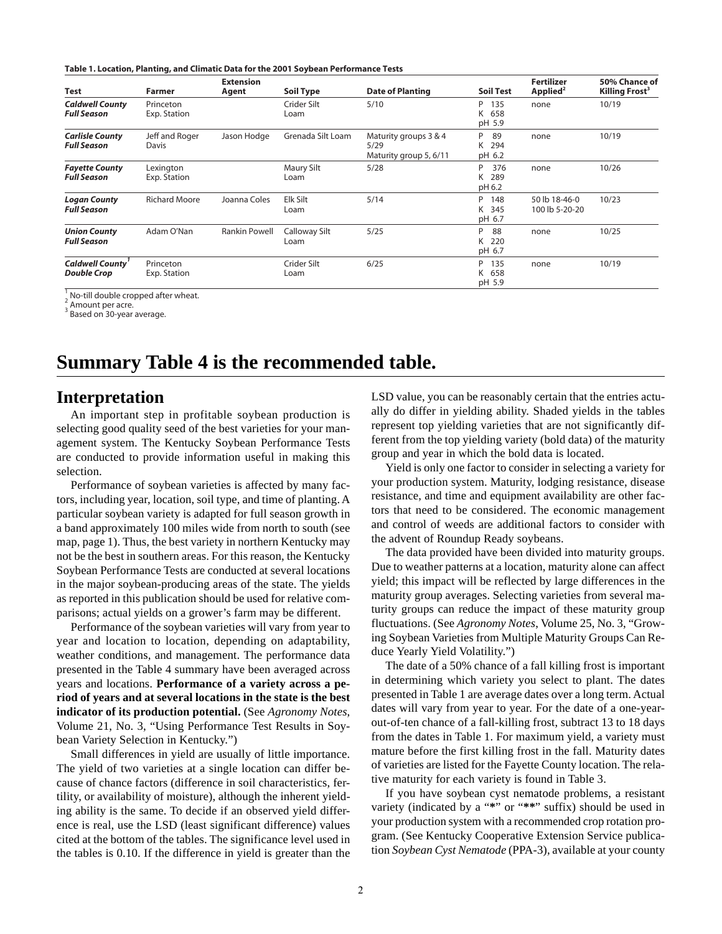**Table 1. Location, Planting, and Climatic Data for the 2001 Soybean Performance Tests**

| Test                                         | Farmer                    | <b>Extension</b><br>Agent | Soil Type             | <b>Date of Planting</b>                                 | <b>Soil Test</b>               | <b>Fertilizer</b><br>Applied <sup>2</sup> | 50% Chance of<br>Killing Frost <sup>3</sup> |
|----------------------------------------------|---------------------------|---------------------------|-----------------------|---------------------------------------------------------|--------------------------------|-------------------------------------------|---------------------------------------------|
| <b>Caldwell County</b><br><b>Full Season</b> | Princeton<br>Exp. Station |                           | Crider Silt<br>Loam   | 5/10                                                    | P 135<br>K 658<br>pH 5.9       | none                                      | 10/19                                       |
| <b>Carlisle County</b><br><b>Full Season</b> | Jeff and Roger<br>Davis   | Jason Hodge               | Grenada Silt Loam     | Maturity groups 3 & 4<br>5/29<br>Maturity group 5, 6/11 | P<br>89<br>294<br>K<br>pH 6.2  | none                                      | 10/19                                       |
| <b>Fayette County</b><br><b>Full Season</b>  | Lexington<br>Exp. Station |                           | Maury Silt<br>Loam    | 5/28                                                    | P<br>376<br>289<br>K<br>pH 6.2 | none                                      | 10/26                                       |
| <b>Logan County</b><br><b>Full Season</b>    | <b>Richard Moore</b>      | Joanna Coles              | Elk Silt<br>Loam      | 5/14                                                    | P<br>148<br>345<br>K<br>pH 6.7 | 50 lb 18-46-0<br>100 lb 5-20-20           | 10/23                                       |
| <b>Union County</b><br><b>Full Season</b>    | Adam O'Nan                | Rankin Powell             | Calloway Silt<br>Loam | 5/25                                                    | P<br>88<br>220<br>K<br>pH 6.7  | none                                      | 10/25                                       |
| <b>Caldwell County</b><br><b>Double Crop</b> | Princeton<br>Exp. Station |                           | Crider Silt<br>Loam   | 6/25                                                    | P<br>135<br>658<br>K<br>pH 5.9 | none                                      | 10/19                                       |

 $\frac{1}{2}$  No-till double cropped after wheat.

Amount per acre.

3 Based on 30-year average.

# **Summary Table 4 is the recommended table.**

# **Interpretation**

An important step in profitable soybean production is selecting good quality seed of the best varieties for your management system. The Kentucky Soybean Performance Tests are conducted to provide information useful in making this selection.

Performance of soybean varieties is affected by many factors, including year, location, soil type, and time of planting. A particular soybean variety is adapted for full season growth in a band approximately 100 miles wide from north to south (see map, page 1). Thus, the best variety in northern Kentucky may not be the best in southern areas. For this reason, the Kentucky Soybean Performance Tests are conducted at several locations in the major soybean-producing areas of the state. The yields as reported in this publication should be used for relative comparisons; actual yields on a grower's farm may be different.

Performance of the soybean varieties will vary from year to year and location to location, depending on adaptability, weather conditions, and management. The performance data presented in the Table 4 summary have been averaged across years and locations. **Performance of a variety across a period of years and at several locations in the state is the best indicator of its production potential.** (See *Agronomy Notes*, Volume 21, No. 3, "Using Performance Test Results in Soybean Variety Selection in Kentucky.")

Small differences in yield are usually of little importance. The yield of two varieties at a single location can differ because of chance factors (difference in soil characteristics, fertility, or availability of moisture), although the inherent yielding ability is the same. To decide if an observed yield difference is real, use the LSD (least significant difference) values cited at the bottom of the tables. The significance level used in the tables is 0.10. If the difference in yield is greater than the LSD value, you can be reasonably certain that the entries actually do differ in yielding ability. Shaded yields in the tables represent top yielding varieties that are not significantly different from the top yielding variety (bold data) of the maturity group and year in which the bold data is located.

Yield is only one factor to consider in selecting a variety for your production system. Maturity, lodging resistance, disease resistance, and time and equipment availability are other factors that need to be considered. The economic management and control of weeds are additional factors to consider with the advent of Roundup Ready soybeans.

The data provided have been divided into maturity groups. Due to weather patterns at a location, maturity alone can affect yield; this impact will be reflected by large differences in the maturity group averages. Selecting varieties from several maturity groups can reduce the impact of these maturity group fluctuations. (See *Agronomy Notes*, Volume 25, No. 3, "Growing Soybean Varieties from Multiple Maturity Groups Can Reduce Yearly Yield Volatility.")

The date of a 50% chance of a fall killing frost is important in determining which variety you select to plant. The dates presented in Table 1 are average dates over a long term. Actual dates will vary from year to year. For the date of a one-yearout-of-ten chance of a fall-killing frost, subtract 13 to 18 days from the dates in Table 1. For maximum yield, a variety must mature before the first killing frost in the fall. Maturity dates of varieties are listed for the Fayette County location. The relative maturity for each variety is found in Table 3.

If you have soybean cyst nematode problems, a resistant variety (indicated by a "**\***" or "**\*\***" suffix) should be used in your production system with a recommended crop rotation program. (See Kentucky Cooperative Extension Service publication *Soybean Cyst Nematode* (PPA-3), available at your county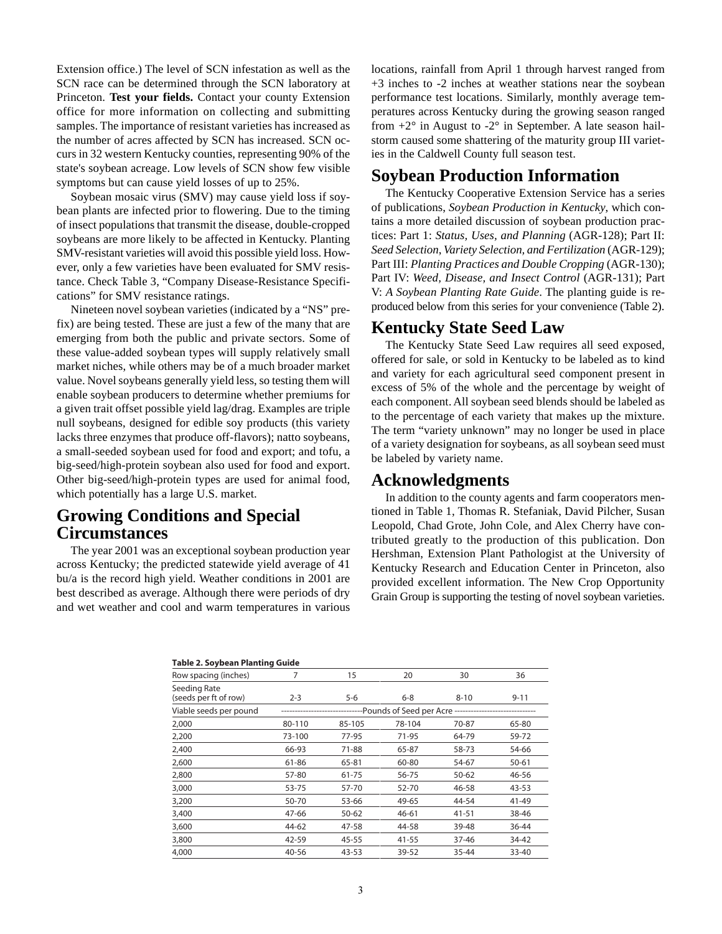Extension office.) The level of SCN infestation as well as the SCN race can be determined through the SCN laboratory at Princeton. **Test your fields.** Contact your county Extension office for more information on collecting and submitting samples. The importance of resistant varieties has increased as the number of acres affected by SCN has increased. SCN occurs in 32 western Kentucky counties, representing 90% of the state's soybean acreage. Low levels of SCN show few visible symptoms but can cause yield losses of up to 25%.

Soybean mosaic virus (SMV) may cause yield loss if soybean plants are infected prior to flowering. Due to the timing of insect populations that transmit the disease, double-cropped soybeans are more likely to be affected in Kentucky. Planting SMV-resistant varieties will avoid this possible yield loss. However, only a few varieties have been evaluated for SMV resistance. Check Table 3, "Company Disease-Resistance Specifications" for SMV resistance ratings.

Nineteen novel soybean varieties (indicated by a "NS" prefix) are being tested. These are just a few of the many that are emerging from both the public and private sectors. Some of these value-added soybean types will supply relatively small market niches, while others may be of a much broader market value. Novel soybeans generally yield less, so testing them will enable soybean producers to determine whether premiums for a given trait offset possible yield lag/drag. Examples are triple null soybeans, designed for edible soy products (this variety lacks three enzymes that produce off-flavors); natto soybeans, a small-seeded soybean used for food and export; and tofu, a big-seed/high-protein soybean also used for food and export. Other big-seed/high-protein types are used for animal food, which potentially has a large U.S. market.

# **Growing Conditions and Special Circumstances**

The year 2001 was an exceptional soybean production year across Kentucky; the predicted statewide yield average of 41 bu/a is the record high yield. Weather conditions in 2001 are best described as average. Although there were periods of dry and wet weather and cool and warm temperatures in various locations, rainfall from April 1 through harvest ranged from +3 inches to -2 inches at weather stations near the soybean performance test locations. Similarly, monthly average temperatures across Kentucky during the growing season ranged from  $+2^{\circ}$  in August to  $-2^{\circ}$  in September. A late season hailstorm caused some shattering of the maturity group III varieties in the Caldwell County full season test.

# **Soybean Production Information**

The Kentucky Cooperative Extension Service has a series of publications, *Soybean Production in Kentucky*, which contains a more detailed discussion of soybean production practices: Part 1: *Status, Uses, and Planning* (AGR-128); Part II: *Seed Selection*, *Variety Selection, and Fertilization* (AGR-129); Part III: *Planting Practices and Double Cropping* (AGR-130); Part IV: *Weed, Disease, and Insect Control* (AGR-131); Part V: *A Soybean Planting Rate Guide*. The planting guide is reproduced below from this series for your convenience (Table 2).

# **Kentucky State Seed Law**

The Kentucky State Seed Law requires all seed exposed, offered for sale, or sold in Kentucky to be labeled as to kind and variety for each agricultural seed component present in excess of 5% of the whole and the percentage by weight of each component. All soybean seed blends should be labeled as to the percentage of each variety that makes up the mixture. The term "variety unknown" may no longer be used in place of a variety designation for soybeans, as all soybean seed must be labeled by variety name.

# **Acknowledgments**

In addition to the county agents and farm cooperators mentioned in Table 1, Thomas R. Stefaniak, David Pilcher, Susan Leopold, Chad Grote, John Cole, and Alex Cherry have contributed greatly to the production of this publication. Don Hershman, Extension Plant Pathologist at the University of Kentucky Research and Education Center in Princeton, also provided excellent information. The New Crop Opportunity Grain Group is supporting the testing of novel soybean varieties.

| <b>Table 2. Soybean Planting Guide</b> |         |        |                                             |           |           |
|----------------------------------------|---------|--------|---------------------------------------------|-----------|-----------|
| Row spacing (inches)                   | 7       | 15     | 20                                          | 30        | 36        |
| Seeding Rate<br>(seeds per ft of row)  | $2 - 3$ | 5-6    | $6 - 8$                                     | $8 - 10$  | $9 - 11$  |
| Viable seeds per pound                 |         |        | -- Pounds of Seed per Acre ---------------- |           |           |
| 2,000                                  | 80-110  | 85-105 | 78-104                                      | 70-87     | 65-80     |
| 2,200                                  | 73-100  | 77-95  | 71-95                                       | 64-79     | 59-72     |
| 2,400                                  | 66-93   | 71-88  | 65-87                                       | 58-73     | 54-66     |
| 2,600                                  | 61-86   | 65-81  | 60-80                                       | 54-67     | $50 - 61$ |
| 2,800                                  | 57-80   | 61-75  | 56-75                                       | $50 - 62$ | 46-56     |
| 3,000                                  | 53-75   | 57-70  | 52-70                                       | 46-58     | 43-53     |
| 3,200                                  | 50-70   | 53-66  | 49-65                                       | 44-54     | 41-49     |
| 3,400                                  | 47-66   | 50-62  | 46-61                                       | $41 - 51$ | 38-46     |
| 3,600                                  | 44-62   | 47-58  | 44-58                                       | 39-48     | 36-44     |
| 3,800                                  | 42-59   | 45-55  | 41-55                                       | 37-46     | 34-42     |
| 4,000                                  | 40-56   | 43-53  | 39-52                                       | 35-44     | 33-40     |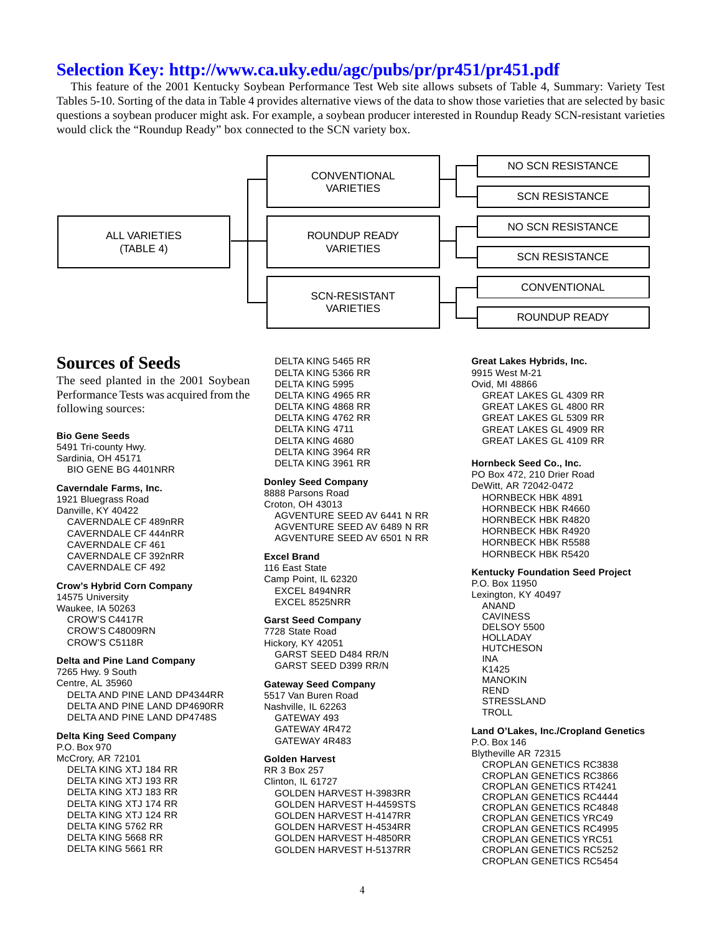This feature of the 2001 Kentucky Soybean Performance Test Web site allows subsets of Table 4, Summary: Variety Test Tables 5-10. Sorting of the data in Table 4 provides alternative views of the data to show those varieties that are selected by basic questions a soybean producer might ask. For example, a soybean producer interested in Roundup Ready SCN-resistant varieties would click the "Roundup Ready" box connected to the SCN variety box.

<span id="page-3-0"></span>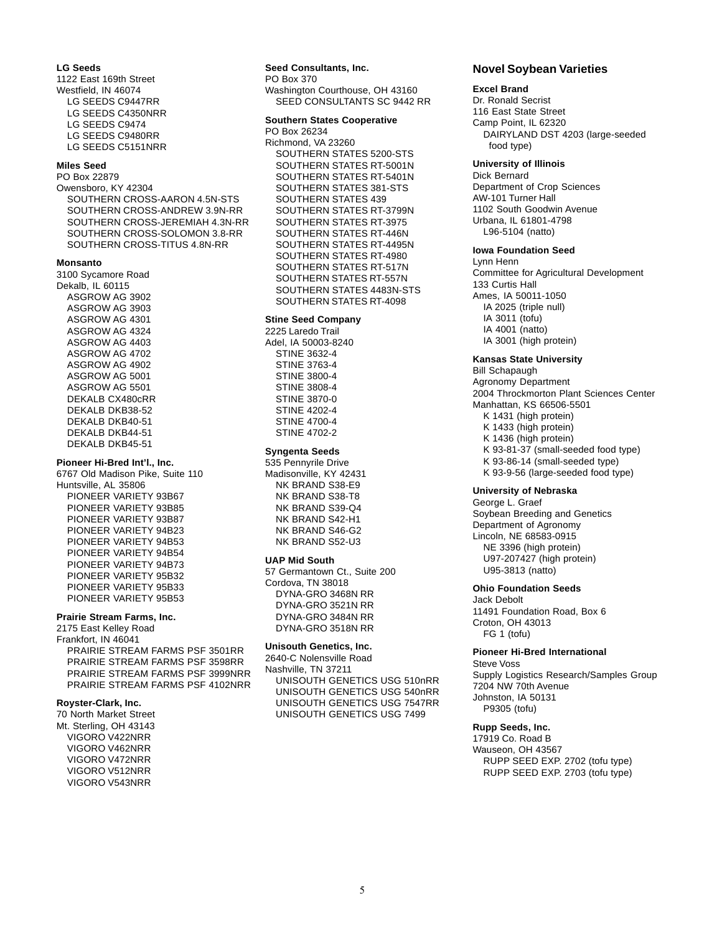## **LG Seeds**

1122 East 169th Street Westfield, IN 46074 LG SEEDS C9447RR LG SEEDS C4350NRR LG SEEDS C9474 LG SEEDS C9480RR LG SEEDS C5151NRR

### **Miles Seed**

PO Box 22879 Owensboro, KY 42304 SOUTHERN CROSS-AARON 4.5N-STS SOUTHERN CROSS-ANDREW 3.9N-RR SOUTHERN CROSS-JEREMIAH 4.3N-RR SOUTHERN CROSS-SOLOMON 3.8-RR SOUTHERN CROSS-TITUS 4.8N-RR

#### **Monsanto**

3100 Sycamore Road Dekalb, IL 60115 ASGROW AG 3902 ASGROW AG 3903 ASGROW AG 4301 ASGROW AG 4324 ASGROW AG 4403 ASGROW AG 4702 ASGROW AG 4902 ASGROW AG 5001 ASGROW AG 5501 DEKALB CX480cRR DEKALB DKB38-52 DEKALB DKB40-51 DEKALB DKB44-51 DEKALB DKB45-51

## **Pioneer Hi-Bred Int'l., Inc.**

6767 Old Madison Pike, Suite 110 Huntsville, AL 35806 PIONEER VARIETY 93B67 PIONEER VARIETY 93B85 PIONEER VARIETY 93B87 PIONEER VARIETY 94B23 PIONEER VARIETY 94B53 PIONEER VARIETY 94B54 PIONEER VARIETY 94B73 PIONEER VARIETY 95B32 PIONEER VARIETY 95B33 PIONEER VARIETY 95B53

#### **Prairie Stream Farms, Inc.**

2175 East Kelley Road Frankfort, IN 46041 PRAIRIE STREAM FARMS PSF 3501RR PRAIRIE STREAM FARMS PSF 3598RR PRAIRIE STREAM FARMS PSF 3999NRR PRAIRIE STREAM FARMS PSF 4102NRR

#### **Royster-Clark, Inc.**

70 North Market Street Mt. Sterling, OH 43143 VIGORO V422NRR VIGORO V462NRR VIGORO V472NRR VIGORO V512NRR VIGORO V543NRR

# **Seed Consultants, Inc.**

PO Box 370 Washington Courthouse, OH 43160 SEED CONSULTANTS SC 9442 RR

#### **Southern States Cooperative**

PO Box 26234 Richmond, VA 23260 SOUTHERN STATES 5200-STS SOUTHERN STATES RT-5001N SOUTHERN STATES RT-5401N SOUTHERN STATES 381-STS SOUTHERN STATES 439 SOUTHERN STATES RT-3799N SOUTHERN STATES RT-3975 SOUTHERN STATES RT-446N SOUTHERN STATES RT-4495N SOUTHERN STATES RT-4980 SOUTHERN STATES RT-517N SOUTHERN STATES RT-557N SOUTHERN STATES 4483N-STS SOUTHERN STATES RT-4098

## **Stine Seed Company**

2225 Laredo Trail Adel, IA 50003-8240 STINE 3632-4 STINE 3763-4 STINE 3800-4 STINE 3808-4 STINE 3870-0 STINE 4202-4 STINE 4700-4 STINE 4702-2

## **Syngenta Seeds**

535 Pennyrile Drive Madisonville, KY 42431 NK BRAND S38-E9 NK BRAND S38-T8 NK BRAND S39-Q4 NK BRAND S42-H1 NK BRAND S46-G2 NK BRAND S52-U3

#### **UAP Mid South**

57 Germantown Ct., Suite 200 Cordova, TN 38018 DYNA-GRO 3468N RR DYNA-GRO 3521N RR DYNA-GRO 3484N RR DYNA-GRO 3518N RR

## **Unisouth Genetics, Inc.**

2640-C Nolensville Road Nashville, TN 37211 UNISOUTH GENETICS USG 510nRR UNISOUTH GENETICS USG 540nRR UNISOUTH GENETICS USG 7547RR UNISOUTH GENETICS USG 7499

## **Novel Soybean Varieties**

#### **Excel Brand**

Dr. Ronald Secrist 116 East State Street Camp Point, IL 62320 DAIRYLAND DST 4203 (large-seeded food type)

## **University of Illinois**

Dick Bernard Department of Crop Sciences AW-101 Turner Hall 1102 South Goodwin Avenue Urbana, IL 61801-4798 L96-5104 (natto)

#### **Iowa Foundation Seed**

Lynn Henn Committee for Agricultural Development 133 Curtis Hall Ames, IA 50011-1050 IA 2025 (triple null) IA 3011 (tofu) IA 4001 (natto) IA 3001 (high protein)

## **Kansas State University**

Bill Schapaugh Agronomy Department 2004 Throckmorton Plant Sciences Center Manhattan, KS 66506-5501 K 1431 (high protein) K 1433 (high protein) K 1436 (high protein) K 93-81-37 (small-seeded food type) K 93-86-14 (small-seeded type) K 93-9-56 (large-seeded food type)

#### **University of Nebraska**

George L. Graef Soybean Breeding and Genetics Department of Agronomy Lincoln, NE 68583-0915 NE 3396 (high protein) U97-207427 (high protein) U95-3813 (natto)

## **Ohio Foundation Seeds**

Jack Debolt 11491 Foundation Road, Box 6 Croton, OH 43013 FG 1 (tofu)

## **Pioneer Hi-Bred International**

Steve Voss Supply Logistics Research/Samples Group 7204 NW 70th Avenue Johnston, IA 50131 P9305 (tofu)

## **Rupp Seeds, Inc.**

17919 Co. Road B Wauseon, OH 43567 RUPP SEED EXP. 2702 (tofu type) RUPP SEED EXP. 2703 (tofu type)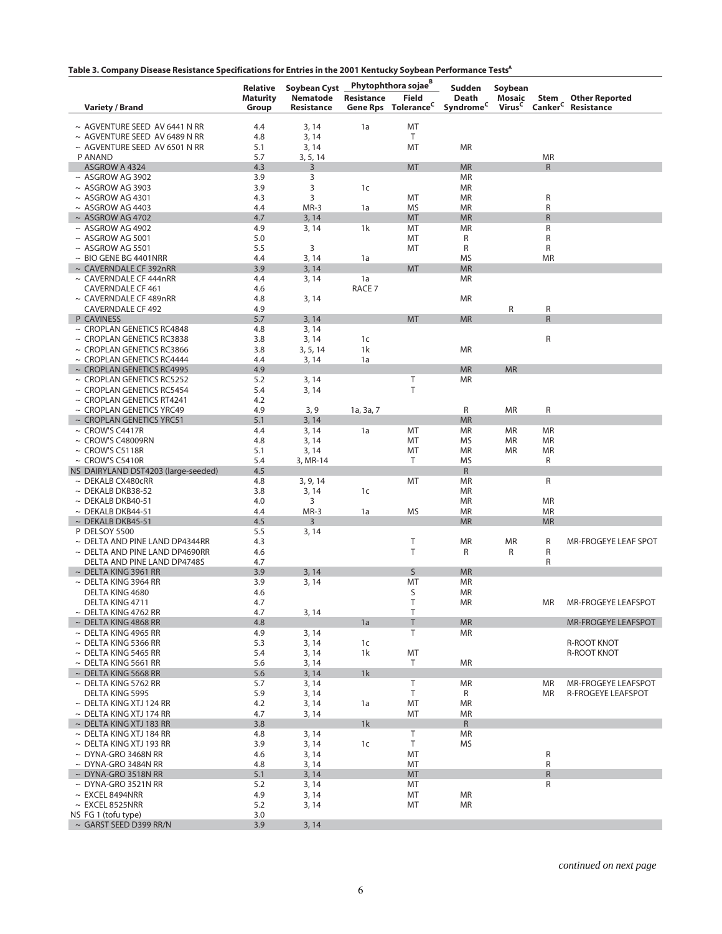| Table 3. Company Disease Resistance Specifications for Entries in the 2001 Kentucky Soybean Performance Tests <sup>A</sup> |  |  |  |
|----------------------------------------------------------------------------------------------------------------------------|--|--|--|
|                                                                                                                            |  |  |  |

|                                                                          | <b>Relative</b> | <b>Soybean Cyst</b> |                   | Phytophthora sojae <sup>B</sup> | <b>Sudden</b>          | Soybean            |                             |                                |
|--------------------------------------------------------------------------|-----------------|---------------------|-------------------|---------------------------------|------------------------|--------------------|-----------------------------|--------------------------------|
|                                                                          | <b>Maturity</b> | Nematode            | Resistance        | <b>Field</b>                    | Death                  | Mosaic             | Stem                        | <b>Other Reported</b>          |
| <b>Variety / Brand</b>                                                   | Group           | Resistance          | <b>Gene Rps</b>   | Tolerance <sup>C</sup>          | Syndrome <sup>C</sup>  | Virus <sup>C</sup> |                             | Canker <sup>C</sup> Resistance |
|                                                                          |                 |                     |                   |                                 |                        |                    |                             |                                |
| $\sim$ AGVENTURE SEED AV 6441 N RR<br>$\sim$ AGVENTURE SEED AV 6489 N RR | 4.4<br>4.8      | 3, 14<br>3, 14      | 1a                | MT<br>Τ                         |                        |                    |                             |                                |
| $\sim$ AGVENTURE SEED AV 6501 N RR                                       | 5.1             | 3, 14               |                   | MT                              | MR                     |                    |                             |                                |
| P ANAND                                                                  | 5.7             | 3, 5, 14            |                   |                                 |                        |                    | <b>MR</b>                   |                                |
| ASGROW A 4324                                                            | 4.3             | 3                   |                   | <b>MT</b>                       | <b>MR</b>              |                    | $\mathsf{R}$                |                                |
| $\sim$ ASGROW AG 3902                                                    | 3.9             | 3                   |                   |                                 | MR                     |                    |                             |                                |
| $\sim$ ASGROW AG 3903                                                    | 3.9             | 3                   | 1c                |                                 | MR                     |                    |                             |                                |
| $~\sim$ ASGROW AG 4301                                                   | 4.3             | 3                   |                   | MT                              | MR                     |                    | ${\sf R}$                   |                                |
| $\sim$ ASGROW AG 4403<br>$~\sim$ ASGROW AG 4702                          | 4.4<br>4.7      | MR-3                | 1a                | <b>MS</b><br><b>MT</b>          | <b>MR</b><br><b>MR</b> |                    | $\mathsf{R}$<br>$\mathsf R$ |                                |
| $~\sim$ ASGROW AG 4902                                                   | 4.9             | 3, 14<br>3, 14      | 1k                | MT                              | MR                     |                    | R                           |                                |
| $~\sim$ ASGROW AG 5001                                                   | 5.0             |                     |                   | MT                              | R                      |                    | R                           |                                |
| $~\sim$ ASGROW AG 5501                                                   | 5.5             | 3                   |                   | MT                              | R                      |                    | R                           |                                |
| $\sim$ BIO GENE BG 4401NRR                                               | 4.4             | 3, 14               | 1a                |                                 | MS                     |                    | <b>MR</b>                   |                                |
| $\sim$ CAVERNDALE CF 392nRR                                              | 3.9             | 3, 14               |                   | <b>MT</b>                       | <b>MR</b>              |                    |                             |                                |
| $\sim$ CAVERNDALE CF 444nRR                                              | 4.4             | 3, 14               | 1a                |                                 | <b>MR</b>              |                    |                             |                                |
| <b>CAVERNDALE CF 461</b>                                                 | 4.6             |                     | RACE <sub>7</sub> |                                 |                        |                    |                             |                                |
| $\sim$ CAVERNDALE CF 489nRR<br><b>CAVERNDALE CF 492</b>                  | 4.8<br>4.9      | 3, 14               |                   |                                 | MR                     | R                  | R                           |                                |
| P CAVINESS                                                               | 5.7             | 3, 14               |                   | <b>MT</b>                       | <b>MR</b>              |                    | $\mathsf{R}$                |                                |
| $\sim$ CROPLAN GENETICS RC4848                                           | 4.8             | 3, 14               |                   |                                 |                        |                    |                             |                                |
| $\sim$ CROPLAN GENETICS RC3838                                           | 3.8             | 3, 14               | 1c                |                                 |                        |                    | R                           |                                |
| $\sim$ CROPLAN GENETICS RC3866                                           | 3.8             | 3, 5, 14            | 1k                |                                 | <b>MR</b>              |                    |                             |                                |
| $\sim$ CROPLAN GENETICS RC4444                                           | 4.4             | 3, 14               | 1a                |                                 |                        |                    |                             |                                |
| $\sim$ CROPLAN GENETICS RC4995                                           | 4.9             |                     |                   |                                 | <b>MR</b>              | <b>MR</b>          |                             |                                |
| $\sim$ CROPLAN GENETICS RC5252                                           | 5.2             | 3, 14               |                   | T                               | MR                     |                    |                             |                                |
| $\sim$ CROPLAN GENETICS RC5454                                           | 5.4             | 3, 14               |                   | T                               |                        |                    |                             |                                |
| $\sim$ CROPLAN GENETICS RT4241<br>~ CROPLAN GENETICS YRC49               | 4.2<br>4.9      | 3, 9                | 1a, 3a, 7         |                                 | R                      | <b>MR</b>          | R                           |                                |
| $\sim$ CROPLAN GENETICS YRC51                                            | 5.1             | 3, 14               |                   |                                 | <b>MR</b>              |                    |                             |                                |
| $\sim$ CROW'S C4417R                                                     | 4.4             | 3, 14               | 1a                | MT                              | MR                     | MR                 | <b>MR</b>                   |                                |
| $\sim$ CROW'S C48009RN                                                   | 4.8             | 3, 14               |                   | MT                              | MS                     | <b>MR</b>          | <b>MR</b>                   |                                |
| $\sim$ CROW'S C5118R                                                     | 5.1             | 3, 14               |                   | MT                              | MR                     | <b>MR</b>          | <b>MR</b>                   |                                |
| $\sim$ CROW'S C5410R                                                     | 5.4             | 3, MR-14            |                   | T                               | <b>MS</b>              |                    | R                           |                                |
| NS DAIRYLAND DST4203 (large-seeded)                                      | 4.5             |                     |                   |                                 | R                      |                    |                             |                                |
| $\sim$ DEKALB CX480cRR<br>$\sim$ DEKALB DKB38-52                         | 4.8<br>3.8      | 3, 9, 14            | 1c                | MT                              | MR<br>MR               |                    | R                           |                                |
| $\sim$ DEKALB DKB40-51                                                   | 4.0             | 3, 14<br>3          |                   |                                 | MR                     |                    | <b>MR</b>                   |                                |
| $\sim$ DEKALB DKB44-51                                                   | 4.4             | MR-3                | 1a                | <b>MS</b>                       | MR                     |                    | <b>MR</b>                   |                                |
| $\sim$ DEKALB DKB45-51                                                   | 4.5             | 3                   |                   |                                 | <b>MR</b>              |                    | <b>MR</b>                   |                                |
| <b>P DELSOY 5500</b>                                                     | 5.5             | 3, 14               |                   |                                 |                        |                    |                             |                                |
| $\sim$ DELTA AND PINE LAND DP4344RR                                      | 4.3             |                     |                   | Τ                               | <b>MR</b>              | <b>MR</b>          | R                           | MR-FROGEYE LEAF SPOT           |
| $\sim$ DELTA AND PINE LAND DP4690RR                                      | 4.6             |                     |                   | T                               | R                      | R                  | R                           |                                |
| DELTA AND PINE LAND DP4748S                                              | 4.7             |                     |                   |                                 |                        |                    | R                           |                                |
| $\sim$ DELTA KING 3961 RR<br>$\sim$ DELTA KING 3964 RR                   | 3.9<br>3.9      | 3, 14<br>3, 14      |                   | S<br>MT                         | <b>MR</b><br>MR        |                    |                             |                                |
| DELTA KING 4680                                                          | 4.6             |                     |                   | S                               | MR                     |                    |                             |                                |
| DELTA KING 4711                                                          | 4.7             |                     |                   | T                               | <b>MR</b>              |                    | <b>MR</b>                   | <b>MR-FROGEYE LEAFSPOT</b>     |
| $\sim$ DELTA KING 4762 RR                                                | 4.7             | 3, 14               |                   | Τ                               |                        |                    |                             |                                |
| $\sim$ DELTA KING 4868 RR                                                | 4.8             |                     | 1a                | T                               | <b>MR</b>              |                    |                             | MR-FROGEYE LEAFSPOT            |
| $\sim$ DELTA KING 4965 RR                                                | 4.9             | 3, 14               |                   | T                               | <b>MR</b>              |                    |                             |                                |
| $\sim$ DELTA KING 5366 RR                                                | 5.3             | 3, 14               | 1c                |                                 |                        |                    |                             | <b>R-ROOT KNOT</b>             |
| $\sim$ DELTA KING 5465 RR                                                | 5.4             | 3, 14               | 1k                | MT                              |                        |                    |                             | <b>R-ROOT KNOT</b>             |
| $\sim$ DELTA KING 5661 RR<br>$\sim$ DELTA KING 5668 RR                   | 5.6<br>5.6      | 3, 14<br>3, 14      | 1k                | T                               | MR                     |                    |                             |                                |
| $\sim$ DELTA KING 5762 RR                                                | 5.7             | 3, 14               |                   | T                               | <b>MR</b>              |                    | <b>MR</b>                   | MR-FROGEYE LEAFSPOT            |
| DELTA KING 5995                                                          | 5.9             | 3, 14               |                   | $\top$                          | R                      |                    | <b>MR</b>                   | R-FROGEYE LEAFSPOT             |
| $\sim$ DELTA KING XTJ 124 RR                                             | 4.2             | 3, 14               | 1a                | MT                              | MR                     |                    |                             |                                |
| $\sim$ DELTA KING XTJ 174 RR                                             | 4.7             | 3, 14               |                   | MT                              | <b>MR</b>              |                    |                             |                                |
| $\sim$ DELTA KING XTJ 183 RR                                             | 3.8             |                     | 1k                |                                 | $\mathsf{R}$           |                    |                             |                                |
| $\sim$ DELTA KING XTJ 184 RR                                             | 4.8             | 3, 14               |                   | $\mathsf T$                     | <b>MR</b>              |                    |                             |                                |
| $\sim$ DELTA KING XTJ 193 RR                                             | 3.9             | 3, 14               | 1c                | $\mathsf T$                     | <b>MS</b>              |                    |                             |                                |
| $\sim$ DYNA-GRO 3468N RR<br>$\sim$ DYNA-GRO 3484N RR                     | 4.6             | 3, 14               |                   | MT<br>MT                        |                        |                    | R<br>${\sf R}$              |                                |
| $\sim$ DYNA-GRO 3518N RR                                                 | 4.8<br>5.1      | 3, 14<br>3, 14      |                   | <b>MT</b>                       |                        |                    | ${\sf R}$                   |                                |
| $\sim$ DYNA-GRO 3521N RR                                                 | 5.2             | 3, 14               |                   | MT                              |                        |                    | R                           |                                |
| $\sim$ EXCEL 8494NRR                                                     | 4.9             | 3, 14               |                   | MT                              | <b>MR</b>              |                    |                             |                                |
| $~\sim~$ EXCEL 8525NRR                                                   | 5.2             | 3, 14               |                   | MT                              | <b>MR</b>              |                    |                             |                                |
| NS FG 1 (tofu type)                                                      | 3.0             |                     |                   |                                 |                        |                    |                             |                                |
| ~ GARST SEED D399 RR/N                                                   | 3.9             | 3, 14               |                   |                                 |                        |                    |                             |                                |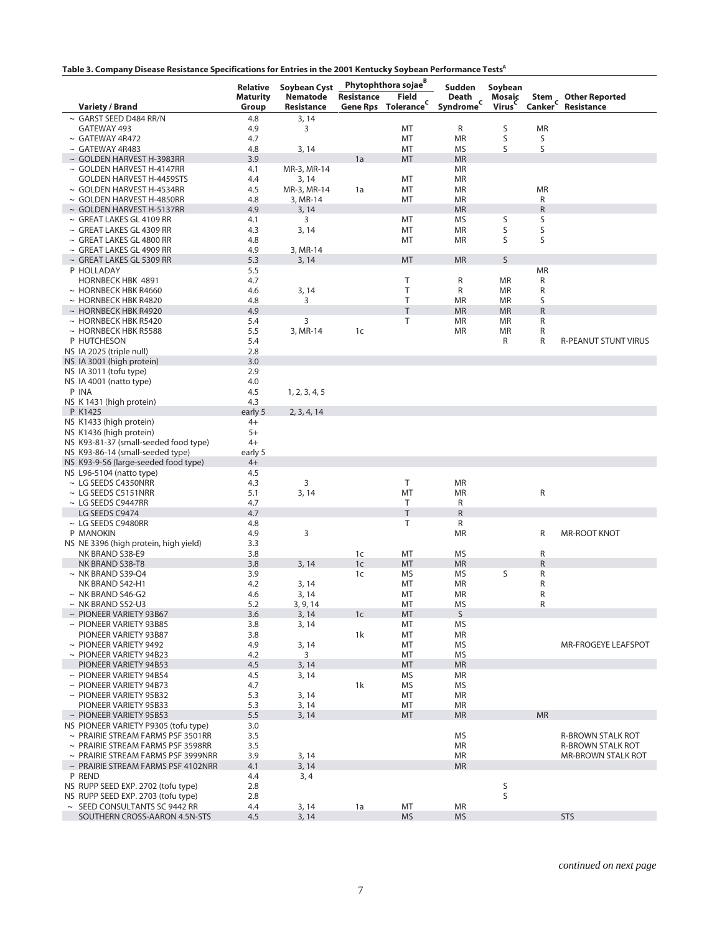|                                                                   | Relative        | Soybean Cyst         |                                  | Phytophthora sojae <sup>B</sup> | Sudden                         | Soybean     |                |                                          |
|-------------------------------------------------------------------|-----------------|----------------------|----------------------------------|---------------------------------|--------------------------------|-------------|----------------|------------------------------------------|
|                                                                   | <b>Maturity</b> | Nematode             | <b>Resistance</b>                | <b>Field</b>                    | Death                          | Mosaic      |                | Stem Other Reported<br>Canker Resistance |
| <b>Variety / Brand</b>                                            | Group           | Resistance           |                                  | Gene Rps Tolerance <sup>C</sup> | Death<br>Syndrome <sup>c</sup> | Virus       |                |                                          |
| $\sim$ GARST SEED D484 RR/N                                       | 4.8             | 3, 14                |                                  |                                 |                                |             |                |                                          |
| GATEWAY 493                                                       | 4.9             | 3                    |                                  | MT                              | R                              | S           | <b>MR</b>      |                                          |
| $\sim$ GATEWAY 4R472                                              | 4.7             |                      |                                  | MT                              | <b>MR</b>                      | S           | S              |                                          |
| $\sim$ GATEWAY 4R483                                              | 4.8             | 3, 14                |                                  | MT                              | MS                             | S           | S              |                                          |
| $\sim$ GOLDEN HARVEST H-3983RR                                    | 3.9<br>4.1      |                      | 1a                               | MT                              | <b>MR</b><br><b>MR</b>         |             |                |                                          |
| $\sim$ GOLDEN HARVEST H-4147RR<br><b>GOLDEN HARVEST H-4459STS</b> | 4.4             | MR-3, MR-14<br>3, 14 |                                  | MT                              | <b>MR</b>                      |             |                |                                          |
| $\sim$ GOLDEN HARVEST H-4534RR                                    | 4.5             | MR-3, MR-14          | 1a                               | MT                              | <b>MR</b>                      |             | <b>MR</b>      |                                          |
| $\sim$ GOLDEN HARVEST H-4850RR                                    | 4.8             | 3, MR-14             |                                  | MT                              | <b>MR</b>                      |             | R              |                                          |
| $\sim$ GOLDEN HARVEST H-5137RR                                    | 4.9             | 3, 14                |                                  |                                 | <b>MR</b>                      |             | $\mathsf R$    |                                          |
| $\sim$ GREAT LAKES GL 4109 RR                                     | 4.1             | 3                    |                                  | MT                              | MS                             | S           | S              |                                          |
| $\sim$ GREAT LAKES GL 4309 RR                                     | 4.3             | 3, 14                |                                  | MT                              | <b>MR</b>                      | S           | S              |                                          |
| $\sim$ GREAT LAKES GL 4800 RR                                     | 4.8             |                      |                                  | MT                              | <b>MR</b>                      | S           | S              |                                          |
| $\sim$ GREAT LAKES GL 4909 RR                                     | 4.9             | 3, MR-14             |                                  |                                 |                                |             |                |                                          |
| $\sim$ GREAT LAKES GL 5309 RR                                     | 5.3             | 3, 14                |                                  | MT                              | <b>MR</b>                      | S           |                |                                          |
| P HOLLADAY                                                        | 5.5             |                      |                                  |                                 |                                |             | <b>MR</b>      |                                          |
| <b>HORNBECK HBK 4891</b>                                          | 4.7             |                      |                                  | Τ<br>T                          | R<br>R                         | MR          | R              |                                          |
| $\sim$ HORNBECK HBK R4660<br>$\sim$ HORNBECK HBK R4820            | 4.6<br>4.8      | 3, 14<br>3           |                                  | T                               | <b>MR</b>                      | MR<br>MR    | R<br>S         |                                          |
| $\sim$ HORNBECK HBK R4920                                         | 4.9             |                      |                                  | T                               | <b>MR</b>                      | <b>MR</b>   | ${\sf R}$      |                                          |
| $\sim$ HORNBECK HBK R5420                                         | 5.4             | 3                    |                                  | T                               | <b>MR</b>                      | MR          | R              |                                          |
| $\sim$ HORNBECK HBK R5588                                         | 5.5             | 3, MR-14             | 1 <sub>c</sub>                   |                                 | <b>MR</b>                      | MR          | R              |                                          |
| P HUTCHESON                                                       | 5.4             |                      |                                  |                                 |                                | R           | R              | R-PEANUT STUNT VIRUS                     |
| NS IA 2025 (triple null)                                          | 2.8             |                      |                                  |                                 |                                |             |                |                                          |
| NS IA 3001 (high protein)                                         | 3.0             |                      |                                  |                                 |                                |             |                |                                          |
| NS IA 3011 (tofu type)                                            | 2.9             |                      |                                  |                                 |                                |             |                |                                          |
| NS IA 4001 (natto type)                                           | 4.0             |                      |                                  |                                 |                                |             |                |                                          |
| P INA                                                             | 4.5             | 1, 2, 3, 4, 5        |                                  |                                 |                                |             |                |                                          |
| NS K 1431 (high protein)                                          | 4.3             |                      |                                  |                                 |                                |             |                |                                          |
| P K1425                                                           | early 5         | 2, 3, 4, 14          |                                  |                                 |                                |             |                |                                          |
| NS K1433 (high protein)<br>NS K1436 (high protein)                | $4+$<br>$5+$    |                      |                                  |                                 |                                |             |                |                                          |
| NS K93-81-37 (small-seeded food type)                             | $4+$            |                      |                                  |                                 |                                |             |                |                                          |
| NS K93-86-14 (small-seeded type)                                  | early 5         |                      |                                  |                                 |                                |             |                |                                          |
| NS K93-9-56 (large-seeded food type)                              | $4+$            |                      |                                  |                                 |                                |             |                |                                          |
| NS L96-5104 (natto type)                                          | 4.5             |                      |                                  |                                 |                                |             |                |                                          |
| $\sim$ LG SEEDS C4350NRR                                          | 4.3             | 3                    |                                  | T                               | <b>MR</b>                      |             |                |                                          |
| $\sim$ LG SEEDS C5151NRR                                          | 5.1             | 3, 14                |                                  | MT                              | <b>MR</b>                      |             | R              |                                          |
| $\sim$ LG SEEDS C9447RR                                           | 4.7             |                      |                                  | Τ                               | R                              |             |                |                                          |
| LG SEEDS C9474                                                    | 4.7             |                      |                                  | T                               | $\mathsf R$                    |             |                |                                          |
| $\sim$ LG SEEDS C9480RR                                           | 4.8             |                      |                                  | T                               | R                              |             |                |                                          |
| P MANOKIN                                                         | 4.9             | 3                    |                                  |                                 | <b>MR</b>                      |             | R              | <b>MR-ROOT KNOT</b>                      |
| NS NE 3396 (high protein, high yield)                             | 3.3             |                      |                                  |                                 |                                |             |                |                                          |
| NK BRAND S38-E9<br>NK BRAND S38-T8                                | 3.8<br>3.8      |                      | 1 <sub>c</sub><br>1 <sub>c</sub> | MT<br><b>MT</b>                 | <b>MS</b><br><b>MR</b>         |             | R<br>${\sf R}$ |                                          |
| $\sim$ NK BRAND S39-O4                                            | 3.9             | 3, 14                | 1c                               | MS                              | MS                             | S           | R              |                                          |
| NK BRAND S42-H1                                                   | 4.2             | 3, 14                |                                  | MT                              | <b>MR</b>                      |             | R              |                                          |
| $\sim$ NK BRAND S46-G2                                            | 4.6             | 3, 14                |                                  | MT                              | <b>MR</b>                      |             | R              |                                          |
| $\sim$ NK BRAND S52-U3                                            | 5.2             | 3, 9, 14             |                                  | MT                              | MS                             |             | R              |                                          |
| $\sim$ PIONEER VARIETY 93B67                                      | 3.6             | 3, 14                | 1 <sub>c</sub>                   | MT                              | S                              |             |                |                                          |
| $\sim$ PIONEER VARIETY 93B85                                      | 3.8             | 3, 14                |                                  | MT                              | <b>MS</b>                      |             |                |                                          |
| PIONEER VARIETY 93B87                                             | 3.8             |                      | 1k                               | MT                              | <b>MR</b>                      |             |                |                                          |
| $\sim$ PIONEER VARIETY 9492                                       | 4.9             | 3, 14                |                                  | MT                              | <b>MS</b>                      |             |                | MR-FROGEYE LEAFSPOT                      |
| $\sim$ PIONEER VARIETY 94B23                                      | 4.2             | 3                    |                                  | MT                              | <b>MS</b>                      |             |                |                                          |
| PIONEER VARIETY 94B53                                             | 4.5             | 3, 14                |                                  | MT                              | <b>MR</b>                      |             |                |                                          |
| $\sim$ PIONEER VARIETY 94B54<br>$\sim$ PIONEER VARIETY 94B73      | 4.5<br>4.7      | 3, 14                | 1k                               | MS                              | MR                             |             |                |                                          |
| $\sim$ PIONEER VARIETY 95B32                                      | 5.3             | 3, 14                |                                  | MS<br>MT                        | MS<br>MR                       |             |                |                                          |
| PIONEER VARIETY 95B33                                             | 5.3             | 3, 14                |                                  | MT                              | <b>MR</b>                      |             |                |                                          |
| $\sim$ PIONEER VARIETY 95B53                                      | 5.5             | 3, 14                |                                  | <b>MT</b>                       | <b>MR</b>                      |             | <b>MR</b>      |                                          |
| NS PIONEER VARIETY P9305 (tofu type)                              | 3.0             |                      |                                  |                                 |                                |             |                |                                          |
| $\sim$ PRAIRIE STREAM FARMS PSF 3501RR                            | 3.5             |                      |                                  |                                 | <b>MS</b>                      |             |                | <b>R-BROWN STALK ROT</b>                 |
| $\sim$ PRAIRIE STREAM FARMS PSF 3598RR                            | 3.5             |                      |                                  |                                 | MR                             |             |                | <b>R-BROWN STALK ROT</b>                 |
| $\sim$ PRAIRIE STREAM FARMS PSF 3999NRR                           | 3.9             | 3, 14                |                                  |                                 | <b>MR</b>                      |             |                | <b>MR-BROWN STALK ROT</b>                |
| $\sim$ PRAIRIE STREAM FARMS PSF 4102NRR                           | 4.1             | 3, 14                |                                  |                                 | <b>MR</b>                      |             |                |                                          |
| P REND                                                            | 4.4             | 3, 4                 |                                  |                                 |                                |             |                |                                          |
| NS RUPP SEED EXP. 2702 (tofu type)                                | 2.8             |                      |                                  |                                 |                                | $\mathsf S$ |                |                                          |
| NS RUPP SEED EXP. 2703 (tofu type)                                | 2.8             |                      |                                  |                                 |                                | S           |                |                                          |
| $\sim$ SEED CONSULTANTS SC 9442 RR                                | 4.4             | 3, 14                | 1a                               | MT                              | MR                             |             |                |                                          |
| SOUTHERN CROSS-AARON 4.5N-STS                                     | 4.5             | 3, 14                |                                  | <b>MS</b>                       | <b>MS</b>                      |             |                | <b>STS</b>                               |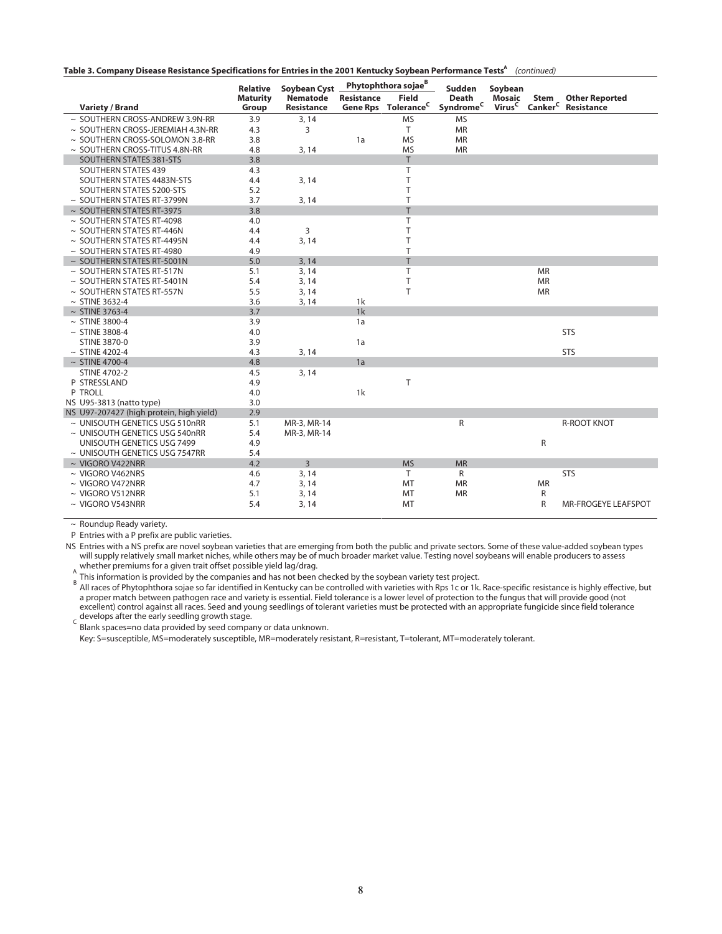|  |  | Table 3. Company Disease Resistance Specifications for Entries in the 2001 Kentucky Soybean Performance Tests <sup>A</sup> (continued) |  |  |  |
|--|--|----------------------------------------------------------------------------------------------------------------------------------------|--|--|--|
|--|--|----------------------------------------------------------------------------------------------------------------------------------------|--|--|--|

|                                          | <b>Relative</b> | <b>Soybean Cyst</b> |                   | Phytophthora sojae <sup>B</sup> | Sudden                         | Soybean            |             |                                |
|------------------------------------------|-----------------|---------------------|-------------------|---------------------------------|--------------------------------|--------------------|-------------|--------------------------------|
|                                          | <b>Maturity</b> | <b>Nematode</b>     | <b>Resistance</b> | <b>Field</b>                    | <b>Death</b>                   | <b>Mosaic</b>      | Stem        | <b>Other Reported</b>          |
| <b>Variety / Brand</b>                   | Group           | <b>Resistance</b>   |                   | Gene Rps Tolerance <sup>C</sup> | $\mathsf{Symdrome}^\mathsf{C}$ | Virus <sup>C</sup> |             | Canker <sup>C</sup> Resistance |
| ~ SOUTHERN CROSS-ANDREW 3.9N-RR          | 3.9             | 3, 14               |                   | <b>MS</b>                       | <b>MS</b>                      |                    |             |                                |
| $\sim$ SOUTHERN CROSS-JEREMIAH 4.3N-RR   | 4.3             | 3                   |                   | T.                              | <b>MR</b>                      |                    |             |                                |
| ~ SOUTHERN CROSS-SOLOMON 3.8-RR          | 3.8             |                     | 1a                | <b>MS</b>                       | <b>MR</b>                      |                    |             |                                |
| $\sim$ SOUTHERN CROSS-TITUS 4.8N-RR      | 4.8             | 3, 14               |                   | <b>MS</b>                       | <b>MR</b>                      |                    |             |                                |
| SOUTHERN STATES 381-STS                  | 3.8             |                     |                   | T.                              |                                |                    |             |                                |
| <b>SOUTHERN STATES 439</b>               | 4.3             |                     |                   | T                               |                                |                    |             |                                |
| SOUTHERN STATES 4483N-STS                | 4.4             | 3, 14               |                   | T                               |                                |                    |             |                                |
| SOUTHERN STATES 5200-STS                 | 5.2             |                     |                   | T                               |                                |                    |             |                                |
| $\sim$ SOUTHERN STATES RT-3799N          | 3.7             | 3, 14               |                   | T                               |                                |                    |             |                                |
| $\sim$ SOUTHERN STATES RT-3975           | 3.8             |                     |                   | T                               |                                |                    |             |                                |
| $\sim$ SOUTHERN STATES RT-4098           | 4.0             |                     |                   | T                               |                                |                    |             |                                |
| $\sim$ SOUTHERN STATES RT-446N           | 4.4             | 3                   |                   | T                               |                                |                    |             |                                |
| ~ SOUTHERN STATES RT-4495N               | 4.4             | 3, 14               |                   | T                               |                                |                    |             |                                |
| $\sim$ SOUTHERN STATES RT-4980           | 4.9             |                     |                   | T                               |                                |                    |             |                                |
| ~ SOUTHERN STATES RT-5001N               | 5.0             | 3, 14               |                   | T                               |                                |                    |             |                                |
| $\sim$ SOUTHERN STATES RT-517N           | 5.1             | 3, 14               |                   | T                               |                                |                    | <b>MR</b>   |                                |
| $\sim$ SOUTHERN STATES RT-5401N          | 5.4             | 3, 14               |                   | T                               |                                |                    | <b>MR</b>   |                                |
| $\sim$ SOUTHERN STATES RT-557N           | 5.5             | 3, 14               |                   | T                               |                                |                    | <b>MR</b>   |                                |
| $~\sim$ STINE 3632-4                     | 3.6             | 3, 14               | 1k                |                                 |                                |                    |             |                                |
| $\sim$ STINE 3763-4                      | 3.7             |                     | 1k                |                                 |                                |                    |             |                                |
| $\sim$ STINE 3800-4                      | 3.9             |                     | 1a                |                                 |                                |                    |             |                                |
| $~\sim$ STINE 3808-4                     | 4.0             |                     |                   |                                 |                                |                    |             | <b>STS</b>                     |
| <b>STINE 3870-0</b>                      | 3.9             |                     | 1a                |                                 |                                |                    |             |                                |
| $\sim$ STINE 4202-4                      | 4.3             | 3, 14               |                   |                                 |                                |                    |             | <b>STS</b>                     |
| $\sim$ STINE 4700-4                      | 4.8             |                     | 1a                |                                 |                                |                    |             |                                |
| <b>STINE 4702-2</b>                      | 4.5             | 3, 14               |                   |                                 |                                |                    |             |                                |
| P STRESSLAND                             | 4.9             |                     |                   | T                               |                                |                    |             |                                |
| P TROLL                                  | 4.0             |                     | 1k                |                                 |                                |                    |             |                                |
| NS U95-3813 (natto type)                 | 3.0             |                     |                   |                                 |                                |                    |             |                                |
| NS U97-207427 (high protein, high yield) | 2.9             |                     |                   |                                 |                                |                    |             |                                |
| $\sim$ UNISOUTH GENETICS USG 510nRR      | 5.1             | MR-3, MR-14         |                   |                                 | R                              |                    |             | <b>R-ROOT KNOT</b>             |
| ~ UNISOUTH GENETICS USG 540nRR           | 5.4             | MR-3, MR-14         |                   |                                 |                                |                    |             |                                |
| UNISOUTH GENETICS USG 7499               | 4.9             |                     |                   |                                 |                                |                    | $\mathsf R$ |                                |
| $\sim$ UNISOUTH GENETICS USG 7547RR      | 5.4             |                     |                   |                                 |                                |                    |             |                                |
| $\sim$ VIGORO V422NRR                    | 4.2             | 3                   |                   | <b>MS</b>                       | <b>MR</b>                      |                    |             |                                |
| $\sim$ VIGORO V462NRS                    | 4.6             | 3, 14               |                   | T.                              | $\mathsf{R}$                   |                    |             | <b>STS</b>                     |
| $\sim$ VIGORO V472NRR                    | 4.7             | 3, 14               |                   | <b>MT</b>                       | <b>MR</b>                      |                    | <b>MR</b>   |                                |
| $\sim$ VIGORO V512NRR                    | 5.1             | 3, 14               |                   | MT                              | <b>MR</b>                      |                    | R           |                                |
| $\sim$ VIGORO V543NRR                    | 5.4             | 3, 14               |                   | <b>MT</b>                       |                                |                    | R           | MR-FROGEYE LEAFSPOT            |

 $\sim$  Roundup Ready variety.

P Entries with a P prefix are public varieties.

NS Entries with a NS prefix are novel soybean varieties that are emerging from both the public and private sectors. Some of these value-added soybean types will supply relatively small market niches, while others may be of much broader market value. Testing novel soybeans will enable producers to assess whether premiums for a given trait offset possible yield lag/drag.

ີ This information is provided by the companies and has not been checked by the soybean variety test project.<br><sup>B</sup> All races of Phytophthora sojae so far identified in Kentucky can be controlled with varieties with Rps 1c a proper match between pathogen race and variety is essential. Field tolerance is a lower level of protection to the fungus that will provide good (not excellent) control against all races. Seed and young seedlings of tolerant varieties must be protected with an appropriate fungicide since field tolerance Superiority control against all races. Seed and you develops after the early seedling growth stage.

Blank spaces=no data provided by seed company or data unknown.

Key: S=susceptible, MS=moderately susceptible, MR=moderately resistant, R=resistant, T=tolerant, MT=moderately tolerant.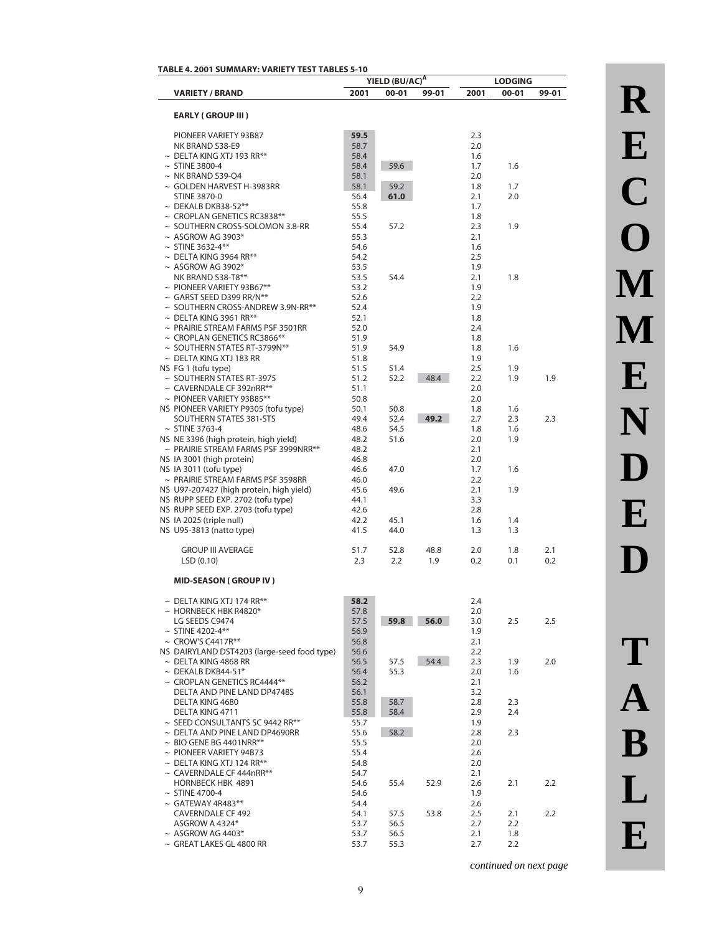|                                                                            |              | YIELD (BU/AC)A |             |            | <b>LODGING</b> |            |
|----------------------------------------------------------------------------|--------------|----------------|-------------|------------|----------------|------------|
| <b>VARIETY / BRAND</b>                                                     | 2001         | 00-01          | 99-01       | 2001       | 00-01          | 99-01      |
|                                                                            |              |                |             |            |                |            |
| <b>EARLY (GROUP III)</b>                                                   |              |                |             |            |                |            |
| PIONEER VARIETY 93B87                                                      | 59.5         |                |             | 2.3        |                |            |
| NK BRAND S38-E9                                                            | 58.7         |                |             | 2.0        |                |            |
| $\sim {\, {\rm DELT}}$ A KING XTJ 193 RR**                                 | 58.4         |                |             | 1.6        |                |            |
| $\sim$ STINE 3800-4                                                        | 58.4         | 59.6           |             | 1.7        | 1.6            |            |
| $\sim$ NK BRAND S39-Q4<br>~ GOLDEN HARVEST H-3983RR                        | 58.1<br>58.1 | 59.2           |             | 2.0<br>1.8 | 1.7            |            |
| <b>STINE 3870-0</b>                                                        | 56.4         | 61.0           |             | 2.1        | 2.0            |            |
| $\sim$ DEKALB DKB38-52**                                                   | 55.8         |                |             | 1.7        |                |            |
| $\sim$ CROPLAN GENETICS RC3838**                                           | 55.5         |                |             | 1.8        |                |            |
| ~ SOUTHERN CROSS-SOLOMON 3.8-RR                                            | 55.4         | 57.2           |             | 2.3        | 1.9            |            |
| $~\sim$ ASGROW AG 3903*                                                    | 55.3         |                |             | 2.1        |                |            |
| $\sim$ STINE 3632-4**<br>$\sim$ DELTA KING 3964 RR**                       | 54.6<br>54.2 |                |             | 1.6<br>2.5 |                |            |
| $~\sim$ ASGROW AG 3902*                                                    | 53.5         |                |             | 1.9        |                |            |
| NK BRAND S38-T8**                                                          | 53.5         | 54.4           |             | 2.1        | 1.8            |            |
| $\sim$ PIONEER VARIETY 93B67**                                             | 53.2         |                |             | 1.9        |                |            |
| $\sim$ GARST SEED D399 RR/N**                                              | 52.6         |                |             | 2.2        |                |            |
| $\sim$ SOUTHERN CROSS-ANDREW 3.9N-RR**                                     | 52.4         |                |             | 1.9        |                |            |
| $\sim$ DELTA KING 3961 RR**                                                | 52.1         |                |             | 1.8        |                |            |
| $\sim$ PRAIRIE STREAM FARMS PSF 3501RR<br>$\sim$ CROPLAN GENETICS RC3866** | 52.0         |                |             | 2.4        |                |            |
| $\sim$ SOUTHERN STATES RT-3799N**                                          | 51.9<br>51.9 | 54.9           |             | 1.8<br>1.8 | 1.6            |            |
| $\sim {\, {\rm DELTA}}$ King XTJ 183 RR                                    | 51.8         |                |             | 1.9        |                |            |
| NS FG 1 (tofu type)                                                        | 51.5         | 51.4           |             | 2.5        | 1.9            |            |
| $\sim$ SOUTHERN STATES RT-3975                                             | 51.2         | 52.2           | 48.4        | 2.2        | 1.9            | 1.9        |
| $\sim$ CAVERNDALE CF 392nRR**                                              | 51.1         |                |             | 2.0        |                |            |
| $\sim$ PIONEER VARIETY 93B85**                                             | 50.8         |                |             | 2.0        |                |            |
| NS PIONEER VARIETY P9305 (tofu type)                                       | 50.1         | 50.8           |             | 1.8<br>2.7 | 1.6            | 2.3        |
| SOUTHERN STATES 381-STS<br>$~\sim$ STINE 3763-4                            | 49.4<br>48.6 | 52.4<br>54.5   | 49.2        | 1.8        | 2.3<br>1.6     |            |
| NS NE 3396 (high protein, high yield)                                      | 48.2         | 51.6           |             | 2.0        | 1.9            |            |
| $\sim$ PRAIRIE STREAM FARMS PSF 3999NRR**                                  | 48.2         |                |             | 2.1        |                |            |
| NS IA 3001 (high protein)                                                  | 46.8         |                |             | 2.0        |                |            |
| NS IA 3011 (tofu type)                                                     | 46.6         | 47.0           |             | 1.7        | 1.6            |            |
| $\sim$ PRAIRIE STREAM FARMS PSF 3598RR                                     | 46.0         |                |             | 2.2        |                |            |
| NS U97-207427 (high protein, high yield)                                   | 45.6<br>44.1 | 49.6           |             | 2.1<br>3.3 | 1.9            |            |
| NS RUPP SEED EXP. 2702 (tofu type)<br>NS RUPP SEED EXP. 2703 (tofu type)   | 42.6         |                |             | 2.8        |                |            |
| NS IA 2025 (triple null)                                                   | 42.2         | 45.1           |             | 1.6        | 1.4            |            |
| NS U95-3813 (natto type)                                                   | 41.5         | 44.0           |             | 1.3        | 1.3            |            |
|                                                                            |              |                |             |            |                |            |
| <b>GROUP III AVERAGE</b><br>LSD(0.10)                                      | 51.7<br>2.3  | 52.8<br>2.2    | 48.8<br>1.9 | 2.0<br>0.2 | 1.8<br>0.1     | 2.1<br>0.2 |
|                                                                            |              |                |             |            |                |            |
| <b>MID-SEASON (GROUP IV)</b>                                               |              |                |             |            |                |            |
| $\sim$ DELTA KING XTJ 174 RR**                                             | 58.2         |                |             | 2.4        |                |            |
| $\sim$ HORNBECK HBK R4820*                                                 | 57.8         |                |             | 2.0        |                |            |
| LG SEEDS C9474                                                             | 57.5         | 59.8           | 56.0        | 3.0        | 2.5            | 2.5        |
| $~\sim$ STINE 4202-4**                                                     | 56.9         |                |             | 1.9        |                |            |
| $\sim$ CROW'S C4417R**                                                     | 56.8         |                |             | 2.1        |                |            |
| NS DAIRYLAND DST4203 (large-seed food type)<br>$\sim$ DELTA KING 4868 RR   | 56.6<br>56.5 | 57.5           | 54.4        | 2.2<br>2.3 |                | 2.0        |
| $\sim$ DEKALB DKB44-51*                                                    | 56.4         | 55.3           |             | 2.0        | 1.9<br>1.6     |            |
| $\sim$ CROPLAN GENETICS RC4444**                                           | 56.2         |                |             | 2.1        |                |            |
| DELTA AND PINE LAND DP4748S                                                | 56.1         |                |             | 3.2        |                |            |
| DELTA KING 4680                                                            | 55.8         | 58.7           |             | 2.8        | 2.3            |            |
| DELTA KING 4711                                                            | 55.8         | 58.4           |             | 2.9        | 2.4            |            |
| $\sim$ SEED CONSULTANTS SC 9442 RR**                                       | 55.7         |                |             | 1.9        |                |            |
| $\sim$ DELTA AND PINE LAND DP4690RR<br>$\sim$ BIO GENE BG 4401NRR**        | 55.6<br>55.5 | 58.2           |             | 2.8<br>2.0 | 2.3            |            |
| $\sim$ PIONEER VARIETY 94B73                                               | 55.4         |                |             | 2.6        |                |            |
| $\sim$ DELTA KING XTJ 124 RR**                                             | 54.8         |                |             | 2.0        |                |            |
| $\sim$ CAVERNDALE CF 444nRR**                                              | 54.7         |                |             | 2.1        |                |            |
| HORNBECK HBK 4891                                                          | 54.6         | 55.4           | 52.9        | 2.6        | 2.1            | 2.2        |
| $\sim$ STINE 4700-4                                                        | 54.6         |                |             | 1.9        |                |            |
| $\sim$ GATEWAY 4R483**                                                     | 54.4         |                |             | 2.6        |                |            |
| <b>CAVERNDALE CF 492</b><br>ASGROW A 4324*                                 | 54.1<br>53.7 | 57.5<br>56.5   | 53.8        | 2.5<br>2.7 | 2.1<br>2.2     | 2.2        |
| $\sim$ ASGROW AG 4403*                                                     | 53.7         | 56.5           |             | 2.1        | 1.8            |            |
| $\sim$ GREAT LAKES GL 4800 RR                                              | 53.7         | 55.3           |             | 2.7        | 2.2            |            |

# **R E C O M M E N D E D T A B L**

**E**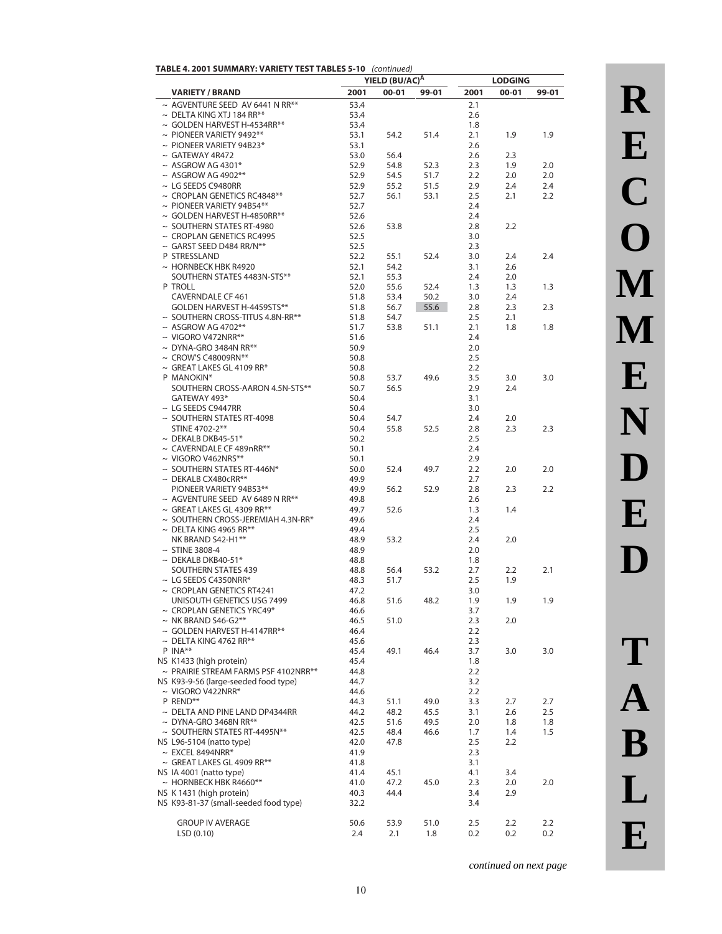| <b>TABLE 4. 2001 SUMMARY: VARIETY TEST TABLES 5-10</b> (continued) |  |
|--------------------------------------------------------------------|--|
|                                                                    |  |

|                                                                    | YIELD (BU/AC) <sup>A</sup> |              |              | <b>LODGING</b> |            |            |
|--------------------------------------------------------------------|----------------------------|--------------|--------------|----------------|------------|------------|
| <b>VARIETY / BRAND</b>                                             | 2001                       | $00 - 01$    | 99-01        | 2001           | $00 - 01$  | 99-01      |
| $\sim$ AGVENTURE SEED AV 6441 N RR**                               | 53.4                       |              |              | 2.1            |            |            |
| $\sim$ DELTA KING XTJ 184 RR**                                     | 53.4                       |              |              | 2.6            |            |            |
| $\sim$ GOLDEN HARVEST H-4534RR**                                   | 53.4                       |              |              | 1.8            |            |            |
| $\sim$ PIONEER VARIETY 9492**                                      | 53.1                       | 54.2         | 51.4         | 2.1            | 1.9        | 1.9        |
| $\sim$ PIONEER VARIETY 94B23*                                      | 53.1                       |              |              | 2.6            |            |            |
| $\sim$ GATEWAY 4R472                                               | 53.0                       | 56.4         |              | 2.6            | 2.3        |            |
| $\sim$ ASGROW AG 4301*                                             | 52.9                       | 54.8         | 52.3         | 2.3            | 1.9        | 2.0        |
| $~\sim$ ASGROW AG 4902**                                           | 52.9                       | 54.5         | 51.7         | 2.2            | 2.0        | 2.0        |
| $\sim$ LG SEEDS C9480RR                                            | 52.9                       | 55.2         | 51.5         | 2.9            | 2.4        | 2.4        |
| $\sim$ CROPLAN GENETICS RC4848**                                   | 52.7                       | 56.1         | 53.1         | 2.5            | 2.1        | 2.2        |
| $\sim$ PIONEER VARIETY 94B54**<br>$\sim$ GOLDEN HARVEST H-4850RR** | 52.7<br>52.6               |              |              | 2.4<br>2.4     |            |            |
| $\sim$ SOUTHERN STATES RT-4980                                     | 52.6                       | 53.8         |              | 2.8            | 2.2        |            |
| ~ CROPLAN GENETICS RC4995                                          | 52.5                       |              |              | 3.0            |            |            |
| $\sim$ GARST SEED D484 RR/N**                                      | 52.5                       |              |              | 2.3            |            |            |
| P STRESSLAND                                                       | 52.2                       | 55.1         | 52.4         | 3.0            | 2.4        | 2.4        |
| $\sim$ HORNBECK HBK R4920                                          | 52.1                       | 54.2         |              | 3.1            | 2.6        |            |
| SOUTHERN STATES 4483N-STS**                                        | 52.1                       | 55.3         |              | 2.4            | 2.0        |            |
| P TROLL                                                            | 52.0                       | 55.6         | 52.4         | 1.3            | 1.3        | 1.3        |
| <b>CAVERNDALE CF 461</b>                                           | 51.8                       | 53.4         | 50.2         | 3.0            | 2.4        |            |
| GOLDEN HARVEST H-4459STS**                                         | 51.8                       | 56.7         | 55.6         | 2.8            | 2.3        | 2.3        |
| ~ SOUTHERN CROSS-TITUS 4.8N-RR**                                   | 51.8                       | 54.7         |              | 2.5            | 2.1        |            |
| $\sim$ ASGROW AG 4702**                                            | 51.7                       | 53.8         | 51.1         | 2.1            | 1.8        | 1.8        |
| $\sim$ VIGORO V472NRR**                                            | 51.6                       |              |              | 2.4            |            |            |
| $\sim$ DYNA-GRO 3484N RR**                                         | 50.9                       |              |              | 2.0            |            |            |
| $\sim$ CROW'S C48009RN**                                           | 50.8                       |              |              | 2.5            |            |            |
| $\sim$ GREAT LAKES GL 4109 RR*                                     | 50.8                       |              |              | 2.2            |            |            |
| P MANOKIN*                                                         | 50.8                       | 53.7         | 49.6         | 3.5            | 3.0        | 3.0        |
| SOUTHERN CROSS-AARON 4.5N-STS**<br>GATEWAY 493*                    | 50.7                       | 56.5         |              | 2.9            | 2.4        |            |
| $\sim$ LG SEEDS C9447RR                                            | 50.4<br>50.4               |              |              | 3.1            |            |            |
| $\sim$ SOUTHERN STATES RT-4098                                     | 50.4                       | 54.7         |              | 3.0<br>2.4     | 2.0        |            |
| STINE 4702-2**                                                     | 50.4                       | 55.8         | 52.5         | 2.8            | 2.3        | 2.3        |
| $\sim$ DEKALB DKB45-51*                                            | 50.2                       |              |              | 2.5            |            |            |
| ~ CAVERNDALE CF 489nRR**                                           | 50.1                       |              |              | 2.4            |            |            |
| $\sim$ VIGORO V462NRS**                                            | 50.1                       |              |              | 2.9            |            |            |
| $\sim$ SOUTHERN STATES RT-446N*                                    | 50.0                       | 52.4         | 49.7         | 2.2            | 2.0        | 2.0        |
| $\sim$ DEKALB CX480cRR**                                           | 49.9                       |              |              | 2.7            |            |            |
| PIONEER VARIETY 94B53**                                            | 49.9                       | 56.2         | 52.9         | 2.8            | 2.3        | 2.2        |
| $\sim$ AGVENTURE SEED AV 6489 N RR**                               | 49.8                       |              |              | 2.6            |            |            |
| $\sim$ GREAT LAKES GL 4309 RR**                                    | 49.7                       | 52.6         |              | 1.3            | 1.4        |            |
| $\sim$ SOUTHERN CROSS-JEREMIAH 4.3N-RR*                            | 49.6                       |              |              | 2.4            |            |            |
| $\sim$ DELTA KING 4965 RR**                                        | 49.4                       |              |              | 2.5            |            |            |
| NK BRAND S42-H1**                                                  | 48.9                       | 53.2         |              | 2.4            | 2.0        |            |
| $\sim$ STINE 3808-4<br>$\sim$ DEKALB DKB40-51*                     | 48.9                       |              |              | 2.0            |            |            |
| <b>SOUTHERN STATES 439</b>                                         | 48.8<br>48.8               | 56.4         | 53.2         | 1.8<br>2.7     | 2.2        | 2.1        |
| $\sim$ LG SEEDS C4350NRR*                                          | 48.3                       | 51.7         |              | 2.5            | 1.9        |            |
| $\sim$ CROPLAN GENETICS RT4241                                     | 47.2                       |              |              | 3.0            |            |            |
| UNISOUTH GENETICS USG 7499                                         | 46.8                       | 51.6         | 48.2         | 1.9            | 1.9        | 1.9        |
| $\sim$ CROPLAN GENETICS YRC49*                                     | 46.6                       |              |              | 3.7            |            |            |
| $\sim$ NK BRAND S46-G2**                                           | 46.5                       | 51.0         |              | 2.3            | 2.0        |            |
| $\sim$ GOLDEN HARVEST H-4147RR**                                   | 46.4                       |              |              | 2.2            |            |            |
| $\sim$ DELTA KING 4762 RR**                                        | 45.6                       |              |              | 2.3            |            |            |
| P INA**                                                            | 45.4                       | 49.1         | 46.4         | 3.7            | 3.0        | 3.0        |
| NS K1433 (high protein)                                            | 45.4                       |              |              | 1.8            |            |            |
| $\sim$ PRAIRIE STREAM FARMS PSF 4102NRR**                          | 44.8                       |              |              | 2.2            |            |            |
| NS K93-9-56 (large-seeded food type)                               | 44.7                       |              |              | 3.2            |            |            |
| $\sim$ VIGORO V422NRR*                                             | 44.6                       |              |              | 2.2            |            |            |
| P REND**                                                           | 44.3                       | 51.1         | 49.0         | 3.3            | 2.7        | 2.7        |
| $\sim$ DELTA AND PINE LAND DP4344RR                                | 44.2                       | 48.2         | 45.5         | 3.1            | 2.6        | 2.5        |
| $\sim$ DYNA-GRO 3468N RR**<br>~ SOUTHERN STATES RT-4495N**         | 42.5<br>42.5               | 51.6<br>48.4 | 49.5<br>46.6 | 2.0<br>1.7     | 1.8<br>1.4 | 1.8<br>1.5 |
| NS L96-5104 (natto type)                                           | 42.0                       | 47.8         |              | 2.5            | 2.2        |            |
| $\sim$ EXCEL 8494NRR*                                              | 41.9                       |              |              | 2.3            |            |            |
| $\sim$ GREAT LAKES GL 4909 RR**                                    | 41.8                       |              |              | 3.1            |            |            |
| NS IA 4001 (natto type)                                            | 41.4                       | 45.1         |              | 4.1            | 3.4        |            |
| $\sim$ HORNBECK HBK R4660**                                        | 41.0                       | 47.2         | 45.0         | 2.3            | 2.0        | 2.0        |
| NS K 1431 (high protein)                                           | 40.3                       | 44.4         |              | 3.4            | 2.9        |            |
| NS K93-81-37 (small-seeded food type)                              | 32.2                       |              |              | 3.4            |            |            |
| <b>GROUP IV AVERAGE</b>                                            | 50.6                       | 53.9         | 51.0         | 2.5            | 2.2        | 2.2        |
| LSD(0.10)                                                          | 2.4                        | 2.1          | 1.8          | 0.2            | 0.2        | 0.2        |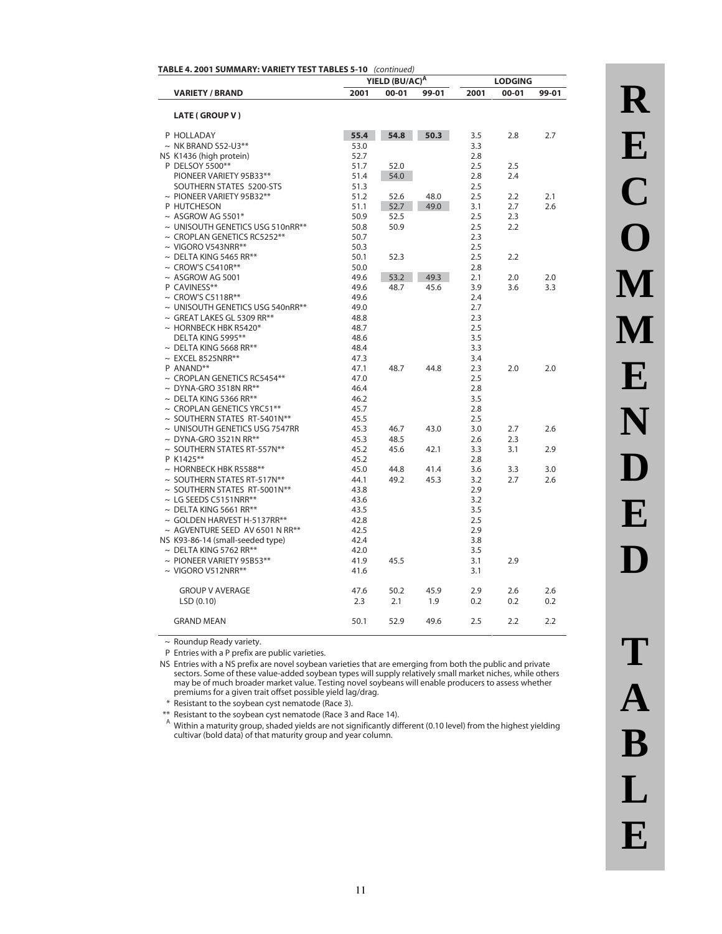|                                       |      | YIELD (BU/AC) <sup>A</sup> |       |      | <b>LODGING</b> |       |
|---------------------------------------|------|----------------------------|-------|------|----------------|-------|
| <b>VARIETY / BRAND</b>                | 2001 | 00-01                      | 99-01 | 2001 | 00-01          | 99-01 |
|                                       |      |                            |       |      |                |       |
| LATE (GROUP V)                        |      |                            |       |      |                |       |
| P HOLLADAY                            | 55.4 | 54.8                       | 50.3  | 3.5  | 2.8            | 2.7   |
| $\sim$ NK BRAND S52-U3**              | 53.0 |                            |       | 3.3  |                |       |
| NS K1436 (high protein)               | 52.7 |                            |       | 2.8  |                |       |
| P DELSOY 5500**                       | 51.7 | 52.0                       |       | 2.5  | 2.5            |       |
| PIONEER VARIETY 95B33**               | 51.4 | 54.0                       |       | 2.8  | 2.4            |       |
| SOUTHERN STATES 5200-STS              | 51.3 |                            |       | 2.5  |                |       |
| $\sim$ PIONEER VARIETY 95B32**        | 51.2 | 52.6                       | 48.0  | 2.5  | 2.2            | 2.1   |
| P HUTCHESON                           | 51.1 | 52.7                       | 49.0  | 3.1  | 2.7            | 2.6   |
| $~\sim$ ASGROW AG 5501*               | 50.9 | 52.5                       |       | 2.5  | 2.3            |       |
| ~ UNISOUTH GENETICS USG 510nRR**      | 50.8 | 50.9                       |       | 2.5  | 2.2            |       |
| $\sim$ CROPLAN GENETICS RC5252**      | 50.7 |                            |       | 2.3  |                |       |
| $\sim$ VIGORO V543NRR**               | 50.3 |                            |       | 2.5  |                |       |
| $\sim$ DELTA KING 5465 RR**           | 50.1 | 52.3                       |       | 2.5  | 2.2            |       |
| $\sim$ CROW'S C5410R**                | 50.0 |                            |       | 2.8  |                |       |
| $~\sim$ ASGROW AG 5001                | 49.6 | 53.2                       | 49.3  | 2.1  | 2.0            | 2.0   |
| P CAVINESS**                          | 49.6 | 48.7                       | 45.6  | 3.9  | 3.6            | 3.3   |
| $\sim$ CROW'S C5118R**                | 49.6 |                            |       | 2.4  |                |       |
| $\sim$ UNISOUTH GENETICS USG 540nRR** | 49.0 |                            |       | 2.7  |                |       |
| $\sim$ GREAT LAKES GL 5309 RR**       | 48.8 |                            |       | 2.3  |                |       |
| $\sim$ HORNBECK HBK R5420*            | 48.7 |                            |       | 2.5  |                |       |
| DELTA KING 5995**                     | 48.6 |                            |       | 3.5  |                |       |
| $\sim$ DELTA KING 5668 RR**           | 48.4 |                            |       | 3.3  |                |       |
| $\sim$ EXCEL 8525NRR**                | 47.3 |                            |       | 3.4  |                |       |
| P ANAND**                             | 47.1 | 48.7                       | 44.8  | 2.3  | 2.0            | 2.0   |
| $\sim$ CROPLAN GENETICS RC5454**      | 47.0 |                            |       | 2.5  |                |       |
| $\sim$ DYNA-GRO 3518N RR**            | 46.4 |                            |       | 2.8  |                |       |
| $\sim$ DELTA KING 5366 RR**           | 46.2 |                            |       | 3.5  |                |       |
| $\sim$ CROPLAN GENETICS YRC51**       | 45.7 |                            |       | 2.8  |                |       |
| ~ SOUTHERN STATES RT-5401N**          | 45.5 |                            |       | 2.5  |                |       |
| $\sim$ UNISOUTH GENETICS USG 7547RR   | 45.3 | 46.7                       | 43.0  | 3.0  | 2.7            | 2.6   |
| $\sim$ DYNA-GRO 3521N RR**            | 45.3 | 48.5                       |       | 2.6  | 2.3            |       |
| ~ SOUTHERN STATES RT-557N**           | 45.2 | 45.6                       | 42.1  | 3.3  | 3.1            | 2.9   |
| P K1425**                             | 45.2 |                            |       | 2.8  |                |       |
| $\sim$ HORNBECK HBK R5588**           | 45.0 | 44.8                       | 41.4  | 3.6  | 3.3            | 3.0   |
| $\sim$ SOUTHERN STATES RT-517N**      | 44.1 | 49.2                       | 45.3  | 3.2  | 2.7            | 2.6   |
| ~ SOUTHERN STATES RT-5001N**          | 43.8 |                            |       | 2.9  |                |       |
| $\sim$ LG SEEDS C5151NRR**            | 43.6 |                            |       | 3.2  |                |       |
| $\sim$ DELTA KING 5661 RR**           | 43.5 |                            |       | 3.5  |                |       |
| $\sim$ GOLDEN HARVEST H-5137RR**      | 42.8 |                            |       | 2.5  |                |       |
| ~ AGVENTURE SEED AV 6501 N RR**       | 42.5 |                            |       | 2.9  |                |       |
| NS K93-86-14 (small-seeded type)      | 42.4 |                            |       | 3.8  |                |       |
| $\sim$ DELTA KING 5762 RR**           | 42.0 |                            |       | 3.5  |                |       |
| $\sim$ PIONEER VARIETY 95B53**        | 41.9 | 45.5                       |       | 3.1  | 2.9            |       |
| $\sim$ VIGORO V512NRR**               | 41.6 |                            |       | 3.1  |                |       |
|                                       |      |                            |       |      |                |       |
| <b>GROUP V AVERAGE</b>                | 47.6 | 50.2                       | 45.9  | 2.9  | 2.6            | 2.6   |
| LSD(0.10)                             | 2.3  | 2.1                        | 1.9   | 0.2  | 0.2            | 0.2   |
| <b>GRAND MEAN</b>                     | 50.1 | 52.9                       | 49.6  | 2.5  | 2.2            | 2.2   |
|                                       |      |                            |       |      |                |       |

**E**

 $\sim$  Roundup Ready variety.

P Entries with a P prefix are public varieties.

NS Entries with a NS prefix are novel soybean varieties that are emerging from both the public and private sectors. Some of these value-added soybean types will supply relatively small market niches, while others may be of much broader market value. Testing novel soybeans will enable producers to assess whether premiums for a given trait offset possible yield lag/drag.

\* Resistant to the soybean cyst nematode (Race 3).

\*\* Resistant to the soybean cyst nematode (Race 3 and Race 14).

A Within a maturity group, shaded yields are not significantly different (0.10 level) from the highest yielding cultivar (bold data) of that maturity group and year column.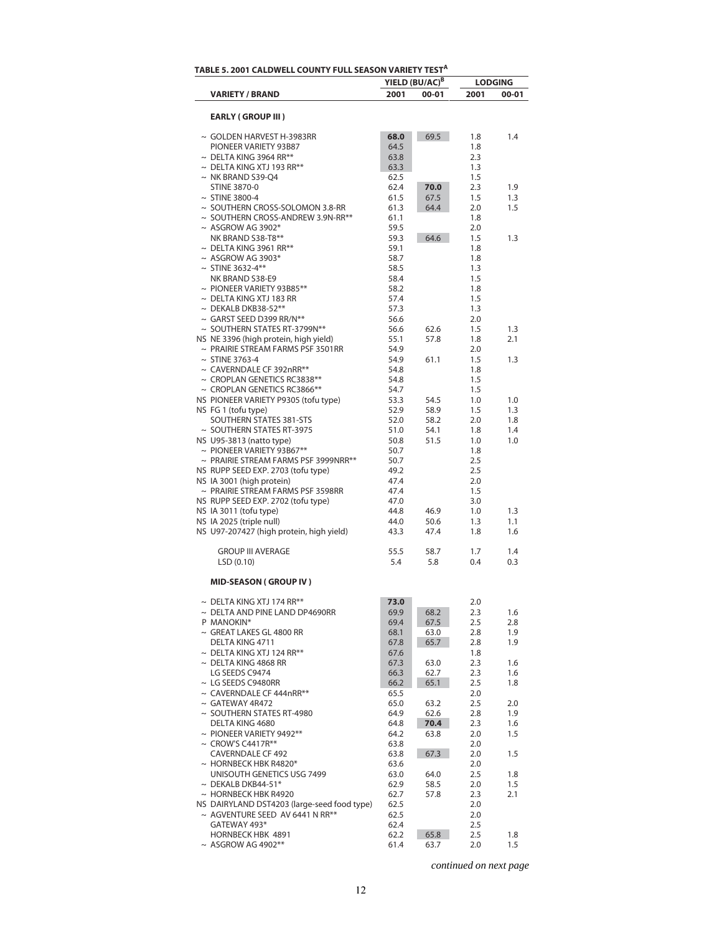|                                                                          |              | YIELD (BU/AC) <sup>B</sup> |            | <b>LODGING</b> |
|--------------------------------------------------------------------------|--------------|----------------------------|------------|----------------|
| <b>VARIETY / BRAND</b>                                                   | 2001         | 00-01                      | 2001       | 00-01          |
|                                                                          |              |                            |            |                |
| <b>EARLY (GROUP III)</b>                                                 |              |                            |            |                |
| ~ GOLDEN HARVEST H-3983RR                                                | 68.0         | 69.5                       | 1.8        | 1.4            |
| PIONEER VARIETY 93B87                                                    | 64.5         |                            | 1.8        |                |
| $\sim$ DELTA KING 3964 RR**                                              | 63.8         |                            | 2.3        |                |
| $\sim$ DELTA KING XTJ 193 RR**                                           | 63.3         |                            | 1.3        |                |
| $\sim$ NK BRAND S39-Q4                                                   | 62.5         |                            | 1.5        |                |
| <b>STINE 3870-0</b>                                                      | 62.4         | 70.0                       | 2.3        | 1.9            |
| $\sim$ STINE 3800-4                                                      | 61.5         | 67.5                       | 1.5        | 1.3            |
| $\sim$ SOUTHERN CROSS-SOLOMON 3.8-RR                                     | 61.3         | 64.4                       | 2.0        | 1.5            |
| ~ SOUTHERN CROSS-ANDREW 3.9N-RR**                                        | 61.1         |                            | 1.8        |                |
| $~\sim$ ASGROW AG 3902*<br>NK BRAND S38-T8**                             | 59.5<br>59.3 | 64.6                       | 2.0        | 1.3            |
| $\sim$ DELTA KING 3961 RR**                                              | 59.1         |                            | 1.5<br>1.8 |                |
| $~\sim$ ASGROW AG 3903*                                                  | 58.7         |                            | 1.8        |                |
| $~\sim$ STINE 3632-4**                                                   | 58.5         |                            | 1.3        |                |
| NK BRAND S38-E9                                                          | 58.4         |                            | 1.5        |                |
| $\sim$ PIONEER VARIETY 93B85**                                           | 58.2         |                            | 1.8        |                |
| $\sim$ DELTA KING XTJ 183 RR                                             | 57.4         |                            | 1.5        |                |
| $\sim$ DEKALB DKB38-52**                                                 | 57.3         |                            | 1.3        |                |
| $\sim$ GARST SEED D399 RR/N**                                            | 56.6         |                            | 2.0        |                |
| ~ SOUTHERN STATES RT-3799N**                                             | 56.6         | 62.6                       | 1.5        | 1.3            |
| NS NE 3396 (high protein, high yield)                                    | 55.1         | 57.8                       | 1.8        | 2.1            |
| $\sim$ PRAIRIE STREAM FARMS PSF 3501RR                                   | 54.9         |                            | 2.0        |                |
| $\sim$ STINE 3763-4                                                      | 54.9         | 61.1                       | 1.5        | 1.3            |
| $\sim$ CAVERNDALE CF 392nRR**                                            | 54.8         |                            | 1.8        |                |
| $\sim$ CROPLAN GENETICS RC3838**                                         | 54.8         |                            | 1.5        |                |
| $\sim$ CROPLAN GENETICS RC3866**<br>NS PIONEER VARIETY P9305 (tofu type) | 54.7         |                            | 1.5        |                |
| NS FG 1 (tofu type)                                                      | 53.3<br>52.9 | 54.5<br>58.9               | 1.0<br>1.5 | 1.0<br>1.3     |
| SOUTHERN STATES 381-STS                                                  | 52.0         | 58.2                       | 2.0        | 1.8            |
| ~ SOUTHERN STATES RT-3975                                                | 51.0         | 54.1                       | 1.8        | 1.4            |
| NS U95-3813 (natto type)                                                 | 50.8         | 51.5                       | 1.0        | 1.0            |
| $\sim$ PIONEER VARIETY 93B67**                                           | 50.7         |                            | 1.8        |                |
| $\sim$ PRAIRIE STREAM FARMS PSF 3999NRR**                                | 50.7         |                            | 2.5        |                |
| NS RUPP SEED EXP. 2703 (tofu type)                                       | 49.2         |                            | 2.5        |                |
| NS IA 3001 (high protein)                                                | 47.4         |                            | 2.0        |                |
| $\sim$ PRAIRIE STREAM FARMS PSF 3598RR                                   | 47.4         |                            | 1.5        |                |
| NS RUPP SEED EXP. 2702 (tofu type)                                       | 47.0         |                            | 3.0        |                |
| NS IA 3011 (tofu type)                                                   | 44.8         | 46.9                       | 1.0        | 1.3            |
| NS IA 2025 (triple null)                                                 | 44.0         | 50.6                       | 1.3        | 1.1            |
| NS U97-207427 (high protein, high yield)                                 | 43.3         | 47.4                       | 1.8        | 1.6            |
| <b>GROUP III AVERAGE</b>                                                 | 55.5         | 58.7                       | 1.7        | 1.4            |
| LSD(0.10)                                                                | 5.4          | 5.8                        | 0.4        | 0.3            |
|                                                                          |              |                            |            |                |
| <b>MID-SEASON (GROUP IV)</b>                                             |              |                            |            |                |
| $\sim$ DELTA KING XTJ 174 RR**                                           | 73.0         |                            | 2.0        |                |
| $\sim$ DELTA AND PINE LAND DP4690RR                                      | 69.9         | 68.2                       | 2.3        | 1.6            |
| P MANOKIN*                                                               | 69.4         | 67.5                       | 2.5        | 2.8            |
| $\sim$ GREAT LAKES GL 4800 RR                                            | 68.1         | 63.0                       | 2.8        | 1.9            |
| DELTA KING 4711                                                          | 67.8         | 65.7                       | 2.8        | 1.9            |
| $\sim$ DELTA KING XTJ 124 RR**                                           | 67.6         |                            | 1.8        |                |
| $\sim$ DELTA KING 4868 RR                                                | 67.3         | 63.0                       | 2.3        | 1.6            |
| LG SEEDS C9474                                                           | 66.3         | 62.7                       | 2.3        | 1.6            |
| $\sim$ LG SEEDS C9480RR                                                  | 66.2         | 65.1                       | 2.5        | 1.8            |
| $\sim$ CAVERNDALE CF 444nRR**                                            | 65.5         |                            | 2.0        |                |
| $\sim$ GATEWAY 4R472                                                     | 65.0         | 63.2                       | 2.5        | 2.0            |
| $\sim$ SOUTHERN STATES RT-4980                                           | 64.9         | 62.6                       | 2.8        | 1.9            |
| DELTA KING 4680                                                          | 64.8         | 70.4                       | 2.3        | 1.6            |
| $\sim$ PIONEER VARIETY 9492**                                            | 64.2         | 63.8                       | 2.0        | 1.5            |
| $\sim$ CROW'S C4417R**                                                   | 63.8         |                            | 2.0        |                |
| <b>CAVERNDALE CF 492</b>                                                 | 63.8         | 67.3                       | 2.0        | 1.5            |
| $\sim$ HORNBECK HBK R4820*                                               | 63.6         |                            | 2.0        |                |
| UNISOUTH GENETICS USG 7499                                               | 63.0         | 64.0                       | 2.5        | 1.8            |
| $\sim$ DEKALB DKB44-51*<br>$\sim$ HORNBECK HBK R4920                     | 62.9         | 58.5                       | 2.0        | 1.5            |
| NS DAIRYLAND DST4203 (large-seed food type)                              | 62.7<br>62.5 | 57.8                       | 2.3<br>2.0 | 2.1            |
| ~ AGVENTURE SEED AV 6441 N RR**                                          | 62.5         |                            | 2.0        |                |
| GATEWAY 493*                                                             | 62.4         |                            | 2.5        |                |
| <b>HORNBECK HBK 4891</b>                                                 | 62.2         | 65.8                       | 2.5        | 1.8            |
| $~\sim$ ASGROW AG 4902**                                                 | 61.4         | 63.7                       | 2.0        | 1.5            |
|                                                                          |              |                            |            |                |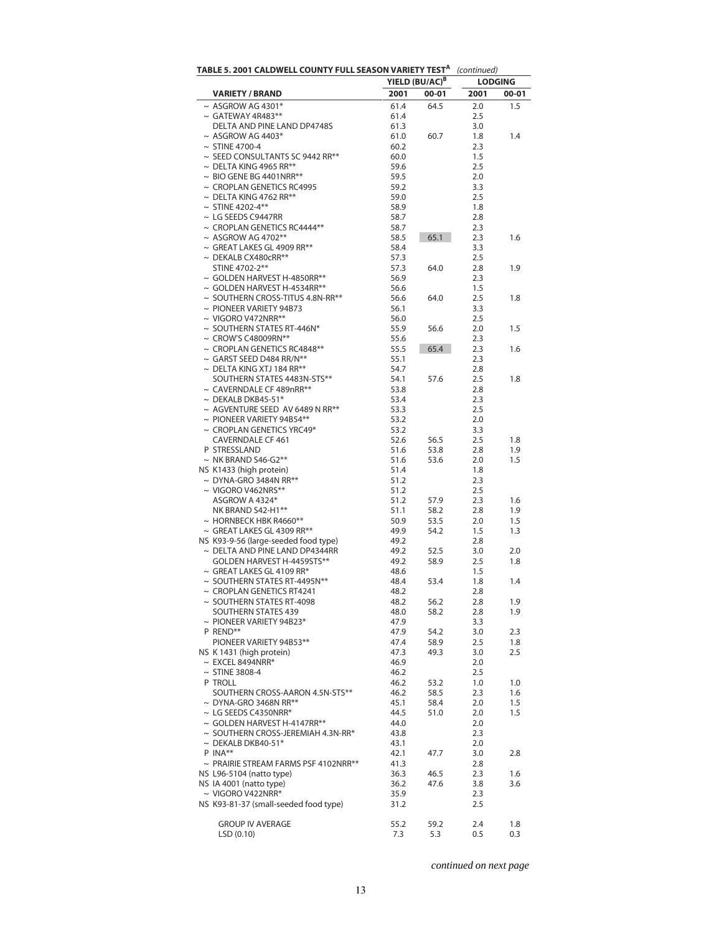| TABLE 5. 2001 CALDWELL COUNTY FULL SEASON VARIETY TEST <sup>A</sup> |              | YIELD (BU/AC) <sup>B</sup> | (continued)<br><b>LODGING</b> |            |  |  |
|---------------------------------------------------------------------|--------------|----------------------------|-------------------------------|------------|--|--|
| <b>VARIETY / BRAND</b>                                              | 2001         | 00-01                      | 2001<br>$00 - 01$             |            |  |  |
| $\sim$ ASGROW AG 4301*                                              | 61.4         | 64.5                       | 2.0                           | 1.5        |  |  |
| $\sim$ GATEWAY 4R483**                                              | 61.4         |                            | 2.5                           |            |  |  |
| DELTA AND PINE LAND DP4748S                                         | 61.3         |                            | 3.0                           |            |  |  |
| $~\sim$ ASGROW AG 4403*                                             | 61.0         | 60.7                       | 1.8                           | 1.4        |  |  |
| $\sim$ STINE 4700-4                                                 | 60.2         |                            | 2.3                           |            |  |  |
| ~ SEED CONSULTANTS SC 9442 RR**                                     | 60.0         |                            | 1.5                           |            |  |  |
| $\sim$ DELTA KING 4965 RR**                                         | 59.6         |                            | 2.5                           |            |  |  |
| $\sim$ BIO GENE BG 4401NRR**                                        | 59.5         |                            | 2.0                           |            |  |  |
| $\sim$ CROPLAN GENETICS RC4995                                      | 59.2         |                            | 3.3                           |            |  |  |
| $\sim$ DELTA KING 4762 RR**                                         | 59.0         |                            | 2.5                           |            |  |  |
| $~\sim$ STINE 4202-4**                                              | 58.9         |                            | 1.8                           |            |  |  |
| $\sim$ LG SEEDS C9447RR                                             | 58.7         |                            | 2.8                           |            |  |  |
| $\sim$ CROPLAN GENETICS RC4444**                                    | 58.7         |                            | 2.3                           |            |  |  |
| $~\sim$ ASGROW AG 4702**                                            | 58.5         | 65.1                       | 2.3                           | 1.6        |  |  |
| $\sim$ GREAT LAKES GL 4909 RR**                                     | 58.4         |                            | 3.3                           |            |  |  |
| $\sim$ DEKALB CX480cRR**<br>STINE 4702-2**                          | 57.3         |                            | 2.5                           |            |  |  |
| $\sim$ GOLDEN HARVEST H-4850RR**                                    | 57.3<br>56.9 | 64.0                       | 2.8<br>2.3                    | 1.9        |  |  |
| $\sim$ GOLDEN HARVEST H-4534RR**                                    | 56.6         |                            | 1.5                           |            |  |  |
| $\sim$ SOUTHERN CROSS-TITUS 4.8N-RR**                               | 56.6         | 64.0                       | 2.5                           | 1.8        |  |  |
| $\sim$ PIONEER VARIETY 94B73                                        | 56.1         |                            | 3.3                           |            |  |  |
| $\sim$ VIGORO V472NRR**                                             | 56.0         |                            | 2.5                           |            |  |  |
| $\sim$ SOUTHERN STATES RT-446N*                                     | 55.9         | 56.6                       | 2.0                           | 1.5        |  |  |
| $\sim$ CROW'S C48009RN**                                            | 55.6         |                            | 2.3                           |            |  |  |
| $\sim$ CROPLAN GENETICS RC4848**                                    | 55.5         | 65.4                       | 2.3                           | 1.6        |  |  |
| $\sim$ GARST SEED D484 RR/N**                                       | 55.1         |                            | 2.3                           |            |  |  |
| $\sim$ DELTA KING XTJ 184 RR**                                      | 54.7         |                            | 2.8                           |            |  |  |
| SOUTHERN STATES 4483N-STS**                                         | 54.1         | 57.6                       | 2.5                           | 1.8        |  |  |
| $\sim$ CAVERNDALE CF 489nRR**                                       | 53.8         |                            | 2.8                           |            |  |  |
| $\sim$ DEKALB DKB45-51*                                             | 53.4         |                            | 2.3                           |            |  |  |
| $\sim$ AGVENTURE SEED AV 6489 N RR**                                | 53.3         |                            | 2.5                           |            |  |  |
| $\sim$ PIONEER VARIETY 94B54**                                      | 53.2         |                            | 2.0                           |            |  |  |
| $\sim$ CROPLAN GENETICS YRC49*                                      | 53.2         |                            | 3.3                           |            |  |  |
| CAVERNDALE CF 461                                                   | 52.6         | 56.5                       | 2.5                           | 1.8        |  |  |
| P STRESSLAND<br>$\sim$ NK BRAND S46-G2**                            | 51.6<br>51.6 | 53.8                       | 2.8<br>2.0                    | 1.9<br>1.5 |  |  |
| NS K1433 (high protein)                                             | 51.4         | 53.6                       | 1.8                           |            |  |  |
| $\sim$ DYNA-GRO 3484N RR**                                          | 51.2         |                            | 2.3                           |            |  |  |
| $\sim$ VIGORO V462NRS**                                             | 51.2         |                            | 2.5                           |            |  |  |
| ASGROW A 4324*                                                      | 51.2         | 57.9                       | 2.3                           | 1.6        |  |  |
| NK BRAND S42-H1**                                                   | 51.1         | 58.2                       | 2.8                           | 1.9        |  |  |
| $\sim$ HORNBECK HBK R4660**                                         | 50.9         | 53.5                       | 2.0                           | 1.5        |  |  |
| $\sim$ GREAT LAKES GL 4309 RR**                                     | 49.9         | 54.2                       | 1.5                           | 1.3        |  |  |
| NS K93-9-56 (large-seeded food type)                                | 49.2         |                            | 2.8                           |            |  |  |
| $\sim$ DELTA AND PINE LAND DP4344RR                                 | 49.2         | 52.5                       | 3.0                           | 2.0        |  |  |
| GOLDEN HARVEST H-4459STS**                                          | 49.2         | 58.9                       | 2.5                           | 1.8        |  |  |
| $\sim$ GREAT LAKES GL 4109 RR*                                      | 48.6         |                            | 1.5                           |            |  |  |
| $\sim$ SOUTHERN STATES RT-4495N**                                   | 48.4         | 53.4                       | 1.8                           | 1.4        |  |  |
| $\sim$ CROPLAN GENETICS RT4241                                      | 48.2         |                            | 2.8                           |            |  |  |
| $\sim$ SOUTHERN STATES RT-4098                                      | 48.2         | 56.2                       | 2.8                           | 1.9        |  |  |
| <b>SOUTHERN STATES 439</b>                                          | 48.0         | 58.2                       | 2.8                           | 1.9        |  |  |
| $\sim$ PIONEER VARIETY 94B23*                                       | 47.9         |                            | 3.3                           |            |  |  |
| P REND**                                                            | 47.9         | 54.2                       | 3.0                           | 2.3        |  |  |
| PIONEER VARIETY 94B53**<br>NS K 1431 (high protein)                 | 47.4<br>47.3 | 58.9<br>49.3               | 2.5<br>3.0                    | 1.8<br>2.5 |  |  |
| $\sim$ EXCEL 8494NRR*                                               | 46.9         |                            | 2.0                           |            |  |  |
| $\sim$ STINE 3808-4                                                 | 46.2         |                            | 2.5                           |            |  |  |
| P TROLL                                                             | 46.2         | 53.2                       | 1.0                           | 1.0        |  |  |
| SOUTHERN CROSS-AARON 4.5N-STS**                                     | 46.2         | 58.5                       | 2.3                           | 1.6        |  |  |
| $\sim$ DYNA-GRO 3468N RR**                                          | 45.1         | 58.4                       | 2.0                           | 1.5        |  |  |
| $\sim$ LG SEEDS C4350NRR*                                           | 44.5         | 51.0                       | 2.0                           | 1.5        |  |  |
| $\sim$ GOLDEN HARVEST H-4147RR**                                    | 44.0         |                            | 2.0                           |            |  |  |
| $\sim$ SOUTHERN CROSS-JEREMIAH 4.3N-RR*                             | 43.8         |                            | 2.3                           |            |  |  |
| $\sim$ DEKALB DKB40-51*                                             | 43.1         |                            | 2.0                           |            |  |  |
| $P$ INA**                                                           | 42.1         | 47.7                       | 3.0                           | 2.8        |  |  |
| $\sim$ PRAIRIE STREAM FARMS PSF 4102NRR**                           | 41.3         |                            | 2.8                           |            |  |  |
| NS L96-5104 (natto type)                                            | 36.3         | 46.5                       | 2.3                           | 1.6        |  |  |
| NS IA 4001 (natto type)                                             | 36.2         | 47.6                       | 3.8                           | 3.6        |  |  |
| $\sim$ VIGORO V422NRR*                                              | 35.9         |                            | 2.3                           |            |  |  |
| NS K93-81-37 (small-seeded food type)                               | 31.2         |                            | 2.5                           |            |  |  |
|                                                                     |              |                            |                               |            |  |  |
| <b>GROUP IV AVERAGE</b>                                             | 55.2         | 59.2                       | 2.4                           | 1.8        |  |  |
| LSD(0.10)                                                           | 7.3          | 5.3                        | 0.5                           | 0.3        |  |  |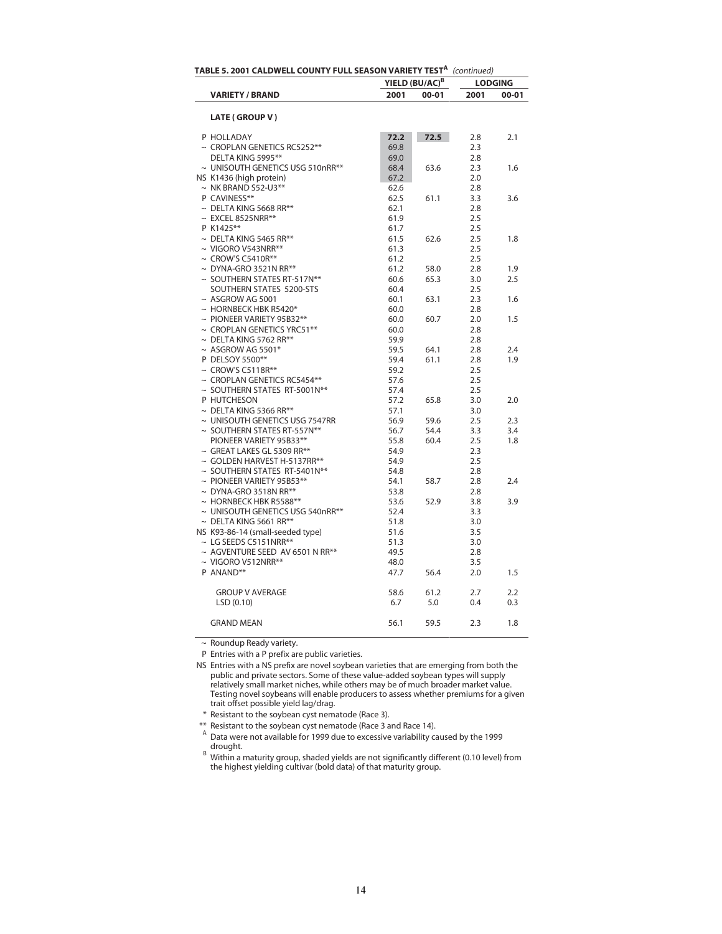| TABLE 5. 2001 CALDWELL COUNTY FULL SEASON VARIETY TEST <sup>A</sup> |              | (continued)                |                |           |
|---------------------------------------------------------------------|--------------|----------------------------|----------------|-----------|
|                                                                     |              | YIELD (BU/AC) <sup>B</sup> | <b>LODGING</b> |           |
| <b>VARIETY / BRAND</b>                                              | 2001         | $00 - 01$                  | 2001           | $00 - 01$ |
|                                                                     |              |                            |                |           |
| LATE (GROUP V)                                                      |              |                            |                |           |
| P HOLLADAY                                                          | 72.2         | 72.5                       | 2.8            | 2.1       |
| $\sim$ CROPLAN GENETICS RC5252**                                    | 69.8         |                            | 2.3            |           |
| DELTA KING 5995**                                                   | 69.0         |                            | 2.8            |           |
| ~ UNISOUTH GENETICS USG 510nRR**                                    | 68.4         | 63.6                       | 2.3            | 1.6       |
| NS K1436 (high protein)                                             | 67.2         |                            | 2.0            |           |
| $\sim$ NK BRAND S52-U3**                                            | 62.6         |                            | 2.8            |           |
| P CAVINESS**                                                        | 62.5         | 61.1                       | 3.3            | 3.6       |
| $\sim$ DELTA KING 5668 RR**                                         | 62.1         |                            | 2.8            |           |
| $\sim$ EXCEL 8525NRR**                                              | 61.9         |                            | 2.5            |           |
| P K1425**                                                           | 61.7         |                            | 2.5            |           |
| $\sim$ DELTA KING 5465 RR**                                         | 61.5         | 62.6                       | 2.5            | 1.8       |
| $\sim$ VIGORO V543NRR**                                             | 61.3         |                            | 2.5            |           |
| $\sim$ CROW'S C5410R**                                              | 61.2         |                            | 2.5            |           |
| $\sim$ DYNA-GRO 3521N RR**                                          | 61.2         | 58.0                       | 2.8            | 1.9       |
| $\sim$ SOUTHERN STATES RT-517N**                                    | 60.6         | 65.3                       | 3.0            | 2.5       |
| SOUTHERN STATES 5200-STS                                            | 60.4         |                            | 2.5            |           |
| $~\sim$ ASGROW AG 5001                                              | 60.1         | 63.1                       | 2.3            | 1.6       |
| $\sim$ HORNBECK HBK R5420*                                          | 60.0         |                            | 2.8            |           |
| $\sim$ PIONEER VARIETY 95B32**                                      | 60.0         | 60.7                       | 2.0            | 1.5       |
| $\sim$ CROPLAN GENETICS YRC51**                                     | 60.0         |                            | 2.8            |           |
| $\sim$ DELTA KING 5762 RR**                                         | 59.9         |                            | 2.8            |           |
| $~\sim$ ASGROW AG 5501*                                             | 59.5         | 64.1                       | 2.8            | 2.4       |
| P DELSOY 5500**                                                     | 59.4         | 61.1                       | 2.8            | 1.9       |
| $\sim$ CROW'S C5118R**                                              | 59.2         |                            | 2.5            |           |
| $\sim$ CROPLAN GENETICS RC5454**                                    | 57.6         |                            | 2.5            |           |
| ~ SOUTHERN STATES RT-5001N**                                        | 57.4         |                            | 2.5            |           |
| P HUTCHESON                                                         | 57.2         | 65.8                       | 3.0            | 2.0       |
| $\sim$ DELTA KING 5366 RR**                                         | 57.1         |                            | 3.0            |           |
| ~ UNISOUTH GENETICS USG 7547RR                                      | 56.9         | 59.6                       | 2.5            | 2.3       |
| ~ SOUTHERN STATES RT-557N**                                         | 56.7         | 54.4                       | 3.3            | 3.4       |
| PIONEER VARIETY 95B33**                                             | 55.8         | 60.4                       | 2.5            | 1.8       |
| $\sim$ GREAT LAKES GL 5309 RR**                                     | 54.9         |                            |                |           |
| ~ GOLDEN HARVEST H-5137RR**                                         |              |                            | 2.3<br>2.5     |           |
| ~ SOUTHERN STATES RT-5401N**                                        | 54.9<br>54.8 |                            | 2.8            |           |
|                                                                     |              |                            |                |           |
| $\sim$ PIONEER VARIETY 95B53**<br>$\sim$ DYNA-GRO 3518N RR**        | 54.1<br>53.8 | 58.7                       | 2.8<br>2.8     | 2.4       |
| $\sim$ HORNBECK HBK R5588**                                         | 53.6         |                            | 3.8            |           |
|                                                                     |              | 52.9                       |                | 3.9       |
| ~ UNISOUTH GENETICS USG 540nRR**                                    | 52.4         |                            | 3.3            |           |
| $\sim$ DELTA KING 5661 RR**                                         | 51.8         |                            | 3.0            |           |
| NS K93-86-14 (small-seeded type)                                    | 51.6         |                            | 3.5            |           |
| $\sim$ LG SEEDS C5151NRR**                                          | 51.3         |                            | 3.0            |           |
| ~ AGVENTURE SEED AV 6501 N RR**                                     | 49.5         |                            | 2.8            |           |
| $\sim$ VIGORO V512NRR**                                             | 48.0         |                            | 3.5            |           |
| P ANAND**                                                           | 47.7         | 56.4                       | 2.0            | 1.5       |
| <b>GROUP V AVERAGE</b>                                              | 58.6         | 61.2                       | 2.7            | 2.2       |
| LSD(0.10)                                                           | 6.7          | 5.0                        | 0.4            | 0.3       |
| <b>GRAND MEAN</b>                                                   | 56.1         | 59.5                       | 2.3            | 1.8       |

 $\sim$  Roundup Ready variety.

P Entries with a P prefix are public varieties.

\* Resistant to the soybean cyst nematode (Race 3).

\*\* Resistant to the soybean cyst nematode (Race 3 and Race 14).

NS Entries with a NS prefix are novel soybean varieties that are emerging from both the public and private sectors. Some of these value-added soybean types will supply relatively small market niches, while others may be of much broader market value. Testing novel soybeans will enable producers to assess whether premiums for a given trait offset possible yield lag/drag.

<sup>&</sup>lt;sup>A</sup> Data were not available for 1999 due to excessive variability caused by the 1999

drought.<br><sup>B</sup> Within a maturity group, shaded yields are not significantly different (0.10 level) from the highest yielding cultivar (bold data) of that maturity group.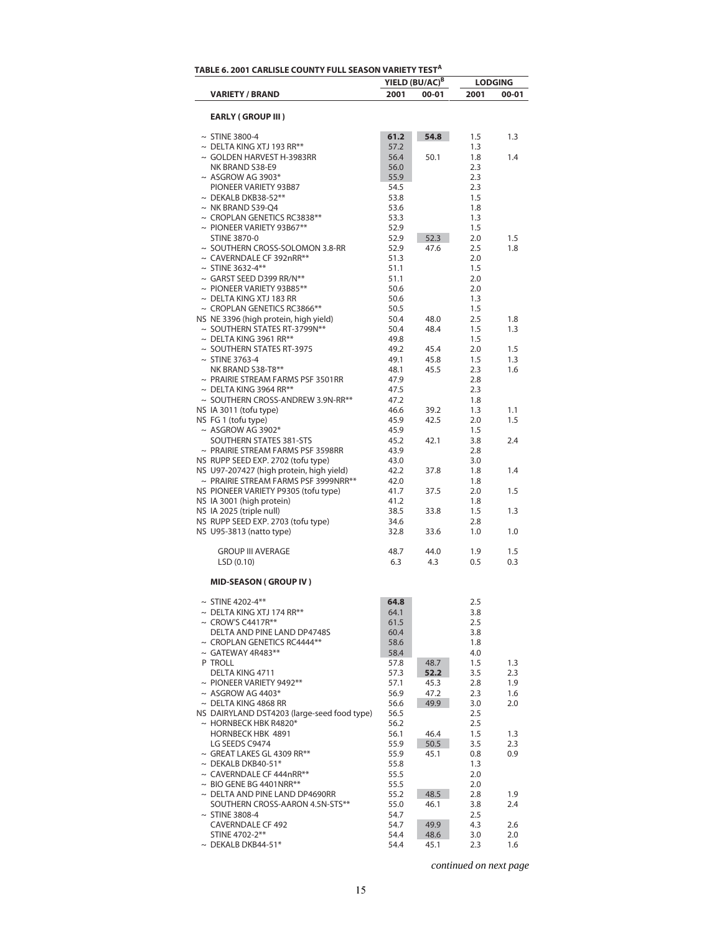|                                                          |              | YIELD (BU/AC) <sup>B</sup> |            | <b>LODGING</b> |
|----------------------------------------------------------|--------------|----------------------------|------------|----------------|
| <b>VARIETY / BRAND</b>                                   | 2001         | 00-01                      | 2001       | 00-01          |
| <b>EARLY (GROUP III)</b>                                 |              |                            |            |                |
| $\sim$ STINE 3800-4                                      | 61.2         | 54.8                       | 1.5        | 1.3            |
| $\sim$ DELTA KING XTJ 193 RR**                           | 57.2         |                            | 1.3        |                |
| $\sim$ GOLDEN HARVEST H-3983RR                           | 56.4         | 50.1                       | 1.8        | 1.4            |
| NK BRAND S38-E9                                          | 56.0         |                            | 2.3        |                |
| $~\sim$ ASGROW AG 3903*                                  | 55.9         |                            | 2.3        |                |
| PIONEER VARIETY 93B87                                    | 54.5         |                            | 2.3        |                |
| $\sim$ DEKALB DKB38-52**                                 | 53.8         |                            | 1.5        |                |
| $\sim$ NK BRAND S39-Q4                                   | 53.6         |                            | 1.8        |                |
| $\sim$ CROPLAN GENETICS RC3838**                         | 53.3         |                            | 1.3        |                |
| $\sim$ PIONEER VARIETY 93B67**                           | 52.9         |                            | 1.5        |                |
| <b>STINE 3870-0</b><br>~ SOUTHERN CROSS-SOLOMON 3.8-RR   | 52.9<br>52.9 | 52.3<br>47.6               | 2.0<br>2.5 | 1.5<br>1.8     |
| ~ CAVERNDALE CF 392nRR**                                 | 51.3         |                            | 2.0        |                |
| $~\sim$ STINE 3632-4**                                   | 51.1         |                            | 1.5        |                |
| ~ GARST SEED D399 RR/N**                                 | 51.1         |                            | 2.0        |                |
| $\sim$ PIONEER VARIETY 93B85**                           | 50.6         |                            | 2.0        |                |
| $\sim$ DELTA KING XTJ 183 RR                             | 50.6         |                            | 1.3        |                |
| $\sim$ CROPLAN GENETICS RC3866**                         | 50.5         |                            | 1.5        |                |
| NS NE 3396 (high protein, high yield)                    | 50.4         | 48.0                       | 2.5        | 1.8            |
| ~ SOUTHERN STATES RT-3799N**                             | 50.4         | 48.4                       | 1.5        | 1.3            |
| $\sim$ DELTA KING 3961 RR**                              | 49.8         |                            | 1.5        |                |
| $\sim$ SOUTHERN STATES RT-3975                           | 49.2         | 45.4                       | 2.0        | 1.5            |
| $\sim$ STINE 3763-4                                      | 49.1         | 45.8                       | 1.5        | 1.3            |
| NK BRAND S38-T8**                                        | 48.1         | 45.5                       | 2.3        | 1.6            |
| ~ PRAIRIE STREAM FARMS PSF 3501RR                        | 47.9         |                            | 2.8        |                |
| $\sim$ DELTA KING 3964 RR**                              | 47.5         |                            | 2.3        |                |
| ~ SOUTHERN CROSS-ANDREW 3.9N-RR**                        | 47.2         |                            | 1.8        |                |
| NS IA 3011 (tofu type)                                   | 46.6         | 39.2                       | 1.3        | 1.1            |
| NS FG 1 (tofu type)                                      | 45.9         | 42.5                       | 2.0        | 1.5            |
| $~\sim$ ASGROW AG 3902*                                  | 45.9         |                            | 1.5        |                |
| SOUTHERN STATES 381-STS                                  | 45.2         | 42.1                       | 3.8        | 2.4            |
| $\sim$ PRAIRIE STREAM FARMS PSF 3598RR                   | 43.9         |                            | 2.8        |                |
| NS RUPP SEED EXP. 2702 (tofu type)                       | 43.0         |                            | 3.0        |                |
| NS U97-207427 (high protein, high yield)                 | 42.2         | 37.8                       | 1.8        | 1.4            |
| $\sim$ PRAIRIE STREAM FARMS PSF 3999NRR**                | 42.0         |                            | 1.8        |                |
| NS PIONEER VARIETY P9305 (tofu type)                     | 41.7         | 37.5                       | 2.0        | 1.5            |
| NS IA 3001 (high protein)                                | 41.2         |                            | 1.8        |                |
| NS IA 2025 (triple null)                                 | 38.5         | 33.8                       | 1.5        | 1.3            |
| NS RUPP SEED EXP. 2703 (tofu type)                       | 34.6         |                            | 2.8        |                |
| NS U95-3813 (natto type)                                 | 32.8         | 33.6                       | 1.0        | 1.0            |
| <b>GROUP III AVERAGE</b>                                 | 48.7         | 44.0                       | 1.9        | 1.5            |
| LSD(0.10)                                                | 6.3          | 4.3                        | 0.5        | 0.3            |
| <b>MID-SEASON (GROUP IV)</b>                             |              |                            |            |                |
| $~\sim$ STINE 4202-4**<br>$\sim$ DELTA KING XTJ 174 RR** | 64.8         |                            | 2.5        |                |
| $\sim$ CROW'S C4417R**                                   | 64.1<br>61.5 |                            | 3.8<br>2.5 |                |
| DELTA AND PINE LAND DP4748S                              | 60.4         |                            | 3.8        |                |
| $\sim$ CROPLAN GENETICS RC4444**                         | 58.6         |                            | 1.8        |                |
| $\sim$ GATEWAY 4R483**                                   | 58.4         |                            | 4.0        |                |
| P TROLL                                                  | 57.8         | 48.7                       | 1.5        | 1.3            |
| DELTA KING 4711                                          | 57.3         | 52.2                       | 3.5        | 2.3            |
| $\sim$ PIONEER VARIETY 9492**                            | 57.1         | 45.3                       | 2.8        | 1.9            |
| $~\sim$ ASGROW AG 4403*                                  | 56.9         | 47.2                       | 2.3        | 1.6            |
| $\sim$ DELTA KING 4868 RR                                | 56.6         | 49.9                       | 3.0        | 2.0            |
| NS DAIRYLAND DST4203 (large-seed food type)              | 56.5         |                            | 2.5        |                |
| $\sim$ HORNBECK HBK R4820*                               | 56.2         |                            | 2.5        |                |
| HORNBECK HBK 4891                                        | 56.1         | 46.4                       | 1.5        | 1.3            |
| LG SEEDS C9474                                           | 55.9         | 50.5                       | 3.5        | 2.3            |
| $\sim$ GREAT LAKES GL 4309 RR**                          | 55.9         | 45.1                       | 0.8        | 0.9            |
| $\sim$ DEKALB DKB40-51*                                  | 55.8         |                            | 1.3        |                |
| $\sim$ CAVERNDALE CF 444nRR**                            | 55.5         |                            | 2.0        |                |
| $\sim$ BIO GENE BG 4401NRR**                             | 55.5         |                            | 2.0        |                |
| $\sim$ DELTA AND PINE LAND DP4690RR                      | 55.2         | 48.5                       | 2.8        | 1.9            |
| SOUTHERN CROSS-AARON 4.5N-STS**                          | 55.0         | 46.1                       | 3.8        | 2.4            |
| $\sim$ STINE 3808-4                                      | 54.7         |                            | 2.5        |                |
| <b>CAVERNDALE CF 492</b>                                 | 54.7         | 49.9                       | 4.3        | 2.6            |
| STINE 4702-2**                                           | 54.4         | 48.6                       | 3.0        | 2.0            |
| $\sim$ DEKALB DKB44-51*                                  | 54.4         | 45.1                       | 2.3        | 1.6            |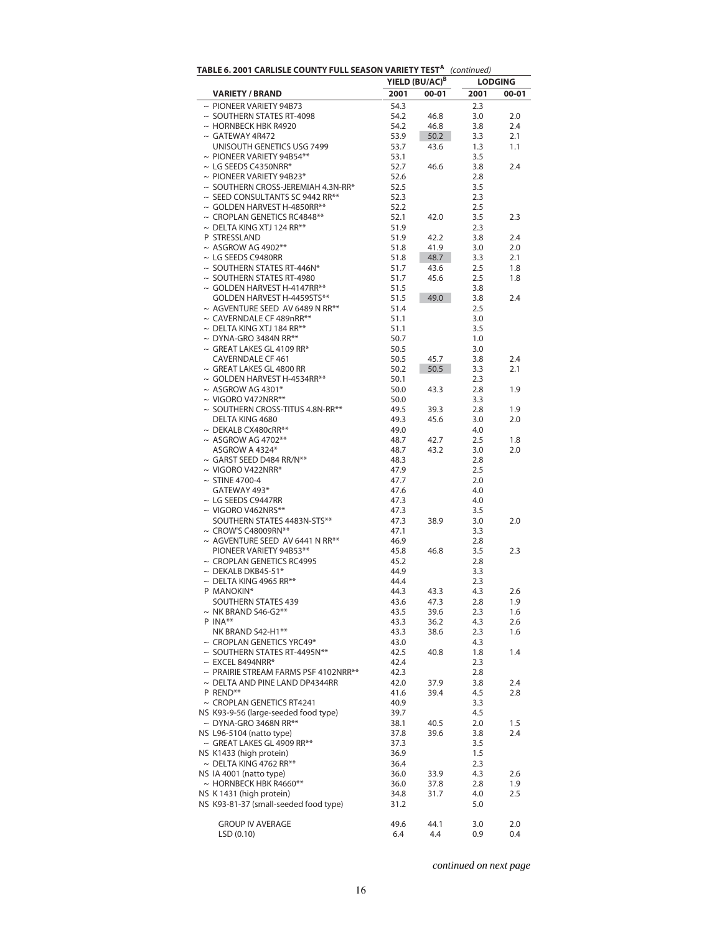| TABLE 6. 2001 CARLISLE COUNTY FULL SEASON VARIETY TEST <sup>A</sup> (continued) | YIELD (BU/AC) <sup>B</sup> |              | <b>LODGING</b> |            |  |
|---------------------------------------------------------------------------------|----------------------------|--------------|----------------|------------|--|
| <b>VARIETY / BRAND</b>                                                          | 2001                       | $00 - 01$    | 2001           | $00 - 01$  |  |
| $\sim$ PIONEER VARIETY 94B73                                                    | 54.3                       |              | 2.3            |            |  |
| $\sim$ SOUTHERN STATES RT-4098                                                  | 54.2                       | 46.8         | 3.0            | 2.0        |  |
| $\sim$ HORNBECK HBK R4920                                                       | 54.2                       | 46.8         | 3.8            | 2.4        |  |
| $\sim$ GATEWAY 4R472                                                            | 53.9                       | 50.2         | 3.3            | 2.1        |  |
| UNISOUTH GENETICS USG 7499                                                      | 53.7                       | 43.6         | 1.3            | 1.1        |  |
| $\sim$ PIONEER VARIETY 94B54**                                                  | 53.1                       |              | 3.5            |            |  |
| $\sim$ LG SEEDS C4350NRR*                                                       | 52.7                       | 46.6         | 3.8            | 2.4        |  |
| $\sim$ PIONEER VARIETY 94B23*                                                   | 52.6                       |              | 2.8            |            |  |
| $\sim$ SOUTHERN CROSS-JEREMIAH 4.3N-RR*                                         | 52.5                       |              | 3.5            |            |  |
| $\sim$ SEED CONSULTANTS SC 9442 RR**                                            | 52.3                       |              | 2.3            |            |  |
| $\sim$ GOLDEN HARVEST H-4850RR**                                                | 52.2                       |              | 2.5            |            |  |
| $\sim$ CROPLAN GENETICS RC4848**<br>$\sim$ DELTA KING XTJ 124 RR**              | 52.1<br>51.9               | 42.0         | 3.5<br>2.3     | 2.3        |  |
| P STRESSLAND                                                                    | 51.9                       | 42.2         | 3.8            | 2.4        |  |
| $~\sim$ ASGROW AG 4902**                                                        | 51.8                       | 41.9         | 3.0            | 2.0        |  |
| $\sim$ LG SEEDS C9480RR                                                         | 51.8                       | 48.7         | 3.3            | 2.1        |  |
| $\sim$ SOUTHERN STATES RT-446N*                                                 | 51.7                       | 43.6         | 2.5            | 1.8        |  |
| $\sim$ SOUTHERN STATES RT-4980                                                  | 51.7                       | 45.6         | 2.5            | 1.8        |  |
| $\sim$ GOLDEN HARVEST H-4147RR**                                                | 51.5                       |              | 3.8            |            |  |
| GOLDEN HARVEST H-4459STS**                                                      | 51.5                       | 49.0         | 3.8            | 2.4        |  |
| $\sim$ AGVENTURE SEED AV 6489 N RR**                                            | 51.4                       |              | 2.5            |            |  |
| $\sim$ CAVERNDALE CF 489nRR**                                                   | 51.1                       |              | 3.0            |            |  |
| $\sim$ DELTA KING XTJ 184 RR**                                                  | 51.1                       |              | 3.5            |            |  |
| $\sim$ DYNA-GRO 3484N RR**                                                      | 50.7                       |              | 1.0            |            |  |
| $\sim$ GREAT LAKES GL 4109 RR*                                                  | 50.5                       |              | 3.0            |            |  |
| <b>CAVERNDALE CF 461</b>                                                        | 50.5                       | 45.7         | 3.8            | 2.4        |  |
| $\sim$ GREAT LAKES GL 4800 RR                                                   | 50.2                       | 50.5         | 3.3            | 2.1        |  |
| $\sim$ GOLDEN HARVEST H-4534RR**<br>$\sim$ ASGROW AG 4301*                      | 50.1                       |              | 2.3            |            |  |
| $\sim$ VIGORO V472NRR**                                                         | 50.0<br>50.0               | 43.3         | 2.8            | 1.9        |  |
| $\sim$ SOUTHERN CROSS-TITUS 4.8N-RR**                                           | 49.5                       | 39.3         | 3.3<br>2.8     | 1.9        |  |
| DELTA KING 4680                                                                 | 49.3                       | 45.6         | 3.0            | 2.0        |  |
| $\sim$ DEKALB CX480cRR**                                                        | 49.0                       |              | 4.0            |            |  |
| $~\sim$ ASGROW AG 4702**                                                        | 48.7                       | 42.7         | 2.5            | 1.8        |  |
| ASGROW A 4324*                                                                  | 48.7                       | 43.2         | 3.0            | 2.0        |  |
| $\sim$ GARST SEED D484 RR/N**                                                   | 48.3                       |              | 2.8            |            |  |
| $\sim$ VIGORO V422NRR*                                                          | 47.9                       |              | 2.5            |            |  |
| $\sim$ STINE 4700-4                                                             | 47.7                       |              | 2.0            |            |  |
| GATEWAY 493*                                                                    | 47.6                       |              | 4.0            |            |  |
| $\sim$ LG SEEDS C9447RR                                                         | 47.3                       |              | 4.0            |            |  |
| $\sim$ VIGORO V462NRS**                                                         | 47.3                       |              | 3.5            |            |  |
| SOUTHERN STATES 4483N-STS**                                                     | 47.3                       | 38.9         | 3.0            | 2.0        |  |
| $\sim$ CROW'S C48009RN**                                                        | 47.1                       |              | 3.3            |            |  |
| $\sim$ AGVENTURE SEED AV 6441 N RR**                                            | 46.9                       |              | 2.8            |            |  |
| PIONEER VARIETY 94B53**                                                         | 45.8                       | 46.8         | 3.5            | 2.3        |  |
| $\sim$ CROPLAN GENETICS RC4995                                                  | 45.2                       |              | 2.8            |            |  |
| $\sim$ DEKALB DKB45-51*                                                         | 44.9                       |              | 3.3            |            |  |
| $\sim$ DELTA KING 4965 RR**                                                     | 44.4                       |              | 2.3            |            |  |
| P MANOKIN*<br>SOUTHERN STATES 439                                               | 44.3<br>43.6               | 43.3<br>47.3 | 4.3<br>2.8     | 2.6<br>1.9 |  |
| $\sim$ NK BRAND S46-G2**                                                        | 43.5                       | 39.6         | 2.3            | 1.6        |  |
| P INA**                                                                         | 43.3                       | 36.2         | 4.3            | 2.6        |  |
| NK BRAND S42-H1**                                                               | 43.3                       | 38.6         | 2.3            | 1.6        |  |
| $\sim$ CROPLAN GENETICS YRC49*                                                  | 43.0                       |              | 4.3            |            |  |
| $\sim$ SOUTHERN STATES RT-4495N**                                               | 42.5                       | 40.8         | 1.8            | 1.4        |  |
| $\sim$ EXCEL 8494NRR*                                                           | 42.4                       |              | 2.3            |            |  |
| $\sim$ PRAIRIE STREAM FARMS PSF 4102NRR**                                       | 42.3                       |              | 2.8            |            |  |
| $\sim$ DELTA AND PINE LAND DP4344RR                                             | 42.0                       | 37.9         | 3.8            | 2.4        |  |
| P REND**                                                                        | 41.6                       | 39.4         | 4.5            | 2.8        |  |
| $\sim$ CROPLAN GENETICS RT4241                                                  | 40.9                       |              | 3.3            |            |  |
| NS K93-9-56 (large-seeded food type)                                            | 39.7                       |              | 4.5            |            |  |
| $\sim$ DYNA-GRO 3468N RR**                                                      | 38.1                       | 40.5         | 2.0            | 1.5        |  |
| NS L96-5104 (natto type)                                                        | 37.8                       | 39.6         | 3.8            | 2.4        |  |
| $\sim$ GREAT LAKES GL 4909 RR**                                                 | 37.3                       |              | 3.5            |            |  |
| NS K1433 (high protein)                                                         | 36.9                       |              | 1.5            |            |  |
| $\sim$ DELTA KING 4762 RR**                                                     | 36.4                       |              | 2.3            |            |  |
| NS IA 4001 (natto type)                                                         | 36.0                       | 33.9         | 4.3            | 2.6        |  |
| $\sim$ HORNBECK HBK R4660**<br>NS K 1431 (high protein)                         | 36.0                       | 37.8         | 2.8<br>4.0     | 1.9<br>2.5 |  |
| NS K93-81-37 (small-seeded food type)                                           | 34.8<br>31.2               | 31.7         | 5.0            |            |  |
|                                                                                 |                            |              |                |            |  |
| <b>GROUP IV AVERAGE</b>                                                         | 49.6                       | 44.1         | 3.0            | 2.0        |  |
| LSD(0.10)                                                                       | 6.4                        | 4.4          | 0.9            | 0.4        |  |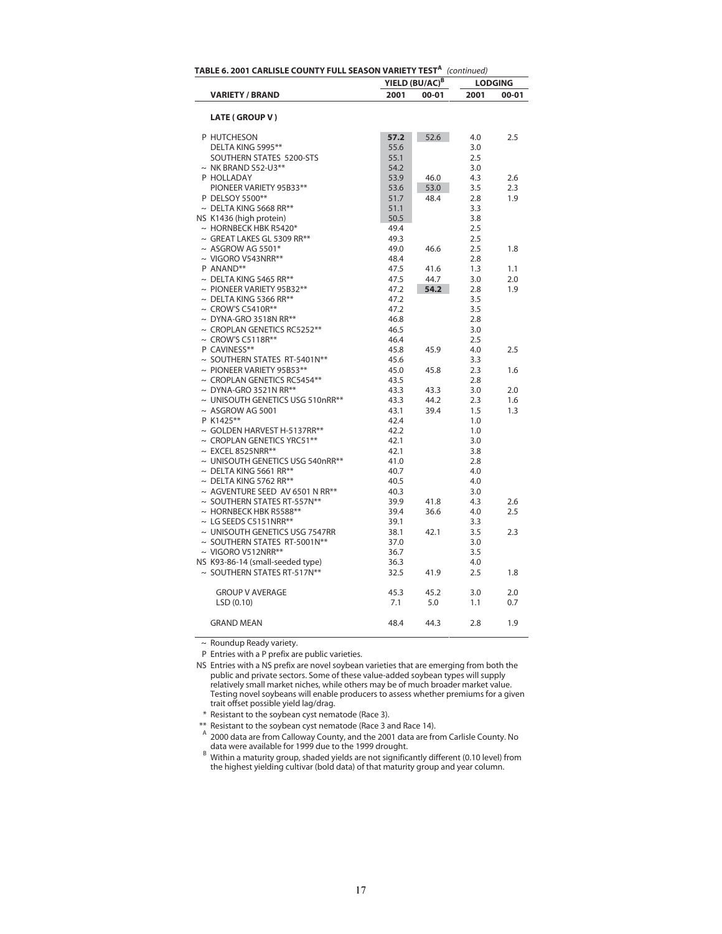| TABLE 6. 2001 CARLISLE COUNTY FULL SEASON VARIETY TEST <sup>A</sup> (continued) |                                       |                            |       |      |                |  |  |
|---------------------------------------------------------------------------------|---------------------------------------|----------------------------|-------|------|----------------|--|--|
|                                                                                 |                                       | YIELD (BU/AC) <sup>B</sup> |       |      | <b>LODGING</b> |  |  |
|                                                                                 | <b>VARIETY / BRAND</b>                | 2001                       | 00-01 | 2001 | $00 - 01$      |  |  |
|                                                                                 |                                       |                            |       |      |                |  |  |
|                                                                                 | LATE (GROUP V)                        |                            |       |      |                |  |  |
| P HUTCHESON                                                                     |                                       | 57.2                       | 52.6  | 4.0  | 2.5            |  |  |
|                                                                                 | DELTA KING 5995**                     | 55.6                       |       | 3.0  |                |  |  |
|                                                                                 | SOUTHERN STATES 5200-STS              | 55.1                       |       | 2.5  |                |  |  |
|                                                                                 | $\sim$ NK BRAND S52-U3**              | 54.2                       |       | 3.0  |                |  |  |
| P HOLLADAY                                                                      |                                       | 53.9                       | 46.0  | 4.3  | 2.6            |  |  |
|                                                                                 | PIONEER VARIETY 95B33**               | 53.6                       | 53.0  | 3.5  | 2.3            |  |  |
|                                                                                 | P DELSOY 5500**                       | 51.7                       | 48.4  | 2.8  | 1.9            |  |  |
|                                                                                 | $\sim$ DELTA KING 5668 RR**           | 51.1                       |       | 3.3  |                |  |  |
|                                                                                 | NS K1436 (high protein)               | 50.5                       |       | 3.8  |                |  |  |
|                                                                                 | $\sim$ HORNBECK HBK R5420*            | 49.4                       |       | 2.5  |                |  |  |
|                                                                                 | $\sim$ GREAT LAKES GL 5309 RR**       | 49.3                       |       | 2.5  |                |  |  |
|                                                                                 | $\sim$ ASGROW AG 5501*                | 49.0                       | 46.6  | 2.5  | 1.8            |  |  |
|                                                                                 | $\sim$ VIGORO V543NRR**               | 48.4                       |       | 2.8  |                |  |  |
| P ANAND**                                                                       |                                       | 47.5                       | 41.6  | 1.3  | 1.1            |  |  |
|                                                                                 | $\sim$ DELTA KING 5465 RR**           | 47.5                       | 44.7  | 3.0  | 2.0            |  |  |
|                                                                                 | $\sim$ PIONEER VARIETY 95B32**        | 47.2                       | 54.2  | 2.8  | 1.9            |  |  |
|                                                                                 | $\sim$ DELTA KING 5366 RR**           | 47.2                       |       | 3.5  |                |  |  |
|                                                                                 | $\sim$ CROW'S C5410R**                | 47.2                       |       | 3.5  |                |  |  |
|                                                                                 | $\sim$ DYNA-GRO 3518N RR**            | 46.8                       |       | 2.8  |                |  |  |
|                                                                                 | $\sim$ CROPLAN GENETICS RC5252**      | 46.5                       |       | 3.0  |                |  |  |
|                                                                                 | $\sim$ CROW'S C5118R**                | 46.4                       |       | 2.5  |                |  |  |
| P CAVINESS**                                                                    |                                       |                            |       |      |                |  |  |
|                                                                                 |                                       | 45.8                       | 45.9  | 4.0  | 2.5            |  |  |
|                                                                                 | ~ SOUTHERN STATES RT-5401N**          | 45.6                       |       | 3.3  |                |  |  |
|                                                                                 | $\sim$ PIONEER VARIETY 95B53**        | 45.0                       | 45.8  | 2.3  | 1.6            |  |  |
|                                                                                 | $\sim$ CROPLAN GENETICS RC5454**      | 43.5                       |       | 2.8  |                |  |  |
|                                                                                 | $\sim$ DYNA-GRO 3521N RR**            | 43.3                       | 43.3  | 3.0  | 2.0            |  |  |
|                                                                                 | $\sim$ UNISOUTH GENETICS USG 510nRR** | 43.3                       | 44.2  | 2.3  | 1.6            |  |  |
|                                                                                 | $\sim$ ASGROW AG 5001                 | 43.1                       | 39.4  | 1.5  | 1.3            |  |  |
| P K1425**                                                                       |                                       | 42.4                       |       | 1.0  |                |  |  |
|                                                                                 | $\sim$ GOLDEN HARVEST H-5137RR**      | 42.2                       |       | 1.0  |                |  |  |
|                                                                                 | $\sim$ CROPLAN GENETICS YRC51**       | 42.1                       |       | 3.0  |                |  |  |
|                                                                                 | $\sim$ EXCEL 8525NRR**                | 42.1                       |       | 3.8  |                |  |  |
|                                                                                 | ~ UNISOUTH GENETICS USG 540nRR**      | 41.0                       |       | 2.8  |                |  |  |
|                                                                                 | $\sim$ DELTA KING 5661 RR**           | 40.7                       |       | 4.0  |                |  |  |
|                                                                                 | $\sim$ DELTA KING 5762 RR**           | 40.5                       |       | 4.0  |                |  |  |
|                                                                                 | $\sim$ AGVENTURE SEED AV 6501 N RR**  | 40.3                       |       | 3.0  |                |  |  |
|                                                                                 | $\sim$ SOUTHERN STATES RT-557N**      | 39.9                       | 41.8  | 4.3  | 2.6            |  |  |
|                                                                                 | $\sim$ HORNBECK HBK R5588**           | 39.4                       | 36.6  | 4.0  | 2.5            |  |  |
|                                                                                 | $\sim$ LG SEEDS C5151NRR**            | 39.1                       |       | 3.3  |                |  |  |
|                                                                                 | ~ UNISOUTH GENETICS USG 7547RR        | 38.1                       | 42.1  | 3.5  | 2.3            |  |  |
|                                                                                 | $\sim$ SOUTHERN STATES RT-5001N**     | 37.0                       |       | 3.0  |                |  |  |
|                                                                                 | $\sim$ VIGORO V512NRR**               | 36.7                       |       | 3.5  |                |  |  |
|                                                                                 | NS K93-86-14 (small-seeded type)      | 36.3                       |       | 4.0  |                |  |  |
|                                                                                 | ~ SOUTHERN STATES RT-517N**           | 32.5                       | 41.9  | 2.5  | 1.8            |  |  |
|                                                                                 | <b>GROUP V AVERAGE</b>                | 45.3                       | 45.2  | 3.0  | 2.0            |  |  |
|                                                                                 | LSD (0.10)                            | 7.1                        | 5.0   | 1.1  | 0.7            |  |  |
|                                                                                 | <b>GRAND MEAN</b>                     | 48.4                       | 44.3  | 2.8  | 1.9            |  |  |

~ Roundup Ready variety.

P Entries with a P prefix are public varieties.

\* Resistant to the soybean cyst nematode (Race 3).

\*\* Resistant to the soybean cyst nematode (Race 3 and Race 14).

<sup>A</sup> 2000 data are from Calloway County, and the 2001 data are from Carlisle County. No data were available for 1999 due to the 1999 drought.<br>B Within a maturity group shaded vialds are not signific

 Within a maturity group, shaded yields are not significantly different (0.10 level) from the highest yielding cultivar (bold data) of that maturity group and year column.

NS Entries with a NS prefix are novel soybean varieties that are emerging from both the public and private sectors. Some of these value-added soybean types will supply relatively small market niches, while others may be of much broader market value. Testing novel soybeans will enable producers to assess whether premiums for a given trait offset possible yield lag/drag.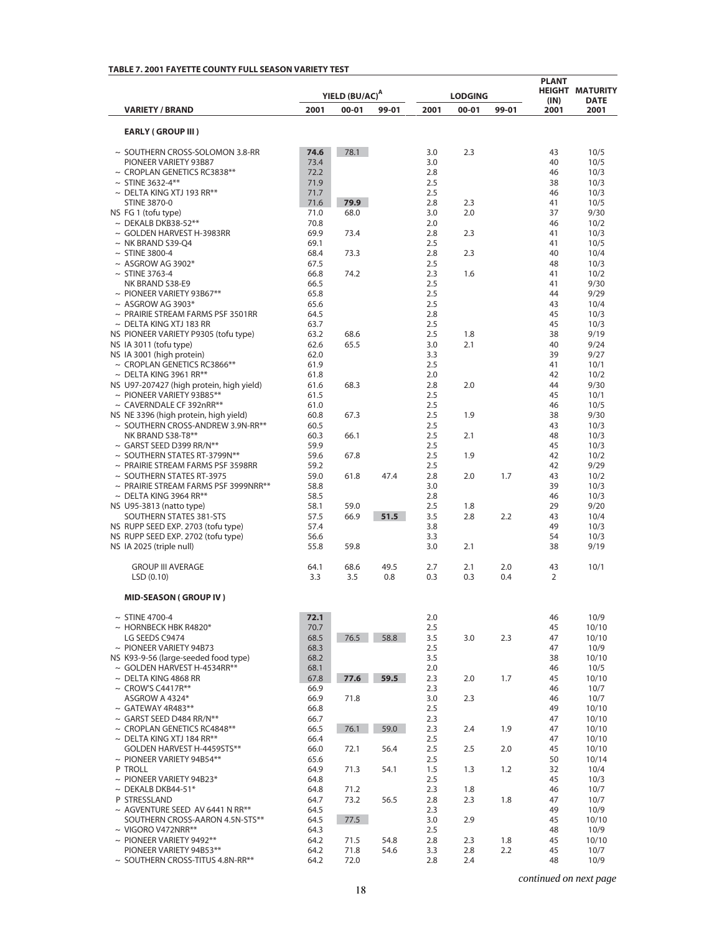# **TABLE 7. 2001 FAYETTE COUNTY FULL SEASON VARIETY TEST**

|                                                                          | YIELD (BU/AC) <sup>A</sup><br><b>LODGING</b> |              |              |            | <b>PLANT</b> |            |              | <b>HEIGHT MATURITY</b> |
|--------------------------------------------------------------------------|----------------------------------------------|--------------|--------------|------------|--------------|------------|--------------|------------------------|
| <b>VARIETY / BRAND</b>                                                   | 2001                                         | $00 - 01$    | 99-01        | 2001       | $00 - 01$    | 99-01      | (IN)<br>2001 | <b>DATE</b><br>2001    |
| <b>EARLY (GROUP III)</b>                                                 |                                              |              |              |            |              |            |              |                        |
| $\sim$ SOUTHERN CROSS-SOLOMON 3.8-RR                                     | 74.6                                         | 78.1         |              | 3.0        | 2.3          |            | 43           | 10/5                   |
| PIONEER VARIETY 93B87                                                    | 73.4                                         |              |              | 3.0        |              |            | 40           | 10/5                   |
| $\sim$ CROPLAN GENETICS RC3838**                                         | 72.2                                         |              |              | 2.8        |              |            | 46           | 10/3                   |
| $\sim$ STINE 3632-4**<br>$\sim$ DELTA KING XTJ 193 RR**                  | 71.9<br>71.7                                 |              |              | 2.5<br>2.5 |              |            | 38<br>46     | 10/3<br>10/3           |
| <b>STINE 3870-0</b>                                                      | 71.6                                         | 79.9         |              | 2.8        | 2.3          |            | 41           | 10/5                   |
| NS FG 1 (tofu type)                                                      | 71.0                                         | 68.0         |              | 3.0        | 2.0          |            | 37           | 9/30                   |
| $\sim$ DEKALB DKB38-52**                                                 | 70.8                                         |              |              | 2.0        |              |            | 46           | 10/2                   |
| $\sim$ GOLDEN HARVEST H-3983RR                                           | 69.9                                         | 73.4         |              | 2.8        | 2.3          |            | 41           | 10/3                   |
| $\sim$ NK BRAND S39-Q4<br>$\sim$ STINE 3800-4                            | 69.1<br>68.4                                 | 73.3         |              | 2.5<br>2.8 | 2.3          |            | 41<br>40     | 10/5<br>10/4           |
| $~\sim$ ASGROW AG 3902*                                                  | 67.5                                         |              |              | 2.5        |              |            | 48           | 10/3                   |
| $\sim$ STINE 3763-4                                                      | 66.8                                         | 74.2         |              | 2.3        | 1.6          |            | 41           | 10/2                   |
| NK BRAND S38-E9                                                          | 66.5                                         |              |              | 2.5        |              |            | 41           | 9/30                   |
| $\sim$ PIONEER VARIETY 93B67**<br>$~\sim$ ASGROW AG 3903*                | 65.8<br>65.6                                 |              |              | 2.5<br>2.5 |              |            | 44<br>43     | 9/29<br>10/4           |
| $\sim$ PRAIRIE STREAM FARMS PSF 3501RR                                   | 64.5                                         |              |              | 2.8        |              |            | 45           | 10/3                   |
| $\sim$ DELTA KING XTJ 183 RR                                             | 63.7                                         |              |              | 2.5        |              |            | 45           | 10/3                   |
| NS PIONEER VARIETY P9305 (tofu type)                                     | 63.2                                         | 68.6         |              | 2.5        | 1.8          |            | 38           | 9/19                   |
| NS IA 3011 (tofu type)                                                   | 62.6                                         | 65.5         |              | 3.0        | 2.1          |            | 40           | 9/24                   |
| NS IA 3001 (high protein)<br>$\sim$ CROPLAN GENETICS RC3866**            | 62.0<br>61.9                                 |              |              | 3.3<br>2.5 |              |            | 39<br>41     | 9/27<br>10/1           |
| $\sim$ DELTA KING 3961 RR**                                              | 61.8                                         |              |              | 2.0        |              |            | 42           | 10/2                   |
| NS U97-207427 (high protein, high yield)                                 | 61.6                                         | 68.3         |              | 2.8        | 2.0          |            | 44           | 9/30                   |
| $\sim$ PIONEER VARIETY 93B85**                                           | 61.5                                         |              |              | 2.5        |              |            | 45           | 10/1                   |
| $\sim$ CAVERNDALE CF 392nRR**                                            | 61.0                                         |              |              | 2.5        |              |            | 46           | 10/5                   |
| NS NE 3396 (high protein, high yield)                                    | 60.8                                         | 67.3         |              | 2.5        | 1.9          |            | 38           | 9/30                   |
| $\sim$ SOUTHERN CROSS-ANDREW 3.9N-RR**<br>NK BRAND S38-T8**              | 60.5<br>60.3                                 | 66.1         |              | 2.5<br>2.5 | 2.1          |            | 43<br>48     | 10/3<br>10/3           |
| $\sim$ GARST SEED D399 RR/N**                                            | 59.9                                         |              |              | 2.5        |              |            | 45           | 10/3                   |
| $\sim$ SOUTHERN STATES RT-3799N**                                        | 59.6                                         | 67.8         |              | 2.5        | 1.9          |            | 42           | 10/2                   |
| $\sim$ PRAIRIE STREAM FARMS PSF 3598RR                                   | 59.2                                         |              |              | 2.5        |              |            | 42           | 9/29                   |
| $\sim$ SOUTHERN STATES RT-3975                                           | 59.0                                         | 61.8         | 47.4         | 2.8        | 2.0          | 1.7        | 43           | 10/2                   |
| $\sim$ PRAIRIE STREAM FARMS PSF 3999NRR**<br>$\sim$ DELTA KING 3964 RR** | 58.8<br>58.5                                 |              |              | 3.0<br>2.8 |              |            | 39<br>46     | 10/3<br>10/3           |
| NS U95-3813 (natto type)                                                 | 58.1                                         | 59.0         |              | 2.5        | 1.8          |            | 29           | 9/20                   |
| SOUTHERN STATES 381-STS                                                  | 57.5                                         | 66.9         | 51.5         | 3.5        | 2.8          | 2.2        | 43           | 10/4                   |
| NS RUPP SEED EXP. 2703 (tofu type)                                       | 57.4                                         |              |              | 3.8        |              |            | 49           | 10/3                   |
| NS RUPP SEED EXP. 2702 (tofu type)                                       | 56.6                                         |              |              | 3.3<br>3.0 | 2.1          |            | 54<br>38     | 10/3<br>9/19           |
| NS IA 2025 (triple null)                                                 | 55.8                                         | 59.8         |              |            |              |            |              |                        |
| <b>GROUP III AVERAGE</b><br>LSD(0.10)                                    | 64.1<br>3.3                                  | 68.6<br>3.5  | 49.5<br>0.8  | 2.7<br>0.3 | 2.1<br>0.3   | 2.0<br>0.4 | 43<br>2      | 10/1                   |
| <b>MID-SEASON (GROUP IV)</b>                                             |                                              |              |              |            |              |            |              |                        |
| $\sim$ STINE 4700-4                                                      | 72.1                                         |              |              | 2.0        |              |            | 46           | 10/9                   |
| $\sim$ HORNBECK HBK R4820*                                               | 70.7                                         |              |              | 2.5        |              |            | 45           | 10/10                  |
| LG SEEDS C9474                                                           | 68.5                                         | 76.5         | 58.8         | 3.5        | 3.0          | 2.3        | 47           | 10/10                  |
| $\sim$ PIONEER VARIETY 94B73                                             | 68.3<br>68.2                                 |              |              | 2.5        |              |            | 47<br>38     | 10/9                   |
| NS K93-9-56 (large-seeded food type)<br>~ GOLDEN HARVEST H-4534RR**      | 68.1                                         |              |              | 3.5<br>2.0 |              |            | 46           | 10/10<br>10/5          |
| $\sim$ DELTA KING 4868 RR                                                | 67.8                                         | 77.6         | 59.5         | 2.3        | 2.0          | 1.7        | 45           | 10/10                  |
| $\sim$ CROW'S C4417R**                                                   | 66.9                                         |              |              | 2.3        |              |            | 46           | 10/7                   |
| ASGROW A 4324*                                                           | 66.9                                         | 71.8         |              | 3.0        | 2.3          |            | 46           | 10/7                   |
| $\sim$ GATEWAY 4R483**                                                   | 66.8                                         |              |              | 2.5        |              |            | 49           | 10/10                  |
| $\sim$ GARST SEED D484 RR/N**<br>$\sim$ CROPLAN GENETICS RC4848**        | 66.7<br>66.5                                 | 76.1         | 59.0         | 2.3<br>2.3 | 2.4          | 1.9        | 47<br>47     | 10/10<br>10/10         |
| $\sim$ DELTA KING XTJ 184 RR**                                           | 66.4                                         |              |              | 2.5        |              |            | 47           | 10/10                  |
| GOLDEN HARVEST H-4459STS**                                               | 66.0                                         | 72.1         | 56.4         | 2.5        | 2.5          | 2.0        | 45           | 10/10                  |
| $\sim$ PIONEER VARIETY 94B54**                                           | 65.6                                         |              |              | 2.5        |              |            | 50           | 10/14                  |
| P TROLL                                                                  | 64.9                                         | 71.3         | 54.1         | 1.5        | 1.3          | 1.2        | 32           | 10/4                   |
| $\sim$ PIONEER VARIETY 94B23*<br>$\sim$ DEKALB DKB44-51*                 | 64.8<br>64.8                                 | 71.2         |              | 2.5<br>2.3 | 1.8          |            | 45<br>46     | 10/3<br>10/7           |
| P STRESSLAND                                                             | 64.7                                         | 73.2         | 56.5         | 2.8        | 2.3          | 1.8        | 47           | 10/7                   |
| $\sim$ AGVENTURE SEED AV 6441 N RR**                                     | 64.5                                         |              |              | 2.3        |              |            | 49           | 10/9                   |
| SOUTHERN CROSS-AARON 4.5N-STS**                                          | 64.5                                         | 77.5         |              | 3.0        | 2.9          |            | 45           | 10/10                  |
| $\sim$ VIGORO V472NRR**                                                  | 64.3                                         |              |              | 2.5        |              |            | 48           | 10/9                   |
| $\sim$ PIONEER VARIETY 9492**<br>PIONEER VARIETY 94B53**                 | 64.2<br>64.2                                 | 71.5<br>71.8 | 54.8<br>54.6 | 2.8<br>3.3 | 2.3<br>2.8   | 1.8<br>2.2 | 45<br>45     | 10/10<br>10/7          |
| $\sim$ SOUTHERN CROSS-TITUS 4.8N-RR**                                    | 64.2                                         | 72.0         |              | 2.8        | 2.4          |            | 48           | 10/9                   |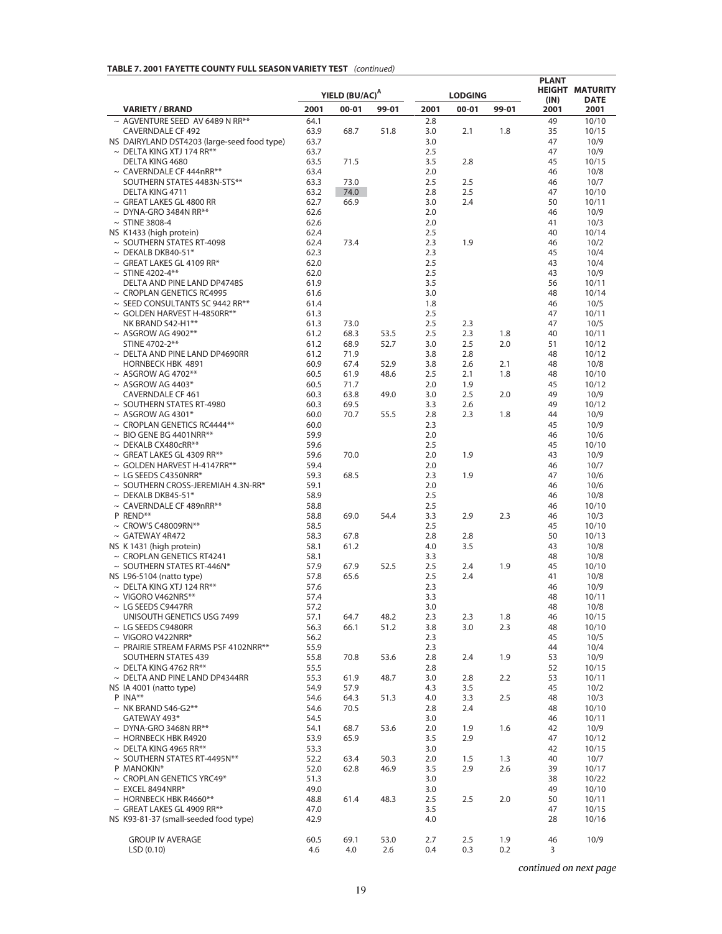## **TABLE 7. 2001 FAYETTE COUNTY FULL SEASON VARIETY TEST** *(continued)*

|                                                                      | YIELD (BU/AC) <sup>A</sup><br><b>LODGING</b> |              |              |            | <b>PLANT</b> | <b>HEIGHT MATURITY</b> |              |                     |
|----------------------------------------------------------------------|----------------------------------------------|--------------|--------------|------------|--------------|------------------------|--------------|---------------------|
| <b>VARIETY / BRAND</b>                                               | 2001                                         | $00 - 01$    | 99-01        | 2001       | $00 - 01$    | 99-01                  | (IN)<br>2001 | <b>DATE</b><br>2001 |
| $\sim$ AGVENTURE SEED AV 6489 N RR**                                 | 64.1                                         |              |              | 2.8        |              |                        | 49           | 10/10               |
| <b>CAVERNDALE CF 492</b>                                             | 63.9                                         | 68.7         | 51.8         | 3.0        | 2.1          | 1.8                    | 35           | 10/15               |
| NS DAIRYLAND DST4203 (large-seed food type)                          | 63.7                                         |              |              | 3.0        |              |                        | 47           | 10/9                |
| $\sim$ DELTA KING XTJ 174 RR**<br>DELTA KING 4680                    | 63.7<br>63.5                                 | 71.5         |              | 2.5<br>3.5 | 2.8          |                        | 47<br>45     | 10/9<br>10/15       |
| $\sim$ CAVERNDALE CF 444nRR**                                        | 63.4                                         |              |              | 2.0        |              |                        | 46           | 10/8                |
| SOUTHERN STATES 4483N-STS**                                          | 63.3                                         | 73.0         |              | 2.5        | 2.5          |                        | 46           | 10/7                |
| DELTA KING 4711                                                      | 63.2                                         | 74.0         |              | 2.8        | 2.5          |                        | 47           | 10/10               |
| $\sim$ GREAT LAKES GL 4800 RR<br>$\sim$ DYNA-GRO 3484N RR**          | 62.7<br>62.6                                 | 66.9         |              | 3.0<br>2.0 | 2.4          |                        | 50<br>46     | 10/11<br>10/9       |
| $\sim$ STINE 3808-4                                                  | 62.6                                         |              |              | 2.0        |              |                        | 41           | 10/3                |
| NS K1433 (high protein)                                              | 62.4                                         |              |              | 2.5        |              |                        | 40           | 10/14               |
| $\sim$ SOUTHERN STATES RT-4098                                       | 62.4                                         | 73.4         |              | 2.3        | 1.9          |                        | 46           | 10/2                |
| $\sim$ DEKALB DKB40-51*<br>$\sim$ GREAT LAKES GL 4109 RR*            | 62.3<br>62.0                                 |              |              | 2.3<br>2.5 |              |                        | 45<br>43     | 10/4<br>10/4        |
| $~\sim$ STINE 4202-4**                                               | 62.0                                         |              |              | 2.5        |              |                        | 43           | 10/9                |
| DELTA AND PINE LAND DP4748S                                          | 61.9                                         |              |              | 3.5        |              |                        | 56           | 10/11               |
| $\sim$ CROPLAN GENETICS RC4995                                       | 61.6                                         |              |              | 3.0        |              |                        | 48           | 10/14               |
| $\sim$ SEED CONSULTANTS SC 9442 RR**                                 | 61.4                                         |              |              | 1.8        |              |                        | 46           | 10/5                |
| $\sim$ GOLDEN HARVEST H-4850RR**<br>NK BRAND S42-H1**                | 61.3<br>61.3                                 | 73.0         |              | 2.5<br>2.5 | 2.3          |                        | 47<br>47     | 10/11<br>10/5       |
| $~\sim$ ASGROW AG 4902**                                             | 61.2                                         | 68.3         | 53.5         | 2.5        | 2.3          | 1.8                    | 40           | 10/11               |
| STINE 4702-2**                                                       | 61.2                                         | 68.9         | 52.7         | 3.0        | 2.5          | 2.0                    | 51           | 10/12               |
| $\sim$ DELTA AND PINE LAND DP4690RR                                  | 61.2                                         | 71.9         |              | 3.8        | 2.8          |                        | 48           | 10/12               |
| <b>HORNBECK HBK 4891</b><br>$~\sim$ ASGROW AG 4702**                 | 60.9<br>60.5                                 | 67.4<br>61.9 | 52.9<br>48.6 | 3.8<br>2.5 | 2.6<br>2.1   | 2.1<br>1.8             | 48<br>48     | 10/8<br>10/10       |
| $~\sim$ ASGROW AG 4403*                                              | 60.5                                         | 71.7         |              | 2.0        | 1.9          |                        | 45           | 10/12               |
| <b>CAVERNDALE CF 461</b>                                             | 60.3                                         | 63.8         | 49.0         | 3.0        | 2.5          | 2.0                    | 49           | 10/9                |
| $\sim$ SOUTHERN STATES RT-4980                                       | 60.3                                         | 69.5         |              | 3.3        | 2.6          |                        | 49           | 10/12               |
| $~\sim$ ASGROW AG 4301*                                              | 60.0                                         | 70.7         | 55.5         | 2.8        | 2.3          | 1.8                    | 44           | 10/9                |
| $\sim$ CROPLAN GENETICS RC4444**<br>$\sim$ BIO GENE BG 4401NRR**     | 60.0<br>59.9                                 |              |              | 2.3<br>2.0 |              |                        | 45<br>46     | 10/9<br>10/6        |
| $\sim$ DEKALB CX480cRR**                                             | 59.6                                         |              |              | 2.5        |              |                        | 45           | 10/10               |
| $\sim$ GREAT LAKES GL 4309 RR**                                      | 59.6                                         | 70.0         |              | 2.0        | 1.9          |                        | 43           | 10/9                |
| $\sim$ GOLDEN HARVEST H-4147RR**                                     | 59.4                                         |              |              | 2.0        |              |                        | 46           | 10/7                |
| $\sim$ LG SEEDS C4350NRR*<br>$\sim$ SOUTHERN CROSS-JEREMIAH 4.3N-RR* | 59.3                                         | 68.5         |              | 2.3<br>2.0 | 1.9          |                        | 47<br>46     | 10/6                |
| $\sim$ DEKALB DKB45-51*                                              | 59.1<br>58.9                                 |              |              | 2.5        |              |                        | 46           | 10/6<br>10/8        |
| $\sim$ CAVERNDALE CF 489nRR**                                        | 58.8                                         |              |              | 2.5        |              |                        | 46           | 10/10               |
| P REND**                                                             | 58.8                                         | 69.0         | 54.4         | 3.3        | 2.9          | 2.3                    | 46           | 10/3                |
| $\sim$ CROW'S C48009RN**                                             | 58.5                                         |              |              | 2.5        |              |                        | 45           | 10/10               |
| $\sim$ GATEWAY 4R472<br>NS K 1431 (high protein)                     | 58.3<br>58.1                                 | 67.8<br>61.2 |              | 2.8<br>4.0 | 2.8<br>3.5   |                        | 50<br>43     | 10/13<br>10/8       |
| $\sim$ CROPLAN GENETICS RT4241                                       | 58.1                                         |              |              | 3.3        |              |                        | 48           | 10/8                |
| $\sim$ SOUTHERN STATES RT-446N*                                      | 57.9                                         | 67.9         | 52.5         | 2.5        | 2.4          | 1.9                    | 45           | 10/10               |
| NS L96-5104 (natto type)                                             | 57.8                                         | 65.6         |              | 2.5        | 2.4          |                        | 41           | 10/8                |
| $\sim$ DELTA KING XTJ 124 RR**<br>$\sim$ VIGORO V462NRS**            | 57.6                                         |              |              | 2.3<br>3.3 |              |                        | 46           | 10/9                |
| $\sim$ LG SEEDS C9447RR                                              | 57.4<br>57.2                                 |              |              | 3.0        |              |                        | 48<br>48     | 10/11<br>10/8       |
| UNISOUTH GENETICS USG 7499                                           | 57.1                                         | 64.7         | 48.2         | 2.3        | 2.3          | 1.8                    | 46           | 10/15               |
| $\sim$ LG SEEDS C9480RR                                              | 56.3                                         | 66.1         | 51.2         | 3.8        | 3.0          | 2.3                    | 48           | 10/10               |
| $\sim$ VIGORO V422NRR*                                               | 56.2                                         |              |              | 2.3        |              |                        | 45           | 10/5                |
| $\sim$ PRAIRIE STREAM FARMS PSF 4102NRR**<br>SOUTHERN STATES 439     | 55.9<br>55.8                                 | 70.8         | 53.6         | 2.3<br>2.8 | 2.4          | 1.9                    | 44<br>53     | 10/4<br>10/9        |
| $\sim$ DELTA KING 4762 RR**                                          | 55.5                                         |              |              | 2.8        |              |                        | 52           | 10/15               |
| $\sim$ DELTA AND PINE LAND DP4344RR                                  | 55.3                                         | 61.9         | 48.7         | 3.0        | 2.8          | 2.2                    | 53           | 10/11               |
| NS IA 4001 (natto type)                                              | 54.9                                         | 57.9         |              | 4.3        | 3.5          |                        | 45           | 10/2                |
| P INA**                                                              | 54.6<br>54.6                                 | 64.3<br>70.5 | 51.3         | 4.0<br>2.8 | 3.3<br>2.4   | 2.5                    | 48<br>48     | 10/3<br>10/10       |
| $\sim$ NK BRAND S46-G2**<br>GATEWAY 493*                             | 54.5                                         |              |              | 3.0        |              |                        | 46           | 10/11               |
| $\sim$ DYNA-GRO 3468N RR**                                           | 54.1                                         | 68.7         | 53.6         | 2.0        | 1.9          | 1.6                    | 42           | 10/9                |
| $\sim$ HORNBECK HBK R4920                                            | 53.9                                         | 65.9         |              | 3.5        | 2.9          |                        | 47           | 10/12               |
| $\sim$ DELTA KING 4965 RR**                                          | 53.3                                         |              |              | 3.0        |              |                        | 42           | 10/15               |
| ~ SOUTHERN STATES RT-4495N**<br>P MANOKIN*                           | 52.2<br>52.0                                 | 63.4<br>62.8 | 50.3<br>46.9 | 2.0<br>3.5 | 1.5<br>2.9   | 1.3<br>2.6             | 40<br>39     | 10/7<br>10/17       |
| $\sim$ CROPLAN GENETICS YRC49*                                       | 51.3                                         |              |              | 3.0        |              |                        | 38           | 10/22               |
| $\sim$ EXCEL 8494NRR*                                                | 49.0                                         |              |              | 3.0        |              |                        | 49           | 10/10               |
| $\sim$ HORNBECK HBK R4660**                                          | 48.8                                         | 61.4         | 48.3         | 2.5        | 2.5          | 2.0                    | 50           | 10/11               |
| $\sim$ GREAT LAKES GL 4909 RR**                                      | 47.0                                         |              |              | 3.5        |              |                        | 47           | 10/15               |
| NS K93-81-37 (small-seeded food type)                                | 42.9                                         |              |              | 4.0        |              |                        | 28           | 10/16               |
| <b>GROUP IV AVERAGE</b>                                              | 60.5                                         | 69.1         | 53.0         | 2.7        | 2.5          | 1.9                    | 46           | 10/9                |
| LSD(0.10)                                                            | 4.6                                          | 4.0          | 2.6          | 0.4        | 0.3          | 0.2                    | 3            |                     |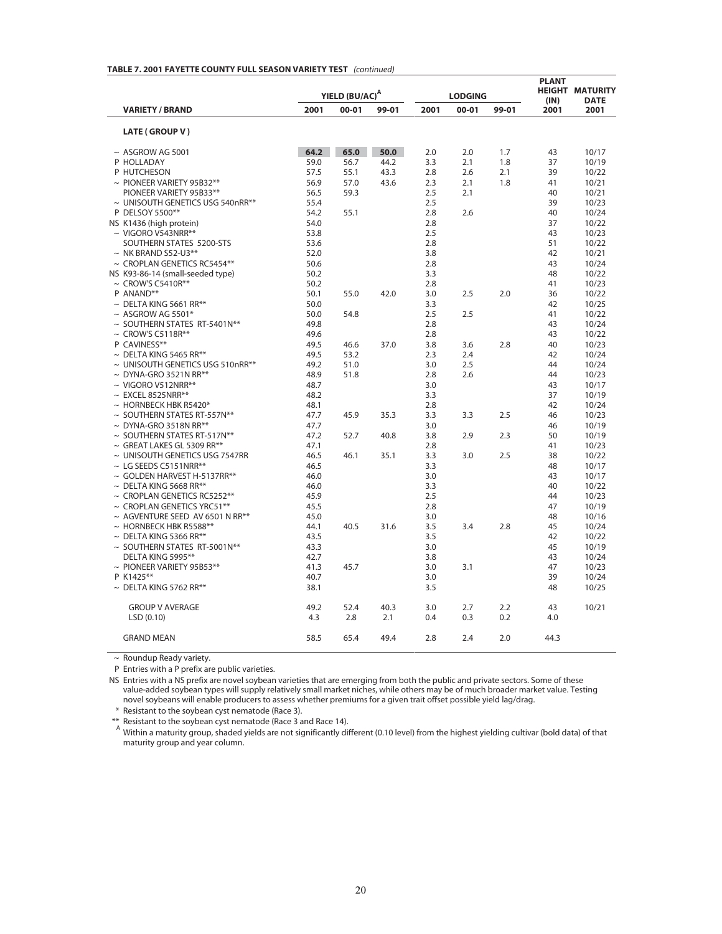|                                      |      | YIELD (BU/AC) <sup>A</sup> |       |      | <b>LODGING</b> |       | <b>PLANT</b><br>(IN) | <b>HEIGHT MATURITY</b><br><b>DATE</b> |
|--------------------------------------|------|----------------------------|-------|------|----------------|-------|----------------------|---------------------------------------|
| <b>VARIETY / BRAND</b>               | 2001 | $00 - 01$                  | 99-01 | 2001 | $00 - 01$      | 99-01 | 2001                 | 2001                                  |
| LATE (GROUP V)                       |      |                            |       |      |                |       |                      |                                       |
| $~\sim$ ASGROW AG 5001               | 64.2 | 65.0                       | 50.0  | 2.0  | 2.0            | 1.7   | 43                   | 10/17                                 |
| P HOLLADAY                           | 59.0 | 56.7                       | 44.2  | 3.3  | 2.1            | 1.8   | 37                   | 10/19                                 |
| P HUTCHESON                          | 57.5 | 55.1                       | 43.3  | 2.8  | 2.6            | 2.1   | 39                   | 10/22                                 |
| $\sim$ PIONEER VARIETY 95B32**       | 56.9 | 57.0                       | 43.6  | 2.3  | 2.1            | 1.8   | 41                   | 10/21                                 |
| PIONEER VARIETY 95B33**              | 56.5 | 59.3                       |       | 2.5  | 2.1            |       | 40                   | 10/21                                 |
| ~ UNISOUTH GENETICS USG 540nRR**     | 55.4 |                            |       | 2.5  |                |       | 39                   | 10/23                                 |
| P DELSOY 5500**                      | 54.2 | 55.1                       |       | 2.8  | 2.6            |       | 40                   | 10/24                                 |
| NS K1436 (high protein)              | 54.0 |                            |       | 2.8  |                |       | 37                   | 10/22                                 |
| $\sim$ VIGORO V543NRR**              | 53.8 |                            |       | 2.5  |                |       | 43                   | 10/23                                 |
| SOUTHERN STATES 5200-STS             | 53.6 |                            |       | 2.8  |                |       | 51                   | 10/22                                 |
| $\sim$ NK BRAND S52-U3**             | 52.0 |                            |       | 3.8  |                |       | 42                   | 10/21                                 |
| <b>CROPLAN GENETICS RC5454**</b>     | 50.6 |                            |       | 2.8  |                |       | 43                   | 10/24                                 |
| NS K93-86-14 (small-seeded type)     | 50.2 |                            |       | 3.3  |                |       | 48                   | 10/22                                 |
| $\sim$ CROW'S C5410R**               | 50.2 |                            |       | 2.8  |                |       | 41                   | 10/23                                 |
| P ANAND**                            | 50.1 | 55.0                       | 42.0  | 3.0  | 2.5            | 2.0   | 36                   | 10/22                                 |
| $\sim$ DELTA KING 5661 RR**          | 50.0 |                            |       | 3.3  |                |       | 42                   | 10/25                                 |
| $~\sim$ ASGROW AG 5501*              | 50.0 | 54.8                       |       | 2.5  | 2.5            |       | 41                   | 10/22                                 |
| ~ SOUTHERN STATES RT-5401N**         | 49.8 |                            |       | 2.8  |                |       | 43                   | 10/24                                 |
| $\sim$ CROW'S C5118R**               | 49.6 |                            |       | 2.8  |                |       | 43                   | 10/22                                 |
| P CAVINESS**                         | 49.5 | 46.6                       | 37.0  | 3.8  | 3.6            | 2.8   | 40                   | 10/23                                 |
| $\sim$ DELTA KING 5465 RR**          | 49.5 | 53.2                       |       | 2.3  | 2.4            |       | 42                   | 10/24                                 |
| ~ UNISOUTH GENETICS USG 510nRR**     | 49.2 | 51.0                       |       | 3.0  | 2.5            |       | 44                   | 10/24                                 |
| $\sim$ DYNA-GRO 3521N RR**           | 48.9 | 51.8                       |       | 2.8  | 2.6            |       | 44                   | 10/23                                 |
| $\sim$ VIGORO V512NRR**              | 48.7 |                            |       | 3.0  |                |       | 43                   | 10/17                                 |
| $\sim$ EXCEL 8525NRR**               | 48.2 |                            |       | 3.3  |                |       | 37                   | 10/19                                 |
| $\sim$ HORNBECK HBK R5420*           | 48.1 |                            |       | 2.8  |                |       | 42                   | 10/24                                 |
| $\sim$ SOUTHERN STATES RT-557N**     | 47.7 | 45.9                       | 35.3  | 3.3  | 3.3            | 2.5   | 46                   | 10/23                                 |
| DYNA-GRO 3518N RR**                  | 47.7 |                            |       | 3.0  |                |       | 46                   | 10/19                                 |
| $\sim$ SOUTHERN STATES RT-517N**     | 47.2 | 52.7                       | 40.8  | 3.8  | 2.9            | 2.3   | 50                   | 10/19                                 |
| $\sim$ GREAT LAKES GL 5309 RR**      | 47.1 |                            |       | 2.8  |                |       | 41                   | 10/23                                 |
| ~ UNISOUTH GENETICS USG 7547RR       | 46.5 | 46.1                       | 35.1  | 3.3  | 3.0            | 2.5   | 38                   | 10/22                                 |
| $\sim$ LG SEEDS C5151NRR**           | 46.5 |                            |       | 3.3  |                |       | 48                   | 10/17                                 |
| $\sim$ GOLDEN HARVEST H-5137RR**     | 46.0 |                            |       | 3.0  |                |       | 43                   | 10/17                                 |
| $\sim$ DELTA KING 5668 RR**          | 46.0 |                            |       | 3.3  |                |       | 40                   | 10/22                                 |
| $\sim$ CROPLAN GENETICS RC5252**     | 45.9 |                            |       | 2.5  |                |       | 44                   | 10/23                                 |
| $\sim$ CROPLAN GENETICS YRC51**      | 45.5 |                            |       | 2.8  |                |       | 47                   | 10/19                                 |
| $\sim$ AGVENTURE SEED AV 6501 N RR** | 45.0 |                            |       | 3.0  |                |       | 48                   | 10/16                                 |
| $\sim$ HORNBECK HBK R5588**          | 44.1 | 40.5                       | 31.6  | 3.5  | 3.4            | 2.8   | 45                   | 10/24                                 |
| $\sim$ DELTA KING 5366 RR**          | 43.5 |                            |       | 3.5  |                |       | 42                   | 10/22                                 |
| ~ SOUTHERN STATES RT-5001N**         | 43.3 |                            |       | 3.0  |                |       | 45                   | 10/19                                 |
| DELTA KING 5995**                    | 42.7 |                            |       | 3.8  |                |       | 43                   | 10/24                                 |
| $\sim$ PIONEER VARIETY 95B53**       | 41.3 | 45.7                       |       | 3.0  | 3.1            |       | 47                   | 10/23                                 |
| P K1425**                            | 40.7 |                            |       | 3.0  |                |       | 39                   | 10/24                                 |
| $\sim$ DELTA KING 5762 RR**          | 38.1 |                            |       | 3.5  |                |       | 48                   | 10/25                                 |
| <b>GROUP V AVERAGE</b>               | 49.2 | 52.4                       | 40.3  | 3.0  | 2.7            | 2.2   | 43                   | 10/21                                 |
| LSD(0.10)                            | 4.3  | 2.8                        | 2.1   | 0.4  | 0.3            | 0.2   | 4.0                  |                                       |
| <b>GRAND MEAN</b>                    | 58.5 | 65.4                       | 49.4  | 2.8  | 2.4            | 2.0   | 44.3                 |                                       |

#### **TABLE 7. 2001 FAYETTE COUNTY FULL SEASON VARIETY TEST** *(continued)*

~ Roundup Ready variety.

P Entries with a P prefix are public varieties.

NS Entries with a NS prefix are novel soybean varieties that are emerging from both the public and private sectors. Some of these value-added soybean types will supply relatively small market niches, while others may be of much broader market value. Testing novel soybeans will enable producers to assess whether premiums for a given trait offset possible yield lag/drag.

\* Resistant to the soybean cyst nematode (Race 3).

\*\* Resistant to the soybean cyst nematode (Race 3 and Race 14). A

Within a maturity group, shaded yields are not significantly different (0.10 level) from the highest yielding cultivar (bold data) of that maturity group and year column.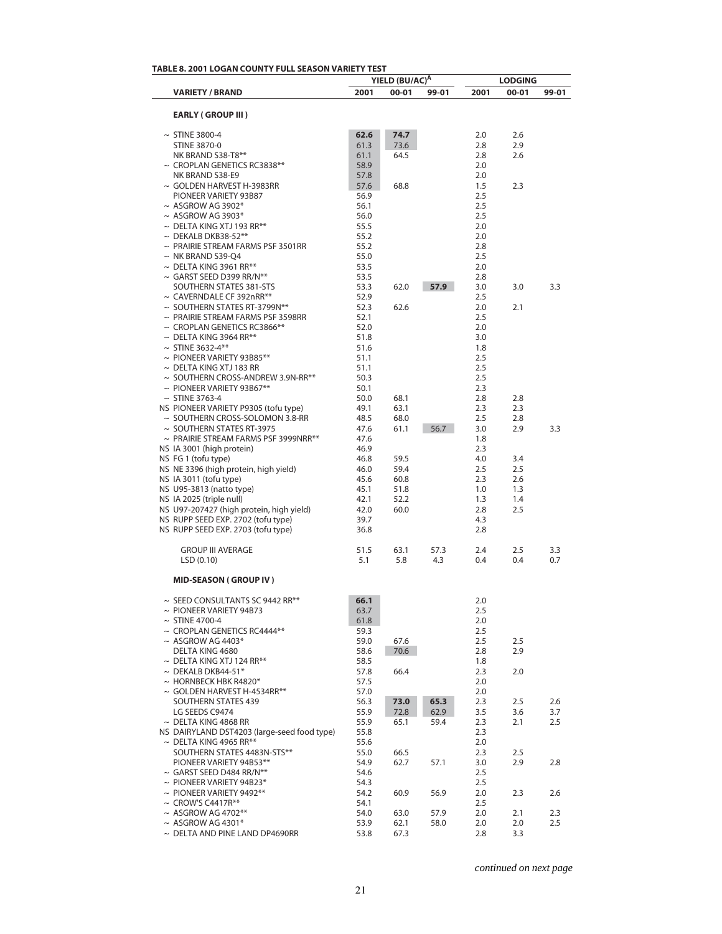| <b>TABLE 8. 2001 LOGAN COUNTY FULL SEASON VARIETY TEST</b>                 |              |                            |             |            |                |            |
|----------------------------------------------------------------------------|--------------|----------------------------|-------------|------------|----------------|------------|
|                                                                            |              | YIELD (BU/AC) <sup>A</sup> |             |            | <b>LODGING</b> |            |
| <b>VARIETY / BRAND</b>                                                     | 2001         | $00 - 01$                  | 99-01       | 2001       | 00-01          | 99-01      |
| <b>EARLY (GROUP III)</b>                                                   |              |                            |             |            |                |            |
| $\sim$ STINE 3800-4                                                        | 62.6         | 74.7                       |             | 2.0        | 2.6            |            |
| <b>STINE 3870-0</b>                                                        | 61.3         | 73.6                       |             | 2.8        | 2.9            |            |
| NK BRAND S38-T8**                                                          | 61.1         | 64.5                       |             | 2.8        | 2.6            |            |
| $\sim$ CROPLAN GENETICS RC3838**                                           | 58.9         |                            |             | 2.0        |                |            |
| NK BRAND S38-E9                                                            | 57.8         |                            |             | 2.0        |                |            |
| $\sim$ GOLDEN HARVEST H-3983RR<br>PIONEER VARIETY 93B87                    | 57.6<br>56.9 | 68.8                       |             | 1.5<br>2.5 | 2.3            |            |
| $~\sim$ ASGROW AG 3902*                                                    | 56.1         |                            |             | 2.5        |                |            |
| $~\sim$ ASGROW AG 3903*                                                    | 56.0         |                            |             | 2.5        |                |            |
| $\sim$ DELTA KING XTJ 193 RR**                                             | 55.5         |                            |             | 2.0        |                |            |
| $\sim$ DEKALB DKB38-52**                                                   | 55.2         |                            |             | 2.0        |                |            |
| $\sim$ PRAIRIE STREAM FARMS PSF 3501RR                                     | 55.2         |                            |             | 2.8        |                |            |
| $\sim$ NK BRAND S39-Q4<br>$\sim$ DELTA KING 3961 RR**                      | 55.0         |                            |             | 2.5        |                |            |
| $\sim$ GARST SEED D399 RR/N**                                              | 53.5<br>53.5 |                            |             | 2.0<br>2.8 |                |            |
| SOUTHERN STATES 381-STS                                                    | 53.3         | 62.0                       | 57.9        | 3.0        | 3.0            | 3.3        |
| $\sim$ CAVERNDALE CF 392nRR**                                              | 52.9         |                            |             | 2.5        |                |            |
| $\sim$ SOUTHERN STATES RT-3799N**                                          | 52.3         | 62.6                       |             | 2.0        | 2.1            |            |
| $\sim$ PRAIRIE STREAM FARMS PSF 3598RR                                     | 52.1         |                            |             | 2.5        |                |            |
| $\sim$ CROPLAN GENETICS RC3866**                                           | 52.0         |                            |             | 2.0        |                |            |
| $\sim$ DELTA KING 3964 RR**                                                | 51.8         |                            |             | 3.0        |                |            |
| $\sim$ STINE 3632-4**<br>$\sim$ PIONEER VARIETY 93B85**                    | 51.6<br>51.1 |                            |             | 1.8<br>2.5 |                |            |
| $\sim$ DELTA KING XTJ 183 RR                                               | 51.1         |                            |             | 2.5        |                |            |
| ~ SOUTHERN CROSS-ANDREW 3.9N-RR**                                          | 50.3         |                            |             | 2.5        |                |            |
| $\sim$ PIONEER VARIETY 93B67**                                             | 50.1         |                            |             | 2.3        |                |            |
| $\sim$ STINE 3763-4                                                        | 50.0         | 68.1                       |             | 2.8        | 2.8            |            |
| NS PIONEER VARIETY P9305 (tofu type)                                       | 49.1         | 63.1                       |             | 2.3        | 2.3            |            |
| $\sim$ SOUTHERN CROSS-SOLOMON 3.8-RR                                       | 48.5         | 68.0                       |             | 2.5        | 2.8            |            |
| $\sim$ SOUTHERN STATES RT-3975                                             | 47.6         | 61.1                       | 56.7        | 3.0        | 2.9            | 3.3        |
| $\sim$ PRAIRIE STREAM FARMS PSF 3999NRR**<br>NS IA 3001 (high protein)     | 47.6<br>46.9 |                            |             | 1.8<br>2.3 |                |            |
| NS FG 1 (tofu type)                                                        | 46.8         | 59.5                       |             | 4.0        | 3.4            |            |
| NS NE 3396 (high protein, high yield)                                      | 46.0         | 59.4                       |             | 2.5        | 2.5            |            |
| NS IA 3011 (tofu type)                                                     | 45.6         | 60.8                       |             | 2.3        | 2.6            |            |
| NS U95-3813 (natto type)                                                   | 45.1         | 51.8                       |             | 1.0        | 1.3            |            |
| NS IA 2025 (triple null)                                                   | 42.1         | 52.2                       |             | 1.3        | 1.4            |            |
| NS U97-207427 (high protein, high yield)                                   | 42.0         | 60.0                       |             | 2.8        | 2.5            |            |
| NS RUPP SEED EXP. 2702 (tofu type)<br>NS RUPP SEED EXP. 2703 (tofu type)   | 39.7<br>36.8 |                            |             | 4.3<br>2.8 |                |            |
|                                                                            |              |                            |             |            |                |            |
| <b>GROUP III AVERAGE</b><br>LSD(0.10)                                      | 51.5<br>5.1  | 63.1<br>5.8                | 57.3<br>4.3 | 2.4<br>0.4 | 2.5<br>0.4     | 3.3<br>0.7 |
| <b>MID-SEASON (GROUP IV)</b>                                               |              |                            |             |            |                |            |
| $\sim$ SEED CONSULTANTS SC 9442 RR**                                       | 66.1         |                            |             | 2.0        |                |            |
| $\sim$ PIONEER VARIETY 94B73                                               | 63.7         |                            |             | 2.5        |                |            |
| $\sim$ STINE 4700-4                                                        | 61.8         |                            |             | 2.0        |                |            |
| $\sim$ CROPLAN GENETICS RC4444**                                           | 59.3         |                            |             | 2.5        |                |            |
| $~\sim$ ASGROW AG 4403*                                                    | 59.0         | 67.6                       |             | 2.5        | 2.5            |            |
| DELTA KING 4680<br>$\sim$ DELTA KING XTJ 124 RR**                          | 58.6<br>58.5 | 70.6                       |             | 2.8<br>1.8 | 2.9            |            |
| $\sim$ DEKALB DKB44-51*                                                    | 57.8         | 66.4                       |             | 2.3        | 2.0            |            |
| $\sim$ HORNBECK HBK R4820*                                                 | 57.5         |                            |             | 2.0        |                |            |
| $\sim$ GOLDEN HARVEST H-4534RR**                                           | 57.0         |                            |             | 2.0        |                |            |
| <b>SOUTHERN STATES 439</b>                                                 | 56.3         | 73.0                       | 65.3        | 2.3        | 2.5            | 2.6        |
| LG SEEDS C9474                                                             | 55.9         | 72.8                       | 62.9        | 3.5        | 3.6            | 3.7        |
| $\sim$ DELTA KING 4868 RR                                                  | 55.9         | 65.1                       | 59.4        | 2.3        | 2.1            | 2.5        |
| NS DAIRYLAND DST4203 (large-seed food type)<br>$\sim$ DELTA KING 4965 RR** | 55.8<br>55.6 |                            |             | 2.3<br>2.0 |                |            |
| SOUTHERN STATES 4483N-STS**                                                | 55.0         | 66.5                       |             | 2.3        | 2.5            |            |
| PIONEER VARIETY 94B53**                                                    | 54.9         | 62.7                       | 57.1        | 3.0        | 2.9            | 2.8        |
| $\sim$ GARST SEED D484 RR/N**                                              | 54.6         |                            |             | 2.5        |                |            |
| $\sim$ PIONEER VARIETY 94B23*                                              | 54.3         |                            |             | 2.5        |                |            |
| $\sim$ PIONEER VARIETY 9492**                                              | 54.2         | 60.9                       | 56.9        | 2.0        | 2.3            | 2.6        |
| $\sim$ CROW'S C4417R**                                                     | 54.1         |                            |             | 2.5        |                |            |
| $~\sim$ ASGROW AG 4702**                                                   | 54.0         | 63.0                       | 57.9        | 2.0        | 2.1            | 2.3        |
| $~\sim$ ASGROW AG 4301*<br>$\sim$ DELTA AND PINE LAND DP4690RR             | 53.9<br>53.8 | 62.1<br>67.3               | 58.0        | 2.0<br>2.8 | 2.0<br>3.3     | 2.5        |
|                                                                            |              |                            |             |            |                |            |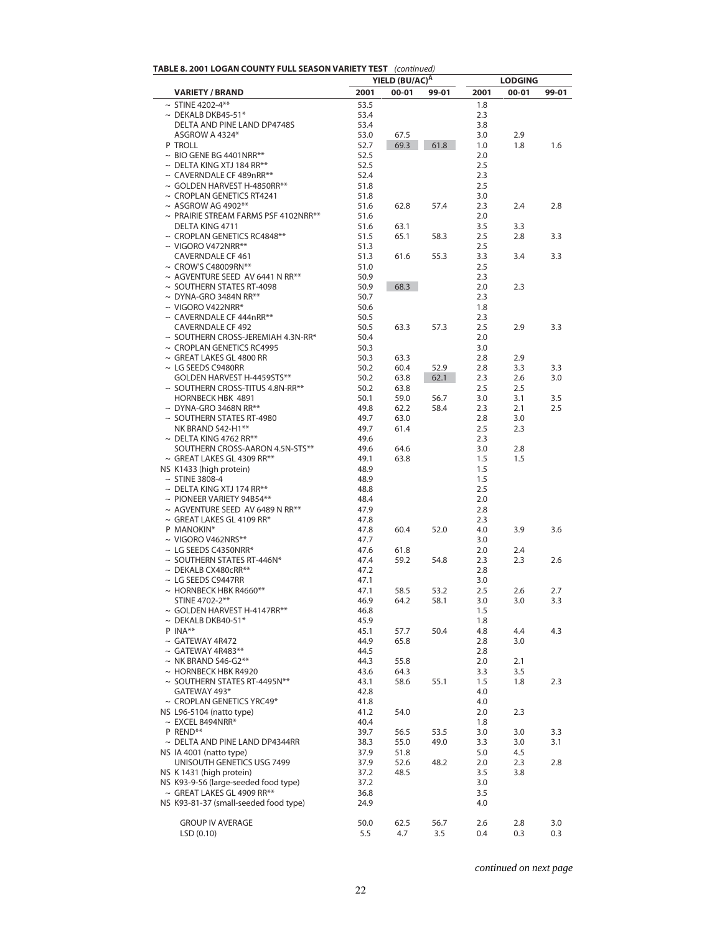| TABLE 8. 2001 LOGAN COUNTY FULL SEASON VARIETY TEST (continued) |  |
|-----------------------------------------------------------------|--|
|-----------------------------------------------------------------|--|

|                                                                         |              | YIELD (BU/AC) <sup>A</sup> |       |            | <b>LODGING</b> |       |
|-------------------------------------------------------------------------|--------------|----------------------------|-------|------------|----------------|-------|
| <b>VARIETY / BRAND</b>                                                  | 2001         | $00 - 01$                  | 99-01 | 2001       | $00 - 01$      | 99-01 |
| $\sim$ STINE 4202-4**                                                   | 53.5         |                            |       | 1.8        |                |       |
| $\sim$ DEKALB DKB45-51*                                                 | 53.4         |                            |       | 2.3        |                |       |
| DELTA AND PINE LAND DP4748S                                             | 53.4         |                            |       | 3.8        |                |       |
| ASGROW A 4324*<br>P TROLL                                               | 53.0<br>52.7 | 67.5<br>69.3               | 61.8  | 3.0        | 2.9<br>1.8     | 1.6   |
| $\sim$ BIO GENE BG 4401NRR**                                            | 52.5         |                            |       | 1.0<br>2.0 |                |       |
| $\sim$ DELTA KING XTJ 184 RR**                                          | 52.5         |                            |       | 2.5        |                |       |
| ~ CAVERNDALE CF 489nRR**                                                | 52.4         |                            |       | 2.3        |                |       |
| $\sim$ GOLDEN HARVEST H-4850RR**                                        | 51.8         |                            |       | 2.5        |                |       |
| $\sim$ CROPLAN GENETICS RT4241                                          | 51.8         |                            |       | 3.0        |                |       |
| $~\sim$ ASGROW AG 4902**                                                | 51.6         | 62.8                       | 57.4  | 2.3        | 2.4            | 2.8   |
| $\sim$ PRAIRIE STREAM FARMS PSF 4102NRR**                               | 51.6         |                            |       | 2.0        |                |       |
| DELTA KING 4711<br>$\sim$ CROPLAN GENETICS RC4848**                     | 51.6<br>51.5 | 63.1<br>65.1               |       | 3.5<br>2.5 | 3.3<br>2.8     | 3.3   |
| $\sim$ VIGORO V472NRR**                                                 | 51.3         |                            | 58.3  | 2.5        |                |       |
| <b>CAVERNDALE CF 461</b>                                                | 51.3         | 61.6                       | 55.3  | 3.3        | 3.4            | 3.3   |
| $\sim$ CROW'S C48009RN**                                                | 51.0         |                            |       | 2.5        |                |       |
| $\sim$ AGVENTURE SEED AV 6441 N RR**                                    | 50.9         |                            |       | 2.3        |                |       |
| $\sim$ SOUTHERN STATES RT-4098                                          | 50.9         | 68.3                       |       | 2.0        | 2.3            |       |
| $\sim$ DYNA-GRO 3484N RR**                                              | 50.7         |                            |       | 2.3        |                |       |
| $\sim$ VIGORO V422NRR*                                                  | 50.6         |                            |       | 1.8        |                |       |
| $\sim$ CAVERNDALE CF 444nRR**                                           | 50.5         |                            |       | 2.3        |                |       |
| <b>CAVERNDALE CF 492</b><br>$\sim$ SOUTHERN CROSS-JEREMIAH 4.3N-RR*     | 50.5<br>50.4 | 63.3                       | 57.3  | 2.5<br>2.0 | 2.9            | 3.3   |
| $\sim$ CROPLAN GENETICS RC4995                                          | 50.3         |                            |       | 3.0        |                |       |
| $\sim$ GREAT LAKES GL 4800 RR                                           | 50.3         | 63.3                       |       | 2.8        | 2.9            |       |
| $\sim$ LG SEEDS C9480RR                                                 | 50.2         | 60.4                       | 52.9  | 2.8        | 3.3            | 3.3   |
| GOLDEN HARVEST H-4459STS**                                              | 50.2         | 63.8                       | 62.1  | 2.3        | 2.6            | 3.0   |
| $\sim$ SOUTHERN CROSS-TITUS 4.8N-RR**                                   | 50.2         | 63.8                       |       | 2.5        | 2.5            |       |
| HORNBECK HBK 4891                                                       | 50.1         | 59.0                       | 56.7  | 3.0        | 3.1            | 3.5   |
| $\sim$ DYNA-GRO 3468N RR**                                              | 49.8         | 62.2                       | 58.4  | 2.3        | 2.1            | 2.5   |
| $\sim$ SOUTHERN STATES RT-4980<br>NK BRAND S42-H1**                     | 49.7<br>49.7 | 63.0<br>61.4               |       | 2.8        | 3.0            |       |
| $\sim$ DELTA KING 4762 RR**                                             | 49.6         |                            |       | 2.5<br>2.3 | 2.3            |       |
| SOUTHERN CROSS-AARON 4.5N-STS**                                         | 49.6         | 64.6                       |       | 3.0        | 2.8            |       |
| $\sim$ GREAT LAKES GL 4309 RR**                                         | 49.1         | 63.8                       |       | 1.5        | 1.5            |       |
| NS K1433 (high protein)                                                 | 48.9         |                            |       | 1.5        |                |       |
| $\sim$ STINE 3808-4                                                     | 48.9         |                            |       | 1.5        |                |       |
| $\sim$ DELTA KING XTJ 174 RR**                                          | 48.8         |                            |       | 2.5        |                |       |
| $\sim$ PIONEER VARIETY 94B54**                                          | 48.4         |                            |       | 2.0        |                |       |
| $\sim$ AGVENTURE SEED AV 6489 N RR**<br>$\sim$ GREAT LAKES GL 4109 RR*  | 47.9<br>47.8 |                            |       | 2.8<br>2.3 |                |       |
| P MANOKIN*                                                              | 47.8         | 60.4                       | 52.0  | 4.0        | 3.9            | 3.6   |
| $\sim$ VIGORO V462NRS**                                                 | 47.7         |                            |       | 3.0        |                |       |
| $\sim$ LG SEEDS C4350NRR*                                               | 47.6         | 61.8                       |       | 2.0        | 2.4            |       |
| $\sim$ SOUTHERN STATES RT-446N*                                         | 47.4         | 59.2                       | 54.8  | 2.3        | 2.3            | 2.6   |
| $\sim$ DEKALB CX480cRR**                                                | 47.2         |                            |       | 2.8        |                |       |
| $\sim$ LG SEEDS C9447RR                                                 | 47.1         |                            |       | 3.0        |                |       |
| $\sim$ HORNBECK HBK R4660**                                             | 47.1         | 58.5                       | 53.2  | 2.5        | 2.6            | 2.7   |
| STINE 4702-2**<br>$\sim$ GOLDEN HARVEST H-4147RR**                      | 46.9<br>46.8 | 64.2                       | 58.1  | 3.0<br>1.5 | 3.0            | 3.3   |
| $\sim$ DEKALB DKB40-51*                                                 | 45.9         |                            |       | 1.8        |                |       |
| P INA**                                                                 | 45.1         | 57.7                       | 50.4  | 4.8        | 4.4            | 4.3   |
| $\sim$ GATEWAY 4R472                                                    | 44.9         | 65.8                       |       | 2.8        | 3.0            |       |
| $\sim$ GATEWAY 4R483**                                                  | 44.5         |                            |       | 2.8        |                |       |
| $\sim$ NK BRAND S46-G2**                                                | 44.3         | 55.8                       |       | 2.0        | 2.1            |       |
| $\sim$ HORNBECK HBK R4920                                               | 43.6         | 64.3                       |       | 3.3        | 3.5            |       |
| $\sim$ SOUTHERN STATES RT-4495N**<br>GATEWAY 493*                       | 43.1         | 58.6                       | 55.1  | 1.5        | 1.8            | 2.3   |
| $\sim$ CROPLAN GENETICS YRC49*                                          | 42.8<br>41.8 |                            |       | 4.0<br>4.0 |                |       |
| NS L96-5104 (natto type)                                                | 41.2         | 54.0                       |       | 2.0        | 2.3            |       |
| $\sim$ EXCEL 8494NRR*                                                   | 40.4         |                            |       | 1.8        |                |       |
| P REND**                                                                | 39.7         | 56.5                       | 53.5  | 3.0        | 3.0            | 3.3   |
| $\sim$ DELTA AND PINE LAND DP4344RR                                     | 38.3         | 55.0                       | 49.0  | 3.3        | 3.0            | 3.1   |
| NS IA 4001 (natto type)                                                 | 37.9         | 51.8                       |       | 5.0        | 4.5            |       |
| UNISOUTH GENETICS USG 7499                                              | 37.9         | 52.6                       | 48.2  | 2.0        | 2.3            | 2.8   |
| NS K 1431 (high protein)                                                | 37.2         | 48.5                       |       | 3.5        | 3.8            |       |
| NS K93-9-56 (large-seeded food type)<br>$\sim$ GREAT LAKES GL 4909 RR** | 37.2<br>36.8 |                            |       | 3.0<br>3.5 |                |       |
| NS K93-81-37 (small-seeded food type)                                   | 24.9         |                            |       | 4.0        |                |       |
|                                                                         |              |                            |       |            |                |       |
| <b>GROUP IV AVERAGE</b>                                                 | 50.0         | 62.5                       | 56.7  | 2.6        | 2.8            | 3.0   |
| LSD(0.10)                                                               | 5.5          | 4.7                        | 3.5   | 0.4        | 0.3            | 0.3   |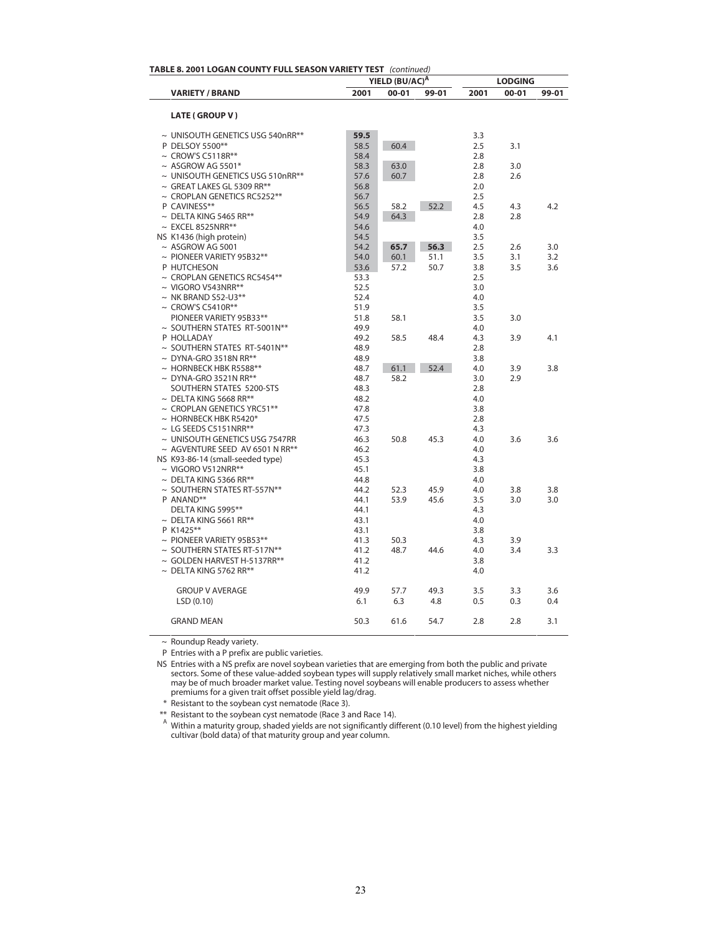| TABLE 8. 2001 LOGAN COUNTY FULL SEASON VARIETY TEST (continued) |              |                                         |       | <b>LODGING</b> |           |       |  |
|-----------------------------------------------------------------|--------------|-----------------------------------------|-------|----------------|-----------|-------|--|
| <b>VARIETY / BRAND</b>                                          | 2001         | YIELD (BU/AC) <sup>A</sup><br>$00 - 01$ | 99-01 | 2001           | $00 - 01$ | 99-01 |  |
|                                                                 |              |                                         |       |                |           |       |  |
| <b>LATE (GROUP V)</b>                                           |              |                                         |       |                |           |       |  |
| ~ UNISOUTH GENETICS USG 540nRR**                                | 59.5         |                                         |       | 3.3            |           |       |  |
| P DELSOY 5500**                                                 | 58.5         | 60.4                                    |       | 2.5            | 3.1       |       |  |
| $\sim$ CROW'S C5118R**                                          | 58.4         |                                         |       | 2.8            |           |       |  |
| $\sim$ ASGROW AG 5501*                                          | 58.3         | 63.0                                    |       | 2.8            | 3.0       |       |  |
| ~ UNISOUTH GENETICS USG 510nRR**                                | 57.6         | 60.7                                    |       | 2.8            | 2.6       |       |  |
| $\sim$ GREAT LAKES GL 5309 RR**                                 | 56.8         |                                         |       | 2.0            |           |       |  |
| $\sim$ CROPLAN GENETICS RC5252**                                | 56.7         |                                         |       | 2.5            |           |       |  |
| P CAVINESS**                                                    | 56.5         | 58.2                                    | 52.2  | 4.5            | 4.3       | 4.2   |  |
| $\sim$ DELTA KING 5465 RR**                                     | 54.9         | 64.3                                    |       | 2.8            | 2.8       |       |  |
| $\sim$ EXCEL 8525NRR**                                          | 54.6         |                                         |       | 4.0            |           |       |  |
| NS K1436 (high protein)                                         | 54.5         |                                         |       | 3.5            |           |       |  |
| $~\sim$ ASGROW AG 5001                                          | 54.2         | 65.7                                    | 56.3  | 2.5            | 2.6       | 3.0   |  |
| $\sim$ PIONEER VARIETY 95B32**                                  | 54.0         | 60.1                                    | 51.1  | 3.5            | 3.1       | 3.2   |  |
| P HUTCHESON                                                     | 53.6         | 57.2                                    | 50.7  | 3.8            | 3.5       | 3.6   |  |
| $\sim$ CROPLAN GENETICS RC5454**                                | 53.3         |                                         |       | 2.5            |           |       |  |
| $\sim$ VIGORO V543NRR**                                         | 52.5         |                                         |       | 3.0            |           |       |  |
| $\sim$ NK BRAND S52-U3**                                        | 52.4         |                                         |       | 4.0            |           |       |  |
| $\sim$ CROW'S C5410R**                                          | 51.9         |                                         |       | 3.5            |           |       |  |
| PIONEER VARIETY 95B33**                                         | 51.8         | 58.1                                    |       | 3.5            | 3.0       |       |  |
| ~ SOUTHERN STATES RT-5001N**                                    | 49.9         |                                         |       | 4.0            |           |       |  |
| P HOLLADAY                                                      | 49.2         | 58.5                                    | 48.4  | 4.3            | 3.9       | 4.1   |  |
| ~ SOUTHERN STATES RT-5401N**                                    | 48.9         |                                         |       | 2.8            |           |       |  |
| $\sim$ DYNA-GRO 3518N RR**                                      | 48.9         |                                         |       | 3.8            |           |       |  |
| $\sim$ HORNBECK HBK R5588**                                     | 48.7         | 61.1                                    | 52.4  | 4.0            | 3.9       | 3.8   |  |
| $\sim$ DYNA-GRO 3521N RR**                                      | 48.7         | 58.2                                    |       | 3.0            | 2.9       |       |  |
| SOUTHERN STATES 5200-STS                                        | 48.3         |                                         |       | 2.8            |           |       |  |
| $\sim$ DELTA KING 5668 RR**                                     | 48.2         |                                         |       | 4.0            |           |       |  |
| $\sim$ CROPLAN GENETICS YRC51**                                 | 47.8         |                                         |       | 3.8            |           |       |  |
| $\sim$ HORNBECK HBK R5420*                                      | 47.5         |                                         |       | 2.8            |           |       |  |
| $\sim$ LG SEEDS C5151NRR**                                      | 47.3         |                                         |       | 4.3            |           |       |  |
| ~ UNISOUTH GENETICS USG 7547RR                                  | 46.3         | 50.8                                    | 45.3  | 4.0            | 3.6       | 3.6   |  |
| $\sim$ AGVENTURE SEED AV 6501 N RR**                            | 46.2         |                                         |       | 4.0            |           |       |  |
| NS K93-86-14 (small-seeded type)                                | 45.3         |                                         |       | 4.3            |           |       |  |
| $\sim$ VIGORO V512NRR**                                         | 45.1         |                                         |       | 3.8            |           |       |  |
| $\sim$ DELTA KING 5366 RR**                                     | 44.8         |                                         |       | 4.0            |           |       |  |
| $\sim$ SOUTHERN STATES RT-557N**                                | 44.2         | 52.3                                    | 45.9  | 4.0            | 3.8       | 3.8   |  |
| P ANAND**                                                       | 44.1         | 53.9                                    | 45.6  | 3.5            | 3.0       | 3.0   |  |
| DELTA KING 5995**<br>$\sim$ DELTA KING 5661 RR**                | 44.1         |                                         |       | 4.3<br>4.0     |           |       |  |
| P K1425**                                                       | 43.1<br>43.1 |                                         |       | 3.8            |           |       |  |
| $\sim$ PIONEER VARIETY 95B53**                                  | 41.3         | 50.3                                    |       | 4.3            | 3.9       |       |  |
| $\sim$ SOUTHERN STATES RT-517N**                                | 41.2         | 48.7                                    | 44.6  | 4.0            | 3.4       | 3.3   |  |
| $\sim$ GOLDEN HARVEST H-5137RR**                                | 41.2         |                                         |       | 3.8            |           |       |  |
| $\sim$ DELTA KING 5762 RR**                                     | 41.2         |                                         |       | 4.0            |           |       |  |
|                                                                 |              |                                         |       |                |           |       |  |
| <b>GROUP V AVERAGE</b>                                          | 49.9         | 57.7                                    | 49.3  | 3.5            | 3.3       | 3.6   |  |
| LSD(0.10)                                                       | 6.1          | 6.3                                     | 4.8   | 0.5            | 0.3       | 0.4   |  |
| <b>GRAND MEAN</b>                                               | 50.3         | 61.6                                    | 54.7  | 2.8            | 2.8       | 3.1   |  |
|                                                                 |              |                                         |       |                |           |       |  |

~ Roundup Ready variety.

P Entries with a P prefix are public varieties.

NS Entries with a NS prefix are novel soybean varieties that are emerging from both the public and private sectors. Some of these value-added soybean types will supply relatively small market niches, while others may be of much broader market value. Testing novel soybeans will enable producers to assess whether premiums for a given trait offset possible yield lag/drag.

\* Resistant to the soybean cyst nematode (Race 3).

\*\* Resistant to the soybean cyst nematode (Race 3 and Race 14).

A Within a maturity group, shaded yields are not significantly different (0.10 level) from the highest yielding cultivar (bold data) of that maturity group and year column.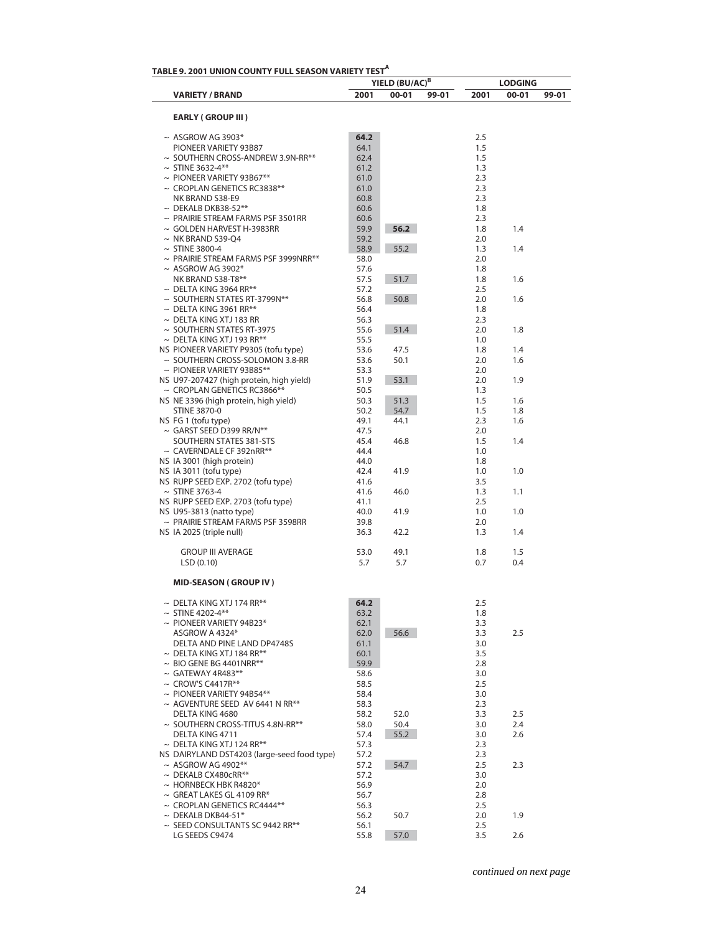| TABLE 9. 2001 UNION COUNTY FULL SEASON VARIETY TEST <sup>A</sup> |      | YIELD (BU/AC) <sup>B</sup> |       |      | <b>LODGING</b> |       |
|------------------------------------------------------------------|------|----------------------------|-------|------|----------------|-------|
| <b>VARIETY / BRAND</b>                                           | 2001 | $00 - 01$                  | 99-01 | 2001 | 00-01          | 99-01 |
| <b>EARLY (GROUP III)</b>                                         |      |                            |       |      |                |       |
| $\sim$ ASGROW AG 3903*                                           | 64.2 |                            |       | 2.5  |                |       |
| PIONEER VARIETY 93B87                                            | 64.1 |                            |       | 1.5  |                |       |
| $\sim$ SOUTHERN CROSS-ANDREW 3.9N-RR**                           | 62.4 |                            |       | 1.5  |                |       |
| $\sim$ STINE 3632-4**                                            | 61.2 |                            |       | 1.3  |                |       |
| $\sim$ PIONEER VARIETY 93B67**                                   | 61.0 |                            |       | 2.3  |                |       |
| $\sim$ CROPLAN GENETICS RC3838**                                 | 61.0 |                            |       | 2.3  |                |       |
| NK BRAND S38-E9                                                  | 60.8 |                            |       | 2.3  |                |       |
| $\sim$ DEKALB DKB38-52**                                         | 60.6 |                            |       | 1.8  |                |       |
| $\sim$ PRAIRIE STREAM FARMS PSF 3501RR                           | 60.6 |                            |       | 2.3  |                |       |
| $\sim$ GOLDEN HARVEST H-3983RR                                   | 59.9 | 56.2                       |       | 1.8  | 1.4            |       |
| $\sim$ NK BRAND S39-Q4                                           | 59.2 |                            |       | 2.0  |                |       |
| $\sim$ STINE 3800-4                                              | 58.9 | 55.2                       |       | 1.3  | 1.4            |       |
| $\sim$ PRAIRIE STREAM FARMS PSF 3999NRR**                        | 58.0 |                            |       | 2.0  |                |       |
| $~\sim$ ASGROW AG 3902*                                          | 57.6 |                            |       | 1.8  |                |       |
| NK BRAND S38-T8**                                                | 57.5 | 51.7                       |       | 1.8  | 1.6            |       |
| $\sim$ DELTA KING 3964 RR**                                      | 57.2 |                            |       | 2.5  |                |       |
| $\sim$ SOUTHERN STATES RT-3799N**                                | 56.8 | 50.8                       |       | 2.0  | 1.6            |       |
| $\sim$ DELTA KING 3961 RR**                                      | 56.4 |                            |       | 1.8  |                |       |
| $\sim$ DELTA KING XTJ 183 RR                                     | 56.3 |                            |       | 2.3  |                |       |
| $\sim$ SOUTHERN STATES RT-3975                                   | 55.6 | 51.4                       |       | 2.0  | 1.8            |       |
| $\sim$ DELTA KING XTJ 193 RR**                                   | 55.5 |                            |       | 1.0  |                |       |
| NS PIONEER VARIETY P9305 (tofu type)                             | 53.6 | 47.5                       |       | 1.8  | 1.4            |       |
| $\sim$ SOUTHERN CROSS-SOLOMON 3.8-RR                             | 53.6 | 50.1                       |       | 2.0  | 1.6            |       |
| $\sim$ PIONEER VARIETY 93B85**                                   | 53.3 |                            |       | 2.0  |                |       |
| NS U97-207427 (high protein, high yield)                         | 51.9 | 53.1                       |       | 2.0  | 1.9            |       |
| $\sim$ CROPLAN GENETICS RC3866**                                 | 50.5 |                            |       | 1.3  |                |       |
| NS NE 3396 (high protein, high yield)                            | 50.3 | 51.3                       |       | 1.5  | 1.6            |       |
| <b>STINE 3870-0</b>                                              | 50.2 | 54.7                       |       | 1.5  | 1.8            |       |
| NS FG 1 (tofu type)                                              | 49.1 | 44.1                       |       | 2.3  | 1.6            |       |
| $\sim$ GARST SEED D399 RR/N**                                    | 47.5 |                            |       | 2.0  |                |       |
| SOUTHERN STATES 381-STS                                          | 45.4 | 46.8                       |       | 1.5  | 1.4            |       |
| $\sim$ CAVERNDALE CF 392nRR**                                    | 44.4 |                            |       | 1.0  |                |       |
| NS IA 3001 (high protein)                                        | 44.0 |                            |       | 1.8  |                |       |
| NS IA 3011 (tofu type)                                           | 42.4 | 41.9                       |       | 1.0  | 1.0            |       |
|                                                                  |      |                            |       |      |                |       |
| NS RUPP SEED EXP. 2702 (tofu type)                               | 41.6 |                            |       | 3.5  |                |       |
| $\sim$ STINE 3763-4                                              | 41.6 | 46.0                       |       | 1.3  | 1.1            |       |
| NS RUPP SEED EXP. 2703 (tofu type)                               | 41.1 |                            |       | 2.5  |                |       |
| NS U95-3813 (natto type)                                         | 40.0 | 41.9                       |       | 1.0  | 1.0            |       |
| $\sim$ PRAIRIE STREAM FARMS PSF 3598RR                           | 39.8 |                            |       | 2.0  |                |       |
| NS IA 2025 (triple null)                                         | 36.3 | 42.2                       |       | 1.3  | 1.4            |       |
| <b>GROUP III AVERAGE</b>                                         | 53.0 | 49.1                       |       | 1.8  | 1.5            |       |
| LSD(0.10)                                                        | 5.7  | 5.7                        |       | 0.7  | 0.4            |       |
| <b>MID-SEASON (GROUP IV)</b>                                     |      |                            |       |      |                |       |
| $\sim$ DELTA KING XTJ 174 RR**                                   | 64.2 |                            |       | 2.5  |                |       |
| $~\sim$ STINE 4202-4**                                           | 63.2 |                            |       | 1.8  |                |       |
| $\sim$ PIONEER VARIETY 94B23*                                    | 62.1 |                            |       | 3.3  |                |       |
| ASGROW A 4324*                                                   | 62.0 | 56.6                       |       | 3.3  | 2.5            |       |
| DELTA AND PINE LAND DP4748S                                      | 61.1 |                            |       | 3.0  |                |       |
| $\sim$ DELTA KING XTJ 184 RR**                                   | 60.1 |                            |       | 3.5  |                |       |
| $\sim$ BIO GENE BG 4401NRR**                                     | 59.9 |                            |       | 2.8  |                |       |
| $\sim$ GATEWAY 4R483**                                           | 58.6 |                            |       | 3.0  |                |       |
| $\sim$ CROW'S C4417R**                                           | 58.5 |                            |       | 2.5  |                |       |
| $\sim$ PIONEER VARIETY 94B54**                                   | 58.4 |                            |       | 3.0  |                |       |
| $\sim$ AGVENTURE SEED AV 6441 N RR**                             | 58.3 |                            |       | 2.3  |                |       |
| DELTA KING 4680                                                  | 58.2 | 52.0                       |       | 3.3  | 2.5            |       |
| ~ SOUTHERN CROSS-TITUS 4.8N-RR**                                 | 58.0 | 50.4                       |       | 3.0  | 2.4            |       |
| DELTA KING 4711                                                  | 57.4 | 55.2                       |       | 3.0  | 2.6            |       |
| $\sim$ DELTA KING XTJ 124 RR**                                   | 57.3 |                            |       | 2.3  |                |       |
| NS DAIRYLAND DST4203 (large-seed food type)                      | 57.2 |                            |       | 2.3  |                |       |
| $~\sim$ ASGROW AG 4902**                                         | 57.2 | 54.7                       |       | 2.5  | 2.3            |       |
| $\sim$ DEKALB CX480cRR**                                         | 57.2 |                            |       | 3.0  |                |       |
| $\sim$ HORNBECK HBK R4820*                                       | 56.9 |                            |       | 2.0  |                |       |
| $\sim$ GREAT LAKES GL 4109 RR*                                   | 56.7 |                            |       | 2.8  |                |       |
| $\sim$ CROPLAN GENETICS RC4444**                                 | 56.3 |                            |       | 2.5  |                |       |
| $\sim$ DEKALB DKB44-51*                                          | 56.2 | 50.7                       |       | 2.0  | 1.9            |       |
| $\sim$ SEED CONSULTANTS SC 9442 RR**                             | 56.1 |                            |       | 2.5  |                |       |
| LG SEEDS C9474                                                   | 55.8 | 57.0                       |       | 3.5  | 2.6            |       |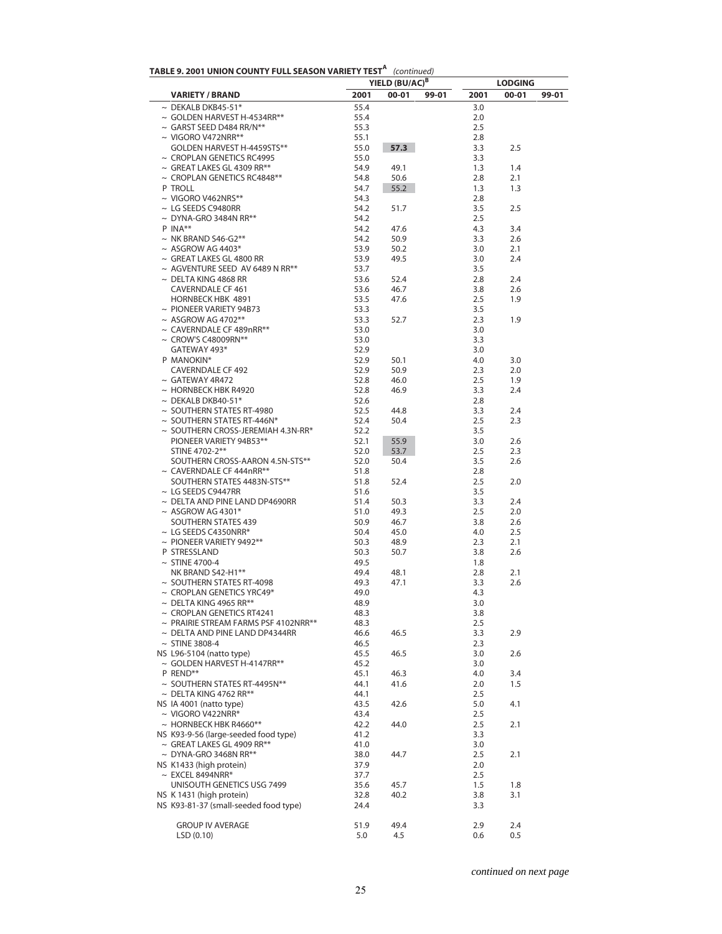|                                                                             |              | YIELD (BU/AC) <sup>B</sup> |       |            | <b>LODGING</b> |       |
|-----------------------------------------------------------------------------|--------------|----------------------------|-------|------------|----------------|-------|
| <b>VARIETY / BRAND</b>                                                      | 2001         | $00 - 01$                  | 99-01 | 2001       | $00 - 01$      | 99-01 |
| $\sim$ DEKALB DKB45-51*                                                     | 55.4         |                            |       | 3.0        |                |       |
| $\sim$ GOLDEN HARVEST H-4534RR**                                            | 55.4         |                            |       | 2.0        |                |       |
| $\sim$ GARST SEED D484 RR/N**                                               | 55.3         |                            |       | 2.5        |                |       |
| $\sim$ VIGORO V472NRR**<br>GOLDEN HARVEST H-4459STS**                       | 55.1<br>55.0 | 57.3                       |       | 2.8<br>3.3 | 2.5            |       |
| $\sim$ CROPLAN GENETICS RC4995                                              | 55.0         |                            |       | 3.3        |                |       |
| $\sim$ GREAT LAKES GL 4309 RR**                                             | 54.9         | 49.1                       |       | 1.3        | 1.4            |       |
| $\sim$ CROPLAN GENETICS RC4848**                                            | 54.8         | 50.6                       |       | 2.8        | 2.1            |       |
| P TROLL                                                                     | 54.7         | 55.2                       |       | 1.3        | 1.3            |       |
| $\sim$ VIGORO V462NRS**                                                     | 54.3         |                            |       | 2.8        |                |       |
| $\sim$ LG SEEDS C9480RR                                                     | 54.2         | 51.7                       |       | 3.5        | 2.5            |       |
| $\sim$ DYNA-GRO 3484N RR**                                                  | 54.2         |                            |       | 2.5        |                |       |
| $P$ INA**                                                                   | 54.2         | 47.6                       |       | 4.3        | 3.4            |       |
| $\sim$ NK BRAND S46-G2**                                                    | 54.2         | 50.9                       |       | 3.3        | 2.6            |       |
| $~\sim$ ASGROW AG 4403*                                                     | 53.9         | 50.2                       |       | 3.0        | 2.1            |       |
| $\sim$ GREAT LAKES GL 4800 RR<br>$\sim$ AGVENTURE SEED AV 6489 N RR**       | 53.9<br>53.7 | 49.5                       |       | 3.0<br>3.5 | 2.4            |       |
| $\sim$ DELTA KING 4868 RR                                                   | 53.6         | 52.4                       |       | 2.8        | 2.4            |       |
| <b>CAVERNDALE CF 461</b>                                                    | 53.6         | 46.7                       |       | 3.8        | 2.6            |       |
| <b>HORNBECK HBK 4891</b>                                                    | 53.5         | 47.6                       |       | 2.5        | 1.9            |       |
| $\sim$ PIONEER VARIETY 94B73                                                | 53.3         |                            |       | 3.5        |                |       |
| $~\sim$ ASGROW AG 4702**                                                    | 53.3         | 52.7                       |       | 2.3        | 1.9            |       |
| $\sim$ CAVERNDALE CF 489nRR**                                               | 53.0         |                            |       | 3.0        |                |       |
| $\sim$ CROW'S C48009RN**                                                    | 53.0         |                            |       | 3.3        |                |       |
| GATEWAY 493*                                                                | 52.9         |                            |       | 3.0        |                |       |
| P MANOKIN*                                                                  | 52.9         | 50.1                       |       | 4.0        | 3.0            |       |
| <b>CAVERNDALE CF 492</b>                                                    | 52.9         | 50.9                       |       | 2.3        | 2.0            |       |
| $\sim$ GATEWAY 4R472<br>$\sim$ HORNBECK HBK R4920                           | 52.8<br>52.8 | 46.0                       |       | 2.5        | 1.9<br>2.4     |       |
| $\sim$ DEKALB DKB40-51*                                                     | 52.6         | 46.9                       |       | 3.3<br>2.8 |                |       |
| $\sim$ SOUTHERN STATES RT-4980                                              | 52.5         | 44.8                       |       | 3.3        | 2.4            |       |
| $\sim$ SOUTHERN STATES RT-446N*                                             | 52.4         | 50.4                       |       | 2.5        | 2.3            |       |
| $\sim$ SOUTHERN CROSS-JEREMIAH 4.3N-RR*                                     | 52.2         |                            |       | 3.5        |                |       |
| PIONEER VARIETY 94B53**                                                     | 52.1         | 55.9                       |       | 3.0        | 2.6            |       |
| STINE 4702-2**                                                              | 52.0         | 53.7                       |       | 2.5        | 2.3            |       |
| SOUTHERN CROSS-AARON 4.5N-STS**                                             | 52.0         | 50.4                       |       | 3.5        | 2.6            |       |
| $\sim$ CAVERNDALE CF 444nRR**                                               | 51.8         |                            |       | 2.8        |                |       |
| SOUTHERN STATES 4483N-STS**                                                 | 51.8         | 52.4                       |       | 2.5        | 2.0            |       |
| $\sim$ LG SEEDS C9447RR<br>$\sim$ DELTA AND PINE LAND DP4690RR              | 51.6         |                            |       | 3.5        | 2.4            |       |
| $~\sim$ ASGROW AG 4301*                                                     | 51.4<br>51.0 | 50.3<br>49.3               |       | 3.3<br>2.5 | 2.0            |       |
| <b>SOUTHERN STATES 439</b>                                                  | 50.9         | 46.7                       |       | 3.8        | 2.6            |       |
| $\sim$ LG SEEDS C4350NRR*                                                   | 50.4         | 45.0                       |       | 4.0        | 2.5            |       |
| $\sim$ PIONEER VARIETY 9492**                                               | 50.3         | 48.9                       |       | 2.3        | 2.1            |       |
| P STRESSLAND                                                                | 50.3         | 50.7                       |       | 3.8        | 2.6            |       |
| $\sim$ STINE 4700-4                                                         | 49.5         |                            |       | 1.8        |                |       |
| NK BRAND S42-H1**                                                           | 49.4         | 48.1                       |       | 2.8        | 2.1            |       |
| $\sim$ SOUTHERN STATES RT-4098                                              | 49.3         | 47.1                       |       | 3.3        | 2.6            |       |
| $\sim$ CROPLAN GENETICS YRC49*                                              | 49.0         |                            |       | 4.3        |                |       |
| $\sim$ DELTA KING 4965 RR**                                                 | 48.9         |                            |       | 3.0        |                |       |
| $\sim$ CROPLAN GENETICS RT4241<br>$\sim$ PRAIRIE STREAM FARMS PSF 4102NRR** | 48.3<br>48.3 |                            |       | 3.8<br>2.5 |                |       |
| $\sim$ DELTA AND PINE LAND DP4344RR                                         | 46.6         | 46.5                       |       | 3.3        | 2.9            |       |
| $~\sim$ STINE 3808-4                                                        | 46.5         |                            |       | 2.3        |                |       |
| NS L96-5104 (natto type)                                                    | 45.5         | 46.5                       |       | 3.0        | 2.6            |       |
| $\sim$ GOLDEN HARVEST H-4147RR**                                            | 45.2         |                            |       | 3.0        |                |       |
| P REND**                                                                    | 45.1         | 46.3                       |       | 4.0        | 3.4            |       |
| $\sim$ SOUTHERN STATES RT-4495N**                                           | 44.1         | 41.6                       |       | 2.0        | 1.5            |       |
| $\sim$ DELTA KING 4762 RR**                                                 | 44.1         |                            |       | 2.5        |                |       |
| NS IA 4001 (natto type)                                                     | 43.5         | 42.6                       |       | 5.0        | 4.1            |       |
| $\sim$ VIGORO V422NRR*                                                      | 43.4         |                            |       | 2.5        |                |       |
| $\sim$ HORNBECK HBK R4660**                                                 | 42.2         | 44.0                       |       | 2.5        | 2.1            |       |
| NS K93-9-56 (large-seeded food type)<br>$\sim$ GREAT LAKES GL 4909 RR**     | 41.2<br>41.0 |                            |       | 3.3<br>3.0 |                |       |
| $\sim$ DYNA-GRO 3468N RR**                                                  | 38.0         | 44.7                       |       | 2.5        | 2.1            |       |
| NS K1433 (high protein)                                                     | 37.9         |                            |       | 2.0        |                |       |
| $\sim$ EXCEL 8494NRR*                                                       | 37.7         |                            |       | 2.5        |                |       |
| UNISOUTH GENETICS USG 7499                                                  | 35.6         | 45.7                       |       | 1.5        | 1.8            |       |
| NS K 1431 (high protein)                                                    | 32.8         | 40.2                       |       | 3.8        | 3.1            |       |
| NS K93-81-37 (small-seeded food type)                                       | 24.4         |                            |       | 3.3        |                |       |
|                                                                             |              |                            |       |            |                |       |
| <b>GROUP IV AVERAGE</b>                                                     | 51.9         | 49.4                       |       | 2.9        | 2.4            |       |
| LSD(0.10)                                                                   | 5.0          | 4.5                        |       | 0.6        | 0.5            |       |

| TABLE 9. 2001 UNION COUNTY FULL SEASON VARIETY TEST <sup>A</sup> (continued) |  |
|------------------------------------------------------------------------------|--|
|------------------------------------------------------------------------------|--|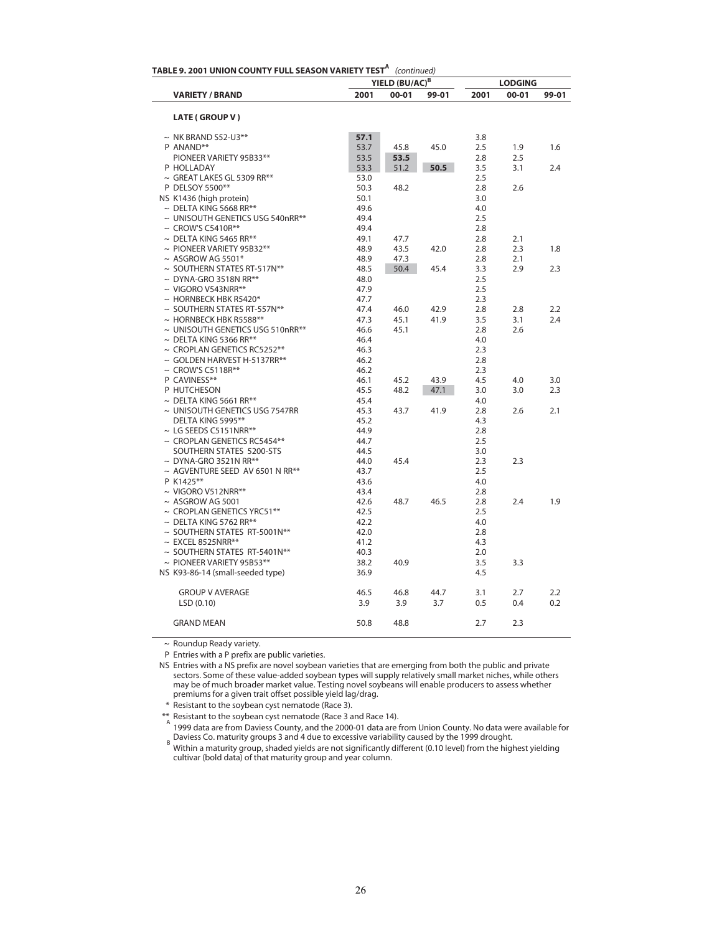| TABLE 9. 2001 UNION COUNTY FULL SEASON VARIETY TEST $^{\mathsf{A}}\,$ (continued) |              | YIELD (BU/AC) <sup>B</sup> |       | 2001<br>00-01 | <b>LODGING</b> |       |
|-----------------------------------------------------------------------------------|--------------|----------------------------|-------|---------------|----------------|-------|
| <b>VARIETY / BRAND</b>                                                            | 2001         | $00 - 01$                  | 99-01 |               |                | 99-01 |
| <b>LATE (GROUP V)</b>                                                             |              |                            |       |               |                |       |
| $\sim$ NK BRAND S52-U3**                                                          | 57.1         |                            |       | 3.8           |                |       |
| P ANAND**                                                                         | 53.7         | 45.8                       | 45.0  | 2.5           | 1.9            | 1.6   |
| PIONEER VARIETY 95B33**                                                           | 53.5         | 53.5                       |       | 2.8           | 2.5            |       |
| P HOLLADAY                                                                        | 53.3         | 51.2                       | 50.5  | 3.5           | 3.1            | 2.4   |
| $\sim$ GREAT LAKES GL 5309 RR**                                                   | 53.0         |                            |       | 2.5           |                |       |
| P DELSOY 5500**                                                                   | 50.3         | 48.2                       |       | 2.8           | 2.6            |       |
| NS K1436 (high protein)                                                           | 50.1         |                            |       | 3.0           |                |       |
| $\sim$ DELTA KING 5668 RR**                                                       | 49.6         |                            |       | 4.0           |                |       |
| ~ UNISOUTH GENETICS USG 540nRR**                                                  | 49.4         |                            |       | 2.5           |                |       |
| $\sim$ CROW'S C5410R**                                                            | 49.4         |                            |       | 2.8           |                |       |
| $\sim$ DELTA KING 5465 RR**                                                       | 49.1         | 47.7                       |       | 2.8           | 2.1            |       |
| $\sim$ PIONEER VARIETY 95B32**                                                    | 48.9         | 43.5                       | 42.0  | 2.8           | 2.3            | 1.8   |
| $~\sim$ ASGROW AG 5501*                                                           | 48.9         | 47.3                       |       | 2.8           | 2.1            |       |
| ~ SOUTHERN STATES RT-517N**                                                       | 48.5         | 50.4                       | 45.4  | 3.3           | 2.9            | 2.3   |
| $\sim$ DYNA-GRO 3518N RR**                                                        | 48.0         |                            |       | 2.5           |                |       |
| $\sim$ VIGORO V543NRR**                                                           | 47.9         |                            |       | 2.5           |                |       |
| $\sim$ HORNBECK HBK R5420*                                                        | 47.7         |                            |       | 2.3           |                |       |
| $\sim$ SOUTHERN STATES RT-557N**                                                  | 47.4         | 46.0                       | 42.9  | 2.8           | 2.8            | 2.2   |
| $\sim$ HORNBECK HBK R5588**                                                       | 47.3         | 45.1                       | 41.9  | 3.5           | 3.1            | 2.4   |
| ~ UNISOUTH GENETICS USG 510nRR**                                                  | 46.6         | 45.1                       |       | 2.8           | 2.6            |       |
| $\sim$ DELTA KING 5366 RR**                                                       | 46.4         |                            |       | 4.0           |                |       |
| $\sim$ CROPLAN GENETICS RC5252**                                                  | 46.3         |                            |       | 2.3           |                |       |
| $\sim$ GOLDEN HARVEST H-5137RR**                                                  | 46.2         |                            |       | 2.8           |                |       |
| $\sim$ CROW'S C5118R**                                                            | 46.2         |                            |       | 2.3           |                |       |
| P CAVINESS**                                                                      | 46.1         | 45.2                       | 43.9  | 4.5           | 4.0            | 3.0   |
| P HUTCHESON                                                                       | 45.5         | 48.2                       | 47.1  | 3.0           | 3.0            | 2.3   |
| $\sim$ DELTA KING 5661 RR**                                                       | 45.4         |                            |       | 4.0           |                |       |
| ~ UNISOUTH GENETICS USG 7547RR                                                    | 45.3         | 43.7                       | 41.9  | 2.8           | 2.6            | 2.1   |
| DELTA KING 5995**                                                                 | 45.2         |                            |       | 4.3           |                |       |
| $\sim$ LG SEEDS C5151NRR**                                                        | 44.9         |                            |       | 2.8           |                |       |
| $\sim$ CROPLAN GENETICS RC5454**                                                  | 44.7         |                            |       | 2.5           |                |       |
| SOUTHERN STATES 5200-STS                                                          | 44.5         |                            |       | 3.0           |                |       |
| $\sim$ DYNA-GRO 3521N RR**                                                        | 44.0         | 45.4                       |       | 2.3           | 2.3            |       |
| ~ AGVENTURE SEED AV 6501 N RR**                                                   | 43.7         |                            |       | 2.5           |                |       |
| P K1425**                                                                         | 43.6         |                            |       | 4.0           |                |       |
| $\sim$ VIGORO V512NRR**                                                           | 43.4         |                            |       | 2.8           |                |       |
| $~\sim$ ASGROW AG 5001                                                            | 42.6         | 48.7                       | 46.5  | 2.8           | 2.4            | 1.9   |
| $\sim$ CROPLAN GENETICS YRC51**                                                   | 42.5         |                            |       | 2.5           |                |       |
| $\sim$ DELTA KING 5762 RR**                                                       | 42.2         |                            |       | 4.0           |                |       |
| $\sim$ SOUTHERN STATES RT-5001N**                                                 |              |                            |       |               |                |       |
| $\sim$ EXCEL 8525NRR**                                                            | 42.0<br>41.2 |                            |       | 2.8<br>4.3    |                |       |
|                                                                                   |              |                            |       |               |                |       |
| ~ SOUTHERN STATES RT-5401N**                                                      | 40.3         |                            |       | 2.0           |                |       |
| ~ PIONEER VARIETY 95B53**                                                         | 38.2         | 40.9                       |       | 3.5           | 3.3            |       |
| NS K93-86-14 (small-seeded type)                                                  | 36.9         |                            |       | 4.5           |                |       |
| <b>GROUP V AVERAGE</b>                                                            | 46.5         | 46.8                       | 44.7  | 3.1           | 2.7            | 2.2   |
| LSD (0.10)                                                                        | 3.9          | 3.9                        | 3.7   | 0.5           | 0.4            | 0.2   |
|                                                                                   |              |                            |       |               |                |       |
| <b>GRAND MEAN</b>                                                                 | 50.8         | 48.8                       |       | 2.7           | 2.3            |       |
|                                                                                   |              |                            |       |               |                |       |

~ Roundup Ready variety.

 $\overline{a}$ 

P Entries with a P prefix are public varieties.

NS Entries with a NS prefix are novel soybean varieties that are emerging from both the public and private sectors. Some of these value-added soybean types will supply relatively small market niches, while others may be of much broader market value. Testing novel soybeans will enable producers to assess whether premiums for a given trait offset possible yield lag/drag.

\* Resistant to the soybean cyst nematode (Race 3).

\*\* Resistant to the soybean cyst nematode (Race 3 and Race 14). A 1999 data are from Daviess County, and the 2000-01 data are from Union County. No data were available for <sub>B</sub> Daviess Co. maturity groups 3 and 4 due to excessive variability caused by the 1999 drought.<br><sup>B</sup> Within a maturity group, shaded yields are not significantly different (0.10 level) from the highest yielding

cultivar (bold data) of that maturity group and year column.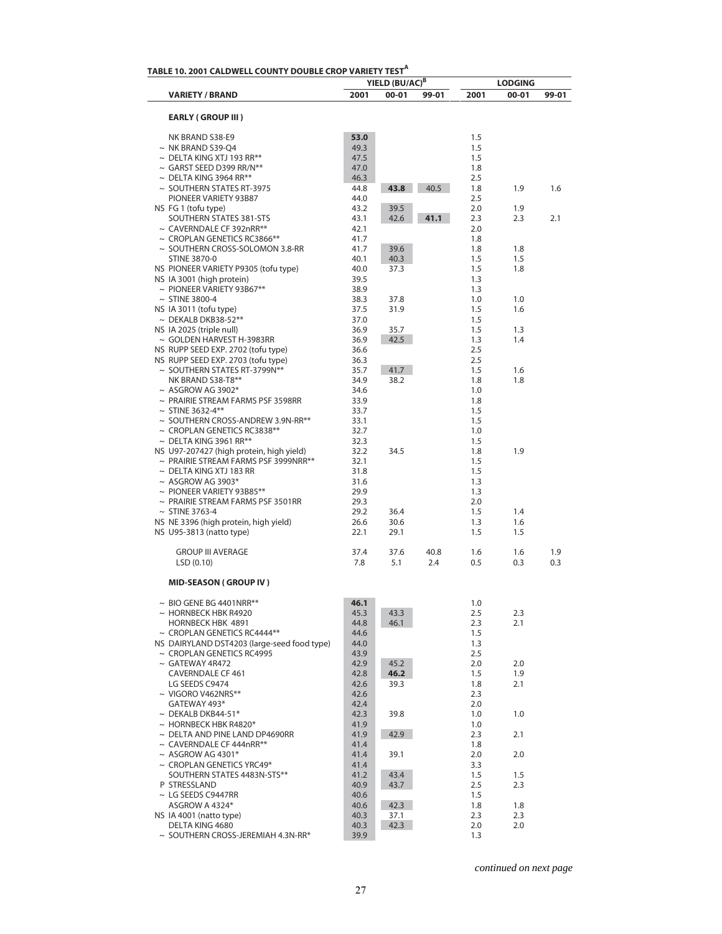|                                                                                       |                      | YIELD (BU/AC) <sup>B</sup> |       |                   | <b>LODGING</b> |       |
|---------------------------------------------------------------------------------------|----------------------|----------------------------|-------|-------------------|----------------|-------|
| <b>VARIETY / BRAND</b>                                                                | 2001                 | $00 - 01$                  | 99-01 | 2001              | 00-01          | 99-01 |
| <b>EARLY (GROUP III)</b>                                                              |                      |                            |       |                   |                |       |
| NK BRAND S38-E9                                                                       | 53.0                 |                            |       | 1.5               |                |       |
| $\sim$ NK BRAND S39-O4                                                                | 49.3                 |                            |       | 1.5               |                |       |
| $\sim$ DELTA KING XTJ 193 RR**                                                        | 47.5                 |                            |       | 1.5               |                |       |
| $\sim$ GARST SEED D399 RR/N**                                                         | 47.0                 |                            |       | 1.8               |                |       |
| $\sim$ DELTA KING 3964 RR**                                                           | 46.3                 |                            |       | 2.5               |                |       |
| $\sim$ SOUTHERN STATES RT-3975                                                        | 44.8                 | 43.8                       | 40.5  | 1.8               | 1.9            | 1.6   |
| PIONEER VARIETY 93B87                                                                 | 44.0                 |                            |       | 2.5               |                |       |
| NS FG 1 (tofu type)                                                                   | 43.2                 | 39.5                       |       | 2.0               | 1.9            |       |
| SOUTHERN STATES 381-STS                                                               | 43.1                 | 42.6                       | 41.1  | 2.3               | 2.3            | 2.1   |
| $\sim$ CAVERNDALE CF 392nRR**                                                         | 42.1                 |                            |       | 2.0               |                |       |
| $\sim$ CROPLAN GENETICS RC3866**                                                      | 41.7                 |                            |       | 1.8               |                |       |
| $\sim$ SOUTHERN CROSS-SOLOMON 3.8-RR                                                  | 41.7                 | 39.6                       |       | 1.8               | 1.8            |       |
| STINE 3870-0                                                                          | 40.1                 | 40.3                       |       | 1.5               | 1.5            |       |
| NS PIONEER VARIETY P9305 (tofu type)                                                  | 40.0                 | 37.3                       |       | 1.5               | 1.8            |       |
| NS IA 3001 (high protein)                                                             | 39.5                 |                            |       | 1.3               |                |       |
| $\sim$ PIONEER VARIETY 93B67**                                                        | 38.9                 |                            |       | 1.3               |                |       |
| $\sim$ STINE 3800-4                                                                   | 38.3                 | 37.8                       |       | 1.0               | 1.0            |       |
| NS IA 3011 (tofu type)                                                                | 37.5                 | 31.9                       |       | 1.5               | 1.6            |       |
| $\sim$ DEKALB DKB38-52**                                                              | 37.0                 |                            |       | 1.5               |                |       |
| NS IA 2025 (triple null)                                                              | 36.9                 | 35.7                       |       | 1.5               | 1.3            |       |
| ~ GOLDEN HARVEST H-3983RR                                                             | 36.9                 | 42.5                       |       | 1.3               | 1.4            |       |
| NS RUPP SEED EXP. 2702 (tofu type)                                                    | 36.6                 |                            |       | 2.5               |                |       |
| NS RUPP SEED EXP. 2703 (tofu type)                                                    | 36.3                 |                            |       | 2.5               |                |       |
| $\sim$ SOUTHERN STATES RT-3799N**                                                     | 35.7                 | 41.7                       |       | 1.5               | 1.6            |       |
| NK BRAND S38-T8**                                                                     | 34.9                 | 38.2                       |       | 1.8               | 1.8            |       |
| $~\sim$ ASGROW AG 3902*                                                               | 34.6                 |                            |       | 1.0               |                |       |
| $\sim$ PRAIRIE STREAM FARMS PSF 3598RR<br>$\sim$ STINE 3632-4**                       | 33.9                 |                            |       | 1.8               |                |       |
| $\sim$ SOUTHERN CROSS-ANDREW 3.9N-RR**                                                | 33.7<br>33.1         |                            |       | 1.5<br>1.5        |                |       |
| $\sim$ CROPLAN GENETICS RC3838**                                                      | 32.7                 |                            |       | 1.0               |                |       |
| $\sim$ DELTA KING 3961 RR**                                                           | 32.3                 |                            |       | 1.5               |                |       |
| NS U97-207427 (high protein, high yield)                                              | 32.2                 | 34.5                       |       | 1.8               | 1.9            |       |
| $\sim$ PRAIRIE STREAM FARMS PSF 3999NRR**                                             | 32.1                 |                            |       | 1.5               |                |       |
| $\sim$ DELTA KING XTJ 183 RR                                                          | 31.8                 |                            |       | 1.5               |                |       |
| $~\sim$ ASGROW AG 3903*                                                               | 31.6                 |                            |       | 1.3               |                |       |
| $\sim$ PIONEER VARIETY 93B85**                                                        | 29.9                 |                            |       | 1.3               |                |       |
| $\sim$ PRAIRIE STREAM FARMS PSF 3501RR                                                | 29.3                 |                            |       | 2.0               |                |       |
| $\sim$ STINE 3763-4                                                                   | 29.2                 | 36.4                       |       | 1.5               | 1.4            |       |
| NS NE 3396 (high protein, high yield)                                                 | 26.6                 | 30.6                       |       | 1.3               | 1.6            |       |
| NS U95-3813 (natto type)                                                              | 22.1                 | 29.1                       |       | 1.5               | 1.5            |       |
| <b>GROUP III AVERAGE</b>                                                              | 37.4                 | 37.6                       | 40.8  | 1.6               | 1.6            | 1.9   |
| LSD(0.10)                                                                             | 7.8                  | 5.1                        | 2.4   | 0.5               | 0.3            | 0.3   |
| <b>MID-SEASON (GROUP IV)</b>                                                          |                      |                            |       |                   |                |       |
| $\sim$ BIO GENE BG 4401NRR**                                                          | 46.1                 |                            |       | 1.0               |                |       |
| $\sim$ HORNBECK HBK R4920                                                             | 45.3                 | 43.3                       |       | 2.5               | 2.3            |       |
| HORNBECK HBK 4891                                                                     | 44.8                 | 46.1                       |       | 2.3               | 2.1            |       |
| $\sim$ CROPLAN GENETICS RC4444**                                                      | 44.6                 |                            |       | 1.5               |                |       |
| NS DAIRYLAND DST4203 (large-seed food type)                                           | 44.0                 |                            |       | 1.3               |                |       |
| $\sim$ CROPLAN GENETICS RC4995                                                        | 43.9                 |                            |       | 2.5               |                |       |
| $\sim$ GATEWAY 4R472                                                                  | 42.9                 | 45.2                       |       | 2.0               | 2.0            |       |
| <b>CAVERNDALE CF 461</b><br>LG SEEDS C9474                                            | 42.8<br>42.6         | 46.2<br>39.3               |       | 1.5<br>1.8        | 1.9<br>2.1     |       |
| $\sim$ VIGORO V462NRS**                                                               | 42.6                 |                            |       | 2.3               |                |       |
| GATEWAY 493*                                                                          | 42.4                 |                            |       | 2.0               |                |       |
| $\sim$ DEKALB DKB44-51*                                                               |                      |                            |       |                   |                |       |
| $\sim$ HORNBECK HBK R4820*                                                            | 42.3<br>41.9         | 39.8                       |       | 1.0<br>1.0        | 1.0            |       |
| $\sim$ DELTA AND PINE LAND DP4690RR                                                   | 41.9                 | 42.9                       |       | 2.3               | 2.1            |       |
| $\sim$ CAVERNDALE CF 444nRR**                                                         | 41.4                 |                            |       | 1.8               |                |       |
| $~\sim$ ASGROW AG 4301*                                                               | 41.4                 | 39.1                       |       | 2.0               | 2.0            |       |
| $\sim$ CROPLAN GENETICS YRC49*                                                        | 41.4                 |                            |       | 3.3               |                |       |
| SOUTHERN STATES 4483N-STS**                                                           | 41.2                 | 43.4                       |       | 1.5               | 1.5            |       |
| P STRESSLAND                                                                          | 40.9                 | 43.7                       |       | 2.5               | 2.3            |       |
| $\sim$ LG SEEDS C9447RR                                                               | 40.6                 |                            |       | 1.5               |                |       |
| ASGROW A 4324*                                                                        | 40.6                 | 42.3                       |       |                   | 1.8            |       |
|                                                                                       |                      |                            |       | 1.8               |                |       |
|                                                                                       |                      |                            |       |                   |                |       |
|                                                                                       |                      |                            |       |                   |                |       |
| NS IA 4001 (natto type)<br>DELTA KING 4680<br>$\sim$ SOUTHERN CROSS-JEREMIAH 4.3N-RR* | 40.3<br>40.3<br>39.9 | 37.1<br>42.3               |       | 2.3<br>2.0<br>1.3 | 2.3<br>2.0     |       |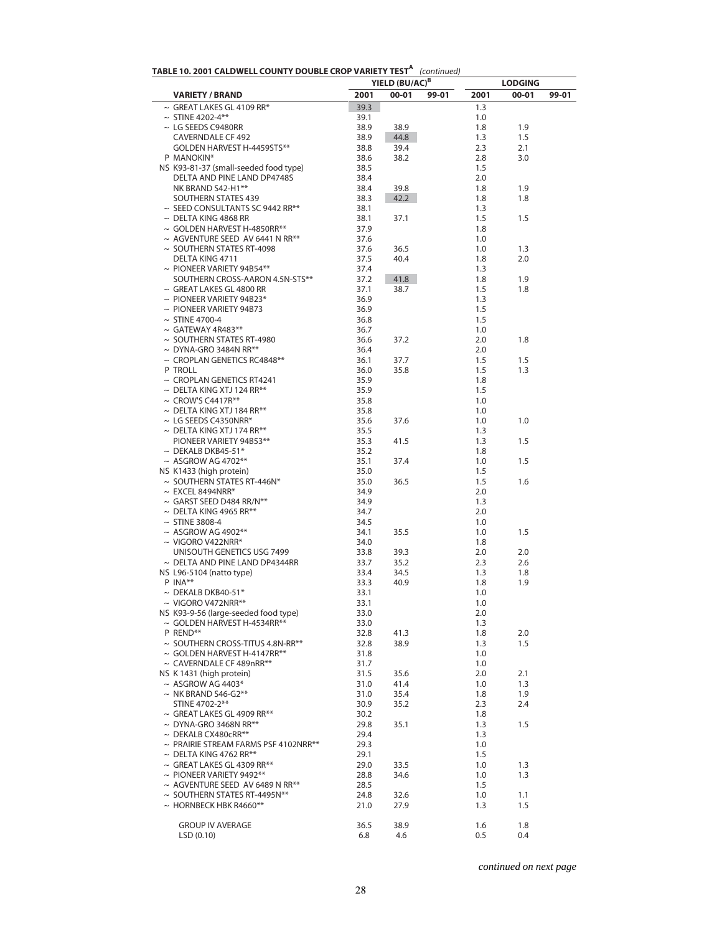| TABLE 10. 2001 CALDWELL COUNTY DOUBLE CROP VARIETY TEST <sup>A</sup> (continued) |  |
|----------------------------------------------------------------------------------|--|
|----------------------------------------------------------------------------------|--|

| <b>INDEE 19:2001 CAED WEEK COUNTT DOUDER CITOL WANTER TEST</b>    |              | YIELD (BU/AC) <sup>B</sup> | $\mu$ |            | <b>LODGING</b> |       |
|-------------------------------------------------------------------|--------------|----------------------------|-------|------------|----------------|-------|
| <b>VARIETY / BRAND</b>                                            | 2001         | $00 - 01$                  | 99-01 | 2001       | 00-01          | 99-01 |
| $\sim$ GREAT LAKES GL 4109 RR*                                    | 39.3         |                            |       | 1.3        |                |       |
| $\sim$ STINE 4202-4**                                             | 39.1         |                            |       | 1.0        |                |       |
| $\sim$ LG SEEDS C9480RR                                           | 38.9         | 38.9                       |       | 1.8        | 1.9            |       |
| <b>CAVERNDALE CF 492</b>                                          | 38.9         | 44.8                       |       | 1.3        | 1.5            |       |
| GOLDEN HARVEST H-4459STS**                                        | 38.8         | 39.4                       |       | 2.3        | 2.1            |       |
| P MANOKIN*                                                        | 38.6         | 38.2                       |       | 2.8        | 3.0            |       |
| NS K93-81-37 (small-seeded food type)                             | 38.5<br>38.4 |                            |       | 1.5<br>2.0 |                |       |
| DELTA AND PINE LAND DP4748S<br>NK BRAND S42-H1**                  | 38.4         | 39.8                       |       | 1.8        | 1.9            |       |
| SOUTHERN STATES 439                                               | 38.3         | 42.2                       |       | 1.8        | 1.8            |       |
| $\sim$ SEED CONSULTANTS SC 9442 RR**                              | 38.1         |                            |       | 1.3        |                |       |
| $\sim$ DELTA KING 4868 RR                                         | 38.1         | 37.1                       |       | 1.5        | 1.5            |       |
| $\sim$ GOLDEN HARVEST H-4850RR**                                  | 37.9         |                            |       | 1.8        |                |       |
| $\sim$ AGVENTURE SEED AV 6441 N RR**                              | 37.6         |                            |       | 1.0        |                |       |
| $\sim$ SOUTHERN STATES RT-4098                                    | 37.6         | 36.5                       |       | 1.0        | 1.3            |       |
| DELTA KING 4711                                                   | 37.5         | 40.4                       |       | 1.8        | 2.0            |       |
| $\sim$ PIONEER VARIETY 94B54**<br>SOUTHERN CROSS-AARON 4.5N-STS** | 37.4<br>37.2 | 41.8                       |       | 1.3<br>1.8 | 1.9            |       |
| $\sim$ GREAT LAKES GL 4800 RR                                     | 37.1         | 38.7                       |       | 1.5        | 1.8            |       |
| $\sim$ PIONEER VARIETY 94B23*                                     | 36.9         |                            |       | 1.3        |                |       |
| $\sim$ PIONEER VARIETY 94B73                                      | 36.9         |                            |       | 1.5        |                |       |
| $\sim$ STINE 4700-4                                               | 36.8         |                            |       | 1.5        |                |       |
| $\sim$ GATEWAY 4R483**                                            | 36.7         |                            |       | 1.0        |                |       |
| $\sim$ SOUTHERN STATES RT-4980                                    | 36.6         | 37.2                       |       | 2.0        | 1.8            |       |
| $\sim$ DYNA-GRO 3484N RR**                                        | 36.4         |                            |       | 2.0        |                |       |
| $\sim$ CROPLAN GENETICS RC4848**                                  | 36.1         | 37.7                       |       | 1.5        | 1.5            |       |
| P TROLL                                                           | 36.0         | 35.8                       |       | 1.5        | 1.3            |       |
| $\sim$ CROPLAN GENETICS RT4241                                    | 35.9         |                            |       | 1.8        |                |       |
| $\sim$ DELTA KING XTJ 124 RR**                                    | 35.9         |                            |       | 1.5        |                |       |
| $\sim$ CROW'S C4417R**                                            | 35.8         |                            |       | 1.0        |                |       |
| $\sim$ DELTA KING XTJ 184 RR**                                    | 35.8         |                            |       | 1.0        |                |       |
| $\sim$ LG SEEDS C4350NRR*<br>$\sim$ DELTA KING XTJ 174 RR**       | 35.6         | 37.6                       |       | 1.0        | 1.0            |       |
| PIONEER VARIETY 94B53**                                           | 35.5<br>35.3 | 41.5                       |       | 1.3<br>1.3 | 1.5            |       |
| $\sim$ DEKALB DKB45-51*                                           | 35.2         |                            |       | 1.8        |                |       |
| $~\sim$ ASGROW AG 4702**                                          | 35.1         | 37.4                       |       | 1.0        | 1.5            |       |
| NS K1433 (high protein)                                           | 35.0         |                            |       | 1.5        |                |       |
| $\sim$ SOUTHERN STATES RT-446N*                                   | 35.0         | 36.5                       |       | 1.5        | 1.6            |       |
| $\sim$ EXCEL 8494NRR*                                             | 34.9         |                            |       | 2.0        |                |       |
| $\sim$ GARST SEED D484 RR/N**                                     | 34.9         |                            |       | 1.3        |                |       |
| $\sim$ DELTA KING 4965 RR**                                       | 34.7         |                            |       | 2.0        |                |       |
| $\sim$ STINE 3808-4                                               | 34.5         |                            |       | 1.0        |                |       |
| $~\sim$ ASGROW AG 4902**                                          | 34.1         | 35.5                       |       | 1.0        | 1.5            |       |
| $\sim$ VIGORO V422NRR*                                            | 34.0         |                            |       | 1.8        |                |       |
| UNISOUTH GENETICS USG 7499<br>$\sim$ DELTA AND PINE LAND DP4344RR | 33.8         | 39.3                       |       | 2.0        | 2.0            |       |
| NS L96-5104 (natto type)                                          | 33.7<br>33.4 | 35.2<br>34.5               |       | 2.3<br>1.3 | 2.6<br>1.8     |       |
| $P$ INA**                                                         | 33.3         | 40.9                       |       | 1.8        | 1.9            |       |
| $\sim$ DEKALB DKB40-51*                                           | 33.1         |                            |       | 1.0        |                |       |
| $\sim$ VIGORO V472NRR**                                           | 33.1         |                            |       | 1.0        |                |       |
| NS K93-9-56 (large-seeded food type)                              | 33.0         |                            |       | 2.0        |                |       |
| ~ GOLDEN HARVEST H-4534RR**                                       | 33.0         |                            |       | 1.3        |                |       |
| P REND**                                                          | 32.8         | 41.3                       |       | 1.8        | 2.0            |       |
| $\sim$ SOUTHERN CROSS-TITUS 4.8N-RR**                             | 32.8         | 38.9                       |       | 1.3        | 1.5            |       |
| $\sim$ GOLDEN HARVEST H-4147RR**                                  | 31.8         |                            |       | 1.0        |                |       |
| ~ CAVERNDALE CF 489nRR**                                          | 31.7         |                            |       | 1.0        |                |       |
| NS K 1431 (high protein)                                          | 31.5         | 35.6                       |       | 2.0        | 2.1            |       |
| $~\sim$ ASGROW AG 4403*                                           | 31.0         | 41.4                       |       | 1.0        | 1.3            |       |
| $\sim$ NK BRAND S46-G2**<br>STINE 4702-2**                        | 31.0         | 35.4                       |       | 1.8        | 1.9<br>2.4     |       |
| $\sim$ GREAT LAKES GL 4909 RR**                                   | 30.9<br>30.2 | 35.2                       |       | 2.3<br>1.8 |                |       |
| $\sim$ DYNA-GRO 3468N RR**                                        | 29.8         | 35.1                       |       | 1.3        | 1.5            |       |
| $\sim$ DEKALB CX480cRR**                                          | 29.4         |                            |       | 1.3        |                |       |
| $\sim$ PRAIRIE STREAM FARMS PSF 4102NRR**                         | 29.3         |                            |       | 1.0        |                |       |
| $\sim$ DELTA KING 4762 RR**                                       | 29.1         |                            |       | 1.5        |                |       |
| $\sim$ GREAT LAKES GL 4309 RR**                                   | 29.0         | 33.5                       |       | 1.0        | 1.3            |       |
| $\sim$ PIONEER VARIETY 9492**                                     | 28.8         | 34.6                       |       | 1.0        | 1.3            |       |
| ~ AGVENTURE SEED AV 6489 N RR**                                   | 28.5         |                            |       | 1.5        |                |       |
| ~ SOUTHERN STATES RT-4495N**                                      | 24.8         | 32.6                       |       | 1.0        | 1.1            |       |
| $\sim$ HORNBECK HBK R4660**                                       | 21.0         | 27.9                       |       | 1.3        | 1.5            |       |
| <b>GROUP IV AVERAGE</b>                                           | 36.5         | 38.9                       |       | 1.6        | 1.8            |       |
| LSD(0.10)                                                         | 6.8          | 4.6                        |       | 0.5        | 0.4            |       |
|                                                                   |              |                            |       |            |                |       |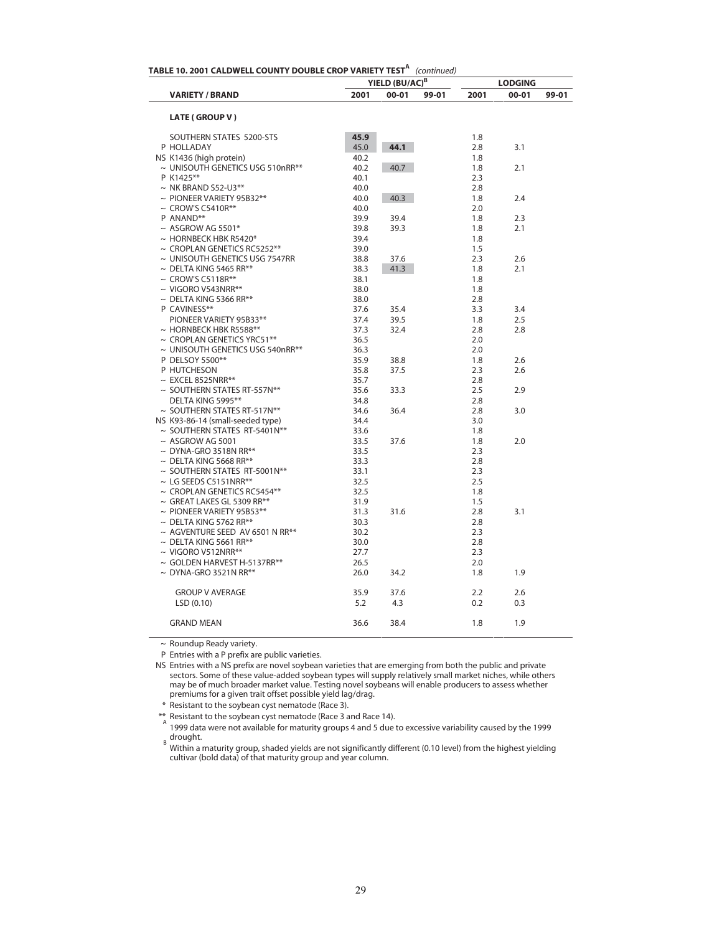|                                   |      | YIELD (BU/AC) <sup>B</sup> | TABLE 10. 2001 CALDWELL COUNTY DOUBLE CROP VARIETY TEST <sup>A</sup> (continued) |      | <b>LODGING</b> |       |
|-----------------------------------|------|----------------------------|----------------------------------------------------------------------------------|------|----------------|-------|
| <b>VARIETY / BRAND</b>            | 2001 | $00 - 01$                  | 99-01                                                                            | 2001 | 00-01          | 99-01 |
| <b>LATE (GROUP V)</b>             |      |                            |                                                                                  |      |                |       |
| SOUTHERN STATES 5200-STS          | 45.9 |                            |                                                                                  | 1.8  |                |       |
| P HOLLADAY                        | 45.0 | 44.1                       |                                                                                  | 2.8  | 3.1            |       |
| NS K1436 (high protein)           | 40.2 |                            |                                                                                  | 1.8  |                |       |
| ~ UNISOUTH GENETICS USG 510nRR**  | 40.2 | 40.7                       |                                                                                  | 1.8  | 2.1            |       |
| P K1425**                         | 40.1 |                            |                                                                                  | 2.3  |                |       |
| $\sim$ NK BRAND S52-U3**          | 40.0 |                            |                                                                                  | 2.8  |                |       |
| $\sim$ PIONEER VARIETY 95B32**    | 40.0 | 40.3                       |                                                                                  | 1.8  | 2.4            |       |
| $\sim$ CROW'S C5410R**            | 40.0 |                            |                                                                                  | 2.0  |                |       |
| P ANAND**                         | 39.9 | 39.4                       |                                                                                  | 1.8  | 2.3            |       |
| $\sim$ ASGROW AG 5501*            | 39.8 | 39.3                       |                                                                                  | 1.8  | 2.1            |       |
| $\sim$ HORNBECK HBK R5420*        | 39.4 |                            |                                                                                  | 1.8  |                |       |
| $\sim$ CROPLAN GENETICS RC5252**  | 39.0 |                            |                                                                                  | 1.5  |                |       |
| ~ UNISOUTH GENETICS USG 7547RR    | 38.8 | 37.6                       |                                                                                  | 2.3  | 2.6            |       |
| $\sim$ DELTA KING 5465 RR**       | 38.3 | 41.3                       |                                                                                  | 1.8  | 2.1            |       |
| $\sim$ CROW'S C5118R**            | 38.1 |                            |                                                                                  | 1.8  |                |       |
| $\sim$ VIGORO V543NRR**           | 38.0 |                            |                                                                                  | 1.8  |                |       |
| $\sim$ DELTA KING 5366 RR**       | 38.0 |                            |                                                                                  | 2.8  |                |       |
| P CAVINESS**                      | 37.6 | 35.4                       |                                                                                  | 3.3  | 3.4            |       |
|                                   |      |                            |                                                                                  |      |                |       |
| PIONEER VARIETY 95B33**           | 37.4 | 39.5                       |                                                                                  | 1.8  | 2.5            |       |
| $\sim$ HORNBECK HBK R5588**       | 37.3 | 32.4                       |                                                                                  | 2.8  | 2.8            |       |
| $\sim$ CROPLAN GENETICS YRC51**   | 36.5 |                            |                                                                                  | 2.0  |                |       |
| ~ UNISOUTH GENETICS USG 540nRR**  | 36.3 |                            |                                                                                  | 2.0  |                |       |
| P DELSOY 5500**                   | 35.9 | 38.8                       |                                                                                  | 1.8  | 2.6            |       |
| P HUTCHESON                       | 35.8 | 37.5                       |                                                                                  | 2.3  | 2.6            |       |
| $\sim$ EXCEL 8525NRR**            | 35.7 |                            |                                                                                  | 2.8  |                |       |
| $\sim$ SOUTHERN STATES RT-557N**  | 35.6 | 33.3                       |                                                                                  | 2.5  | 2.9            |       |
| DELTA KING 5995**                 | 34.8 |                            |                                                                                  | 2.8  |                |       |
| $\sim$ SOUTHERN STATES RT-517N**  | 34.6 | 36.4                       |                                                                                  | 2.8  | 3.0            |       |
| NS K93-86-14 (small-seeded type)  | 34.4 |                            |                                                                                  | 3.0  |                |       |
| ~ SOUTHERN STATES RT-5401N**      | 33.6 |                            |                                                                                  | 1.8  |                |       |
| $~\sim$ ASGROW AG 5001            | 33.5 | 37.6                       |                                                                                  | 1.8  | 2.0            |       |
| $\sim$ DYNA-GRO 3518N RR**        | 33.5 |                            |                                                                                  | 2.3  |                |       |
| $\sim$ DELTA KING 5668 RR**       | 33.3 |                            |                                                                                  | 2.8  |                |       |
| $\sim$ SOUTHERN STATES RT-5001N** | 33.1 |                            |                                                                                  | 2.3  |                |       |
| $\sim$ LG SEEDS C5151NRR**        | 32.5 |                            |                                                                                  | 2.5  |                |       |
| $\sim$ CROPLAN GENETICS RC5454**  | 32.5 |                            |                                                                                  | 1.8  |                |       |
| $\sim$ GREAT LAKES GL 5309 RR**   | 31.9 |                            |                                                                                  | 1.5  |                |       |
| $\sim$ PIONEER VARIETY 95B53**    | 31.3 | 31.6                       |                                                                                  | 2.8  | 3.1            |       |
| $\sim$ DELTA KING 5762 RR**       | 30.3 |                            |                                                                                  | 2.8  |                |       |
| ~ AGVENTURE SEED AV 6501 N RR**   | 30.2 |                            |                                                                                  | 2.3  |                |       |
| $\sim$ DELTA KING 5661 RR**       | 30.0 |                            |                                                                                  | 2.8  |                |       |
| $\sim$ VIGORO V512NRR**           |      |                            |                                                                                  | 2.3  |                |       |
|                                   | 27.7 |                            |                                                                                  |      |                |       |
| $\sim$ GOLDEN HARVEST H-5137RR**  | 26.5 |                            |                                                                                  | 2.0  |                |       |
| $\sim$ DYNA-GRO 3521N RR**        | 26.0 | 34.2                       |                                                                                  | 1.8  | 1.9            |       |
| <b>GROUP V AVERAGE</b>            | 35.9 | 37.6                       |                                                                                  | 2.2  | 2.6            |       |
| LSD (0.10)                        | 5.2  | 4.3                        |                                                                                  | 0.2  | 0.3            |       |
| <b>GRAND MEAN</b>                 | 36.6 | 38.4                       |                                                                                  | 1.8  | 1.9            |       |

~ Roundup Ready variety.

P Entries with a P prefix are public varieties.

NS Entries with a NS prefix are novel soybean varieties that are emerging from both the public and private sectors. Some of these value-added soybean types will supply relatively small market niches, while others may be of much broader market value. Testing novel soybeans will enable producers to assess whether premiums for a given trait offset possible yield lag/drag.

\* Resistant to the soybean cyst nematode (Race 3).

\*\* Resistant to the soybean cyst nematode (Race 3 and Race 14). A 1999 data were not available for maturity groups 4 and 5 due to excessive variability caused by the 1999 <sub>B</sub> drought.<br><sup>B</sup> Within a maturity group, shaded yields are not significantly different (0.10 level) from the highest yielding

cultivar (bold data) of that maturity group and year column.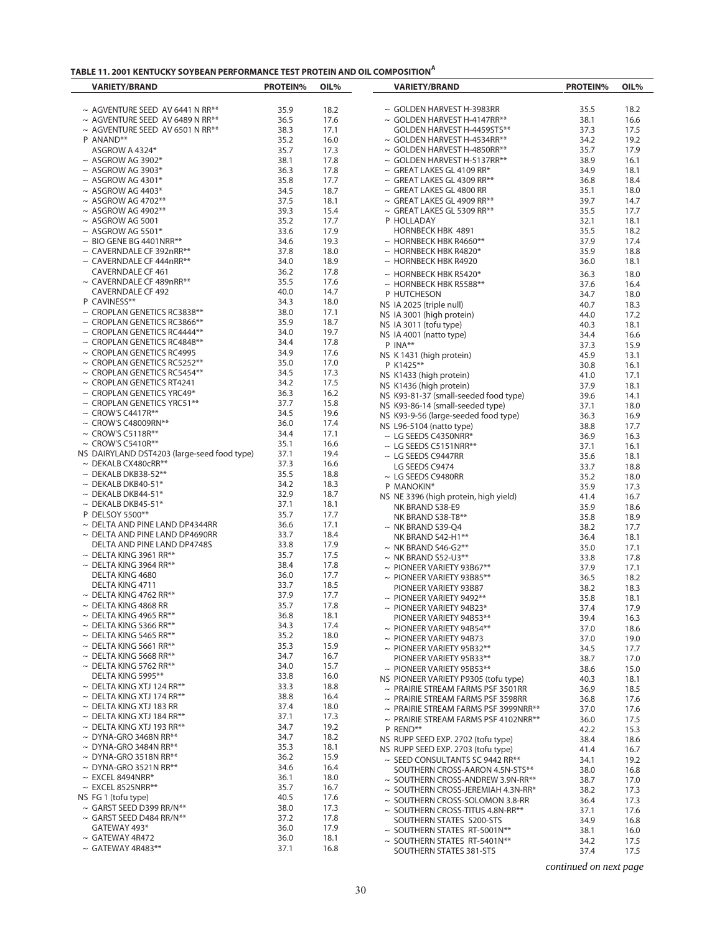| TABLE 11. 2001 KENTUCKY SOYBEAN PERFORMANCE TEST PROTEIN AND OIL COMPOSITION" |
|-------------------------------------------------------------------------------|
|-------------------------------------------------------------------------------|

| <b>VARIETY/BRAND</b>                                      | <b>PROTEIN%</b> | OIL%         |  | <b>VARIETY/BRAND</b>                          | <b>PROTEIN%</b> | OIL%         |
|-----------------------------------------------------------|-----------------|--------------|--|-----------------------------------------------|-----------------|--------------|
|                                                           |                 |              |  |                                               |                 |              |
| $\sim$ AGVENTURE SEED AV 6441 N RR**                      | 35.9            | 18.2         |  | $\sim$ GOLDEN HARVEST H-3983RR                | 35.5            | 18.2         |
| $\sim$ AGVENTURE SEED AV 6489 N RR**                      | 36.5            | 17.6         |  | $\sim$ GOLDEN HARVEST H-4147RR**              | 38.1            | 16.6         |
| $\sim$ AGVENTURE SEED AV 6501 N RR**                      | 38.3            | 17.1         |  | GOLDEN HARVEST H-4459STS**                    | 37.3            | 17.5         |
| P ANAND**                                                 | 35.2            | 16.0         |  | $\sim$ GOLDEN HARVEST H-4534RR**              | 34.2            | 19.2         |
| ASGROW A 4324*                                            | 35.7            | 17.3         |  | $\sim$ GOLDEN HARVEST H-4850RR**              | 35.7            | 17.9         |
| $~\sim$ ASGROW AG 3902*                                   | 38.1            | 17.8         |  | $\sim$ GOLDEN HARVEST H-5137RR**              | 38.9            | 16.1         |
| $~\sim$ ASGROW AG 3903*                                   | 36.3            | 17.8         |  | $\sim$ GREAT LAKES GL 4109 RR*                | 34.9            | 18.1         |
| $\sim$ ASGROW AG 4301*                                    | 35.8            | 17.7         |  | $\sim$ GREAT LAKES GL 4309 RR**               | 36.8            | 18.4         |
| $~\sim$ ASGROW AG 4403*                                   | 34.5            | 18.7         |  | $\sim$ GREAT LAKES GL 4800 RR                 | 35.1            | 18.0         |
| $~\sim$ ASGROW AG 4702**                                  | 37.5            | 18.1         |  | $\sim$ GREAT LAKES GL 4909 RR**               | 39.7            | 14.7         |
| $~\sim$ ASGROW AG 4902**                                  | 39.3            | 15.4         |  | $\sim$ GREAT LAKES GL 5309 RR**               | 35.5            | 17.7         |
| $~\sim$ ASGROW AG 5001                                    | 35.2            | 17.7         |  | P HOLLADAY                                    | 32.1            | 18.1         |
| $\sim$ ASGROW AG 5501*                                    | 33.6            | 17.9         |  | HORNBECK HBK 4891                             | 35.5            | 18.2         |
| $\sim$ BIO GENE BG 4401NRR**                              | 34.6            | 19.3         |  | $\sim$ HORNBECK HBK R4660**                   | 37.9            | 17.4         |
| $\sim$ CAVERNDALE CF 392nRR**                             | 37.8            | 18.0         |  | $\sim$ HORNBECK HBK R4820*                    | 35.9            | 18.8         |
| $\sim$ CAVERNDALE CF 444nRR**<br><b>CAVERNDALE CF 461</b> | 34.0<br>36.2    | 18.9<br>17.8 |  | $\sim$ HORNBECK HBK R4920                     | 36.0            | 18.1         |
| $\sim$ CAVERNDALE CF 489nRR**                             | 35.5            | 17.6         |  | $\sim$ HORNBECK HBK R5420*                    | 36.3            | 18.0         |
| <b>CAVERNDALE CF 492</b>                                  | 40.0            | 14.7         |  | $\sim$ HORNBECK HBK R5588**                   | 37.6            | 16.4         |
| P CAVINESS**                                              | 34.3            | 18.0         |  | P HUTCHESON                                   | 34.7            | 18.0         |
| $\sim$ CROPLAN GENETICS RC3838**                          | 38.0            | 17.1         |  | NS IA 2025 (triple null)                      | 40.7            | 18.3         |
| $\sim$ CROPLAN GENETICS RC3866**                          | 35.9            | 18.7         |  | NS IA 3001 (high protein)                     | 44.0            | 17.2         |
| $\sim$ CROPLAN GENETICS RC4444**                          | 34.0            | 19.7         |  | NS IA 3011 (tofu type)                        | 40.3            | 18.1         |
| $\sim$ CROPLAN GENETICS RC4848**                          | 34.4            | 17.8         |  | NS IA 4001 (natto type)                       | 34.4            | 16.6         |
| $\sim$ CROPLAN GENETICS RC4995                            | 34.9            | 17.6         |  | P INA**                                       | 37.3            | 15.9         |
| $\sim$ CROPLAN GENETICS RC5252**                          | 35.0            | 17.0         |  | NS K 1431 (high protein)                      | 45.9            | 13.1         |
| $\sim$ CROPLAN GENETICS RC5454**                          | 34.5            | 17.3         |  | P K1425**                                     | 30.8            | 16.1         |
| $\sim$ CROPLAN GENETICS RT4241                            | 34.2            | 17.5         |  | NS K1433 (high protein)                       | 41.0            | 17.1         |
| $\sim$ CROPLAN GENETICS YRC49*                            | 36.3            | 16.2         |  | NS K1436 (high protein)                       | 37.9            | 18.1         |
| $\sim$ CROPLAN GENETICS YRC51**                           | 37.7            | 15.8         |  | NS K93-81-37 (small-seeded food type)         | 39.6            | 14.1         |
| $\sim$ CROW'S C4417R**                                    | 34.5            | 19.6         |  | NS K93-86-14 (small-seeded type)              | 37.1            | 18.0         |
| $\sim$ CROW'S C48009RN**                                  | 36.0            | 17.4         |  | NS K93-9-56 (large-seeded food type)          | 36.3            | 16.9         |
| $\sim$ CROW'S C5118R**                                    | 34.4            | 17.1         |  | NS L96-5104 (natto type)                      | 38.8            | 17.7         |
| $\sim$ CROW'S C5410R**                                    | 35.1            | 16.6         |  | $\sim$ LG SEEDS C4350NRR*                     | 36.9            | 16.3         |
| NS DAIRYLAND DST4203 (large-seed food type)               | 37.1            | 19.4         |  | $\sim$ LG SEEDS C5151NRR**                    | 37.1            | 16.1         |
| $\sim$ DEKALB CX480cRR**                                  | 37.3            | 16.6         |  | $\sim$ LG SEEDS C9447RR                       | 35.6            | 18.1         |
| $\sim$ DEKALB DKB38-52**                                  | 35.5            | 18.8         |  | LG SEEDS C9474                                | 33.7            | 18.8         |
| $\sim$ DEKALB DKB40-51*                                   | 34.2            | 18.3         |  | $\sim$ LG SEEDS C9480RR                       | 35.2            | 18.0         |
| $\sim$ DEKALB DKB44-51*                                   | 32.9            | 18.7         |  | P MANOKIN*                                    | 35.9            | 17.3         |
| $\sim$ DEKALB DKB45-51*                                   | 37.1            | 18.1         |  | NS NE 3396 (high protein, high yield)         | 41.4<br>35.9    | 16.7<br>18.6 |
| P DELSOY 5500**                                           | 35.7            | 17.7         |  | NK BRAND S38-E9                               | 35.8            |              |
| $\sim$ DELTA AND PINE LAND DP4344RR                       | 36.6            | 17.1         |  | NK BRAND S38-T8**                             |                 | 18.9         |
| $\sim$ DELTA AND PINE LAND DP4690RR                       | 33.7            | 18.4         |  | $\sim$ NK BRAND S39-Q4                        | 38.2<br>36.4    | 17.7<br>18.1 |
| DELTA AND PINE LAND DP4748S                               | 33.8            | 17.9         |  | NK BRAND S42-H1**<br>$\sim$ NK BRAND S46-G2** | 35.0            | 17.1         |
| $\sim$ DELTA KING 3961 RR**                               | 35.7            | 17.5         |  | $\sim$ NK BRAND S52-U3**                      | 33.8            | 17.8         |
| $\sim$ DELTA KING 3964 RR**                               | 38.4            | 17.8         |  | $\sim$ PIONEER VARIETY 93B67**                | 37.9            | 17.1         |
| DELTA KING 4680                                           | 36.0            | 17.7         |  | $\sim$ PIONEER VARIETY 93B85**                | 36.5            | 18.2         |
| DELTA KING 4711                                           | 33.7            | 18.5         |  | PIONEER VARIETY 93B87                         | 38.2            | 18.3         |
| $\sim$ DELTA KING 4762 RR**                               | 37.9            | 17.7         |  | $\sim$ PIONEER VARIETY 9492**                 | 35.8            | 18.1         |
| $\sim$ DELTA KING 4868 RR                                 | 35.7            | 17.8         |  | $\sim$ PIONEER VARIETY 94B23*                 | 37.4            | 17.9         |
| $\sim$ DELTA KING 4965 RR**                               | 36.8            | 18.1         |  | PIONEER VARIETY 94B53**                       | 39.4            | 16.3         |
| $\sim$ DELTA KING 5366 RR**                               | 34.3            | 17.4         |  | $\sim$ PIONEER VARIETY 94B54**                | 37.0            | 18.6         |
| $\sim$ DELTA KING 5465 RR**                               | 35.2            | 18.0         |  | $\sim$ PIONEER VARIETY 94B73                  | 37.0            | 19.0         |
| $\sim$ DELTA KING 5661 RR**                               | 35.3            | 15.9         |  | $\sim$ PIONEER VARIETY 95B32**                | 34.5            | 17.7         |
| $\sim$ DELTA KING 5668 RR**                               | 34.7            | 16.7         |  | PIONEER VARIETY 95B33**                       | 38.7            | 17.0         |
| $\sim$ DELTA KING 5762 RR**                               | 34.0            | 15.7         |  | $\sim$ PIONEER VARIETY 95B53**                | 38.6            | 15.0         |
| DELTA KING 5995**                                         | 33.8            | 16.0         |  | NS PIONEER VARIETY P9305 (tofu type)          | 40.3            | 18.1         |
| $\sim$ DELTA KING XTJ 124 RR**                            | 33.3            | 18.8         |  | $\sim$ PRAIRIE STREAM FARMS PSF 3501RR        | 36.9            | 18.5         |
| $\sim$ DELTA KING XTJ 174 RR**                            | 38.8            | 16.4         |  | $\sim$ PRAIRIE STREAM FARMS PSF 3598RR        | 36.8            | 17.6         |
| $\sim$ DELTA KING XTJ 183 RR                              | 37.4            | 18.0         |  | $\sim$ PRAIRIE STREAM FARMS PSF 3999NRR**     | 37.0            | 17.6         |
| $\sim$ DELTA KING XTJ 184 RR**                            | 37.1            | 17.3         |  | $\sim$ PRAIRIE STREAM FARMS PSF 4102NRR**     | 36.0            | 17.5         |
| $\sim$ DELTA KING XTJ 193 RR**                            | 34.7            | 19.2         |  | P REND**                                      | 42.2            | 15.3         |
| $\sim$ DYNA-GRO 3468N RR**                                | 34.7            | 18.2         |  | NS RUPP SEED EXP. 2702 (tofu type)            | 38.4            | 18.6         |
| $\sim$ DYNA-GRO 3484N RR**                                | 35.3            | 18.1         |  | NS RUPP SEED EXP. 2703 (tofu type)            | 41.4            | 16.7         |
| $\sim$ DYNA-GRO 3518N RR**                                | 36.2            | 15.9         |  | $\sim$ SEED CONSULTANTS SC 9442 RR**          | 34.1            | 19.2         |
| $\sim$ DYNA-GRO 3521N RR**                                | 34.6            | 16.4         |  | SOUTHERN CROSS-AARON 4.5N-STS**               | 38.0            | 16.8         |
| $\sim$ EXCEL 8494NRR*                                     | 36.1            | 18.0         |  | $\sim$ SOUTHERN CROSS-ANDREW 3.9N-RR**        | 38.7            | 17.0         |
| $\sim$ EXCEL 8525NRR**                                    | 35.7            | 16.7         |  | $\sim$ SOUTHERN CROSS-JEREMIAH 4.3N-RR*       | 38.2            | 17.3         |
| NS FG 1 (tofu type)                                       | 40.5            | 17.6         |  | ~ SOUTHERN CROSS-SOLOMON 3.8-RR               | 36.4            | 17.3         |
| $\sim$ GARST SEED D399 RR/N**                             | 38.0            | 17.3         |  | ~ SOUTHERN CROSS-TITUS 4.8N-RR**              | 37.1            | 17.6         |
| $\sim$ GARST SEED D484 RR/N**                             | 37.2            | 17.8         |  | SOUTHERN STATES 5200-STS                      | 34.9            | 16.8         |
| GATEWAY 493*                                              | 36.0            | 17.9         |  | ~ SOUTHERN STATES RT-5001N**                  | 38.1            | 16.0         |
| $\sim$ GATEWAY 4R472                                      | 36.0            | 18.1         |  | $\sim$ SOUTHERN STATES RT-5401N**             | 34.2            | 17.5         |
| $\sim$ GATEWAY 4R483**                                    | 37.1            | 16.8         |  | SOUTHERN STATES 381-STS                       | 37.4            | 17.5         |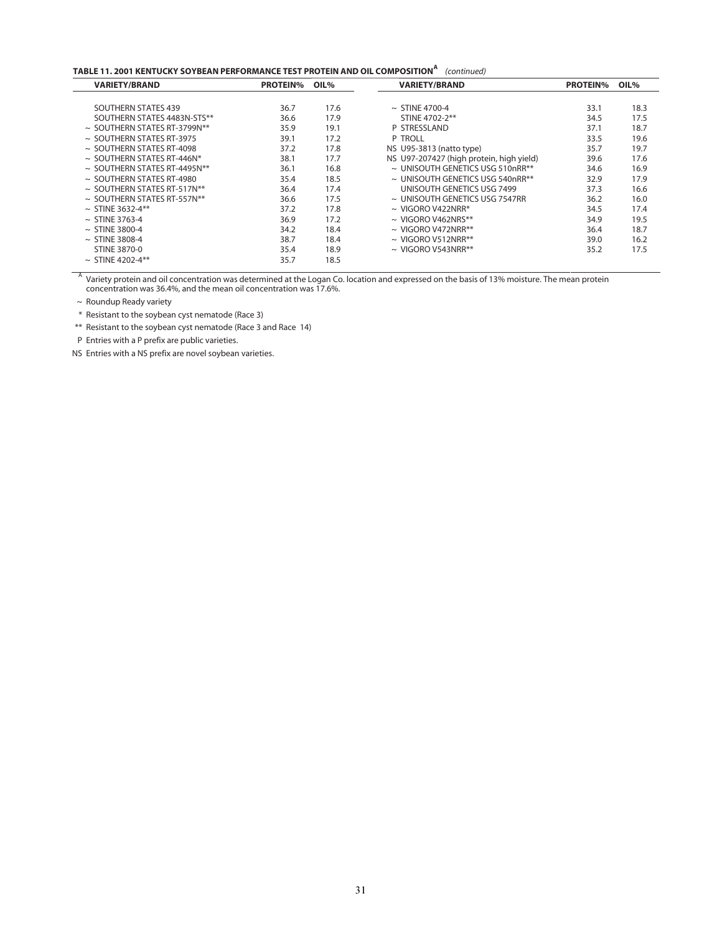# **TABLE 11. 2001 KENTUCKY SOYBEAN PERFORMANCE TEST PROTEIN AND OIL COMPOSITION** *(continued)* **<sup>A</sup>**

| <b>VARIETY/BRAND</b>              | <b>PROTEIN%</b> | OIL% | <b>VARIETY/BRAND</b>                     | <b>PROTEIN%</b> | OIL% |
|-----------------------------------|-----------------|------|------------------------------------------|-----------------|------|
|                                   |                 |      |                                          |                 |      |
| SOUTHERN STATES 439               | 36.7            | 17.6 | $\sim$ STINE 4700-4                      | 33.1            | 18.3 |
| SOUTHERN STATES 4483N-STS**       | 36.6            | 17.9 | STINE 4702-2**                           | 34.5            | 17.5 |
| $\sim$ SOUTHERN STATES RT-3799N** | 35.9            | 19.1 | P STRESSLAND                             | 37.1            | 18.7 |
| $\sim$ SOUTHERN STATES RT-3975    | 39.1            | 17.2 | P TROLL                                  | 33.5            | 19.6 |
| $\sim$ SOUTHERN STATES RT-4098    | 37.2            | 17.8 | NS U95-3813 (natto type)                 | 35.7            | 19.7 |
| $\sim$ SOUTHERN STATES RT-446N*   | 38.1            | 17.7 | NS U97-207427 (high protein, high yield) | 39.6            | 17.6 |
| $\sim$ SOUTHERN STATES RT-4495N** | 36.1            | 16.8 | $\sim$ UNISOUTH GENETICS USG 510nRR**    | 34.6            | 16.9 |
| $\sim$ SOUTHERN STATES RT-4980    | 35.4            | 18.5 | $\sim$ UNISOUTH GENETICS USG 540nRR**    | 32.9            | 17.9 |
| $\sim$ SOUTHERN STATES RT-517N**  | 36.4            | 17.4 | UNISOUTH GENETICS USG 7499               | 37.3            | 16.6 |
| $\sim$ SOUTHERN STATES RT-557N**  | 36.6            | 17.5 | $\sim$ UNISOUTH GENETICS USG 7547RR      | 36.2            | 16.0 |
| $\sim$ STINE 3632-4**             | 37.2            | 17.8 | $\sim$ VIGORO V422NRR*                   | 34.5            | 17.4 |
| $\sim$ STINE 3763-4               | 36.9            | 17.2 | $\sim$ VIGORO V462NRS**                  | 34.9            | 19.5 |
| $\sim$ STINE 3800-4               | 34.2            | 18.4 | $\sim$ VIGORO V472NRR**                  | 36.4            | 18.7 |
| $\sim$ STINE 3808-4               | 38.7            | 18.4 | $\sim$ VIGORO V512NRR**                  | 39.0            | 16.2 |
| STINE 3870-0                      | 35.4            | 18.9 | $\sim$ VIGORO V543NRR**                  | 35.2            | 17.5 |
| $\sim$ STINE 4202-4**             | 35.7            | 18.5 |                                          |                 |      |

 $^\mathsf{A}$  Variety protein and oil concentration was determined at the Logan Co. location and expressed on the basis of 13% moisture. The mean protein concentration was 36.4%, and the mean oil concentration was 17.6%.

~ Roundup Ready variety

\* Resistant to the soybean cyst nematode (Race 3)

\*\* Resistant to the soybean cyst nematode (Race 3 and Race 14)

P Entries with a P prefix are public varieties.

NS Entries with a NS prefix are novel soybean varieties.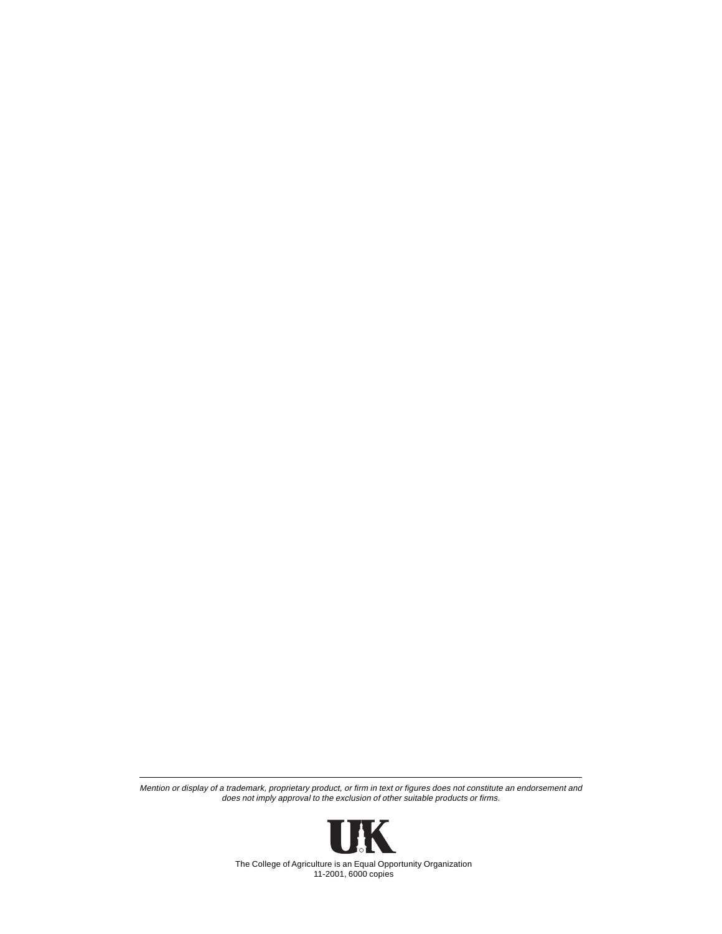Mention or display of a trademark, proprietary product, or firm in text or figures does not constitute an endorsement and does not imply approval to the exclusion of other suitable products or firms.



The College of Agriculture is an Equal Opportunity Organization 11-2001, 6000 copies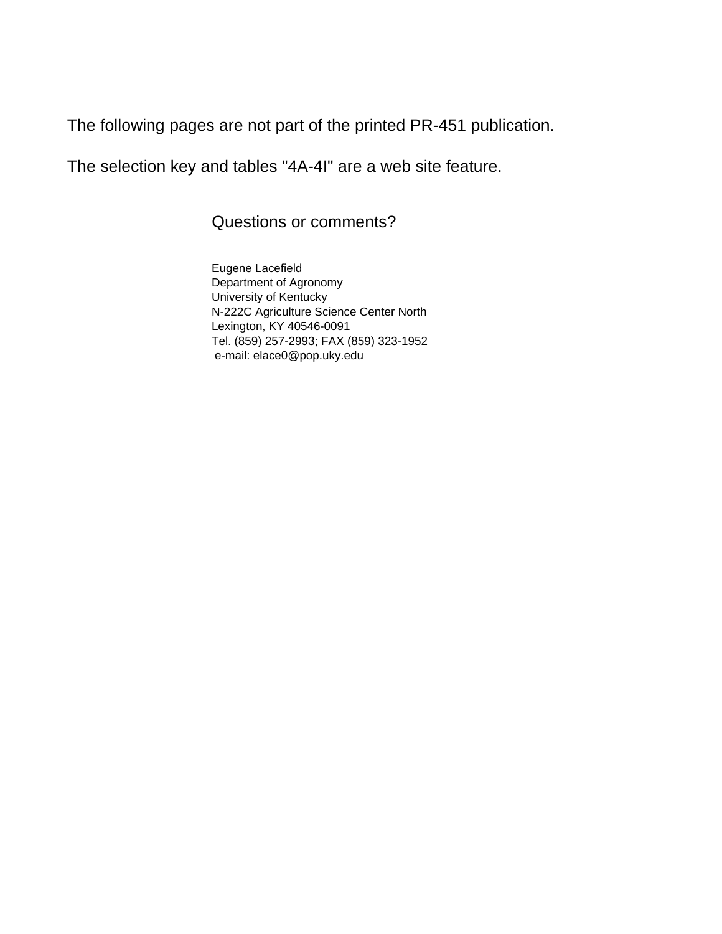The following pages are not part of the printed PR-451 publication.

The selection key and tables "4A-4I" are a web site feature.

Questions or comments?

Eugene Lacefield Department of Agronomy University of Kentucky N-222C Agriculture Science Center North Lexington, KY 40546-0091 Tel. (859) 257-2993; FAX (859) 323-1952 e-mail: elace0@pop.uky.edu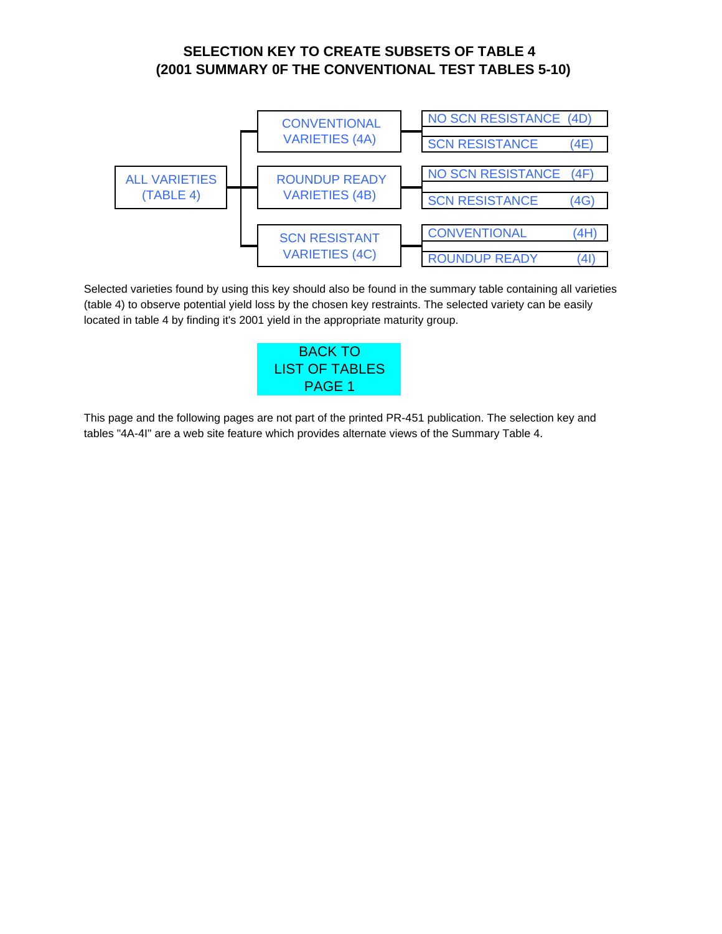# **(2001 SUMMARY 0F THE CONVENTIONAL TEST TABLES 5-10) SELECTION KEY TO CREATE SUBSETS OF TABLE 4**

<span id="page-33-1"></span><span id="page-33-0"></span>

Selected varieties found by using this key should also be found in the summary table containing all varieties (table 4) to observe potential yield loss by the chosen key restraints. The selected variety can be easily located in table 4 by finding it's 2001 yield in the appropriate maturity group.



This page and the following pages are not part of the printed PR-451 publication. The selection key and tables "4A-4I" are a web site feature which provides alternate views of the Summary Table 4.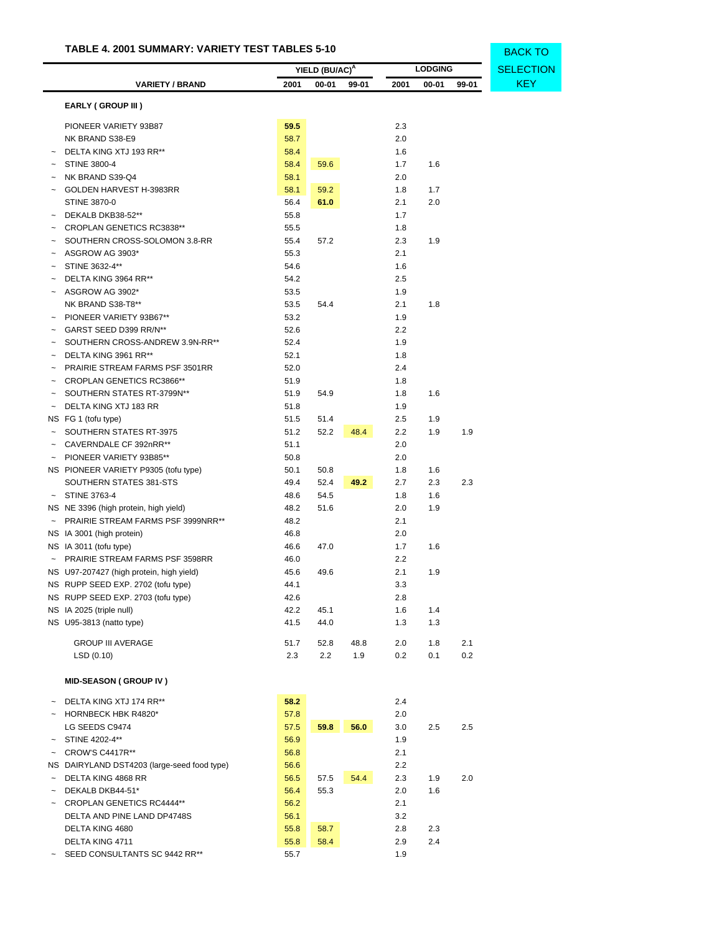<span id="page-34-0"></span>

|                           |                                                   |              | YIELD (BU/AC) <sup>A</sup> |       | <b>LODGING</b> |           | <b>SELECTION</b> |            |
|---------------------------|---------------------------------------------------|--------------|----------------------------|-------|----------------|-----------|------------------|------------|
|                           | <b>VARIETY / BRAND</b>                            | 2001         | $00 - 01$                  | 99-01 | 2001           | $00 - 01$ | 99-01            | <b>KEY</b> |
|                           | <b>EARLY (GROUP III)</b>                          |              |                            |       |                |           |                  |            |
|                           | PIONEER VARIETY 93B87                             | 59.5         |                            |       | 2.3            |           |                  |            |
|                           | NK BRAND S38-E9                                   | 58.7         |                            |       | 2.0            |           |                  |            |
|                           | DELTA KING XTJ 193 RR**                           | 58.4         |                            |       | 1.6            |           |                  |            |
|                           | STINE 3800-4                                      | 58.4         | 59.6                       |       | 1.7            | 1.6       |                  |            |
|                           | NK BRAND S39-Q4                                   | 58.1         |                            |       | 2.0            |           |                  |            |
|                           | GOLDEN HARVEST H-3983RR                           | 58.1         | 59.2                       |       | 1.8            | 1.7       |                  |            |
|                           | <b>STINE 3870-0</b>                               | 56.4         | 61.0                       |       | 2.1            | 2.0       |                  |            |
|                           | DEKALB DKB38-52**                                 | 55.8         |                            |       | 1.7            |           |                  |            |
|                           | CROPLAN GENETICS RC3838**                         | 55.5         |                            |       | 1.8            |           |                  |            |
|                           | SOUTHERN CROSS-SOLOMON 3.8-RR                     | 55.4         | 57.2                       |       | 2.3            | 1.9       |                  |            |
|                           | ASGROW AG 3903*                                   | 55.3         |                            |       | 2.1            |           |                  |            |
|                           | STINE 3632-4**                                    | 54.6         |                            |       | 1.6            |           |                  |            |
|                           | DELTA KING 3964 RR**                              | 54.2         |                            |       | 2.5            |           |                  |            |
|                           | ASGROW AG 3902*                                   | 53.5         |                            |       | 1.9            |           |                  |            |
|                           | NK BRAND S38-T8**                                 | 53.5         | 54.4                       |       | 2.1            | 1.8       |                  |            |
|                           | PIONEER VARIETY 93B67**                           | 53.2         |                            |       | 1.9            |           |                  |            |
|                           | GARST SEED D399 RR/N**                            | 52.6         |                            |       | 2.2            |           |                  |            |
|                           | SOUTHERN CROSS-ANDREW 3.9N-RR**                   | 52.4         |                            |       | 1.9            |           |                  |            |
|                           | DELTA KING 3961 RR**                              | 52.1         |                            |       | 1.8            |           |                  |            |
|                           | PRAIRIE STREAM FARMS PSF 3501RR                   | 52.0         |                            |       | 2.4            |           |                  |            |
|                           | CROPLAN GENETICS RC3866**                         | 51.9         |                            |       | 1.8            |           |                  |            |
|                           | SOUTHERN STATES RT-3799N**                        | 51.9         | 54.9                       |       | 1.8            | 1.6       |                  |            |
| $\tilde{\phantom{a}}$     | DELTA KING XTJ 183 RR                             | 51.8         |                            |       | 1.9            |           |                  |            |
|                           | NS FG 1 (tofu type)                               | 51.5         | 51.4                       |       | 2.5            | 1.9       |                  |            |
|                           | SOUTHERN STATES RT-3975                           | 51.2         | 52.2                       | 48.4  | 2.2            | 1.9       | 1.9              |            |
|                           | CAVERNDALE CF 392nRR**<br>PIONEER VARIETY 93B85** | 51.1<br>50.8 |                            |       | 2.0<br>2.0     |           |                  |            |
|                           | NS PIONEER VARIETY P9305 (tofu type)              | 50.1         | 50.8                       |       | 1.8            | 1.6       |                  |            |
|                           | SOUTHERN STATES 381-STS                           | 49.4         | 52.4                       | 49.2  | 2.7            | 2.3       | 2.3              |            |
|                           | <b>STINE 3763-4</b>                               | 48.6         | 54.5                       |       | 1.8            | 1.6       |                  |            |
|                           | NS NE 3396 (high protein, high yield)             | 48.2         | 51.6                       |       | 2.0            | 1.9       |                  |            |
| $\widetilde{\phantom{m}}$ | PRAIRIE STREAM FARMS PSF 3999NRR**                | 48.2         |                            |       | 2.1            |           |                  |            |
|                           | NS IA 3001 (high protein)                         | 46.8         |                            |       | 2.0            |           |                  |            |
|                           | NS IA 3011 (tofu type)                            | 46.6         | 47.0                       |       | 1.7            | 1.6       |                  |            |
|                           | PRAIRIE STREAM FARMS PSF 3598RR                   | 46.0         |                            |       | 2.2            |           |                  |            |
|                           | NS U97-207427 (high protein, high yield)          | 45.6         | 49.6                       |       | 2.1            | 1.9       |                  |            |
|                           | NS RUPP SEED EXP. 2702 (tofu type)                | 44.1         |                            |       | 3.3            |           |                  |            |
|                           | NS RUPP SEED EXP. 2703 (tofu type)                | 42.6         |                            |       | 2.8            |           |                  |            |
|                           | NS IA 2025 (triple null)                          | 42.2         | 45.1                       |       | 1.6            | 1.4       |                  |            |
|                           | NS U95-3813 (natto type)                          | 41.5         | 44.0                       |       | 1.3            | 1.3       |                  |            |
|                           | <b>GROUP III AVERAGE</b>                          | 51.7         | 52.8                       | 48.8  | 2.0            | 1.8       | 2.1              |            |
|                           | LSD (0.10)                                        | 2.3          | 2.2                        | 1.9   | 0.2            | 0.1       | 0.2              |            |
|                           |                                                   |              |                            |       |                |           |                  |            |

BACK TO

# **MID-SEASON ( GROUP IV )**

| DELTA KING XTJ 174 RR**                     | 58.2 |      |      | 2.4 |     |     |
|---------------------------------------------|------|------|------|-----|-----|-----|
| HORNBECK HBK R4820*                         | 57.8 |      |      | 2.0 |     |     |
| LG SEEDS C9474                              | 57.5 | 59.8 | 56.0 | 3.0 | 2.5 | 2.5 |
| STINE 4202-4**                              | 56.9 |      |      | 1.9 |     |     |
| CROW'S C4417R**                             | 56.8 |      |      | 2.1 |     |     |
| NS DAIRYLAND DST4203 (large-seed food type) | 56.6 |      |      | 2.2 |     |     |
| DELTA KING 4868 RR                          | 56.5 | 57.5 | 54.4 | 2.3 | 1.9 | 2.0 |
| DEKALB DKB44-51*                            | 56.4 | 55.3 |      | 2.0 | 1.6 |     |
| CROPLAN GENETICS RC4444**                   | 56.2 |      |      | 2.1 |     |     |
| DELTA AND PINE LAND DP4748S                 | 56.1 |      |      | 3.2 |     |     |
| DELTA KING 4680                             | 55.8 | 58.7 |      | 2.8 | 2.3 |     |
| DELTA KING 4711                             | 55.8 | 58.4 |      | 2.9 | 2.4 |     |
| SEED CONSULTANTS SC 9442 RR**               | 55.7 |      |      | 1.9 |     |     |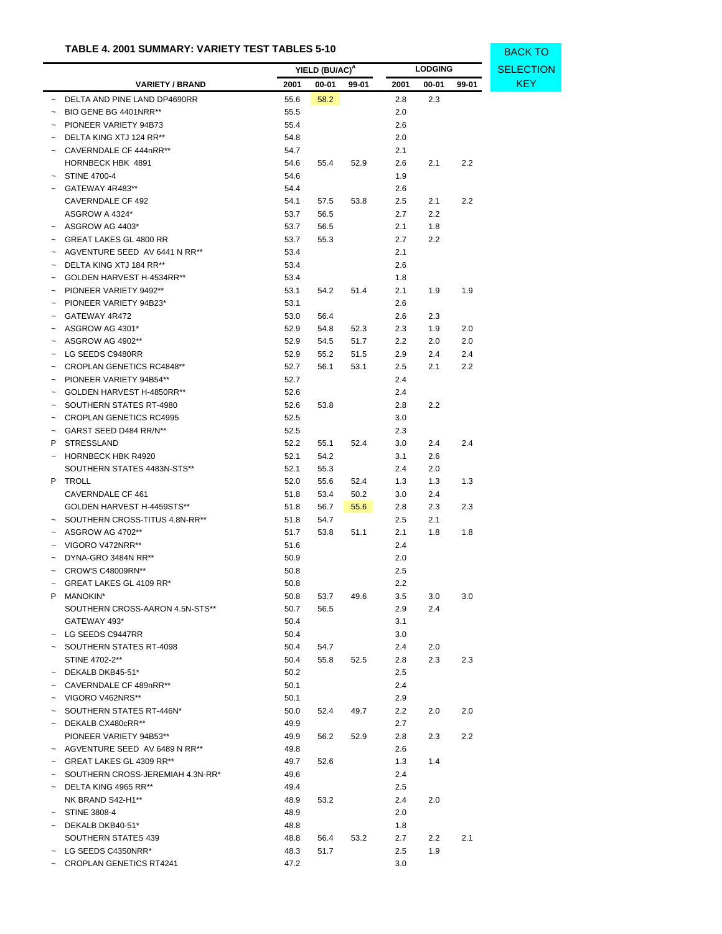|        |                                    |              | YIELD (BU/AC) <sup>A</sup> |       |                | <b>LODGING</b> |       | <b>SELECT</b> |
|--------|------------------------------------|--------------|----------------------------|-------|----------------|----------------|-------|---------------|
|        | <b>VARIETY / BRAND</b>             | 2001         | 00-01                      | 99-01 | 2001           | $00 - 01$      | 99-01 | KEY           |
|        | DELTA AND PINE LAND DP4690RR       | 55.6         | 58.2                       |       | 2.8            | 2.3            |       |               |
|        | BIO GENE BG 4401NRR**              | 55.5         |                            |       | 2.0            |                |       |               |
|        | PIONEER VARIETY 94B73              | 55.4         |                            |       | 2.6            |                |       |               |
|        | $\sim$ DELTA KING XTJ 124 RR**     | 54.8         |                            |       | 2.0            |                |       |               |
|        | ~ CAVERNDALE CF 444nRR**           | 54.7         |                            |       | 2.1            |                |       |               |
|        | HORNBECK HBK 4891                  | 54.6         | 55.4                       | 52.9  | 2.6            | 2.1            | 2.2   |               |
|        | $\sim$ STINE 4700-4                | 54.6         |                            |       | 1.9            |                |       |               |
|        | GATEWAY 4R483**                    | 54.4         |                            |       | 2.6            |                |       |               |
|        | CAVERNDALE CF 492                  | 54.1         | 57.5                       | 53.8  | 2.5            | 2.1            | 2.2   |               |
|        | ASGROW A 4324*                     | 53.7         | 56.5                       |       | 2.7            | $2.2\,$        |       |               |
|        | $~\sim~$ ASGROW AG 4403*           | 53.7         | 56.5                       |       | 2.1            | 1.8            |       |               |
|        | ~ GREAT LAKES GL 4800 RR           | 53.7         | 55.3                       |       | 2.7            | 2.2            |       |               |
|        | ~ AGVENTURE SEED AV 6441 N RR**    | 53.4         |                            |       | 2.1            |                |       |               |
|        | $\sim$ DELTA KING XTJ 184 RR**     | 53.4         |                            |       | 2.6            |                |       |               |
|        | ~ GOLDEN HARVEST H-4534RR**        | 53.4         |                            |       | 1.8            |                |       |               |
|        | $\sim$ PIONEER VARIETY 9492**      | 53.1         | 54.2                       | 51.4  | 2.1            | 1.9            | 1.9   |               |
|        | $\sim$ PIONEER VARIETY 94B23*      | 53.1         |                            |       | 2.6            |                |       |               |
|        | GATEWAY 4R472                      | 53.0         | 56.4                       |       | 2.6            | 2.3            |       |               |
|        | $\sim$ ASGROW AG 4301*             | 52.9         | 54.8                       | 52.3  | 2.3            | 1.9            | 2.0   |               |
|        | $~\sim~$ ASGROW AG 4902**          | 52.9         | 54.5                       | 51.7  | 2.2            | 2.0            | 2.0   |               |
|        | ~ LG SEEDS C9480RR                 | 52.9         | 55.2                       | 51.5  | 2.9            | 2.4            | 2.4   |               |
|        | $\sim$ CROPLAN GENETICS RC4848**   | 52.7         | 56.1                       | 53.1  | 2.5            | 2.1            | 2.2   |               |
|        | PIONEER VARIETY 94B54**            | 52.7         |                            |       | 2.4            |                |       |               |
|        | ~ GOLDEN HARVEST H-4850RR**        | 52.6         |                            |       | 2.4            |                |       |               |
|        | - SOUTHERN STATES RT-4980          | 52.6         | 53.8                       |       | 2.8            | 2.2            |       |               |
|        | ~ CROPLAN GENETICS RC4995          | 52.5         |                            |       | 3.0            |                |       |               |
|        | GARST SEED D484 RR/N**             | 52.5         |                            |       | 2.3            |                |       |               |
| P.     | <b>STRESSLAND</b>                  | 52.2         | 55.1                       | 52.4  | 3.0            | 2.4            | 2.4   |               |
|        | ~ HORNBECK HBK R4920               | 52.1         | 54.2                       |       | 3.1            | 2.6            |       |               |
|        | SOUTHERN STATES 4483N-STS**        | 52.1         | 55.3                       |       | 2.4            | 2.0            |       |               |
|        | P TROLL                            | 52.0         | 55.6                       | 52.4  | 1.3            | 1.3            | 1.3   |               |
|        | CAVERNDALE CF 461                  | 51.8         | 53.4                       | 50.2  | 3.0            | 2.4            |       |               |
|        | GOLDEN HARVEST H-4459STS**         | 51.8         | 56.7                       | 55.6  | 2.8            | 2.3            | 2.3   |               |
|        | ~ SOUTHERN CROSS-TITUS 4.8N-RR**   | 51.8         | 54.7                       |       | 2.5            | 2.1            |       |               |
|        | $~\sim~$ ASGROW AG 4702**          | 51.7         | 53.8                       | 51.1  | 2.1            | 1.8            | 1.8   |               |
|        | $\sim$ VIGORO V472NRR**            | 51.6         |                            |       | 2.4            |                |       |               |
|        | $\sim$ DYNA-GRO 3484N RR**         | 50.9         |                            |       | 2.0            |                |       |               |
|        | CROW'S C48009RN**                  | 50.8         |                            |       | 2.5            |                |       |               |
|        | GREAT LAKES GL 4109 RR*            | 50.8         |                            |       | 2.2            |                |       |               |
|        | P MANOKIN*                         | 50.8         | 53.7                       | 49.6  | 3.5            | 3.0            | 3.0   |               |
|        | SOUTHERN CROSS-AARON 4.5N-STS**    | 50.7         | 56.5                       |       | 2.9            | 2.4            |       |               |
|        | GATEWAY 493*                       | 50.4         |                            |       | 3.1            |                |       |               |
|        | $\sim$ LG SEEDS C9447RR            | 50.4         |                            |       | 3.0            |                |       |               |
|        | - SOUTHERN STATES RT-4098          | 50.4         | 54.7                       |       | 2.4            | 2.0            |       |               |
|        | STINE 4702-2**                     | 50.4         | 55.8                       | 52.5  | 2.8            | 2.3            | 2.3   |               |
|        | $\sim$ DEKALB DKB45-51*            | 50.2         |                            |       | 2.5            |                |       |               |
|        | CAVERNDALE CF 489nRR**             | 50.1         |                            |       | 2.4            |                |       |               |
|        | ~ VIGORO V462NRS**                 | 50.1         |                            |       | 2.9            |                |       |               |
|        | SOUTHERN STATES RT-446N*           | 50.0         | 52.4                       | 49.7  | 2.2            | 2.0            | 2.0   |               |
|        | $\sim$ DEKALB CX480cRR**           | 49.9         |                            |       | 2.7            |                |       |               |
|        | PIONEER VARIETY 94B53**            | 49.9         | 56.2                       | 52.9  | 2.8            | 2.3            | 2.2   |               |
|        | ~ AGVENTURE SEED AV 6489 N RR**    | 49.8         |                            |       | 2.6            |                |       |               |
| $\sim$ | GREAT LAKES GL 4309 RR**           | 49.7         | 52.6                       |       | 1.3            | 1.4            |       |               |
|        | ~ SOUTHERN CROSS-JEREMIAH 4.3N-RR* | 49.6         |                            |       | 2.4            |                |       |               |
|        | $\sim$ DELTA KING 4965 RR**        | 49.4         |                            |       | 2.5            |                |       |               |
|        | NK BRAND S42-H1**                  | 48.9         | 53.2                       |       | 2.4            | 2.0            |       |               |
|        | ~ STINE 3808-4                     | 48.9         |                            |       | 2.0            |                |       |               |
| $\sim$ | DEKALB DKB40-51*                   | 48.8         |                            |       | 1.8            |                |       |               |
|        | SOUTHERN STATES 439                | 48.8         |                            |       | 2.7            | 2.2            | 2.1   |               |
|        | $\sim$ LG SEEDS C4350NRR*          |              | 56.4                       | 53.2  |                | 1.9            |       |               |
|        | <b>CROPLAN GENETICS RT4241</b>     | 48.3<br>47.2 | 51.7                       |       | $2.5\,$<br>3.0 |                |       |               |
|        |                                    |              |                            |       |                |                |       |               |

**ECTION** BACK TO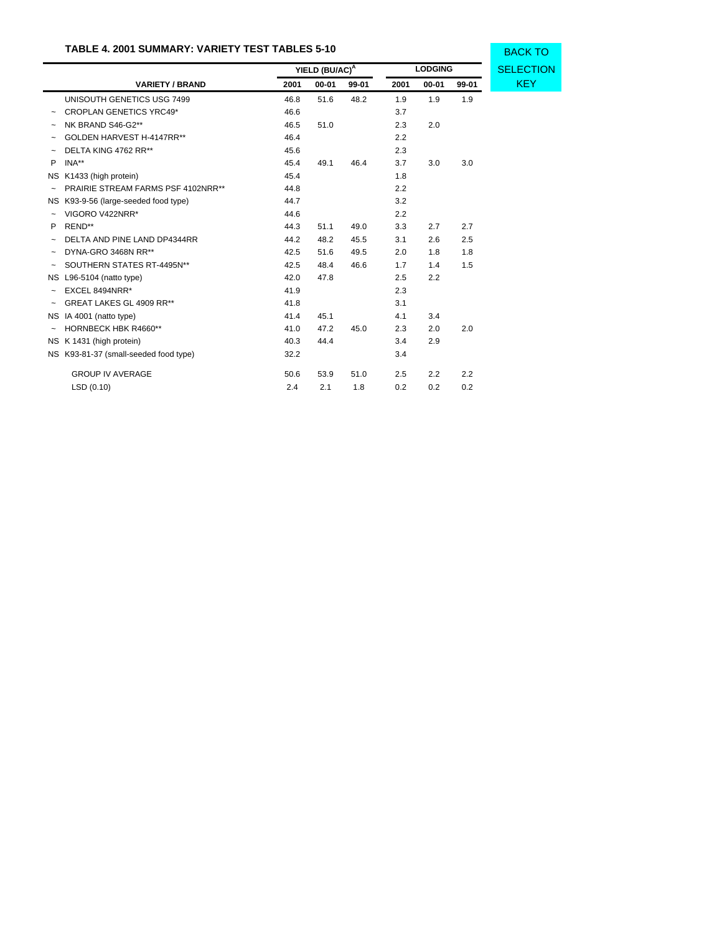|                           |                                       | YIELD (BU/AC) <sup>A</sup> |           |       | <b>LODGING</b> | <b>SELECTION</b> |       |            |
|---------------------------|---------------------------------------|----------------------------|-----------|-------|----------------|------------------|-------|------------|
|                           | <b>VARIETY / BRAND</b>                | 2001                       | $00 - 01$ | 99-01 | 2001           | $00 - 01$        | 99-01 | <b>KEY</b> |
|                           | UNISOUTH GENETICS USG 7499            | 46.8                       | 51.6      | 48.2  | 1.9            | 1.9              | 1.9   |            |
|                           | <b>CROPLAN GENETICS YRC49*</b>        | 46.6                       |           |       | 3.7            |                  |       |            |
| $\tilde{\phantom{a}}$     | NK BRAND S46-G2**                     | 46.5                       | 51.0      |       | 2.3            | 2.0              |       |            |
| $\tilde{\phantom{a}}$     | GOLDEN HARVEST H-4147RR**             | 46.4                       |           |       | 2.2            |                  |       |            |
|                           | DELTA KING 4762 RR**                  | 45.6                       |           |       | 2.3            |                  |       |            |
| P                         | INA**                                 | 45.4                       | 49.1      | 46.4  | 3.7            | 3.0              | 3.0   |            |
| NS.                       | K1433 (high protein)                  | 45.4                       |           |       | 1.8            |                  |       |            |
| $\tilde{}$                | PRAIRIE STREAM FARMS PSF 4102NRR**    | 44.8                       |           |       | 2.2            |                  |       |            |
| NS.                       | K93-9-56 (large-seeded food type)     | 44.7                       |           |       | 3.2            |                  |       |            |
| $\tilde{\phantom{a}}$     | VIGORO V422NRR*                       | 44.6                       |           |       | 2.2            |                  |       |            |
| P                         | REND**                                | 44.3                       | 51.1      | 49.0  | 3.3            | 2.7              | 2.7   |            |
|                           | DELTA AND PINE LAND DP4344RR          | 44.2                       | 48.2      | 45.5  | 3.1            | 2.6              | 2.5   |            |
| $\tilde{\phantom{a}}$     | DYNA-GRO 3468N RR**                   | 42.5                       | 51.6      | 49.5  | 2.0            | 1.8              | 1.8   |            |
| $\tilde{\phantom{a}}$     | SOUTHERN STATES RT-4495N**            | 42.5                       | 48.4      | 46.6  | 1.7            | 1.4              | 1.5   |            |
|                           | NS L96-5104 (natto type)              | 42.0                       | 47.8      |       | 2.5            | 2.2              |       |            |
|                           | EXCEL 8494NRR*                        | 41.9                       |           |       | 2.3            |                  |       |            |
| $\widetilde{\phantom{m}}$ | GREAT LAKES GL 4909 RR**              | 41.8                       |           |       | 3.1            |                  |       |            |
|                           | NS IA 4001 (natto type)               | 41.4                       | 45.1      |       | 4.1            | 3.4              |       |            |
| $\tilde{}$                | HORNBECK HBK R4660**                  | 41.0                       | 47.2      | 45.0  | 2.3            | 2.0              | 2.0   |            |
|                           | NS K 1431 (high protein)              | 40.3                       | 44.4      |       | 3.4            | 2.9              |       |            |
|                           | NS K93-81-37 (small-seeded food type) | 32.2                       |           |       | 3.4            |                  |       |            |
|                           | <b>GROUP IV AVERAGE</b>               | 50.6                       | 53.9      | 51.0  | 2.5            | 2.2              | 2.2   |            |
|                           | LSD(0.10)                             | 2.4                        | 2.1       | 1.8   | 0.2            | 0.2              | 0.2   |            |

BACK TO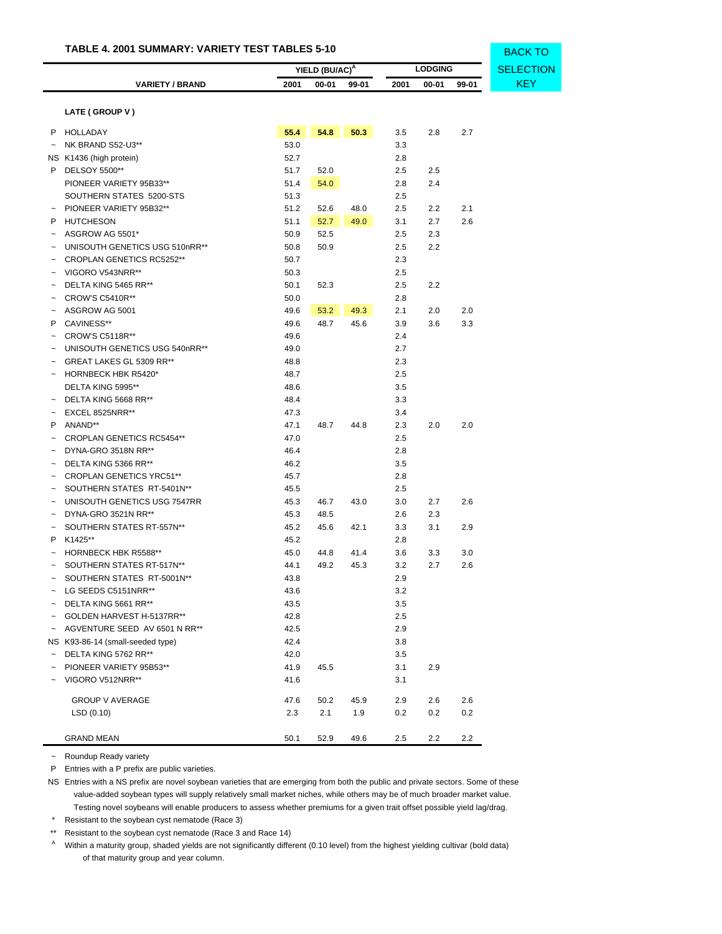|                           |                                  |      | YIELD (BU/AC) <sup>A</sup> |       |      | <b>LODGING</b> | <b>SELECTION</b> |            |
|---------------------------|----------------------------------|------|----------------------------|-------|------|----------------|------------------|------------|
|                           | <b>VARIETY / BRAND</b>           | 2001 | 00-01                      | 99-01 | 2001 | 00-01          | 99-01            | <b>KEY</b> |
|                           |                                  |      |                            |       |      |                |                  |            |
|                           | LATE (GROUP V)                   |      |                            |       |      |                |                  |            |
|                           | P HOLLADAY                       | 55.4 | 54.8                       | 50.3  | 3.5  | 2.8            | 2.7              |            |
| $\tilde{\phantom{a}}$     | NK BRAND S52-U3**                | 53.0 |                            |       | 3.3  |                |                  |            |
|                           | NS K1436 (high protein)          | 52.7 |                            |       | 2.8  |                |                  |            |
| P                         | DELSOY 5500**                    | 51.7 | 52.0                       |       | 2.5  | 2.5            |                  |            |
|                           | PIONEER VARIETY 95B33**          | 51.4 | 54.0                       |       | 2.8  | 2.4            |                  |            |
|                           | SOUTHERN STATES 5200-STS         | 51.3 |                            |       | 2.5  |                |                  |            |
|                           | PIONEER VARIETY 95B32**          | 51.2 | 52.6                       | 48.0  | 2.5  | 2.2            | 2.1              |            |
| P                         | <b>HUTCHESON</b>                 | 51.1 | 52.7                       | 49.0  | 3.1  | 2.7            | 2.6              |            |
| $\tilde{}$                | ASGROW AG 5501*                  | 50.9 | 52.5                       |       | 2.5  | 2.3            |                  |            |
|                           | UNISOUTH GENETICS USG 510nRR**   | 50.8 | 50.9                       |       | 2.5  | 2.2            |                  |            |
|                           | CROPLAN GENETICS RC5252**        | 50.7 |                            |       | 2.3  |                |                  |            |
|                           | VIGORO V543NRR**                 | 50.3 |                            |       | 2.5  |                |                  |            |
|                           | DELTA KING 5465 RR**             | 50.1 | 52.3                       |       | 2.5  | 2.2            |                  |            |
|                           | <b>CROW'S C5410R**</b>           | 50.0 |                            |       | 2.8  |                |                  |            |
|                           | ASGROW AG 5001                   | 49.6 | 53.2                       | 49.3  | 2.1  | 2.0            | 2.0              |            |
| P                         | CAVINESS**                       | 49.6 | 48.7                       | 45.6  | 3.9  | 3.6            | 3.3              |            |
|                           | <b>CROW'S C5118R**</b>           | 49.6 |                            |       | 2.4  |                |                  |            |
|                           | UNISOUTH GENETICS USG 540nRR**   | 49.0 |                            |       | 2.7  |                |                  |            |
|                           | GREAT LAKES GL 5309 RR**         | 48.8 |                            |       | 2.3  |                |                  |            |
|                           | <b>HORNBECK HBK R5420*</b>       | 48.7 |                            |       | 2.5  |                |                  |            |
|                           | DELTA KING 5995**                | 48.6 |                            |       | 3.5  |                |                  |            |
|                           | DELTA KING 5668 RR**             | 48.4 |                            |       | 3.3  |                |                  |            |
|                           | EXCEL 8525NRR**                  | 47.3 |                            |       | 3.4  |                |                  |            |
| P                         | ANAND**                          | 47.1 | 48.7                       | 44.8  | 2.3  | 2.0            | 2.0              |            |
|                           | CROPLAN GENETICS RC5454**        | 47.0 |                            |       | 2.5  |                |                  |            |
|                           | DYNA-GRO 3518N RR**              | 46.4 |                            |       | 2.8  |                |                  |            |
|                           | DELTA KING 5366 RR**             | 46.2 |                            |       | 3.5  |                |                  |            |
|                           | <b>CROPLAN GENETICS YRC51**</b>  | 45.7 |                            |       | 2.8  |                |                  |            |
|                           | SOUTHERN STATES RT-5401N**       | 45.5 |                            |       | 2.5  |                |                  |            |
|                           | UNISOUTH GENETICS USG 7547RR     | 45.3 | 46.7                       | 43.0  | 3.0  | 2.7            | 2.6              |            |
|                           | DYNA-GRO 3521N RR**              | 45.3 | 48.5                       |       | 2.6  | 2.3            |                  |            |
| $\tilde{}$                | SOUTHERN STATES RT-557N**        | 45.2 | 45.6                       | 42.1  | 3.3  | 3.1            | 2.9              |            |
| P                         | K1425**                          | 45.2 |                            |       | 2.8  |                |                  |            |
| $\tilde{\phantom{a}}$     | <b>HORNBECK HBK R5588**</b>      | 45.0 | 44.8                       | 41.4  | 3.6  | 3.3            | 3.0              |            |
|                           | SOUTHERN STATES RT-517N**        | 44.1 | 49.2                       | 45.3  | 3.2  | 2.7            | 2.6              |            |
|                           | SOUTHERN STATES RT-5001N**       | 43.8 |                            |       | 2.9  |                |                  |            |
|                           | LG SEEDS C5151NRR**              | 43.6 |                            |       | 3.2  |                |                  |            |
|                           | DELTA KING 5661 RR**             | 43.5 |                            |       | 3.5  |                |                  |            |
|                           | GOLDEN HARVEST H-5137RR**        | 42.8 |                            |       | 2.5  |                |                  |            |
| $\widetilde{\phantom{m}}$ | AGVENTURE SEED AV 6501 N RR**    | 42.5 |                            |       | 2.9  |                |                  |            |
|                           | NS K93-86-14 (small-seeded type) | 42.4 |                            |       | 3.8  |                |                  |            |
|                           | DELTA KING 5762 RR**             | 42.0 |                            |       | 3.5  |                |                  |            |
|                           | PIONEER VARIETY 95B53**          | 41.9 | 45.5                       |       | 3.1  | 2.9            |                  |            |
|                           | VIGORO V512NRR**                 | 41.6 |                            |       | 3.1  |                |                  |            |
|                           | <b>GROUP V AVERAGE</b>           | 47.6 | 50.2                       | 45.9  | 2.9  | 2.6            | 2.6              |            |
|                           | LSD(0.10)                        | 2.3  | 2.1                        | 1.9   | 0.2  | 0.2            | 0.2              |            |
|                           |                                  |      |                            |       |      |                |                  |            |
|                           | <b>GRAND MEAN</b>                | 50.1 | 52.9                       | 49.6  | 2.5  | 2.2            | 2.2              |            |

BACK TO

~ Roundup Ready variety

P Entries with a P prefix are public varieties.

NS Entries with a NS prefix are novel soybean varieties that are emerging from both the public and private sectors. Some of these value-added soybean types will supply relatively small market niches, while others may be of much broader market value. Testing novel soybeans will enable producers to assess whether premiums for a given trait offset possible yield lag/drag.

\* Resistant to the soybean cyst nematode (Race 3)

\*\* Resistant to the soybean cyst nematode (Race 3 and Race 14)

A Within a maturity group, shaded yields are not significantly different (0.10 level) from the highest yielding cultivar (bold data) of that maturity group and year column.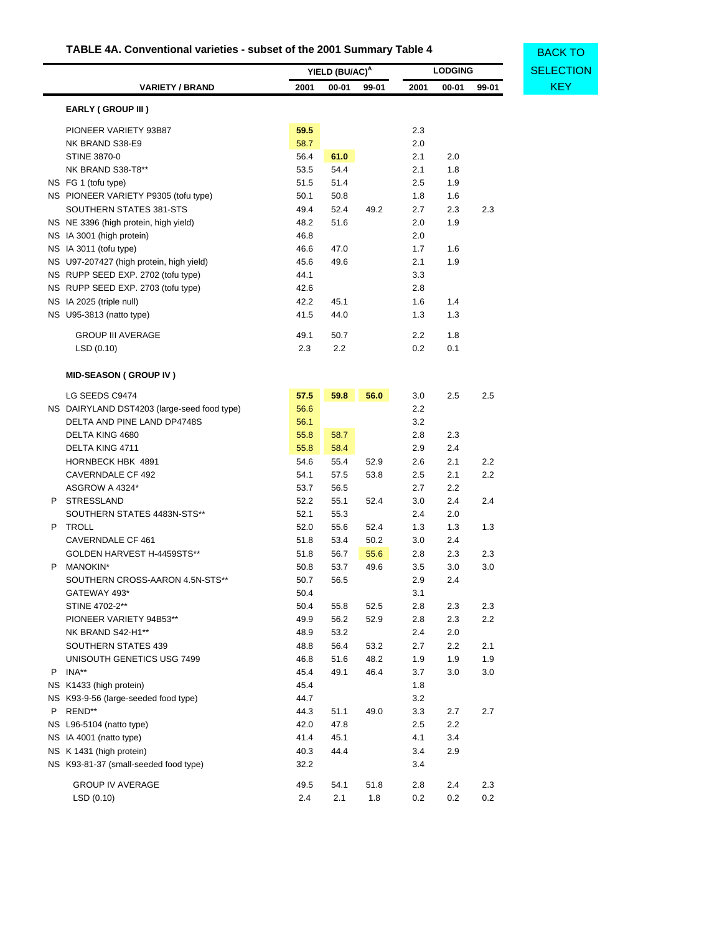# **TABLE 4A. Conventional varieties - subset of the 2001 Summary Table 4**

<span id="page-38-0"></span>

|                                             | YIELD (BU/AC) <sup>A</sup> |       |       | <b>LODGING</b> |       |       |            |
|---------------------------------------------|----------------------------|-------|-------|----------------|-------|-------|------------|
| <b>VARIETY / BRAND</b>                      | 2001                       | 00-01 | 99-01 | 2001           | 00-01 | 99-01 | <b>KEY</b> |
| <b>EARLY (GROUP III)</b>                    |                            |       |       |                |       |       |            |
| PIONEER VARIETY 93B87                       | 59.5                       |       |       | 2.3            |       |       |            |
| NK BRAND S38-E9                             | 58.7                       |       |       | 2.0            |       |       |            |
| <b>STINE 3870-0</b>                         | 56.4                       | 61.0  |       | 2.1            | 2.0   |       |            |
| NK BRAND S38-T8**                           | 53.5                       | 54.4  |       | 2.1            | 1.8   |       |            |
| NS FG 1 (tofu type)                         | 51.5                       | 51.4  |       | 2.5            | 1.9   |       |            |
| NS PIONEER VARIETY P9305 (tofu type)        | 50.1                       | 50.8  |       | 1.8            | 1.6   |       |            |
| SOUTHERN STATES 381-STS                     | 49.4                       | 52.4  | 49.2  | 2.7            | 2.3   | 2.3   |            |
| NS NE 3396 (high protein, high yield)       | 48.2                       | 51.6  |       | 2.0            | 1.9   |       |            |
| NS IA 3001 (high protein)                   | 46.8                       |       |       | 2.0            |       |       |            |
| NS IA 3011 (tofu type)                      | 46.6                       | 47.0  |       | 1.7            | 1.6   |       |            |
| NS U97-207427 (high protein, high yield)    | 45.6                       | 49.6  |       | 2.1            | 1.9   |       |            |
| NS RUPP SEED EXP. 2702 (tofu type)          | 44.1                       |       |       | 3.3            |       |       |            |
| NS RUPP SEED EXP. 2703 (tofu type)          | 42.6                       |       |       | 2.8            |       |       |            |
| NS IA 2025 (triple null)                    | 42.2                       | 45.1  |       | 1.6            | 1.4   |       |            |
| NS U95-3813 (natto type)                    | 41.5                       | 44.0  |       | 1.3            | 1.3   |       |            |
| <b>GROUP III AVERAGE</b>                    | 49.1                       | 50.7  |       | 2.2            | 1.8   |       |            |
| LSD(0.10)                                   | 2.3                        | 2.2   |       | 0.2            | 0.1   |       |            |
| <b>MID-SEASON (GROUP IV)</b>                |                            |       |       |                |       |       |            |
| LG SEEDS C9474                              | 57.5                       | 59.8  | 56.0  | 3.0            | 2.5   | 2.5   |            |
| NS DAIRYLAND DST4203 (large-seed food type) | 56.6                       |       |       | 2.2            |       |       |            |
| DELTA AND PINE LAND DP4748S                 | 56.1                       |       |       | 3.2            |       |       |            |
| DELTA KING 4680                             | 55.8                       | 58.7  |       | 2.8            | 2.3   |       |            |
| DELTA KING 4711                             | 55.8                       | 58.4  |       | 2.9            | 2.4   |       |            |
| HORNBECK HBK 4891                           | 54.6                       | 55.4  | 52.9  | 2.6            | 2.1   | 2.2   |            |
| CAVERNDALE CF 492                           | 54.1                       | 57.5  | 53.8  | 2.5            | 2.1   | 2.2   |            |
| ASGROW A 4324*                              | 53.7                       | 56.5  |       | 2.7            | 2.2   |       |            |
| P STRESSLAND                                | 52.2                       | 55.1  | 52.4  | 3.0            | 2.4   | 2.4   |            |
| SOUTHERN STATES 4483N-STS**                 | 52.1                       | 55.3  |       | 2.4            | 2.0   |       |            |
| <b>TROLL</b><br>P.                          | 52.0                       | 55.6  | 52.4  | 1.3            | 1.3   | 1.3   |            |
| <b>CAVERNDALE CF 461</b>                    | 51.8                       | 53.4  | 50.2  | 3.0            | 2.4   |       |            |
| GOLDEN HARVEST H-4459STS**                  | 51.8                       | 56.7  | 55.6  | 2.8            | 2.3   | 2.3   |            |
| <b>MANOKIN*</b><br>P.                       | 50.8                       | 53.7  | 49.6  | 3.5            | 3.0   | 3.0   |            |
| SOUTHERN CROSS-AARON 4.5N-STS**             | 50.7                       | 56.5  |       | 2.9            | 2.4   |       |            |
| GATEWAY 493*                                | 50.4                       |       |       | 3.1            |       |       |            |
| STINE 4702-2**                              | 50.4                       | 55.8  | 52.5  | 2.8            | 2.3   | 2.3   |            |
| PIONEER VARIETY 94B53**                     | 49.9                       | 56.2  | 52.9  | 2.8            | 2.3   | 2.2   |            |
| NK BRAND S42-H1**                           | 48.9                       | 53.2  |       | 2.4            | 2.0   |       |            |
| SOUTHERN STATES 439                         | 48.8                       | 56.4  | 53.2  | 2.7            | 2.2   | 2.1   |            |
| UNISOUTH GENETICS USG 7499                  | 46.8                       | 51.6  | 48.2  | 1.9            | 1.9   | 1.9   |            |
| P INA**                                     | 45.4                       | 49.1  | 46.4  | 3.7            | 3.0   | 3.0   |            |
| NS K1433 (high protein)                     | 45.4                       |       |       | 1.8            |       |       |            |
| NS K93-9-56 (large-seeded food type)        | 44.7                       |       |       | 3.2            |       |       |            |
| REND**<br>P                                 | 44.3                       | 51.1  | 49.0  | 3.3            | 2.7   | 2.7   |            |
| NS L96-5104 (natto type)                    | 42.0                       | 47.8  |       | 2.5            | 2.2   |       |            |
| NS IA 4001 (natto type)                     | 41.4                       | 45.1  |       | 4.1            | 3.4   |       |            |
| NS K 1431 (high protein)                    | 40.3                       | 44.4  |       | 3.4            | 2.9   |       |            |
| NS K93-81-37 (small-seeded food type)       | 32.2                       |       |       | 3.4            |       |       |            |
| <b>GROUP IV AVERAGE</b>                     | 49.5                       | 54.1  | 51.8  | 2.8            | 2.4   | 2.3   |            |
| LSD (0.10)                                  | 2.4                        | 2.1   | 1.8   | 0.2            | 0.2   | 0.2   |            |

**[SELECTION](#page-33-1)** BACK TO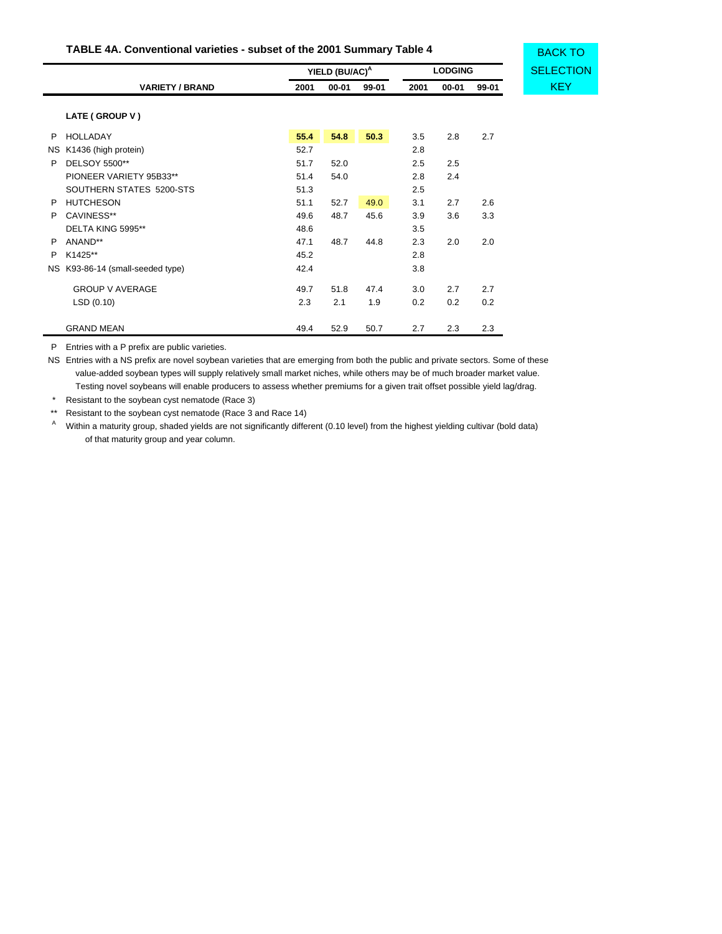# **TABLE 4A. Conventional varieties - subset of the 2001 Summary Table 4**

|    |                               |      | YIELD (BU/AC) <sup>A</sup><br><b>LODGING</b> |       |      |       |       |
|----|-------------------------------|------|----------------------------------------------|-------|------|-------|-------|
|    | <b>VARIETY / BRAND</b>        | 2001 | $00 - 01$                                    | 99-01 | 2001 | 00-01 | 99-01 |
|    | LATE (GROUP V)                |      |                                              |       |      |       |       |
| P  | <b>HOLLADAY</b>               | 55.4 | 54.8                                         | 50.3  | 3.5  | 2.8   | 2.7   |
| NS | K1436 (high protein)          | 52.7 |                                              |       | 2.8  |       |       |
| P  | DELSOY 5500**                 | 51.7 | 52.0                                         |       | 2.5  | 2.5   |       |
|    | PIONEER VARIETY 95B33**       | 51.4 | 54.0                                         |       | 2.8  | 2.4   |       |
|    | SOUTHERN STATES 5200-STS      | 51.3 |                                              |       | 2.5  |       |       |
| P  | <b>HUTCHESON</b>              | 51.1 | 52.7                                         | 49.0  | 3.1  | 2.7   | 2.6   |
| P  | CAVINESS**                    | 49.6 | 48.7                                         | 45.6  | 3.9  | 3.6   | 3.3   |
|    | DELTA KING 5995**             | 48.6 |                                              |       | 3.5  |       |       |
| P  | ANAND**                       | 47.1 | 48.7                                         | 44.8  | 2.3  | 2.0   | 2.0   |
| P  | K1425**                       | 45.2 |                                              |       | 2.8  |       |       |
| NS | K93-86-14 (small-seeded type) | 42.4 |                                              |       | 3.8  |       |       |
|    | <b>GROUP V AVERAGE</b>        | 49.7 | 51.8                                         | 47.4  | 3.0  | 2.7   | 2.7   |
|    | LSD(0.10)                     | 2.3  | 2.1                                          | 1.9   | 0.2  | 0.2   | 0.2   |
|    | <b>GRAND MEAN</b>             | 49.4 | 52.9                                         | 50.7  | 2.7  | 2.3   | 2.3   |

BACK TO

P Entries with a P prefix are public varieties.

NS Entries with a NS prefix are novel soybean varieties that are emerging from both the public and private sectors. Some of these value-added soybean types will supply relatively small market niches, while others may be of much broader market value. Testing novel soybeans will enable producers to assess whether premiums for a given trait offset possible yield lag/drag.

\* Resistant to the soybean cyst nematode (Race 3)

\*\* Resistant to the soybean cyst nematode (Race 3 and Race 14)

<sup>A</sup> Within a maturity group, shaded yields are not significantly different (0.10 level) from the highest yielding cultivar (bold data) of that maturity group and year column.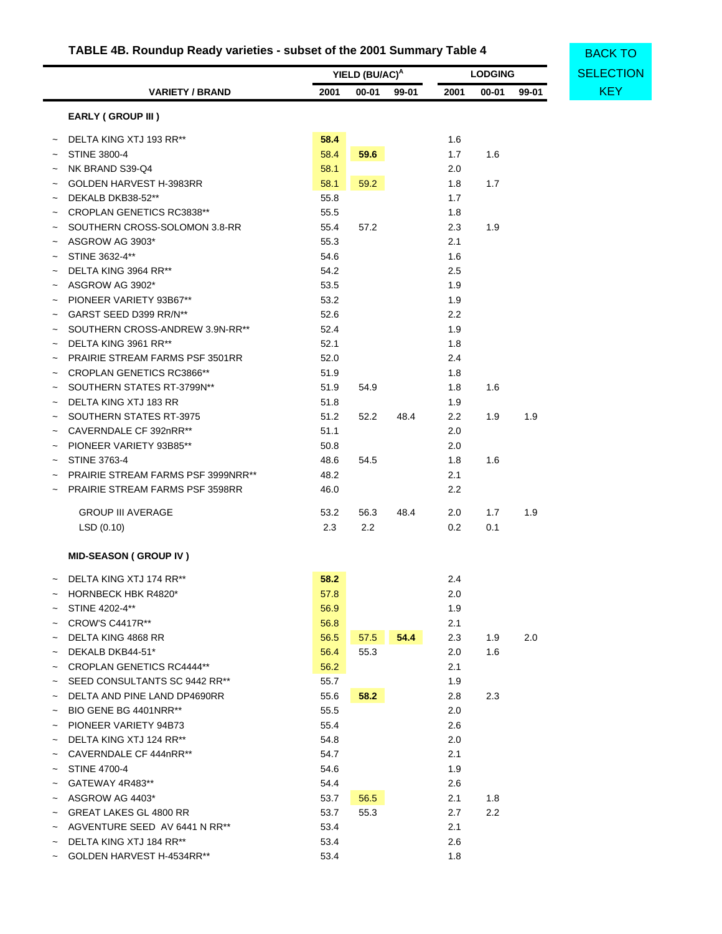# **TABLE 4B. Roundup Ready varieties - subset of the 2001 Summary Table 4**

<span id="page-40-0"></span>

|                |                                                                                     |              |                            |       |            |                | <b>BACK TO</b> |                  |
|----------------|-------------------------------------------------------------------------------------|--------------|----------------------------|-------|------------|----------------|----------------|------------------|
|                |                                                                                     |              | YIELD (BU/AC) <sup>A</sup> |       |            | <b>LODGING</b> |                | <b>SELECTION</b> |
|                | <b>VARIETY / BRAND</b>                                                              | 2001         | $00 - 01$                  | 99-01 | 2001       | $00 - 01$      | 99-01          | <b>KEY</b>       |
|                | <b>EARLY (GROUP III)</b>                                                            |              |                            |       |            |                |                |                  |
|                | DELTA KING XTJ 193 RR**                                                             | 58.4         |                            |       | 1.6        |                |                |                  |
|                | <b>STINE 3800-4</b>                                                                 | 58.4         | 59.6                       |       | 1.7        | 1.6            |                |                  |
|                | NK BRAND S39-Q4                                                                     | 58.1         |                            |       | 2.0        |                |                |                  |
|                | GOLDEN HARVEST H-3983RR                                                             | 58.1         | 59.2                       |       | 1.8        | 1.7            |                |                  |
|                | DEKALB DKB38-52**                                                                   | 55.8         |                            |       | 1.7        |                |                |                  |
|                | <b>CROPLAN GENETICS RC3838**</b>                                                    | 55.5         |                            |       | 1.8        |                |                |                  |
| $\tilde{}$     | SOUTHERN CROSS-SOLOMON 3.8-RR                                                       | 55.4         | 57.2                       |       | 2.3        | 1.9            |                |                  |
|                | ASGROW AG 3903*                                                                     | 55.3         |                            |       | 2.1        |                |                |                  |
|                | STINE 3632-4**                                                                      | 54.6         |                            |       | 1.6        |                |                |                  |
|                | DELTA KING 3964 RR**                                                                | 54.2         |                            |       | 2.5        |                |                |                  |
| $\tilde{}$     | ASGROW AG 3902*                                                                     | 53.5         |                            |       | 1.9        |                |                |                  |
| $\overline{ }$ | PIONEER VARIETY 93B67**                                                             | 53.2         |                            |       | 1.9        |                |                |                  |
|                | GARST SEED D399 RR/N**                                                              | 52.6         |                            |       | 2.2        |                |                |                  |
|                | SOUTHERN CROSS-ANDREW 3.9N-RR**                                                     | 52.4         |                            |       | 1.9        |                |                |                  |
| $\tilde{}$     | DELTA KING 3961 RR**                                                                | 52.1         |                            |       | 1.8        |                |                |                  |
| $\tilde{}$     | PRAIRIE STREAM FARMS PSF 3501RR                                                     | 52.0         |                            |       | 2.4        |                |                |                  |
|                | CROPLAN GENETICS RC3866**                                                           | 51.9         |                            |       | 1.8        |                |                |                  |
|                | SOUTHERN STATES RT-3799N**                                                          | 51.9         | 54.9                       |       | 1.8        | 1.6            |                |                  |
|                | DELTA KING XTJ 183 RR                                                               | 51.8         |                            |       | 1.9        |                |                |                  |
|                | SOUTHERN STATES RT-3975                                                             | 51.2         | 52.2                       | 48.4  | 2.2        | 1.9            | 1.9            |                  |
|                | CAVERNDALE CF 392nRR**                                                              | 51.1         |                            |       | 2.0        |                |                |                  |
|                | PIONEER VARIETY 93B85**                                                             | 50.8         |                            |       | 2.0        |                |                |                  |
|                |                                                                                     | 48.6         |                            |       |            |                |                |                  |
|                | <b>STINE 3763-4</b>                                                                 |              | 54.5                       |       | 1.8        | 1.6            |                |                  |
|                | <b>PRAIRIE STREAM FARMS PSF 3999NRR**</b><br><b>PRAIRIE STREAM FARMS PSF 3598RR</b> | 48.2<br>46.0 |                            |       | 2.1<br>2.2 |                |                |                  |
|                |                                                                                     |              |                            |       |            |                |                |                  |
|                | <b>GROUP III AVERAGE</b>                                                            | 53.2         | 56.3                       | 48.4  | 2.0        | 1.7            | 1.9            |                  |
|                | LSD(0.10)                                                                           | 2.3          | 2.2                        |       | 0.2        | 0.1            |                |                  |
|                | <b>MID-SEASON (GROUP IV)</b>                                                        |              |                            |       |            |                |                |                  |
|                | DELTA KING XTJ 174 RR**                                                             | 58.2         |                            |       | 2.4        |                |                |                  |
|                | <b>HORNBECK HBK R4820*</b>                                                          | 57.8         |                            |       | 2.0        |                |                |                  |
|                | STINE 4202-4**                                                                      | 56.9         |                            |       | 1.9        |                |                |                  |
|                | <b>CROW'S C4417R**</b>                                                              | 56.8         |                            |       | 2.1        |                |                |                  |
|                | DELTA KING 4868 RR                                                                  | 56.5         | 57.5                       | 54.4  | 2.3        | 1.9            | 2.0            |                  |
|                | DEKALB DKB44-51*                                                                    | 56.4         | 55.3                       |       | 2.0        | 1.6            |                |                  |
|                | <b>CROPLAN GENETICS RC4444**</b>                                                    | 56.2         |                            |       | 2.1        |                |                |                  |
|                | SEED CONSULTANTS SC 9442 RR**                                                       | 55.7         |                            |       | 1.9        |                |                |                  |
|                | DELTA AND PINE LAND DP4690RR                                                        | 55.6         | 58.2                       |       | 2.8        | 2.3            |                |                  |
|                | BIO GENE BG 4401NRR**                                                               | 55.5         |                            |       | 2.0        |                |                |                  |
|                | PIONEER VARIETY 94B73                                                               | 55.4         |                            |       | 2.6        |                |                |                  |
|                | DELTA KING XTJ 124 RR**                                                             | 54.8         |                            |       | 2.0        |                |                |                  |
|                | CAVERNDALE CF 444nRR**                                                              | 54.7         |                            |       | 2.1        |                |                |                  |
|                | <b>STINE 4700-4</b>                                                                 | 54.6         |                            |       | 1.9        |                |                |                  |
|                | GATEWAY 4R483**                                                                     | 54.4         |                            |       | 2.6        |                |                |                  |
|                | ASGROW AG 4403*                                                                     | 53.7         | 56.5                       |       | 2.1        | 1.8            |                |                  |
|                | GREAT LAKES GL 4800 RR                                                              | 53.7         | 55.3                       |       | 2.7        | 2.2            |                |                  |
|                | AGVENTURE SEED AV 6441 N RR**                                                       | 53.4         |                            |       | 2.1        |                |                |                  |
|                | DELTA KING XTJ 184 RR**                                                             | 53.4         |                            |       | 2.6        |                |                |                  |
|                | $201$ DEMILIADVECT IL 4504DD**                                                      |              |                            |       |            |                |                |                  |

~ GOLDEN HARVEST H-4534RR\*\* 53.4 1.8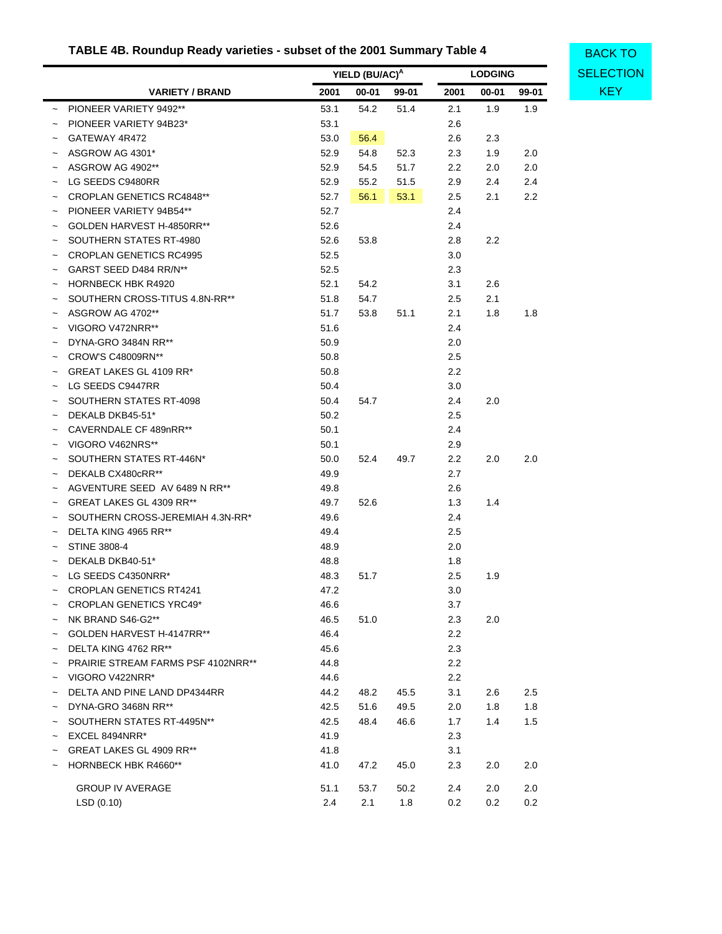# **TABLE 4B. Roundup Ready varieties - subset of the 2001 Summary Table 4**

**[SELECTION](#page-33-1)** BACK TO

|            |                                           |      | YIELD (BU/AC) <sup>A</sup> |       |                  | <b>LODGING</b> |       | <b>SELECT</b> |
|------------|-------------------------------------------|------|----------------------------|-------|------------------|----------------|-------|---------------|
|            | <b>VARIETY / BRAND</b>                    | 2001 | 00-01                      | 99-01 | 2001             | $00 - 01$      | 99-01 | <b>KEY</b>    |
|            | ~ PIONEER VARIETY 9492**                  | 53.1 | 54.2                       | 51.4  | 2.1              | 1.9            | 1.9   |               |
|            | PIONEER VARIETY 94B23*                    | 53.1 |                            |       | 2.6              |                |       |               |
| $\tilde{}$ | GATEWAY 4R472                             | 53.0 | 56.4                       |       | 2.6              | 2.3            |       |               |
| $\tilde{}$ | ASGROW AG 4301*                           | 52.9 | 54.8                       | 52.3  | 2.3              | 1.9            | 2.0   |               |
|            | ASGROW AG 4902**                          | 52.9 | 54.5                       | 51.7  | $2.2\phantom{0}$ | 2.0            | 2.0   |               |
|            | LG SEEDS C9480RR                          | 52.9 | 55.2                       | 51.5  | 2.9              | 2.4            | 2.4   |               |
|            | <b>CROPLAN GENETICS RC4848**</b>          | 52.7 | 56.1                       | 53.1  | 2.5              | 2.1            | 2.2   |               |
|            | PIONEER VARIETY 94B54**                   | 52.7 |                            |       | 2.4              |                |       |               |
|            | GOLDEN HARVEST H-4850RR**                 | 52.6 |                            |       | 2.4              |                |       |               |
|            | SOUTHERN STATES RT-4980                   | 52.6 | 53.8                       |       | 2.8              | 2.2            |       |               |
|            | <b>CROPLAN GENETICS RC4995</b>            | 52.5 |                            |       | 3.0              |                |       |               |
|            | GARST SEED D484 RR/N**                    | 52.5 |                            |       | 2.3              |                |       |               |
|            | <b>HORNBECK HBK R4920</b>                 | 52.1 | 54.2                       |       | 3.1              | 2.6            |       |               |
|            | SOUTHERN CROSS-TITUS 4.8N-RR**            | 51.8 | 54.7                       |       | 2.5              | 2.1            |       |               |
|            | ASGROW AG 4702**                          | 51.7 | 53.8                       | 51.1  | 2.1              | 1.8            | 1.8   |               |
|            | VIGORO V472NRR**                          | 51.6 |                            |       | 2.4              |                |       |               |
|            | DYNA-GRO 3484N RR**                       | 50.9 |                            |       | 2.0              |                |       |               |
|            | CROW'S C48009RN**                         | 50.8 |                            |       | 2.5              |                |       |               |
|            | GREAT LAKES GL 4109 RR*                   | 50.8 |                            |       | 2.2              |                |       |               |
|            | LG SEEDS C9447RR                          | 50.4 |                            |       | 3.0              |                |       |               |
|            | SOUTHERN STATES RT-4098                   | 50.4 | 54.7                       |       | 2.4              | 2.0            |       |               |
|            | DEKALB DKB45-51*                          | 50.2 |                            |       | 2.5              |                |       |               |
|            | CAVERNDALE CF 489nRR**                    | 50.1 |                            |       | 2.4              |                |       |               |
|            | VIGORO V462NRS**                          | 50.1 |                            |       | 2.9              |                |       |               |
|            | SOUTHERN STATES RT-446N*                  | 50.0 | 52.4                       | 49.7  | 2.2              | 2.0            | 2.0   |               |
|            | DEKALB CX480cRR**                         | 49.9 |                            |       | 2.7              |                |       |               |
|            | AGVENTURE SEED AV 6489 N RR**             | 49.8 |                            |       | 2.6              |                |       |               |
| $\tilde{}$ | GREAT LAKES GL 4309 RR**                  | 49.7 | 52.6                       |       | 1.3              | 1.4            |       |               |
|            | SOUTHERN CROSS-JEREMIAH 4.3N-RR*          | 49.6 |                            |       | 2.4              |                |       |               |
|            | DELTA KING 4965 RR**                      | 49.4 |                            |       | 2.5              |                |       |               |
|            | <b>STINE 3808-4</b>                       | 48.9 |                            |       | 2.0              |                |       |               |
|            | DEKALB DKB40-51*                          | 48.8 |                            |       | 1.8              |                |       |               |
|            | LG SEEDS C4350NRR*                        | 48.3 | 51.7                       |       | 2.5              | 1.9            |       |               |
|            | <b>CROPLAN GENETICS RT4241</b>            | 47.2 |                            |       | 3.0              |                |       |               |
|            | CROPLAN GENETICS YRC49*                   | 46.6 |                            |       | 3.7              |                |       |               |
|            | NK BRAND S46-G2**                         | 46.5 | 51.0                       |       | 2.3              | 2.0            |       |               |
|            | GOLDEN HARVEST H-4147RR**                 | 46.4 |                            |       | 2.2              |                |       |               |
|            | DELTA KING 4762 RR**                      | 45.6 |                            |       | 2.3              |                |       |               |
|            | <b>PRAIRIE STREAM FARMS PSF 4102NRR**</b> | 44.8 |                            |       | 2.2              |                |       |               |
|            | VIGORO V422NRR*                           | 44.6 |                            |       | 2.2              |                |       |               |
|            | DELTA AND PINE LAND DP4344RR              | 44.2 | 48.2                       | 45.5  | 3.1              | 2.6            | 2.5   |               |
|            | $\sim$ DYNA-GRO 3468N RR**                | 42.5 | 51.6                       | 49.5  | 2.0              | 1.8            | 1.8   |               |
|            | SOUTHERN STATES RT-4495N**                | 42.5 | 48.4                       | 46.6  | 1.7              | 1.4            | 1.5   |               |
|            | $\sim$ EXCEL 8494NRR*                     | 41.9 |                            |       | 2.3              |                |       |               |
|            | GREAT LAKES GL 4909 RR**                  | 41.8 |                            |       | 3.1              |                |       |               |
|            | HORNBECK HBK R4660**                      | 41.0 | 47.2                       | 45.0  | 2.3              | 2.0            | 2.0   |               |
|            |                                           |      |                            |       |                  |                |       |               |
|            | <b>GROUP IV AVERAGE</b>                   | 51.1 | 53.7                       | 50.2  | 2.4              | 2.0            | 2.0   |               |
|            | LSD(0.10)                                 | 2.4  | 2.1                        | 1.8   | 0.2              | 0.2            | 0.2   |               |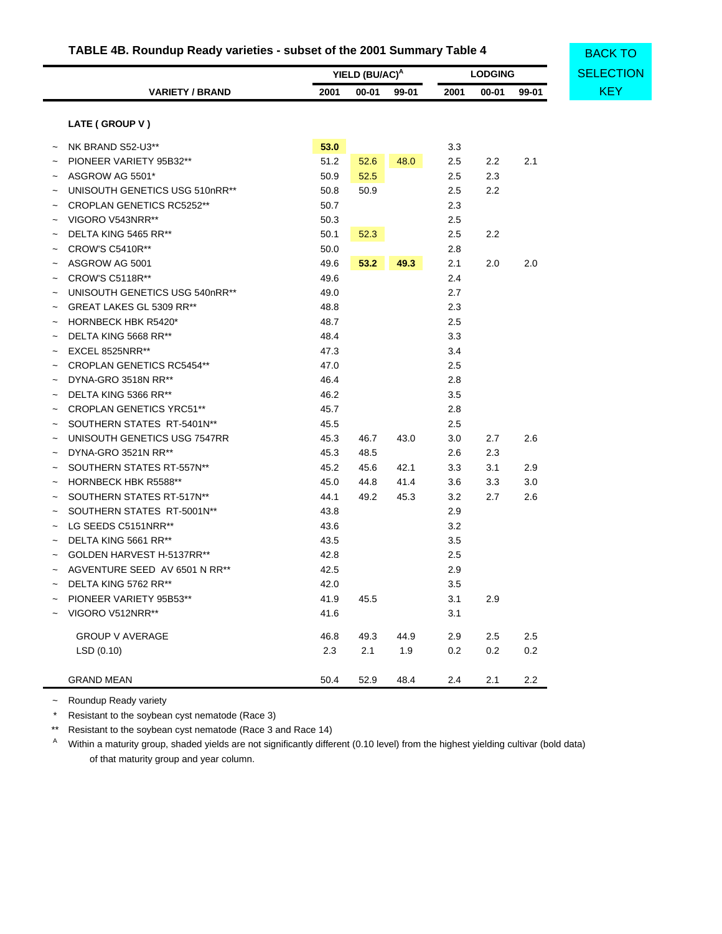# **TABLE 4B. Roundup Ready varieties - subset of the 2001 Summary Table 4**

|                                  |      | YIELD (BU/AC) <sup>A</sup> |       |      | <b>LODGING</b> |         | <b>SELECTION</b> |
|----------------------------------|------|----------------------------|-------|------|----------------|---------|------------------|
| <b>VARIETY / BRAND</b>           | 2001 | $00 - 01$                  | 99-01 | 2001 | $00 - 01$      | 99-01   | <b>KEY</b>       |
| LATE (GROUP V)                   |      |                            |       |      |                |         |                  |
| NK BRAND S52-U3**                | 53.0 |                            |       | 3.3  |                |         |                  |
| PIONEER VARIETY 95B32**          | 51.2 | 52.6                       | 48.0  | 2.5  | 2.2            | 2.1     |                  |
| ASGROW AG 5501*                  | 50.9 | 52.5                       |       | 2.5  | 2.3            |         |                  |
| UNISOUTH GENETICS USG 510nRR**   | 50.8 | 50.9                       |       | 2.5  | 2.2            |         |                  |
| <b>CROPLAN GENETICS RC5252**</b> | 50.7 |                            |       | 2.3  |                |         |                  |
| VIGORO V543NRR**                 | 50.3 |                            |       | 2.5  |                |         |                  |
| DELTA KING 5465 RR**             | 50.1 | 52.3                       |       | 2.5  | 2.2            |         |                  |
| <b>CROW'S C5410R**</b>           | 50.0 |                            |       | 2.8  |                |         |                  |
| ASGROW AG 5001                   | 49.6 | 53.2                       | 49.3  | 2.1  | 2.0            | 2.0     |                  |
| <b>CROW'S C5118R**</b>           | 49.6 |                            |       | 2.4  |                |         |                  |
| UNISOUTH GENETICS USG 540nRR**   | 49.0 |                            |       | 2.7  |                |         |                  |
| GREAT LAKES GL 5309 RR**         | 48.8 |                            |       | 2.3  |                |         |                  |
| <b>HORNBECK HBK R5420*</b>       | 48.7 |                            |       | 2.5  |                |         |                  |
| DELTA KING 5668 RR**             | 48.4 |                            |       | 3.3  |                |         |                  |
| EXCEL 8525NRR**                  | 47.3 |                            |       | 3.4  |                |         |                  |
| <b>CROPLAN GENETICS RC5454**</b> | 47.0 |                            |       | 2.5  |                |         |                  |
| DYNA-GRO 3518N RR**              | 46.4 |                            |       | 2.8  |                |         |                  |
| DELTA KING 5366 RR**             | 46.2 |                            |       | 3.5  |                |         |                  |
| <b>CROPLAN GENETICS YRC51**</b>  | 45.7 |                            |       | 2.8  |                |         |                  |
| SOUTHERN STATES RT-5401N**       | 45.5 |                            |       | 2.5  |                |         |                  |
| UNISOUTH GENETICS USG 7547RR     | 45.3 | 46.7                       | 43.0  | 3.0  | 2.7            | 2.6     |                  |
| DYNA-GRO 3521N RR**              | 45.3 | 48.5                       |       | 2.6  | 2.3            |         |                  |
| SOUTHERN STATES RT-557N**        | 45.2 | 45.6                       | 42.1  | 3.3  | 3.1            | 2.9     |                  |
| <b>HORNBECK HBK R5588**</b>      | 45.0 | 44.8                       | 41.4  | 3.6  | 3.3            | 3.0     |                  |
| SOUTHERN STATES RT-517N**        | 44.1 | 49.2                       | 45.3  | 3.2  | 2.7            | 2.6     |                  |
| SOUTHERN STATES RT-5001N**       | 43.8 |                            |       | 2.9  |                |         |                  |
| LG SEEDS C5151NRR**              | 43.6 |                            |       | 3.2  |                |         |                  |
| DELTA KING 5661 RR**             | 43.5 |                            |       | 3.5  |                |         |                  |
| GOLDEN HARVEST H-5137RR**        | 42.8 |                            |       | 2.5  |                |         |                  |
| AGVENTURE SEED AV 6501 N RR**    | 42.5 |                            |       | 2.9  |                |         |                  |
| DELTA KING 5762 RR**             | 42.0 |                            |       | 3.5  |                |         |                  |
| PIONEER VARIETY 95B53**          | 41.9 | 45.5                       |       | 3.1  | 2.9            |         |                  |
| VIGORO V512NRR**                 | 41.6 |                            |       | 3.1  |                |         |                  |
| <b>GROUP V AVERAGE</b>           | 46.8 | 49.3                       | 44.9  | 2.9  | $2.5\,$        | $2.5\,$ |                  |
| LSD(0.10)                        | 2.3  | 2.1                        | 1.9   | 0.2  | $0.2\,$        | 0.2     |                  |
| <b>GRAND MEAN</b>                | 50.4 | 52.9                       | 48.4  | 2.4  | 2.1            | 2.2     |                  |

~ Roundup Ready variety

\* Resistant to the soybean cyst nematode (Race 3)

\*\* Resistant to the soybean cyst nematode (Race 3 and Race 14)

A Within a maturity group, shaded yields are not significantly different (0.10 level) from the highest yielding cultivar (bold data) of that maturity group and year column.

BACK TO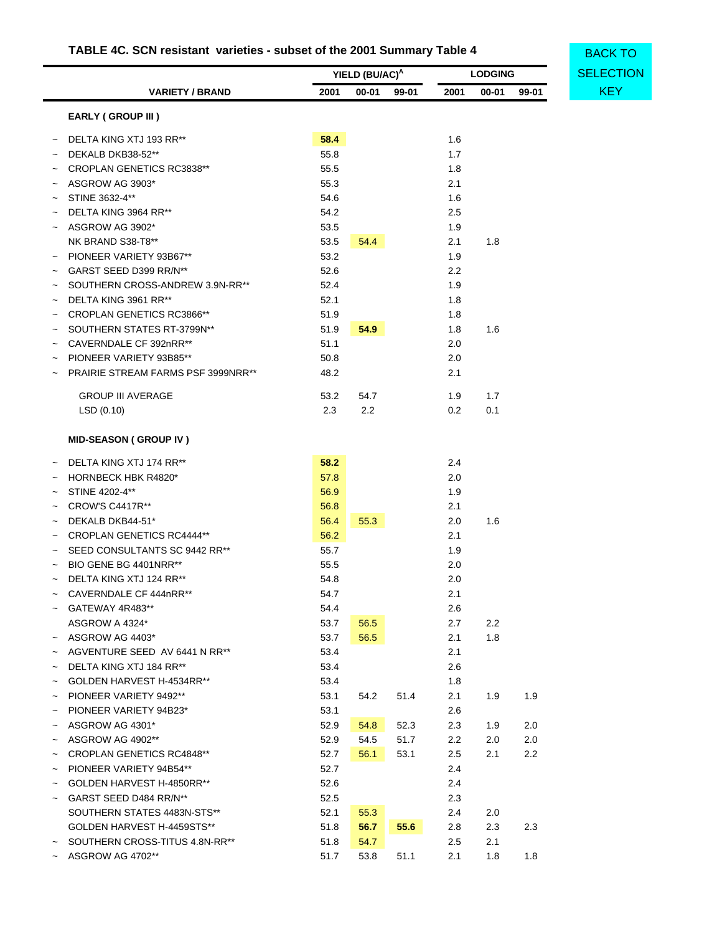# **TABLE 4C. SCN resistant varieties - subset of the 2001 Summary Table 4**

<span id="page-43-0"></span>

|                           |                                           | YIELD (BU/AC) <sup>A</sup> |           |       | <b>LODGING</b> | <b>SELECTION</b> |       |            |
|---------------------------|-------------------------------------------|----------------------------|-----------|-------|----------------|------------------|-------|------------|
|                           | <b>VARIETY / BRAND</b>                    | 2001                       | $00 - 01$ | 99-01 | 2001           | $00 - 01$        | 99-01 | <b>KEY</b> |
|                           | EARLY (GROUP III)                         |                            |           |       |                |                  |       |            |
|                           | DELTA KING XTJ 193 RR**                   | 58.4                       |           |       | 1.6            |                  |       |            |
|                           | DEKALB DKB38-52**                         | 55.8                       |           |       | 1.7            |                  |       |            |
|                           | <b>CROPLAN GENETICS RC3838**</b>          | 55.5                       |           |       | 1.8            |                  |       |            |
|                           | ASGROW AG 3903*                           | 55.3                       |           |       | 2.1            |                  |       |            |
|                           | STINE 3632-4**                            | 54.6                       |           |       | 1.6            |                  |       |            |
|                           | DELTA KING 3964 RR**                      | 54.2                       |           |       | 2.5            |                  |       |            |
|                           | ASGROW AG 3902*                           | 53.5                       |           |       | 1.9            |                  |       |            |
|                           | NK BRAND S38-T8**                         | 53.5                       | 54.4      |       | 2.1            | 1.8              |       |            |
|                           | PIONEER VARIETY 93B67**                   | 53.2                       |           |       | 1.9            |                  |       |            |
|                           | GARST SEED D399 RR/N**                    | 52.6                       |           |       | 2.2            |                  |       |            |
|                           | SOUTHERN CROSS-ANDREW 3.9N-RR**           | 52.4                       |           |       | 1.9            |                  |       |            |
|                           | DELTA KING 3961 RR**                      | 52.1                       |           |       | 1.8            |                  |       |            |
|                           | <b>CROPLAN GENETICS RC3866**</b>          | 51.9                       |           |       | 1.8            |                  |       |            |
|                           | SOUTHERN STATES RT-3799N**                | 51.9                       | 54.9      |       | 1.8            | 1.6              |       |            |
|                           | CAVERNDALE CF 392nRR**                    | 51.1                       |           |       | 2.0            |                  |       |            |
|                           | PIONEER VARIETY 93B85**                   | 50.8                       |           |       | 2.0            |                  |       |            |
|                           | <b>PRAIRIE STREAM FARMS PSF 3999NRR**</b> | 48.2                       |           |       | 2.1            |                  |       |            |
|                           | <b>GROUP III AVERAGE</b>                  | 53.2                       | 54.7      |       | 1.9            | 1.7              |       |            |
|                           | LSD(0.10)                                 | 2.3                        | 2.2       |       | 0.2            | 0.1              |       |            |
|                           | <b>MID-SEASON (GROUP IV)</b>              |                            |           |       |                |                  |       |            |
|                           | DELTA KING XTJ 174 RR**                   | 58.2                       |           |       | 2.4            |                  |       |            |
|                           | HORNBECK HBK R4820*                       | 57.8                       |           |       | 2.0            |                  |       |            |
|                           | STINE 4202-4**                            | 56.9                       |           |       | 1.9            |                  |       |            |
|                           | <b>CROW'S C4417R**</b>                    | 56.8                       |           |       | 2.1            |                  |       |            |
|                           | DEKALB DKB44-51*                          | 56.4                       | 55.3      |       | 2.0            | 1.6              |       |            |
|                           | <b>CROPLAN GENETICS RC4444**</b>          | 56.2                       |           |       | 2.1            |                  |       |            |
|                           | SEED CONSULTANTS SC 9442 RR**             | 55.7                       |           |       | 1.9            |                  |       |            |
|                           | BIO GENE BG 4401NRR**                     | 55.5                       |           |       | 2.0            |                  |       |            |
|                           | DELTA KING XTJ 124 RR**                   | 54.8                       |           |       | 2.0            |                  |       |            |
|                           | CAVERNDALE CF 444nRR**                    | 54.7                       |           |       | 2.1            |                  |       |            |
|                           | GATEWAY 4R483**                           | 54.4                       |           |       | 2.6            |                  |       |            |
|                           | ASGROW A 4324*                            | 53.7                       | 56.5      |       | 2.7            | 2.2              |       |            |
| $\widetilde{\phantom{m}}$ | ASGROW AG 4403*                           | 53.7                       | 56.5      |       | 2.1            | 1.8              |       |            |
|                           | AGVENTURE SEED AV 6441 N RR**             | 53.4                       |           |       | 2.1            |                  |       |            |
|                           | DELTA KING XTJ 184 RR**                   | 53.4                       |           |       | 2.6            |                  |       |            |
|                           | GOLDEN HARVEST H-4534RR**                 | 53.4                       |           |       | 1.8            |                  |       |            |
|                           | PIONEER VARIETY 9492**                    | 53.1                       | 54.2      | 51.4  | 2.1            | 1.9              | 1.9   |            |
| $\tilde{}$                | PIONEER VARIETY 94B23*                    | 53.1                       |           |       | 2.6            |                  |       |            |
|                           | ASGROW AG 4301*                           | 52.9                       | 54.8      | 52.3  | 2.3            | 1.9              | 2.0   |            |
|                           | ASGROW AG 4902**                          | 52.9                       | 54.5      | 51.7  | 2.2            | 2.0              | 2.0   |            |
|                           | <b>CROPLAN GENETICS RC4848**</b>          | 52.7                       | 56.1      | 53.1  | 2.5            | 2.1              | 2.2   |            |
|                           | PIONEER VARIETY 94B54**                   | 52.7                       |           |       | 2.4            |                  |       |            |
|                           | GOLDEN HARVEST H-4850RR**                 | 52.6                       |           |       | 2.4            |                  |       |            |
|                           | GARST SEED D484 RR/N**                    | 52.5                       |           |       | 2.3            |                  |       |            |
|                           | SOUTHERN STATES 4483N-STS**               | 52.1                       | 55.3      |       | 2.4            | 2.0              |       |            |
|                           | GOLDEN HARVEST H-4459STS**                | 51.8                       | 56.7      | 55.6  | 2.8            | 2.3              | 2.3   |            |
|                           | SOUTHERN CROSS-TITUS 4.8N-RR**            | 51.8                       | 54.7      |       | 2.5            | 2.1              |       |            |
|                           | ASGROW AG 4702**                          | 51.7                       | 53.8      | 51.1  | 2.1            | 1.8              | 1.8   |            |

**BACK TO**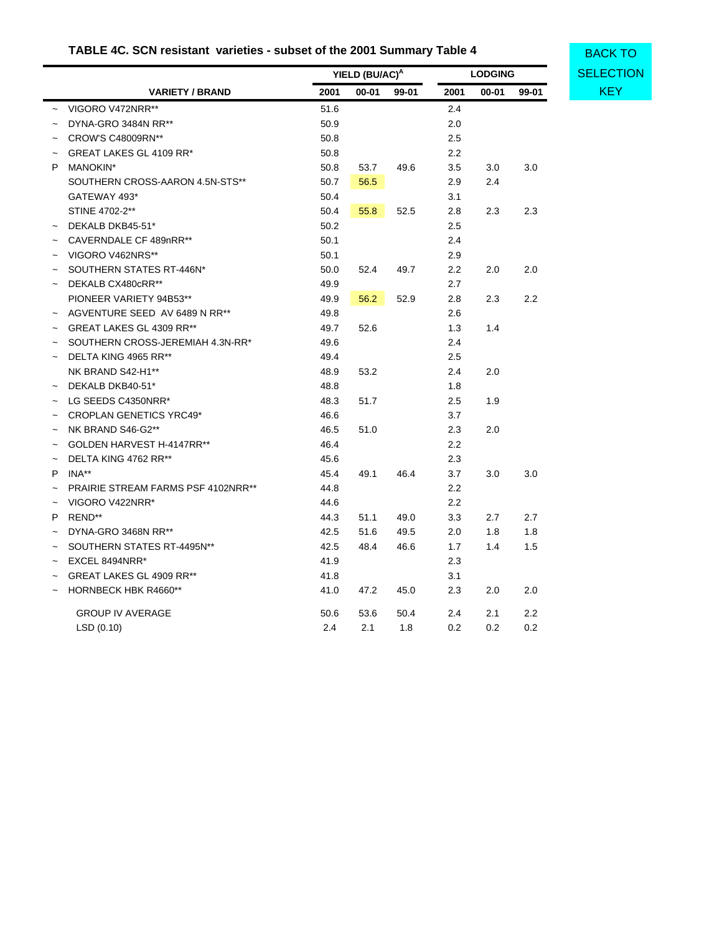# **TABLE 4C. SCN resistant varieties - subset of the 2001 Summary Table 4**

**YIELD (BU/AC)<sup>A</sup> LODGING**

**[SELECTION](#page-33-1)** BACK TO

|            | <b>VARIETY / BRAND</b>             | 2001 | $00 - 01$ | 99-01 | 2001             | 00-01 | 99-01 | <b>KEY</b> |
|------------|------------------------------------|------|-----------|-------|------------------|-------|-------|------------|
|            | VIGORO V472NRR**                   | 51.6 |           |       | 2.4              |       |       |            |
|            | DYNA-GRO 3484N RR**                | 50.9 |           |       | 2.0              |       |       |            |
|            | CROW'S C48009RN**                  | 50.8 |           |       | 2.5              |       |       |            |
|            | GREAT LAKES GL 4109 RR*            | 50.8 |           |       | $2.2\phantom{0}$ |       |       |            |
| P          | MANOKIN*                           | 50.8 | 53.7      | 49.6  | 3.5              | 3.0   | 3.0   |            |
|            | SOUTHERN CROSS-AARON 4.5N-STS**    | 50.7 | 56.5      |       | 2.9              | 2.4   |       |            |
|            | GATEWAY 493*                       | 50.4 |           |       | 3.1              |       |       |            |
|            | STINE 4702-2**                     | 50.4 | 55.8      | 52.5  | 2.8              | 2.3   | 2.3   |            |
|            | DEKALB DKB45-51*                   | 50.2 |           |       | 2.5              |       |       |            |
|            | CAVERNDALE CF 489nRR**             | 50.1 |           |       | 2.4              |       |       |            |
|            | VIGORO V462NRS**                   | 50.1 |           |       | 2.9              |       |       |            |
|            | SOUTHERN STATES RT-446N*           | 50.0 | 52.4      | 49.7  | $2.2\phantom{0}$ | 2.0   | 2.0   |            |
|            | DEKALB CX480cRR**                  | 49.9 |           |       | 2.7              |       |       |            |
|            | PIONEER VARIETY 94B53**            | 49.9 | 56.2      | 52.9  | 2.8              | 2.3   | 2.2   |            |
|            | AGVENTURE SEED AV 6489 N RR**      | 49.8 |           |       | 2.6              |       |       |            |
|            | GREAT LAKES GL 4309 RR**           | 49.7 | 52.6      |       | 1.3              | 1.4   |       |            |
|            | SOUTHERN CROSS-JEREMIAH 4.3N-RR*   | 49.6 |           |       | 2.4              |       |       |            |
|            | DELTA KING 4965 RR**               | 49.4 |           |       | 2.5              |       |       |            |
|            | NK BRAND S42-H1**                  | 48.9 | 53.2      |       | 2.4              | 2.0   |       |            |
|            | DEKALB DKB40-51*                   | 48.8 |           |       | 1.8              |       |       |            |
|            | $\sim$ LG SEEDS C4350NRR*          | 48.3 | 51.7      |       | 2.5              | 1.9   |       |            |
|            | <b>CROPLAN GENETICS YRC49*</b>     | 46.6 |           |       | 3.7              |       |       |            |
|            | NK BRAND S46-G2**                  | 46.5 | 51.0      |       | 2.3              | 2.0   |       |            |
|            | GOLDEN HARVEST H-4147RR**          | 46.4 |           |       | $2.2\phantom{0}$ |       |       |            |
|            | DELTA KING 4762 RR**               | 45.6 |           |       | 2.3              |       |       |            |
| P.         | INA**                              | 45.4 | 49.1      | 46.4  | 3.7              | 3.0   | 3.0   |            |
|            | PRAIRIE STREAM FARMS PSF 4102NRR** | 44.8 |           |       | 2.2              |       |       |            |
|            | VIGORO V422NRR*                    | 44.6 |           |       | 2.2              |       |       |            |
| P          | REND**                             | 44.3 | 51.1      | 49.0  | 3.3              | 2.7   | 2.7   |            |
|            | DYNA-GRO 3468N RR**                | 42.5 | 51.6      | 49.5  | $2.0\,$          | 1.8   | 1.8   |            |
|            | SOUTHERN STATES RT-4495N**         | 42.5 | 48.4      | 46.6  | 1.7              | 1.4   | 1.5   |            |
| $\tilde{}$ | EXCEL 8494NRR*                     | 41.9 |           |       | 2.3              |       |       |            |
|            | GREAT LAKES GL 4909 RR**           | 41.8 |           |       | 3.1              |       |       |            |
|            | <b>HORNBECK HBK R4660**</b>        | 41.0 | 47.2      | 45.0  | 2.3              | 2.0   | 2.0   |            |
|            | <b>GROUP IV AVERAGE</b>            | 50.6 | 53.6      | 50.4  | 2.4              | 2.1   | 2.2   |            |
|            | LSD(0.10)                          | 2.4  | 2.1       | 1.8   | 0.2              | 0.2   | 0.2   |            |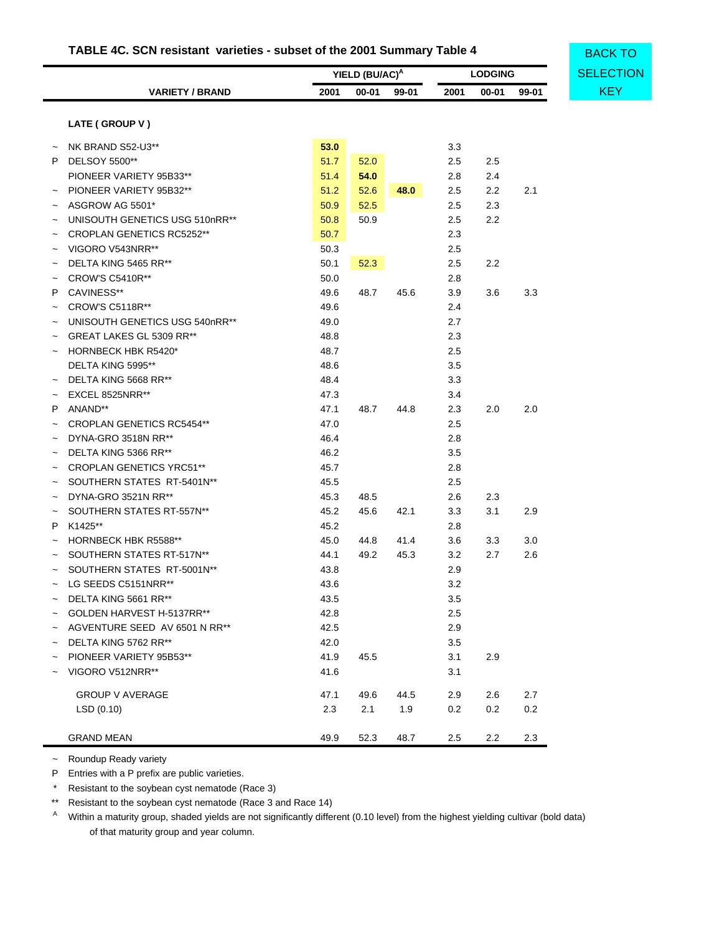# **TABLE 4C. SCN resistant varieties - subset of the 2001 Summary Table 4**

|            |                                  |      | YIELD (BU/AC) <sup>A</sup> |       |         | <b>LODGING</b> |         | <b>SELECTION</b> |  |  |
|------------|----------------------------------|------|----------------------------|-------|---------|----------------|---------|------------------|--|--|
|            | <b>VARIETY / BRAND</b>           | 2001 | 00-01                      | 99-01 | 2001    | 00-01          | 99-01   | <b>KEY</b>       |  |  |
|            | LATE (GROUP V)                   |      |                            |       |         |                |         |                  |  |  |
|            |                                  |      |                            |       |         |                |         |                  |  |  |
|            | NK BRAND S52-U3**                | 53.0 |                            |       | 3.3     |                |         |                  |  |  |
|            | P DELSOY 5500**                  | 51.7 | 52.0                       |       | $2.5\,$ | 2.5            |         |                  |  |  |
|            | PIONEER VARIETY 95B33**          | 51.4 | 54.0                       |       | 2.8     | 2.4            |         |                  |  |  |
|            | PIONEER VARIETY 95B32**          | 51.2 | 52.6                       | 48.0  | 2.5     | 2.2            | 2.1     |                  |  |  |
|            | ASGROW AG 5501*                  | 50.9 | 52.5                       |       | $2.5\,$ | 2.3            |         |                  |  |  |
|            | UNISOUTH GENETICS USG 510nRR**   | 50.8 | 50.9                       |       | $2.5\,$ | 2.2            |         |                  |  |  |
|            | <b>CROPLAN GENETICS RC5252**</b> | 50.7 |                            |       | 2.3     |                |         |                  |  |  |
|            | VIGORO V543NRR**                 | 50.3 |                            |       | 2.5     |                |         |                  |  |  |
|            | DELTA KING 5465 RR**             | 50.1 | 52.3                       |       | 2.5     | 2.2            |         |                  |  |  |
|            | <b>CROW'S C5410R**</b>           | 50.0 |                            |       | 2.8     |                |         |                  |  |  |
| P          | CAVINESS**                       | 49.6 | 48.7                       | 45.6  | 3.9     | 3.6            | 3.3     |                  |  |  |
|            | <b>CROW'S C5118R**</b>           | 49.6 |                            |       | 2.4     |                |         |                  |  |  |
|            | UNISOUTH GENETICS USG 540nRR**   | 49.0 |                            |       | 2.7     |                |         |                  |  |  |
|            | GREAT LAKES GL 5309 RR**         | 48.8 |                            |       | 2.3     |                |         |                  |  |  |
|            | <b>HORNBECK HBK R5420*</b>       | 48.7 |                            |       | $2.5\,$ |                |         |                  |  |  |
|            | DELTA KING 5995**                | 48.6 |                            |       | 3.5     |                |         |                  |  |  |
|            | DELTA KING 5668 RR**             | 48.4 |                            |       | 3.3     |                |         |                  |  |  |
|            | EXCEL 8525NRR**                  | 47.3 |                            |       | 3.4     |                |         |                  |  |  |
| P          | ANAND**                          | 47.1 | 48.7                       | 44.8  | 2.3     | 2.0            | 2.0     |                  |  |  |
|            | <b>CROPLAN GENETICS RC5454**</b> | 47.0 |                            |       | 2.5     |                |         |                  |  |  |
|            | DYNA-GRO 3518N RR**              | 46.4 |                            |       | 2.8     |                |         |                  |  |  |
|            | DELTA KING 5366 RR**             | 46.2 |                            |       | 3.5     |                |         |                  |  |  |
|            | <b>CROPLAN GENETICS YRC51**</b>  | 45.7 |                            |       | 2.8     |                |         |                  |  |  |
| $\tilde{}$ | SOUTHERN STATES RT-5401N**       | 45.5 |                            |       | 2.5     |                |         |                  |  |  |
| $\tilde{}$ | DYNA-GRO 3521N RR**              | 45.3 | 48.5                       |       | 2.6     | 2.3            |         |                  |  |  |
|            | SOUTHERN STATES RT-557N**        | 45.2 | 45.6                       | 42.1  | 3.3     | 3.1            | 2.9     |                  |  |  |
| P          | K1425**                          | 45.2 |                            |       | 2.8     |                |         |                  |  |  |
|            | HORNBECK HBK R5588**             | 45.0 | 44.8                       | 41.4  | 3.6     | 3.3            | $3.0\,$ |                  |  |  |
|            | SOUTHERN STATES RT-517N**        | 44.1 | 49.2                       | 45.3  | 3.2     | 2.7            | 2.6     |                  |  |  |
|            | SOUTHERN STATES RT-5001N**       | 43.8 |                            |       | 2.9     |                |         |                  |  |  |
|            |                                  |      |                            |       |         |                |         |                  |  |  |
|            | LG SEEDS C5151NRR**              | 43.6 |                            |       | 3.2     |                |         |                  |  |  |
|            | $\sim$ DELTA KING 5661 RR**      | 43.5 |                            |       | 3.5     |                |         |                  |  |  |
|            | ~ GOLDEN HARVEST H-5137RR**      | 42.8 |                            |       | 2.5     |                |         |                  |  |  |
|            | ~ AGVENTURE SEED AV 6501 N RR**  | 42.5 |                            |       | 2.9     |                |         |                  |  |  |
|            | DELTA KING 5762 RR**             | 42.0 |                            |       | 3.5     |                |         |                  |  |  |
|            | PIONEER VARIETY 95B53**          | 41.9 | 45.5                       |       | 3.1     | 2.9            |         |                  |  |  |
|            | VIGORO V512NRR**                 | 41.6 |                            |       | 3.1     |                |         |                  |  |  |
|            | <b>GROUP V AVERAGE</b>           | 47.1 | 49.6                       | 44.5  | 2.9     | 2.6            | 2.7     |                  |  |  |
|            | LSD(0.10)                        | 2.3  | 2.1                        | 1.9   | 0.2     | $0.2\,$        | 0.2     |                  |  |  |
|            | <b>GRAND MEAN</b>                | 49.9 | 52.3                       | 48.7  | 2.5     | 2.2            | 2.3     |                  |  |  |

~ Roundup Ready variety

P Entries with a P prefix are public varieties.

\* Resistant to the soybean cyst nematode (Race 3)

\*\* Resistant to the soybean cyst nematode (Race 3 and Race 14)

<sup>A</sup> Within a maturity group, shaded yields are not significantly different (0.10 level) from the highest yielding cultivar (bold data) of that maturity group and year column.

**[SELECTION](#page-33-1)** BACK TO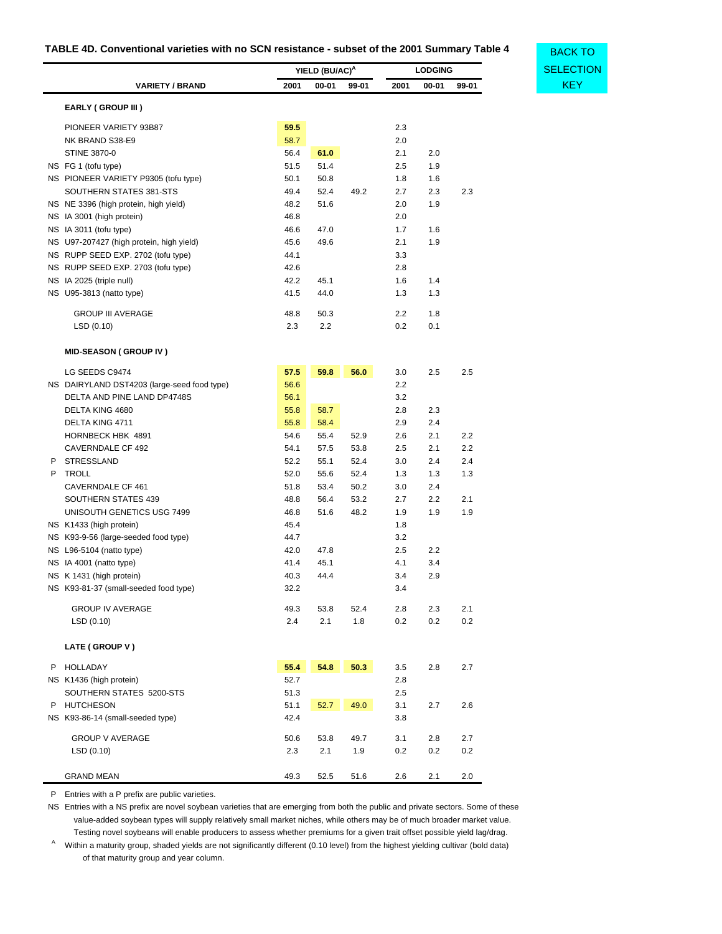# <span id="page-46-0"></span>**TABLE 4D. Conventional varieties with no SCN resistance - subset of the 2001 Summary Table 4**

**[SELECTION](#page-33-1)** 

BACK TO

|                                                |              | YIELD (BU/AC) <sup>A</sup> |              |            | <b>LODGING</b> |            |  |
|------------------------------------------------|--------------|----------------------------|--------------|------------|----------------|------------|--|
| <b>VARIETY / BRAND</b>                         | 2001         | $00 - 01$                  | 99-01        | 2001       | $00 - 01$      | 99-01      |  |
| EARLY (GROUP III)                              |              |                            |              |            |                |            |  |
| PIONEER VARIETY 93B87                          | 59.5         |                            |              | 2.3        |                |            |  |
| NK BRAND S38-E9                                | 58.7         |                            |              | 2.0        |                |            |  |
| STINE 3870-0                                   | 56.4         | 61.0                       |              | 2.1        | 2.0            |            |  |
| NS FG 1 (tofu type)                            | 51.5         | 51.4                       |              | 2.5        | 1.9            |            |  |
| NS PIONEER VARIETY P9305 (tofu type)           | 50.1         | 50.8                       |              | 1.8        | 1.6            |            |  |
| SOUTHERN STATES 381-STS                        | 49.4         | 52.4                       | 49.2         | 2.7        | 2.3            | 2.3        |  |
| NS NE 3396 (high protein, high yield)          | 48.2         | 51.6                       |              | 2.0        | 1.9            |            |  |
| NS IA 3001 (high protein)                      | 46.8         |                            |              | 2.0        |                |            |  |
| NS IA 3011 (tofu type)                         | 46.6         | 47.0                       |              | 1.7        | 1.6            |            |  |
| NS U97-207427 (high protein, high yield)       | 45.6         | 49.6                       |              | 2.1        | 1.9            |            |  |
| NS RUPP SEED EXP. 2702 (tofu type)             | 44.1         |                            |              | 3.3        |                |            |  |
| NS RUPP SEED EXP. 2703 (tofu type)             | 42.6         |                            |              | 2.8        |                |            |  |
| NS IA 2025 (triple null)                       | 42.2         | 45.1                       |              | 1.6        | 1.4            |            |  |
| NS U95-3813 (natto type)                       | 41.5         | 44.0                       |              | 1.3        | 1.3            |            |  |
| <b>GROUP III AVERAGE</b>                       | 48.8         | 50.3                       |              | 2.2        | 1.8            |            |  |
| LSD (0.10)                                     | 2.3          | 2.2                        |              | 0.2        | 0.1            |            |  |
| <b>MID-SEASON (GROUP IV)</b>                   |              |                            |              |            |                |            |  |
|                                                |              |                            |              |            |                |            |  |
| LG SEEDS C9474                                 | 57.5         | 59.8                       | 56.0         | 3.0<br>2.2 | 2.5            | 2.5        |  |
| NS DAIRYLAND DST4203 (large-seed food type)    | 56.6         |                            |              |            |                |            |  |
| DELTA AND PINE LAND DP4748S<br>DELTA KING 4680 | 56.1         |                            |              | 3.2        |                |            |  |
|                                                | 55.8         | 58.7                       |              | 2.8        | 2.3            |            |  |
| DELTA KING 4711                                | 55.8         | 58.4                       |              | 2.9        | 2.4            |            |  |
| HORNBECK HBK 4891<br>CAVERNDALE CF 492         | 54.6<br>54.1 | 55.4<br>57.5               | 52.9<br>53.8 | 2.6<br>2.5 | 2.1<br>2.1     | 2.2<br>2.2 |  |
| STRESSLAND                                     | 52.2         | 55.1                       | 52.4         | 3.0        | 2.4            | 2.4        |  |
| <b>TROLL</b>                                   | 52.0         | 55.6                       | 52.4         | 1.3        | 1.3            | 1.3        |  |
| P<br>CAVERNDALE CF 461                         | 51.8         | 53.4                       | 50.2         | 3.0        | 2.4            |            |  |
| SOUTHERN STATES 439                            | 48.8         | 56.4                       | 53.2         | 2.7        | 2.2            | 2.1        |  |
| UNISOUTH GENETICS USG 7499                     | 46.8         | 51.6                       | 48.2         | 1.9        | 1.9            | 1.9        |  |
| NS K1433 (high protein)                        | 45.4         |                            |              | 1.8        |                |            |  |
| NS K93-9-56 (large-seeded food type)           | 44.7         |                            |              | 3.2        |                |            |  |
| NS L96-5104 (natto type)                       | 42.0         | 47.8                       |              | 2.5        | 2.2            |            |  |
| NS IA 4001 (natto type)                        | 41.4         | 45.1                       |              | 4.1        | 3.4            |            |  |
| NS K 1431 (high protein)                       | 40.3         | 44.4                       |              | 3.4        | 2.9            |            |  |
| NS K93-81-37 (small-seeded food type)          | 32.2         |                            |              | 3.4        |                |            |  |
| <b>GROUP IV AVERAGE</b>                        | 49.3         | 53.8                       | 52.4         | 2.8        | 2.3            | 2.1        |  |
| LSD(0.10)                                      | 2.4          | 2.1                        | 1.8          | 0.2        | 0.2            | 0.2        |  |
| LATE (GROUP V)                                 |              |                            |              |            |                |            |  |
|                                                |              |                            |              |            |                |            |  |
| P HOLLADAY                                     | 55.4         | 54.8                       | 50.3         | 3.5        | 2.8            | 2.7        |  |
| NS K1436 (high protein)                        | 52.7         |                            |              | 2.8        |                |            |  |
| SOUTHERN STATES 5200-STS                       | 51.3         |                            |              | 2.5        |                |            |  |
| P HUTCHESON                                    | 51.1         | 52.7                       | 49.0         | 3.1        | 2.7            | 2.6        |  |
| NS K93-86-14 (small-seeded type)               | 42.4         |                            |              | 3.8        |                |            |  |
| <b>GROUP V AVERAGE</b>                         | 50.6         | 53.8                       | 49.7         | 3.1        | 2.8            | 2.7        |  |
| LSD(0.10)                                      | 2.3          | 2.1                        | 1.9          | 0.2        | 0.2            | 0.2        |  |
|                                                |              |                            |              |            |                |            |  |
| <b>GRAND MEAN</b>                              | 49.3         | 52.5                       | 51.6         | 2.6        | 2.1            | 2.0        |  |

P Entries with a P prefix are public varieties.

NS Entries with a NS prefix are novel soybean varieties that are emerging from both the public and private sectors. Some of these value-added soybean types will supply relatively small market niches, while others may be of much broader market value. Testing novel soybeans will enable producers to assess whether premiums for a given trait offset possible yield lag/drag.

A Within a maturity group, shaded yields are not significantly different (0.10 level) from the highest yielding cultivar (bold data) of that maturity group and year column.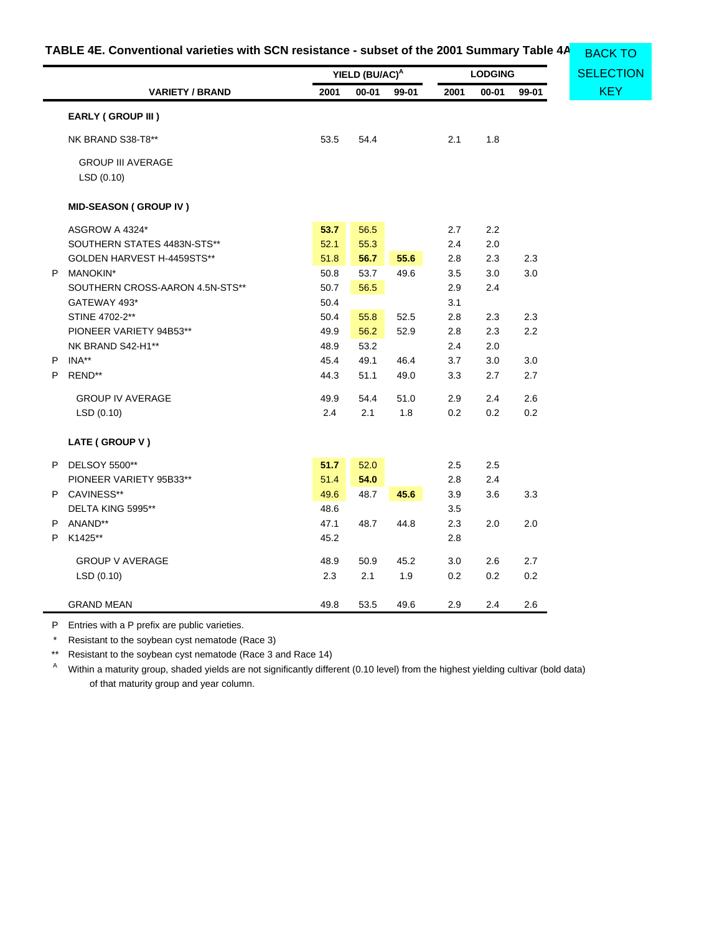<span id="page-47-0"></span>

| TABLE 4E. Conventional varieties with SCN resistance - subset of the 2001 Summary Table 4A BACK TO |  |
|----------------------------------------------------------------------------------------------------|--|
|----------------------------------------------------------------------------------------------------|--|

|   |                                        | YIELD (BU/AC) <sup>A</sup><br><b>LODGING</b> |       |       | <b>SELECTION</b> |           |       |            |
|---|----------------------------------------|----------------------------------------------|-------|-------|------------------|-----------|-------|------------|
|   | <b>VARIETY / BRAND</b>                 | 2001                                         | 00-01 | 99-01 | 2001             | $00 - 01$ | 99-01 | <b>KEY</b> |
|   | EARLY (GROUP III)                      |                                              |       |       |                  |           |       |            |
|   | NK BRAND S38-T8**                      | 53.5                                         | 54.4  |       | 2.1              | 1.8       |       |            |
|   | <b>GROUP III AVERAGE</b><br>LSD (0.10) |                                              |       |       |                  |           |       |            |
|   | <b>MID-SEASON (GROUP IV)</b>           |                                              |       |       |                  |           |       |            |
|   | ASGROW A 4324*                         | 53.7                                         | 56.5  |       | 2.7              | 2.2       |       |            |
|   | SOUTHERN STATES 4483N-STS**            | 52.1                                         | 55.3  |       | 2.4              | 2.0       |       |            |
|   | GOLDEN HARVEST H-4459STS**             | 51.8                                         | 56.7  | 55.6  | 2.8              | 2.3       | 2.3   |            |
|   | P MANOKIN*                             | 50.8                                         | 53.7  | 49.6  | 3.5              | 3.0       | 3.0   |            |
|   | SOUTHERN CROSS-AARON 4.5N-STS**        | 50.7                                         | 56.5  |       | 2.9              | 2.4       |       |            |
|   | GATEWAY 493*                           | 50.4                                         |       |       | 3.1              |           |       |            |
|   | STINE 4702-2**                         | 50.4                                         | 55.8  | 52.5  | 2.8              | 2.3       | 2.3   |            |
|   | PIONEER VARIETY 94B53**                | 49.9                                         | 56.2  | 52.9  | 2.8              | 2.3       | 2.2   |            |
|   | NK BRAND S42-H1**                      | 48.9                                         | 53.2  |       | 2.4              | 2.0       |       |            |
| P | INA**                                  | 45.4                                         | 49.1  | 46.4  | 3.7              | 3.0       | 3.0   |            |
| P | REND**                                 | 44.3                                         | 51.1  | 49.0  | 3.3              | 2.7       | 2.7   |            |
|   | <b>GROUP IV AVERAGE</b>                | 49.9                                         | 54.4  | 51.0  | 2.9              | 2.4       | 2.6   |            |
|   | LSD (0.10)                             | 2.4                                          | 2.1   | 1.8   | 0.2              | 0.2       | 0.2   |            |
|   | LATE (GROUP V)                         |                                              |       |       |                  |           |       |            |
| P | <b>DELSOY 5500**</b>                   | 51.7                                         | 52.0  |       | 2.5              | 2.5       |       |            |
|   | PIONEER VARIETY 95B33**                | 51.4                                         | 54.0  |       | 2.8              | 2.4       |       |            |
|   | P CAVINESS**                           | 49.6                                         | 48.7  | 45.6  | 3.9              | 3.6       | 3.3   |            |
|   | DELTA KING 5995**                      | 48.6                                         |       |       | 3.5              |           |       |            |
| P | ANAND**                                | 47.1                                         | 48.7  | 44.8  | 2.3              | 2.0       | 2.0   |            |
| P | K1425**                                | 45.2                                         |       |       | 2.8              |           |       |            |
|   | <b>GROUP V AVERAGE</b>                 | 48.9                                         | 50.9  | 45.2  | 3.0              | 2.6       | 2.7   |            |
|   | LSD(0.10)                              | 2.3                                          | 2.1   | 1.9   | 0.2              | 0.2       | 0.2   |            |
|   | <b>GRAND MEAN</b>                      | 49.8                                         | 53.5  | 49.6  | 2.9              | 2.4       | 2.6   |            |

P Entries with a P prefix are public varieties.

\* Resistant to the soybean cyst nematode (Race 3)

\*\* Resistant to the soybean cyst nematode (Race 3 and Race 14)

<sup>A</sup> Within a maturity group, shaded yields are not significantly different (0.10 level) from the highest yielding cultivar (bold data) of that maturity group and year column.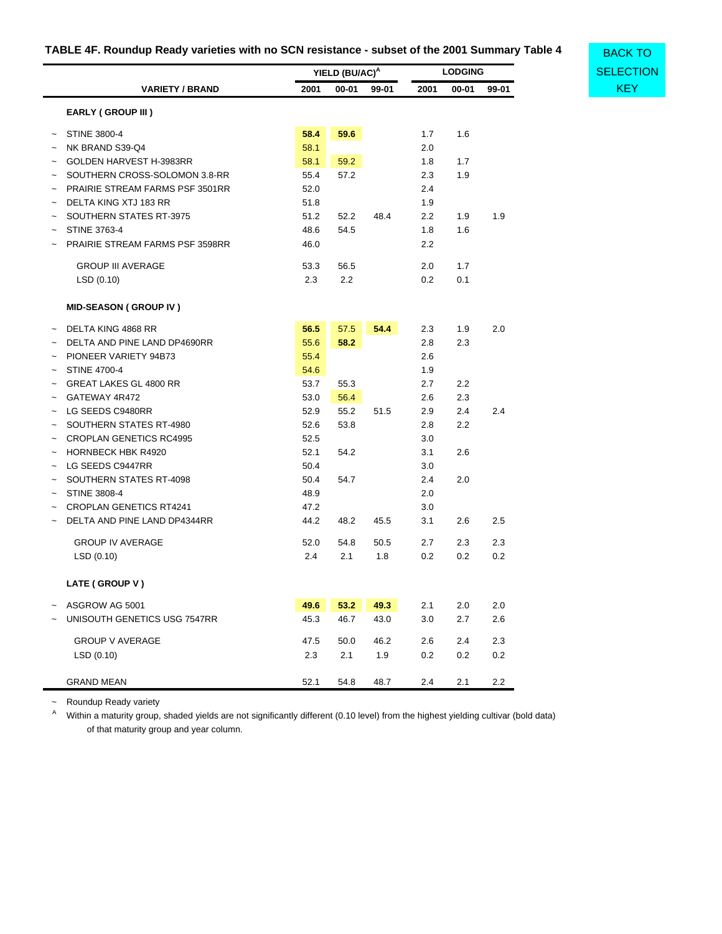# <span id="page-48-0"></span>**TABLE 4F. Roundup Ready varieties with no SCN resistance - subset of the 2001 Summary Table 4**

**[SELECTION](#page-33-1)** 

BACK TO

|            |                                 |      | YIELD (BU/AC) <sup>A</sup> |       |         | <b>LODGING</b> |         | <b>SELECT</b> |  |  |
|------------|---------------------------------|------|----------------------------|-------|---------|----------------|---------|---------------|--|--|
|            | <b>VARIETY / BRAND</b>          | 2001 | $00 - 01$                  | 99-01 | 2001    | $00 - 01$      | 99-01   | <b>KEY</b>    |  |  |
|            | EARLY (GROUP III)               |      |                            |       |         |                |         |               |  |  |
| $\tilde{}$ | <b>STINE 3800-4</b>             | 58.4 | 59.6                       |       | 1.7     | 1.6            |         |               |  |  |
|            | NK BRAND S39-Q4                 | 58.1 |                            |       | 2.0     |                |         |               |  |  |
|            | GOLDEN HARVEST H-3983RR         | 58.1 | 59.2                       |       | 1.8     | 1.7            |         |               |  |  |
|            | SOUTHERN CROSS-SOLOMON 3.8-RR   | 55.4 | 57.2                       |       | 2.3     | 1.9            |         |               |  |  |
|            | PRAIRIE STREAM FARMS PSF 3501RR | 52.0 |                            |       | 2.4     |                |         |               |  |  |
| $\tilde{}$ | DELTA KING XTJ 183 RR           | 51.8 |                            |       | 1.9     |                |         |               |  |  |
| $\tilde{}$ | SOUTHERN STATES RT-3975         | 51.2 | 52.2                       | 48.4  | 2.2     | 1.9            | 1.9     |               |  |  |
| $\tilde{}$ | <b>STINE 3763-4</b>             | 48.6 | 54.5                       |       | 1.8     | 1.6            |         |               |  |  |
|            | PRAIRIE STREAM FARMS PSF 3598RR | 46.0 |                            |       | 2.2     |                |         |               |  |  |
|            | <b>GROUP III AVERAGE</b>        | 53.3 | 56.5                       |       | 2.0     | 1.7            |         |               |  |  |
|            | LSD (0.10)                      | 2.3  | 2.2                        |       | 0.2     | 0.1            |         |               |  |  |
|            | <b>MID-SEASON (GROUP IV)</b>    |      |                            |       |         |                |         |               |  |  |
| $\tilde{}$ | DELTA KING 4868 RR              | 56.5 | 57.5                       | 54.4  | 2.3     | 1.9            | 2.0     |               |  |  |
|            | DELTA AND PINE LAND DP4690RR    | 55.6 | 58.2                       |       | 2.8     | 2.3            |         |               |  |  |
|            | PIONEER VARIETY 94B73           | 55.4 |                            |       | 2.6     |                |         |               |  |  |
| $\tilde{}$ | <b>STINE 4700-4</b>             | 54.6 |                            |       | 1.9     |                |         |               |  |  |
|            | <b>GREAT LAKES GL 4800 RR</b>   | 53.7 | 55.3                       |       | 2.7     | 2.2            |         |               |  |  |
|            | GATEWAY 4R472                   | 53.0 | 56.4                       |       | 2.6     | 2.3            |         |               |  |  |
|            | LG SEEDS C9480RR                | 52.9 | 55.2                       | 51.5  | 2.9     | 2.4            | 2.4     |               |  |  |
| $\tilde{}$ | SOUTHERN STATES RT-4980         | 52.6 | 53.8                       |       | 2.8     | 2.2            |         |               |  |  |
|            | <b>CROPLAN GENETICS RC4995</b>  | 52.5 |                            |       | 3.0     |                |         |               |  |  |
|            | <b>HORNBECK HBK R4920</b>       | 52.1 | 54.2                       |       | 3.1     | 2.6            |         |               |  |  |
|            | LG SEEDS C9447RR                | 50.4 |                            |       | 3.0     |                |         |               |  |  |
|            | SOUTHERN STATES RT-4098         | 50.4 | 54.7                       |       | 2.4     | 2.0            |         |               |  |  |
|            | <b>STINE 3808-4</b>             | 48.9 |                            |       | 2.0     |                |         |               |  |  |
|            | <b>CROPLAN GENETICS RT4241</b>  | 47.2 |                            |       | 3.0     |                |         |               |  |  |
|            | DELTA AND PINE LAND DP4344RR    | 44.2 | 48.2                       | 45.5  | 3.1     | 2.6            | 2.5     |               |  |  |
|            | <b>GROUP IV AVERAGE</b>         | 52.0 | 54.8                       | 50.5  | 2.7     | 2.3            | 2.3     |               |  |  |
|            | LSD(0.10)                       | 2.4  | 2.1                        | 1.8   | 0.2     | 0.2            | 0.2     |               |  |  |
|            | LATE (GROUP V)                  |      |                            |       |         |                |         |               |  |  |
| $\tilde{}$ | ASGROW AG 5001                  | 49.6 | 53.2                       | 49.3  | 2.1     | 2.0            | 2.0     |               |  |  |
|            | UNISOUTH GENETICS USG 7547RR    | 45.3 | 46.7                       | 43.0  | $3.0\,$ | 2.7            | 2.6     |               |  |  |
|            | <b>GROUP V AVERAGE</b>          | 47.5 | 50.0                       | 46.2  | 2.6     | 2.4            | 2.3     |               |  |  |
|            | LSD(0.10)                       | 2.3  | 2.1                        | 1.9   | 0.2     | 0.2            | 0.2     |               |  |  |
|            | <b>GRAND MEAN</b>               | 52.1 | 54.8                       | 48.7  | $2.4\,$ | 2.1            | $2.2\,$ |               |  |  |

~ Roundup Ready variety

A Within a maturity group, shaded yields are not significantly different (0.10 level) from the highest yielding cultivar (bold data) of that maturity group and year column.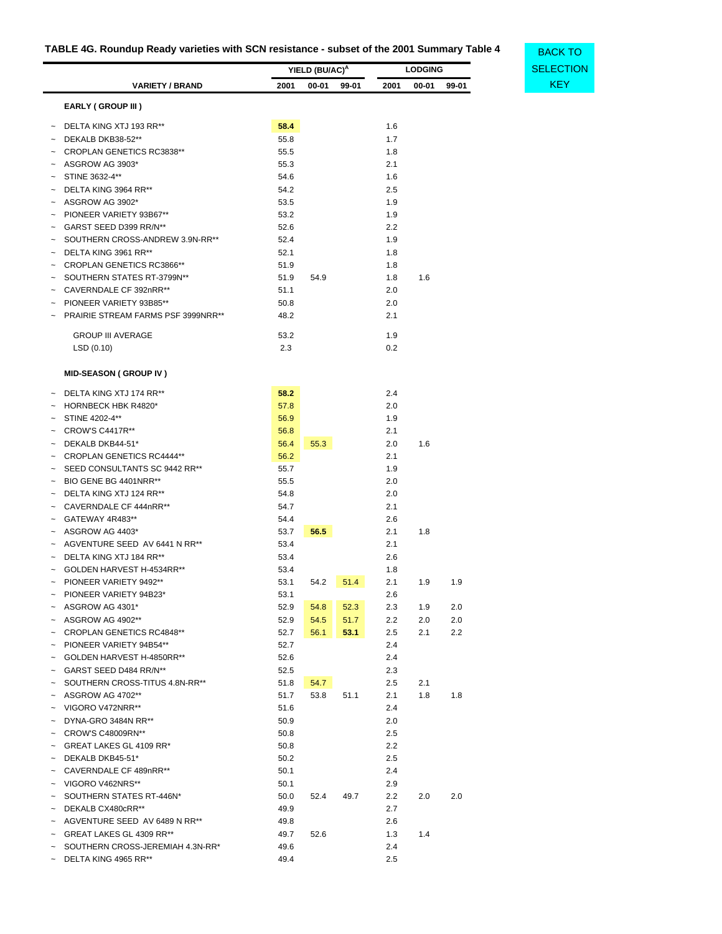# <span id="page-49-0"></span>**TABLE 4G. Roundup Ready varieties with SCN resistance - subset of the 2001 Summary Table 4**

|        |                                    | YIELD (BU/AC) <sup>A</sup> |       |       | <b>LODGING</b> |           |       |
|--------|------------------------------------|----------------------------|-------|-------|----------------|-----------|-------|
|        | <b>VARIETY / BRAND</b>             | 2001                       | 00-01 | 99-01 | 2001           | $00 - 01$ | 99-01 |
|        | <b>EARLY (GROUP III)</b>           |                            |       |       |                |           |       |
|        | DELTA KING XTJ 193 RR**            | 58.4                       |       |       | 1.6            |           |       |
|        | DEKALB DKB38-52**                  | 55.8                       |       |       | 1.7            |           |       |
|        | CROPLAN GENETICS RC3838**          | 55.5                       |       |       | 1.8            |           |       |
|        | ASGROW AG 3903*                    | 55.3                       |       |       | 2.1            |           |       |
|        | STINE 3632-4**                     | 54.6                       |       |       | 1.6            |           |       |
|        | DELTA KING 3964 RR**               | 54.2                       |       |       | 2.5            |           |       |
|        | ASGROW AG 3902*                    | 53.5                       |       |       | 1.9            |           |       |
|        | PIONEER VARIETY 93B67**            | 53.2                       |       |       | 1.9            |           |       |
|        | GARST SEED D399 RR/N**             | 52.6                       |       |       | 2.2            |           |       |
|        | SOUTHERN CROSS-ANDREW 3.9N-RR**    | 52.4                       |       |       | 1.9            |           |       |
|        | DELTA KING 3961 RR**               | 52.1                       |       |       | 1.8            |           |       |
|        | <b>CROPLAN GENETICS RC3866**</b>   | 51.9                       |       |       | 1.8            |           |       |
|        | SOUTHERN STATES RT-3799N**         | 51.9                       | 54.9  |       | 1.8            | 1.6       |       |
|        | CAVERNDALE CF 392nRR**             | 51.1                       |       |       | 2.0            |           |       |
|        | PIONEER VARIETY 93B85**            | 50.8                       |       |       | 2.0            |           |       |
|        | PRAIRIE STREAM FARMS PSF 3999NRR** | 48.2                       |       |       | 2.1            |           |       |
|        | <b>GROUP III AVERAGE</b>           |                            |       |       | 1.9            |           |       |
|        |                                    | 53.2<br>2.3                |       |       | 0.2            |           |       |
|        | LSD (0.10)                         |                            |       |       |                |           |       |
|        | <b>MID-SEASON (GROUP IV)</b>       |                            |       |       |                |           |       |
|        | DELTA KING XTJ 174 RR**            | 58.2                       |       |       | 2.4            |           |       |
|        | <b>HORNBECK HBK R4820*</b>         | 57.8                       |       |       | 2.0            |           |       |
|        | STINE 4202-4**                     | 56.9                       |       |       | 1.9            |           |       |
|        | <b>CROW'S C4417R**</b>             | 56.8                       |       |       | 2.1            |           |       |
|        | DEKALB DKB44-51*                   | 56.4                       | 55.3  |       | 2.0            | 1.6       |       |
|        | <b>CROPLAN GENETICS RC4444**</b>   | 56.2                       |       |       | 2.1            |           |       |
|        | SEED CONSULTANTS SC 9442 RR**      | 55.7                       |       |       | 1.9            |           |       |
|        | BIO GENE BG 4401NRR**              | 55.5                       |       |       | 2.0            |           |       |
|        | DELTA KING XTJ 124 RR**            | 54.8                       |       |       | 2.0            |           |       |
|        | CAVERNDALE CF 444nRR**             | 54.7                       |       |       | 2.1            |           |       |
|        | GATEWAY 4R483**                    | 54.4                       |       |       | 2.6            |           |       |
|        | ASGROW AG 4403*                    | 53.7                       | 56.5  |       | 2.1            | 1.8       |       |
|        | AGVENTURE SEED AV 6441 N RR**      | 53.4                       |       |       | 2.1            |           |       |
|        | DELTA KING XTJ 184 RR**            | 53.4                       |       |       | 2.6            |           |       |
|        | GOLDEN HARVEST H-4534RR**          | 53.4                       |       |       | 1.8            |           |       |
|        | PIONEER VARIETY 9492**             | 53.1                       | 54.2  | 51.4  | 2.1            | 1.9       | 1.9   |
|        | PIONEER VARIETY 94B23*             | 53.1                       |       |       | 2.6            |           |       |
|        | ASGROW AG 4301*                    | 52.9                       | 54.8  | 52.3  | 2.3            | 1.9       | 2.0   |
|        | ASGROW AG 4902**                   | 52.9                       | 54.5  | 51.7  | 2.2            | 2.0       | 2.0   |
|        | <b>CROPLAN GENETICS RC4848**</b>   | 52.7                       | 56.1  | 53.1  | 2.5            | 2.1       | 2.2   |
|        | PIONEER VARIETY 94B54**            | 52.7                       |       |       | 2.4            |           |       |
|        | GOLDEN HARVEST H-4850RR**          | 52.6                       |       |       | 2.4            |           |       |
|        | GARST SEED D484 RR/N**             | 52.5                       |       |       | 2.3            |           |       |
|        | SOUTHERN CROSS-TITUS 4.8N-RR**     | 51.8                       | 54.7  |       | 2.5            | 2.1       |       |
|        | ASGROW AG 4702**                   | 51.7                       | 53.8  | 51.1  | 2.1            | 1.8       | 1.8   |
|        | VIGORO V472NRR**                   | 51.6                       |       |       | 2.4            |           |       |
|        | DYNA-GRO 3484N RR**                | 50.9                       |       |       | 2.0            |           |       |
|        | CROW'S C48009RN**                  | 50.8                       |       |       | 2.5            |           |       |
|        | GREAT LAKES GL 4109 RR*            | 50.8                       |       |       | 2.2            |           |       |
|        | DEKALB DKB45-51*                   | 50.2                       |       |       | 2.5            |           |       |
|        | CAVERNDALE CF 489nRR**             | 50.1                       |       |       | 2.4            |           |       |
|        | VIGORO V462NRS**                   | 50.1                       |       |       | 2.9            |           |       |
|        | SOUTHERN STATES RT-446N*           | 50.0                       | 52.4  | 49.7  | 2.2            | 2.0       | 2.0   |
|        | DEKALB CX480cRR**                  | 49.9                       |       |       | 2.7            |           |       |
|        | AGVENTURE SEED AV 6489 N RR**      | 49.8                       |       |       | 2.6            |           |       |
|        | GREAT LAKES GL 4309 RR**           | 49.7                       | 52.6  |       | 1.3            | 1.4       |       |
|        | SOUTHERN CROSS-JEREMIAH 4.3N-RR*   | 49.6                       |       |       | 2.4            |           |       |
| $\sim$ | DELTA KING 4965 RR**               | 49.4                       |       |       | 2.5            |           |       |

**[SELECTION](#page-33-1)** BACK TO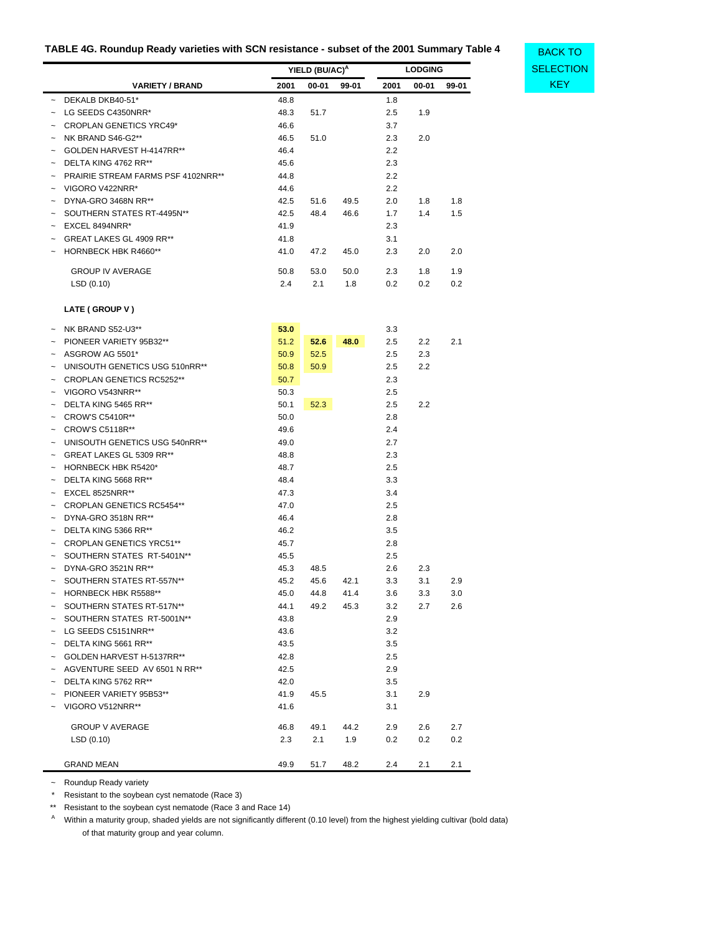## **TABLE 4G. Roundup Ready varieties with SCN resistance - subset of the 2001 Summary Table 4**

**[SELECTION](#page-33-1)** 

BACK TO

|                                                                    |      | YIELD (BU/AC) <sup>A</sup> |       | <b>LODGING</b> |           |       |  |
|--------------------------------------------------------------------|------|----------------------------|-------|----------------|-----------|-------|--|
| <b>VARIETY / BRAND</b>                                             | 2001 | 00-01                      | 99-01 | 2001           | $00 - 01$ | 99-01 |  |
| DEKALB DKB40-51*<br>$\tilde{}$                                     | 48.8 |                            |       | 1.8            |           |       |  |
| LG SEEDS C4350NRR*<br>$\tilde{\phantom{a}}$                        | 48.3 | 51.7                       |       | 2.5            | 1.9       |       |  |
| <b>CROPLAN GENETICS YRC49*</b><br>$\tilde{\phantom{a}}$            | 46.6 |                            |       | 3.7            |           |       |  |
| NK BRAND S46-G2**<br>$\tilde{\phantom{a}}$                         | 46.5 | 51.0                       |       | 2.3            | 2.0       |       |  |
| GOLDEN HARVEST H-4147RR**<br>$\tilde{\phantom{a}}$                 | 46.4 |                            |       | 2.2            |           |       |  |
| DELTA KING 4762 RR**<br>$\tilde{\phantom{a}}$                      | 45.6 |                            |       | 2.3            |           |       |  |
| <b>PRAIRIE STREAM FARMS PSF 4102NRR**</b><br>$\tilde{\phantom{a}}$ | 44.8 |                            |       | 2.2            |           |       |  |
| VIGORO V422NRR*<br>$\tilde{}$                                      | 44.6 |                            |       | 2.2            |           |       |  |
| DYNA-GRO 3468N RR**<br>$\tilde{\phantom{a}}$                       | 42.5 | 51.6                       | 49.5  | 2.0            | 1.8       | 1.8   |  |
| SOUTHERN STATES RT-4495N**<br>$\tilde{\phantom{a}}$                | 42.5 | 48.4                       | 46.6  | 1.7            | 1.4       | 1.5   |  |
| EXCEL 8494NRR*<br>$\tilde{}$                                       | 41.9 |                            |       | 2.3            |           |       |  |
| GREAT LAKES GL 4909 RR**<br>$\tilde{\phantom{a}}$                  | 41.8 |                            |       | 3.1            |           |       |  |
| <b>HORNBECK HBK R4660**</b><br>$\tilde{\phantom{a}}$               | 41.0 | 47.2                       | 45.0  | 2.3            | 2.0       | 2.0   |  |
| <b>GROUP IV AVERAGE</b>                                            | 50.8 | 53.0                       | 50.0  | 2.3            | 1.8       | 1.9   |  |
| LSD(0.10)                                                          | 2.4  | 2.1                        | 1.8   | 0.2            | 0.2       | 0.2   |  |
| LATE (GROUP V)                                                     |      |                            |       |                |           |       |  |

|                       | NK BRAND S52-U3**                | 53.0 |      |      | 3.3 |     |     |
|-----------------------|----------------------------------|------|------|------|-----|-----|-----|
| $\tilde{\phantom{a}}$ | PIONEER VARIETY 95B32**          | 51.2 | 52.6 | 48.0 | 2.5 | 2.2 | 2.1 |
|                       | ASGROW AG 5501*                  | 50.9 | 52.5 |      | 2.5 | 2.3 |     |
|                       | UNISOUTH GENETICS USG 510nRR**   | 50.8 | 50.9 |      | 2.5 | 2.2 |     |
|                       | <b>CROPLAN GENETICS RC5252**</b> | 50.7 |      |      | 2.3 |     |     |
|                       | VIGORO V543NRR**                 | 50.3 |      |      | 2.5 |     |     |
| $\tilde{\phantom{a}}$ | DELTA KING 5465 RR**             | 50.1 | 52.3 |      | 2.5 | 2.2 |     |
|                       | <b>CROW'S C5410R**</b>           | 50.0 |      |      | 2.8 |     |     |
|                       | <b>CROW'S C5118R**</b>           | 49.6 |      |      | 2.4 |     |     |
|                       | UNISOUTH GENETICS USG 540nRR**   | 49.0 |      |      | 2.7 |     |     |
|                       | GREAT LAKES GL 5309 RR**         | 48.8 |      |      | 2.3 |     |     |
| $\tilde{\phantom{a}}$ | <b>HORNBECK HBK R5420*</b>       | 48.7 |      |      | 2.5 |     |     |
| $\tilde{\phantom{a}}$ | DELTA KING 5668 RR**             | 48.4 |      |      | 3.3 |     |     |
|                       | EXCEL 8525NRR**                  | 47.3 |      |      | 3.4 |     |     |
|                       | <b>CROPLAN GENETICS RC5454**</b> | 47.0 |      |      | 2.5 |     |     |
|                       | DYNA-GRO 3518N RR**              | 46.4 |      |      | 2.8 |     |     |
|                       | DELTA KING 5366 RR**             | 46.2 |      |      | 3.5 |     |     |
| $\tilde{\phantom{a}}$ | <b>CROPLAN GENETICS YRC51**</b>  | 45.7 |      |      | 2.8 |     |     |
|                       | SOUTHERN STATES RT-5401N**       | 45.5 |      |      | 2.5 |     |     |
|                       | DYNA-GRO 3521N RR**              | 45.3 | 48.5 |      | 2.6 | 2.3 |     |
|                       | SOUTHERN STATES RT-557N**        | 45.2 | 45.6 | 42.1 | 3.3 | 3.1 | 2.9 |
|                       | <b>HORNBECK HBK R5588**</b>      | 45.0 | 44.8 | 41.4 | 3.6 | 3.3 | 3.0 |
| $\tilde{\phantom{a}}$ | SOUTHERN STATES RT-517N**        | 44.1 | 49.2 | 45.3 | 3.2 | 2.7 | 2.6 |
| $\tilde{\phantom{a}}$ | SOUTHERN STATES RT-5001N**       | 43.8 |      |      | 2.9 |     |     |
|                       | LG SEEDS C5151NRR**              | 43.6 |      |      | 3.2 |     |     |
| $\tilde{\phantom{a}}$ | DELTA KING 5661 RR**             | 43.5 |      |      | 3.5 |     |     |
|                       | GOLDEN HARVEST H-5137RR**        | 42.8 |      |      | 2.5 |     |     |
| $\tilde{\phantom{a}}$ | AGVENTURE SEED AV 6501 N RR**    | 42.5 |      |      | 2.9 |     |     |
| $\tilde{\phantom{a}}$ | DELTA KING 5762 RR**             | 42.0 |      |      | 3.5 |     |     |
|                       | PIONEER VARIETY 95B53**          | 41.9 | 45.5 |      | 3.1 | 2.9 |     |
| $\tilde{\phantom{a}}$ | VIGORO V512NRR**                 | 41.6 |      |      | 3.1 |     |     |
|                       | <b>GROUP V AVERAGE</b>           | 46.8 | 49.1 | 44.2 | 2.9 | 2.6 | 2.7 |
|                       | LSD(0.10)                        | 2.3  | 2.1  | 1.9  | 0.2 | 0.2 | 0.2 |
|                       | <b>GRAND MEAN</b>                | 49.9 | 51.7 | 48.2 | 2.4 | 2.1 | 2.1 |

~ Roundup Ready variety

\* Resistant to the soybean cyst nematode (Race 3)

\*\* Resistant to the soybean cyst nematode (Race 3 and Race 14)

A Within a maturity group, shaded yields are not significantly different (0.10 level) from the highest yielding cultivar (bold data) of that maturity group and year column.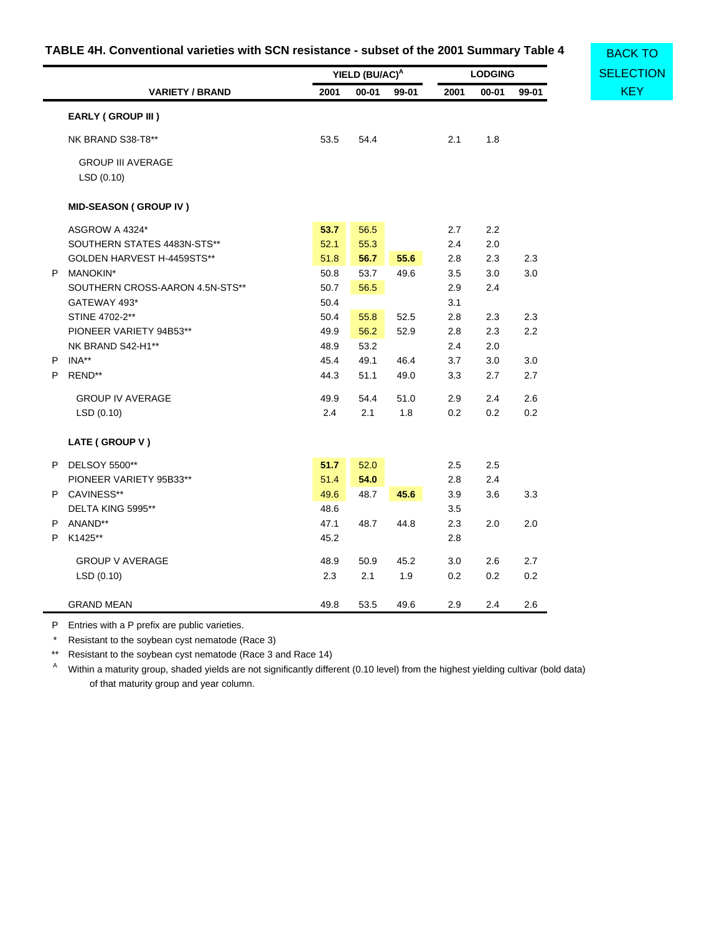# **TABLE 4H. Conventional varieties with SCN resistance - subset of the 2001 Summary Table 4**

<span id="page-51-0"></span>

|    |                                       |      | YIELD (BU/AC) <sup>A</sup> |       |      | <b>LODGING</b> |         | <b>SELECTION</b> |  |
|----|---------------------------------------|------|----------------------------|-------|------|----------------|---------|------------------|--|
|    | <b>VARIETY / BRAND</b>                | 2001 | 00-01                      | 99-01 | 2001 | $00 - 01$      | 99-01   | <b>KEY</b>       |  |
|    | <b>EARLY (GROUP III)</b>              |      |                            |       |      |                |         |                  |  |
|    | NK BRAND S38-T8**                     | 53.5 | 54.4                       |       | 2.1  | 1.8            |         |                  |  |
|    | <b>GROUP III AVERAGE</b><br>LSD(0.10) |      |                            |       |      |                |         |                  |  |
|    | <b>MID-SEASON (GROUP IV)</b>          |      |                            |       |      |                |         |                  |  |
|    | ASGROW A 4324*                        | 53.7 | 56.5                       |       | 2.7  | 2.2            |         |                  |  |
|    | SOUTHERN STATES 4483N-STS**           | 52.1 | 55.3                       |       | 2.4  | 2.0            |         |                  |  |
|    | GOLDEN HARVEST H-4459STS**            | 51.8 | 56.7                       | 55.6  | 2.8  | 2.3            | 2.3     |                  |  |
|    | P MANOKIN*                            | 50.8 | 53.7                       | 49.6  | 3.5  | 3.0            | 3.0     |                  |  |
|    | SOUTHERN CROSS-AARON 4.5N-STS**       | 50.7 | 56.5                       |       | 2.9  | 2.4            |         |                  |  |
|    | GATEWAY 493*                          | 50.4 |                            |       | 3.1  |                |         |                  |  |
|    | STINE 4702-2**                        | 50.4 | 55.8                       | 52.5  | 2.8  | 2.3            | 2.3     |                  |  |
|    | PIONEER VARIETY 94B53**               | 49.9 | 56.2                       | 52.9  | 2.8  | 2.3            | 2.2     |                  |  |
|    | NK BRAND S42-H1**                     | 48.9 | 53.2                       |       | 2.4  | 2.0            |         |                  |  |
| P  | INA**                                 | 45.4 | 49.1                       | 46.4  | 3.7  | 3.0            | 3.0     |                  |  |
| P  | REND**                                | 44.3 | 51.1                       | 49.0  | 3.3  | 2.7            | 2.7     |                  |  |
|    | <b>GROUP IV AVERAGE</b>               | 49.9 | 54.4                       | 51.0  | 2.9  | 2.4            | 2.6     |                  |  |
|    | LSD(0.10)                             | 2.4  | 2.1                        | 1.8   | 0.2  | 0.2            | 0.2     |                  |  |
|    | LATE (GROUP V)                        |      |                            |       |      |                |         |                  |  |
|    | P DELSOY 5500**                       | 51.7 | 52.0                       |       | 2.5  | 2.5            |         |                  |  |
|    | PIONEER VARIETY 95B33**               | 51.4 | 54.0                       |       | 2.8  | 2.4            |         |                  |  |
|    | P CAVINESS**                          | 49.6 | 48.7                       | 45.6  | 3.9  | 3.6            | 3.3     |                  |  |
|    | DELTA KING 5995**                     | 48.6 |                            |       | 3.5  |                |         |                  |  |
|    | P ANAND**                             | 47.1 | 48.7                       | 44.8  | 2.3  | 2.0            | 2.0     |                  |  |
| P. | K1425**                               | 45.2 |                            |       | 2.8  |                |         |                  |  |
|    | <b>GROUP V AVERAGE</b>                | 48.9 | 50.9                       | 45.2  | 3.0  | 2.6            | 2.7     |                  |  |
|    | LSD (0.10)                            | 2.3  | 2.1                        | 1.9   | 0.2  | 0.2            | $0.2\,$ |                  |  |
|    | <b>GRAND MEAN</b>                     | 49.8 | 53.5                       | 49.6  | 2.9  | 2.4            | 2.6     |                  |  |

P Entries with a P prefix are public varieties.

\* Resistant to the soybean cyst nematode (Race 3)

\*\* Resistant to the soybean cyst nematode (Race 3 and Race 14)

<sup>A</sup> Within a maturity group, shaded yields are not significantly different (0.10 level) from the highest yielding cultivar (bold data) of that maturity group and year column.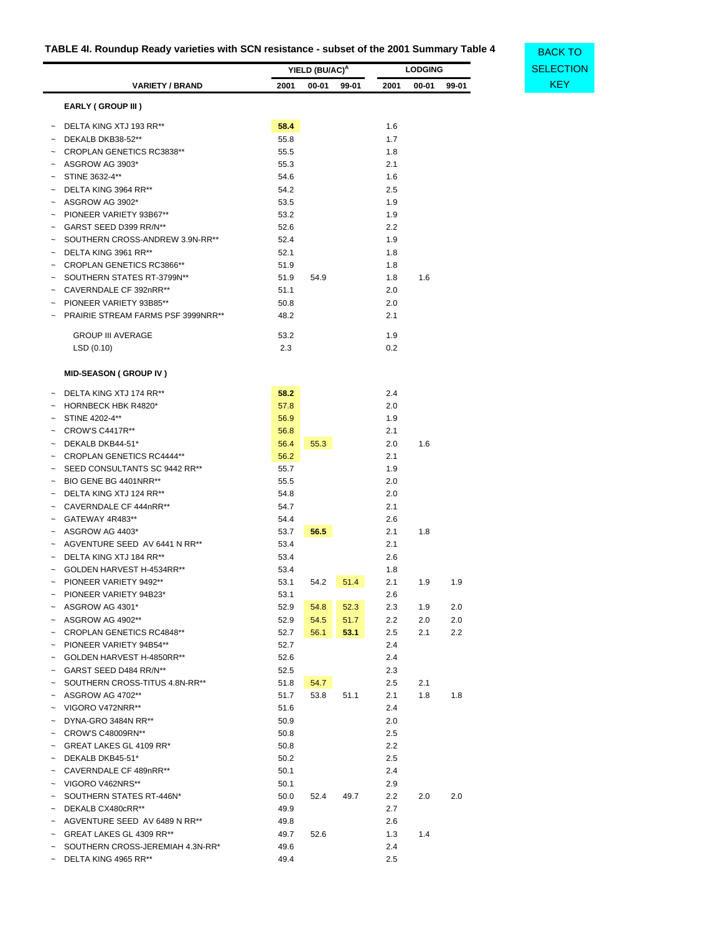# <span id="page-52-0"></span>**TABLE 4I. Roundup Ready varieties with SCN resistance - subset of the 2001 Summary Table 4**

|                       |                                          |              | YIELD (BU/AC) <sup>A</sup> |       |                | <b>LODGING</b> |       | <b>SELECT</b> |
|-----------------------|------------------------------------------|--------------|----------------------------|-------|----------------|----------------|-------|---------------|
|                       | <b>VARIETY / BRAND</b>                   | 2001         | $00 - 01$                  | 99-01 | 2001           | 00-01          | 99-01 | <b>KEY</b>    |
|                       | <b>EARLY (GROUP III)</b>                 |              |                            |       |                |                |       |               |
|                       | DELTA KING XTJ 193 RR**                  | 58.4         |                            |       | 1.6            |                |       |               |
|                       | DEKALB DKB38-52**                        | 55.8         |                            |       | 1.7            |                |       |               |
|                       | CROPLAN GENETICS RC3838**                | 55.5         |                            |       | 1.8            |                |       |               |
|                       | ASGROW AG 3903*                          | 55.3         |                            |       | 2.1            |                |       |               |
|                       | STINE 3632-4**                           | 54.6         |                            |       | 1.6            |                |       |               |
|                       | DELTA KING 3964 RR**                     | 54.2         |                            |       | 2.5            |                |       |               |
|                       | ASGROW AG 3902*                          | 53.5         |                            |       | 1.9            |                |       |               |
|                       | PIONEER VARIETY 93B67**                  | 53.2         |                            |       | 1.9            |                |       |               |
|                       | GARST SEED D399 RR/N**                   | 52.6         |                            |       | 2.2            |                |       |               |
|                       | SOUTHERN CROSS-ANDREW 3.9N-RR**          | 52.4         |                            |       | 1.9            |                |       |               |
|                       | DELTA KING 3961 RR**                     | 52.1         |                            |       | 1.8            |                |       |               |
|                       | CROPLAN GENETICS RC3866**                | 51.9         |                            |       | 1.8            |                |       |               |
|                       | SOUTHERN STATES RT-3799N**               | 51.9         | 54.9                       |       | 1.8            | 1.6            |       |               |
|                       | CAVERNDALE CF 392nRR**                   | 51.1         |                            |       | 2.0            |                |       |               |
|                       | PIONEER VARIETY 93B85**                  | 50.8         |                            |       | 2.0            |                |       |               |
|                       | PRAIRIE STREAM FARMS PSF 3999NRR**       | 48.2         |                            |       | 2.1            |                |       |               |
|                       | <b>GROUP III AVERAGE</b>                 | 53.2         |                            |       | 1.9            |                |       |               |
|                       | LSD(0.10)                                | 2.3          |                            |       | 0.2            |                |       |               |
|                       |                                          |              |                            |       |                |                |       |               |
|                       | <b>MID-SEASON ( GROUP IV )</b>           |              |                            |       |                |                |       |               |
|                       | DELTA KING XTJ 174 RR**                  | 58.2         |                            |       | 2.4            |                |       |               |
|                       | HORNBECK HBK R4820*                      | 57.8         |                            |       | 2.0            |                |       |               |
|                       | STINE 4202-4**<br><b>CROW'S C4417R**</b> | 56.9         |                            |       | 1.9<br>2.1     |                |       |               |
|                       | DEKALB DKB44-51*                         | 56.8<br>56.4 | 55.3                       |       | 2.0            | 1.6            |       |               |
|                       | <b>CROPLAN GENETICS RC4444**</b>         | 56.2         |                            |       | 2.1            |                |       |               |
|                       | SEED CONSULTANTS SC 9442 RR**            | 55.7         |                            |       | 1.9            |                |       |               |
|                       | BIO GENE BG 4401NRR**                    | 55.5         |                            |       | 2.0            |                |       |               |
|                       | DELTA KING XTJ 124 RR**                  | 54.8         |                            |       | 2.0            |                |       |               |
|                       | CAVERNDALE CF 444nRR**                   | 54.7         |                            |       | 2.1            |                |       |               |
|                       | GATEWAY 4R483**                          | 54.4         |                            |       | 2.6            |                |       |               |
|                       | ASGROW AG 4403*                          | 53.7         | 56.5                       |       | 2.1            | 1.8            |       |               |
|                       | AGVENTURE SEED AV 6441 N RR**            | 53.4         |                            |       | 2.1            |                |       |               |
|                       | DELTA KING XTJ 184 RR**                  | 53.4         |                            |       | 2.6            |                |       |               |
|                       | GOLDEN HARVEST H-4534RR**                | 53.4         |                            |       | 1.8            |                |       |               |
|                       | PIONEER VARIETY 9492**                   | 53.1         | 54.2                       | 51.4  | 2.1            | 1.9            | 1.9   |               |
| $\tilde{\phantom{a}}$ | PIONEER VARIETY 94B23*                   | 53.1         |                            |       | 2.6            |                |       |               |
|                       | ASGROW AG 4301*                          | 52.9         | 54.8                       | 52.3  | 2.3            | 1.9            | 2.0   |               |
| $\tilde{}$            | ASGROW AG 4902**                         | 52.9         | 54.5                       | 51.7  | 2.2            | 2.0            | 2.0   |               |
|                       | <b>CROPLAN GENETICS RC4848**</b>         | 52.7         | 56.1                       | 53.1  | 2.5            | 2.1            | 2.2   |               |
|                       | PIONEER VARIETY 94B54**                  | 52.7         |                            |       | 2.4            |                |       |               |
| $\tilde{}$            | GOLDEN HARVEST H-4850RR**                | 52.6         |                            |       | 2.4            |                |       |               |
| $\tilde{}$            | GARST SEED D484 RR/N**                   | 52.5         |                            |       | 2.3            |                |       |               |
| $\tilde{\phantom{a}}$ | SOUTHERN CROSS-TITUS 4.8N-RR**           | 51.8         | 54.7                       |       | 2.5            | 2.1            |       |               |
|                       | ASGROW AG 4702**                         | 51.7         | 53.8                       | 51.1  | 2.1            | 1.8            | 1.8   |               |
|                       | VIGORO V472NRR**                         | 51.6         |                            |       | 2.4            |                |       |               |
|                       | DYNA-GRO 3484N RR**                      | 50.9         |                            |       | 2.0            |                |       |               |
|                       | CROW'S C48009RN**                        | 50.8         |                            |       | 2.5            |                |       |               |
|                       | GREAT LAKES GL 4109 RR*                  | 50.8         |                            |       | 2.2            |                |       |               |
|                       | DEKALB DKB45-51*                         | 50.2         |                            |       | 2.5            |                |       |               |
| $\tilde{}$            | CAVERNDALE CF 489nRR**                   | 50.1         |                            |       | 2.4            |                |       |               |
|                       | VIGORO V462NRS**                         | 50.1         |                            |       | 2.9            |                |       |               |
| $\tilde{\phantom{a}}$ | SOUTHERN STATES RT-446N*                 | 50.0         | 52.4                       | 49.7  | 2.2            | 2.0            | 2.0   |               |
|                       | DEKALB CX480cRR**                        | 49.9         |                            |       | 2.7            |                |       |               |
|                       | AGVENTURE SEED AV 6489 N RR**            | 49.8         |                            |       | 2.6            |                |       |               |
|                       | GREAT LAKES GL 4309 RR**                 | 49.7         | 52.6                       |       | 1.3            | 1.4            |       |               |
|                       | SOUTHERN CROSS-JEREMIAH 4.3N-RR*         | 49.6         |                            |       | 2.4<br>$2.5\,$ |                |       |               |
|                       | DELTA KING 4965 RR**                     | 49.4         |                            |       |                |                |       |               |

| BACK TO          |
|------------------|
| <b>SELECTION</b> |
| KFY              |